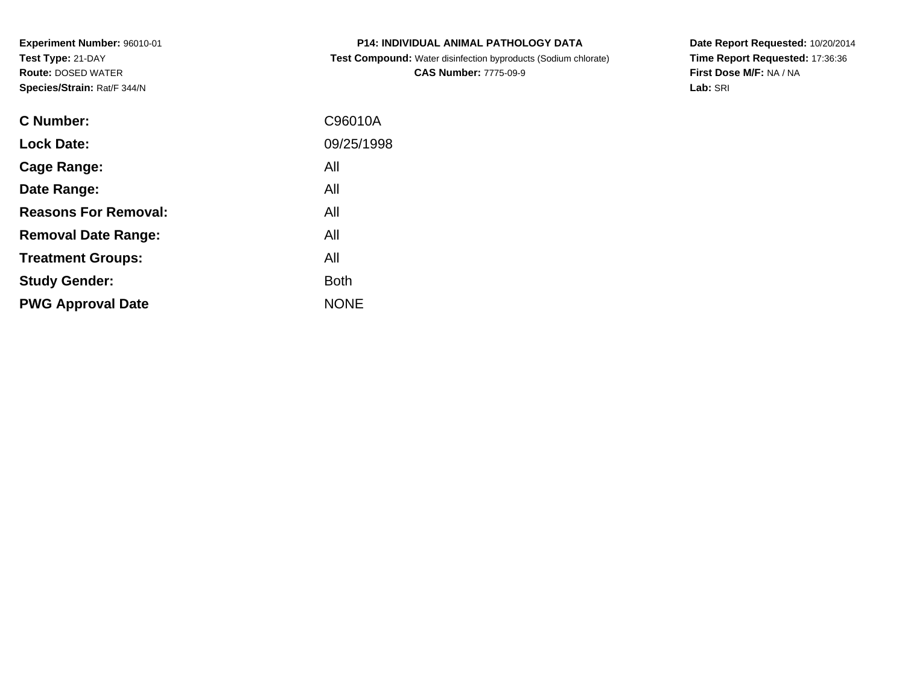**Experiment Number:** 96010-01**Test Type:** 21-DAY **Route:** DOSED WATER**Species/Strain:** Rat/F 344/N

| <b>ODECIES/OLIGIII.</b> RAVE 344/N |            |
|------------------------------------|------------|
| C Number:                          | C96010A    |
| <b>Lock Date:</b>                  | 09/25/1998 |
| Cage Range:                        | All        |
| Date Range:                        | All        |
| <b>Reasons For Removal:</b>        | All        |
| <b>Removal Date Range:</b>         | All        |

**P14: INDIVIDUAL ANIMAL PATHOLOGY DATA**

 **Test Compound:** Water disinfection byproducts (Sodium chlorate)**CAS Number:** 7775-09-9

**Date Report Requested:** 10/20/2014**Time Report Requested:** 17:36:36**First Dose M/F:** NA / NA**Lab:** SRI

| <b>Lock Date:</b>           | 09/25/1998  |
|-----------------------------|-------------|
| Cage Range:                 | All         |
| Date Range:                 | All         |
| <b>Reasons For Removal:</b> | All         |
| <b>Removal Date Range:</b>  | All         |
| <b>Treatment Groups:</b>    | All         |
| <b>Study Gender:</b>        | <b>Both</b> |
| <b>PWG Approval Date</b>    | <b>NONE</b> |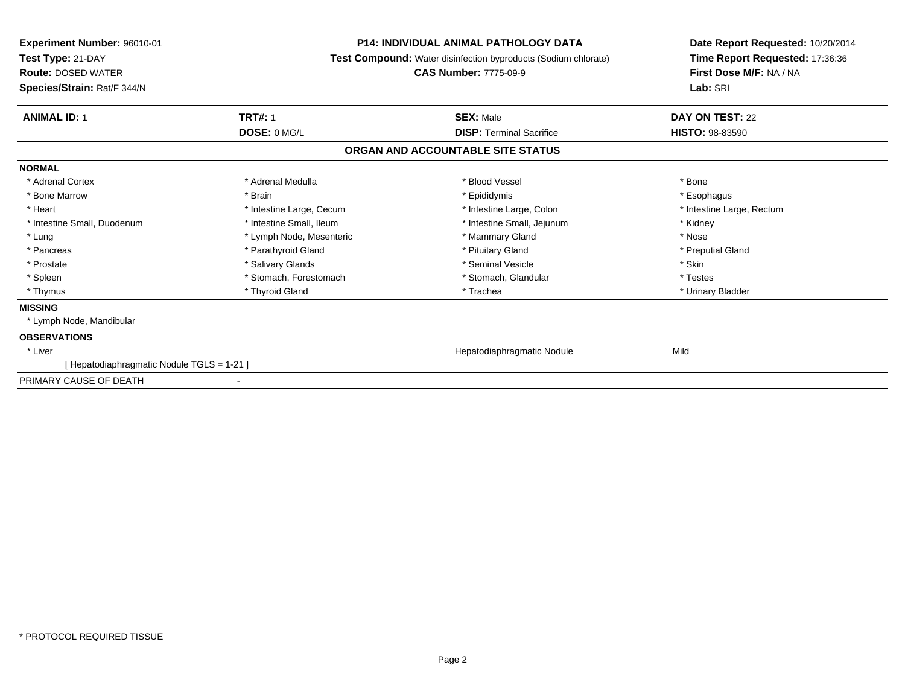| Experiment Number: 96010-01<br>Test Type: 21-DAY<br><b>Route: DOSED WATER</b><br>Species/Strain: Rat/F 344/N | <b>P14: INDIVIDUAL ANIMAL PATHOLOGY DATA</b><br><b>Test Compound:</b> Water disinfection byproducts (Sodium chlorate)<br><b>CAS Number: 7775-09-9</b> |                                   | Date Report Requested: 10/20/2014<br>Time Report Requested: 17:36:36<br>First Dose M/F: NA / NA<br>Lab: SRI |
|--------------------------------------------------------------------------------------------------------------|-------------------------------------------------------------------------------------------------------------------------------------------------------|-----------------------------------|-------------------------------------------------------------------------------------------------------------|
| <b>TRT#: 1</b><br><b>ANIMAL ID: 1</b>                                                                        |                                                                                                                                                       | <b>SEX: Male</b>                  | DAY ON TEST: 22                                                                                             |
| DOSE: 0 MG/L                                                                                                 |                                                                                                                                                       | <b>DISP: Terminal Sacrifice</b>   | <b>HISTO: 98-83590</b>                                                                                      |
|                                                                                                              |                                                                                                                                                       | ORGAN AND ACCOUNTABLE SITE STATUS |                                                                                                             |
| <b>NORMAL</b>                                                                                                |                                                                                                                                                       |                                   |                                                                                                             |
| * Adrenal Cortex<br>* Adrenal Medulla                                                                        |                                                                                                                                                       | * Blood Vessel                    | * Bone                                                                                                      |
| * Bone Marrow<br>* Brain                                                                                     |                                                                                                                                                       | * Epididymis                      | * Esophagus                                                                                                 |
| * Heart                                                                                                      | * Intestine Large, Cecum                                                                                                                              | * Intestine Large, Colon          | * Intestine Large, Rectum                                                                                   |
| * Intestine Small, Duodenum                                                                                  | * Intestine Small. Ileum                                                                                                                              | * Intestine Small, Jejunum        | * Kidney                                                                                                    |
| * Lung                                                                                                       | * Lymph Node, Mesenteric                                                                                                                              | * Mammary Gland                   | * Nose                                                                                                      |
| * Pancreas                                                                                                   | * Parathyroid Gland                                                                                                                                   | * Pituitary Gland                 | * Preputial Gland                                                                                           |
| * Salivary Glands<br>* Prostate                                                                              |                                                                                                                                                       | * Seminal Vesicle                 | * Skin                                                                                                      |
| * Spleen                                                                                                     | * Stomach, Forestomach                                                                                                                                | * Stomach, Glandular              | * Testes                                                                                                    |
| * Thyroid Gland<br>* Thymus                                                                                  |                                                                                                                                                       | * Trachea                         | * Urinary Bladder                                                                                           |
| <b>MISSING</b>                                                                                               |                                                                                                                                                       |                                   |                                                                                                             |
| * Lymph Node, Mandibular                                                                                     |                                                                                                                                                       |                                   |                                                                                                             |
| <b>OBSERVATIONS</b>                                                                                          |                                                                                                                                                       |                                   |                                                                                                             |
| * Liver                                                                                                      |                                                                                                                                                       | Hepatodiaphragmatic Nodule        | Mild                                                                                                        |
| [ Hepatodiaphragmatic Nodule TGLS = 1-21 ]                                                                   |                                                                                                                                                       |                                   |                                                                                                             |
| PRIMARY CAUSE OF DEATH<br>$\overline{\phantom{a}}$                                                           |                                                                                                                                                       |                                   |                                                                                                             |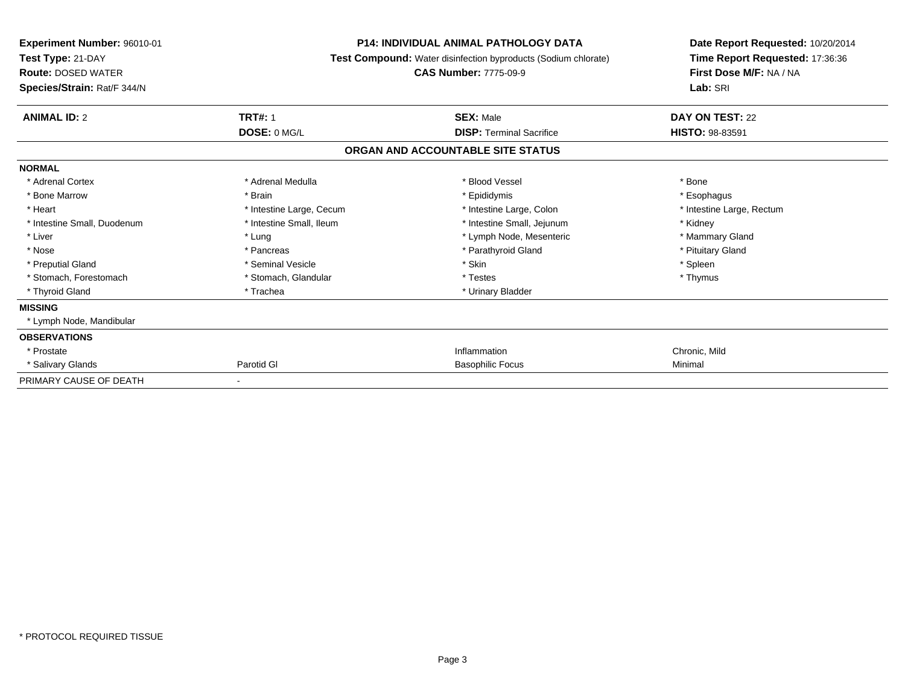| Experiment Number: 96010-01<br>Test Type: 21-DAY<br><b>Route: DOSED WATER</b><br>Species/Strain: Rat/F 344/N | <b>P14: INDIVIDUAL ANIMAL PATHOLOGY DATA</b><br>Test Compound: Water disinfection byproducts (Sodium chlorate)<br><b>CAS Number: 7775-09-9</b> |                                   | Date Report Requested: 10/20/2014<br>Time Report Requested: 17:36:36<br>First Dose M/F: NA / NA<br>Lab: SRI |
|--------------------------------------------------------------------------------------------------------------|------------------------------------------------------------------------------------------------------------------------------------------------|-----------------------------------|-------------------------------------------------------------------------------------------------------------|
| <b>ANIMAL ID: 2</b>                                                                                          | <b>TRT#: 1</b>                                                                                                                                 | <b>SEX: Male</b>                  | DAY ON TEST: 22                                                                                             |
|                                                                                                              | DOSE: 0 MG/L                                                                                                                                   | <b>DISP: Terminal Sacrifice</b>   | <b>HISTO: 98-83591</b>                                                                                      |
|                                                                                                              |                                                                                                                                                | ORGAN AND ACCOUNTABLE SITE STATUS |                                                                                                             |
| <b>NORMAL</b>                                                                                                |                                                                                                                                                |                                   |                                                                                                             |
| * Adrenal Cortex                                                                                             | * Adrenal Medulla                                                                                                                              | * Blood Vessel                    | * Bone                                                                                                      |
| * Bone Marrow                                                                                                | * Brain                                                                                                                                        | * Epididymis                      | * Esophagus                                                                                                 |
| * Heart                                                                                                      | * Intestine Large, Cecum                                                                                                                       | * Intestine Large, Colon          | * Intestine Large, Rectum                                                                                   |
| * Intestine Small, Duodenum                                                                                  | * Intestine Small, Ileum                                                                                                                       | * Intestine Small, Jejunum        | * Kidney                                                                                                    |
| * Liver                                                                                                      | * Lung                                                                                                                                         | * Lymph Node, Mesenteric          | * Mammary Gland                                                                                             |
| * Nose                                                                                                       | * Pancreas                                                                                                                                     | * Parathyroid Gland               | * Pituitary Gland                                                                                           |
| * Preputial Gland                                                                                            | * Seminal Vesicle                                                                                                                              | * Skin                            | * Spleen                                                                                                    |
| * Stomach, Forestomach                                                                                       | * Stomach, Glandular                                                                                                                           | * Testes                          | * Thymus                                                                                                    |
| * Thyroid Gland                                                                                              | * Trachea                                                                                                                                      | * Urinary Bladder                 |                                                                                                             |
| <b>MISSING</b>                                                                                               |                                                                                                                                                |                                   |                                                                                                             |
| * Lymph Node, Mandibular                                                                                     |                                                                                                                                                |                                   |                                                                                                             |
| <b>OBSERVATIONS</b>                                                                                          |                                                                                                                                                |                                   |                                                                                                             |
| * Prostate                                                                                                   |                                                                                                                                                | Inflammation                      | Chronic, Mild                                                                                               |
| * Salivary Glands                                                                                            | Parotid GI                                                                                                                                     | <b>Basophilic Focus</b>           | Minimal                                                                                                     |
| PRIMARY CAUSE OF DEATH                                                                                       | $\overline{\phantom{a}}$                                                                                                                       |                                   |                                                                                                             |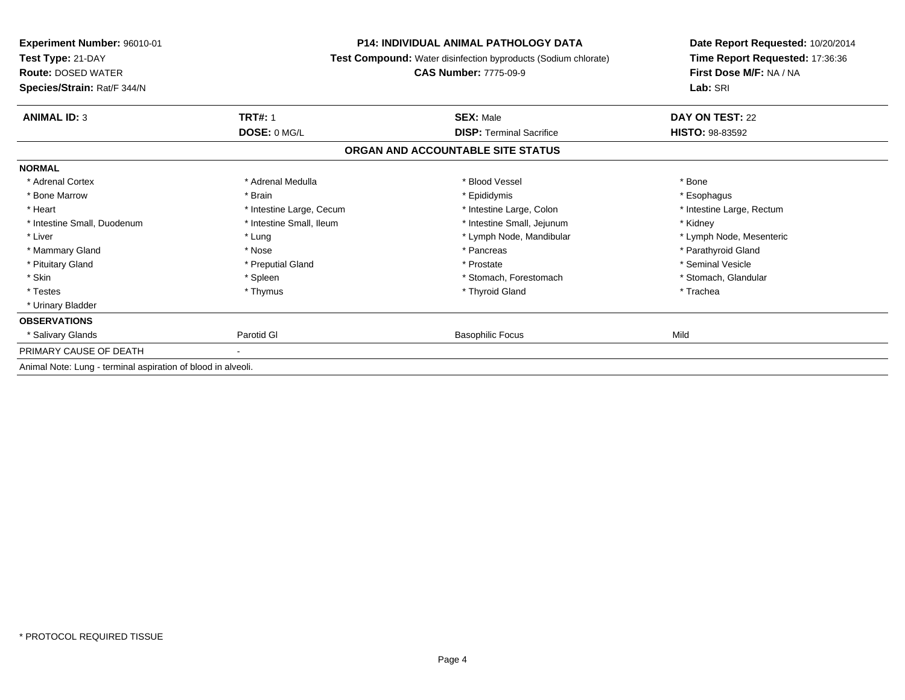| Experiment Number: 96010-01<br>Test Type: 21-DAY<br><b>Route: DOSED WATER</b><br>Species/Strain: Rat/F 344/N |                          | <b>P14: INDIVIDUAL ANIMAL PATHOLOGY DATA</b><br>Test Compound: Water disinfection byproducts (Sodium chlorate)<br><b>CAS Number: 7775-09-9</b> |                           |
|--------------------------------------------------------------------------------------------------------------|--------------------------|------------------------------------------------------------------------------------------------------------------------------------------------|---------------------------|
| <b>ANIMAL ID: 3</b>                                                                                          | <b>TRT#: 1</b>           | <b>SEX: Male</b>                                                                                                                               | DAY ON TEST: 22           |
|                                                                                                              | DOSE: 0 MG/L             | <b>DISP: Terminal Sacrifice</b>                                                                                                                | <b>HISTO: 98-83592</b>    |
|                                                                                                              |                          | ORGAN AND ACCOUNTABLE SITE STATUS                                                                                                              |                           |
| <b>NORMAL</b>                                                                                                |                          |                                                                                                                                                |                           |
| * Adrenal Cortex                                                                                             | * Adrenal Medulla        | * Blood Vessel                                                                                                                                 | * Bone                    |
| * Bone Marrow                                                                                                | * Brain                  | * Epididymis                                                                                                                                   | * Esophagus               |
| * Heart                                                                                                      | * Intestine Large, Cecum | * Intestine Large, Colon                                                                                                                       | * Intestine Large, Rectum |
| * Intestine Small, Duodenum                                                                                  | * Intestine Small, Ileum | * Intestine Small, Jejunum                                                                                                                     | * Kidney                  |
| * Liver                                                                                                      | * Lung                   | * Lymph Node, Mandibular                                                                                                                       | * Lymph Node, Mesenteric  |
| * Mammary Gland                                                                                              | * Nose                   | * Pancreas                                                                                                                                     | * Parathyroid Gland       |
| * Pituitary Gland                                                                                            | * Preputial Gland        | * Prostate                                                                                                                                     | * Seminal Vesicle         |
| * Skin                                                                                                       | * Spleen                 | * Stomach, Forestomach                                                                                                                         | * Stomach, Glandular      |
| * Testes                                                                                                     | * Thymus                 | * Thyroid Gland                                                                                                                                | * Trachea                 |
| * Urinary Bladder                                                                                            |                          |                                                                                                                                                |                           |
| <b>OBSERVATIONS</b>                                                                                          |                          |                                                                                                                                                |                           |
| * Salivary Glands                                                                                            | Parotid GI               | <b>Basophilic Focus</b>                                                                                                                        | Mild                      |
| PRIMARY CAUSE OF DEATH                                                                                       |                          |                                                                                                                                                |                           |
| Animal Note: Lung - terminal aspiration of blood in alveoli.                                                 |                          |                                                                                                                                                |                           |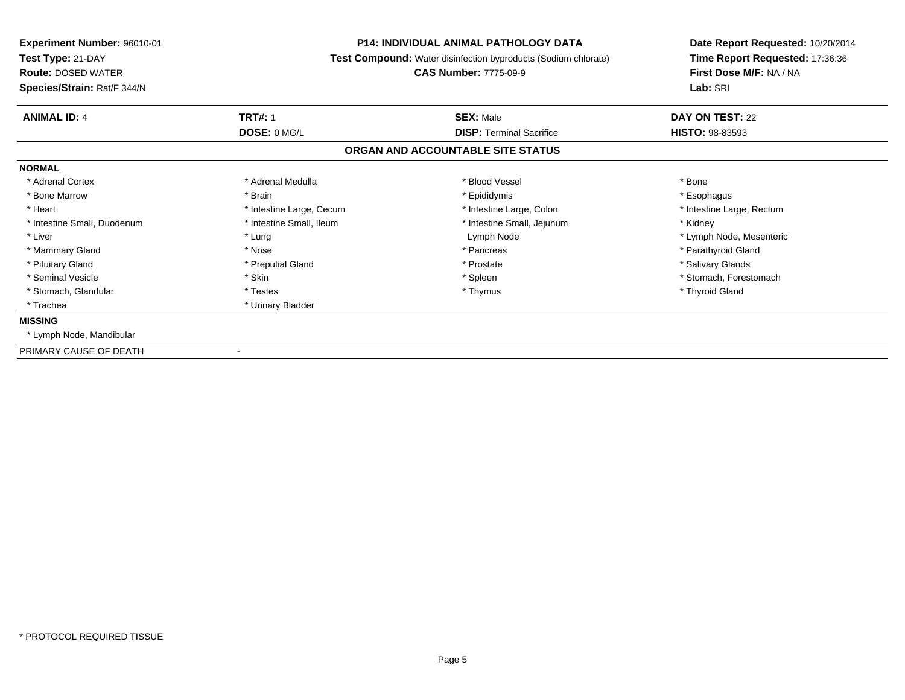| Experiment Number: 96010-01<br>Test Type: 21-DAY<br><b>Route: DOSED WATER</b><br>Species/Strain: Rat/F 344/N | <b>P14: INDIVIDUAL ANIMAL PATHOLOGY DATA</b><br><b>Test Compound:</b> Water disinfection byproducts (Sodium chlorate)<br><b>CAS Number: 7775-09-9</b> |                                   | Date Report Requested: 10/20/2014<br>Time Report Requested: 17:36:36<br>First Dose M/F: NA / NA<br>Lab: SRI |
|--------------------------------------------------------------------------------------------------------------|-------------------------------------------------------------------------------------------------------------------------------------------------------|-----------------------------------|-------------------------------------------------------------------------------------------------------------|
| <b>ANIMAL ID: 4</b>                                                                                          | <b>TRT#: 1</b>                                                                                                                                        | <b>SEX: Male</b>                  | DAY ON TEST: 22                                                                                             |
|                                                                                                              | DOSE: 0 MG/L                                                                                                                                          | <b>DISP:</b> Terminal Sacrifice   | <b>HISTO: 98-83593</b>                                                                                      |
|                                                                                                              |                                                                                                                                                       | ORGAN AND ACCOUNTABLE SITE STATUS |                                                                                                             |
| <b>NORMAL</b>                                                                                                |                                                                                                                                                       |                                   |                                                                                                             |
| * Adrenal Cortex                                                                                             | * Adrenal Medulla                                                                                                                                     | * Blood Vessel                    | * Bone                                                                                                      |
| * Bone Marrow                                                                                                | * Brain                                                                                                                                               | * Epididymis                      | * Esophagus                                                                                                 |
| * Heart                                                                                                      | * Intestine Large, Cecum                                                                                                                              | * Intestine Large, Colon          | * Intestine Large, Rectum                                                                                   |
| * Intestine Small, Duodenum                                                                                  | * Intestine Small, Ileum                                                                                                                              | * Intestine Small, Jejunum        | * Kidney                                                                                                    |
| * Liver                                                                                                      | * Lung                                                                                                                                                | Lymph Node                        | * Lymph Node, Mesenteric                                                                                    |
| * Mammary Gland                                                                                              | * Nose                                                                                                                                                | * Pancreas                        | * Parathyroid Gland                                                                                         |
| * Pituitary Gland                                                                                            | * Preputial Gland                                                                                                                                     | * Prostate                        | * Salivary Glands                                                                                           |
| * Seminal Vesicle                                                                                            | * Skin                                                                                                                                                | * Spleen                          | * Stomach, Forestomach                                                                                      |
| * Stomach, Glandular                                                                                         | * Testes                                                                                                                                              | * Thymus                          | * Thyroid Gland                                                                                             |
| * Trachea                                                                                                    | * Urinary Bladder                                                                                                                                     |                                   |                                                                                                             |
| <b>MISSING</b>                                                                                               |                                                                                                                                                       |                                   |                                                                                                             |
| * Lymph Node, Mandibular                                                                                     |                                                                                                                                                       |                                   |                                                                                                             |
| PRIMARY CAUSE OF DEATH                                                                                       |                                                                                                                                                       |                                   |                                                                                                             |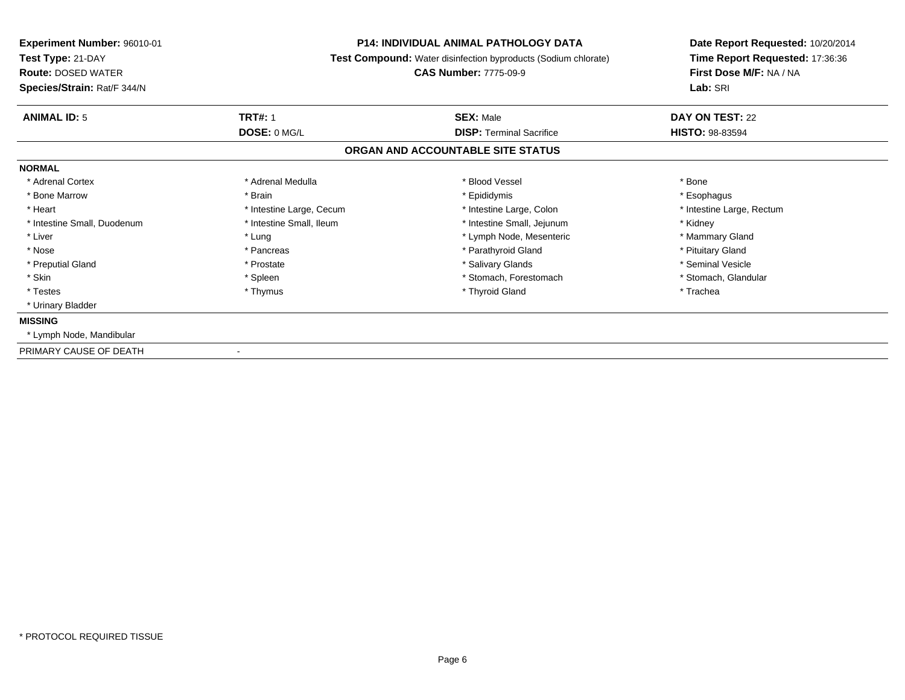| <b>Experiment Number: 96010-01</b><br>Test Type: 21-DAY<br><b>Route: DOSED WATER</b><br>Species/Strain: Rat/F 344/N | <b>P14: INDIVIDUAL ANIMAL PATHOLOGY DATA</b><br>Test Compound: Water disinfection byproducts (Sodium chlorate)<br><b>CAS Number: 7775-09-9</b> |                                                     | Date Report Requested: 10/20/2014<br>Time Report Requested: 17:36:36<br>First Dose M/F: NA / NA<br>Lab: SRI |  |
|---------------------------------------------------------------------------------------------------------------------|------------------------------------------------------------------------------------------------------------------------------------------------|-----------------------------------------------------|-------------------------------------------------------------------------------------------------------------|--|
| <b>ANIMAL ID: 5</b>                                                                                                 | <b>TRT#: 1</b><br>DOSE: 0 MG/L                                                                                                                 | <b>SEX: Male</b><br><b>DISP: Terminal Sacrifice</b> | DAY ON TEST: 22<br>HISTO: 98-83594                                                                          |  |
|                                                                                                                     |                                                                                                                                                | ORGAN AND ACCOUNTABLE SITE STATUS                   |                                                                                                             |  |
| <b>NORMAL</b>                                                                                                       |                                                                                                                                                |                                                     |                                                                                                             |  |
| * Adrenal Cortex                                                                                                    | * Adrenal Medulla                                                                                                                              | * Blood Vessel                                      | * Bone                                                                                                      |  |
| * Bone Marrow                                                                                                       | * Brain                                                                                                                                        | * Epididymis                                        | * Esophagus                                                                                                 |  |
| * Heart                                                                                                             | * Intestine Large, Cecum                                                                                                                       | * Intestine Large, Colon                            | * Intestine Large, Rectum                                                                                   |  |
| * Intestine Small, Duodenum                                                                                         | * Intestine Small. Ileum                                                                                                                       | * Intestine Small, Jejunum                          | * Kidney                                                                                                    |  |
| * Liver                                                                                                             | * Lung                                                                                                                                         | * Lymph Node, Mesenteric                            | * Mammary Gland                                                                                             |  |
| * Nose                                                                                                              | * Pancreas                                                                                                                                     | * Parathyroid Gland                                 | * Pituitary Gland                                                                                           |  |
| * Preputial Gland                                                                                                   | * Prostate                                                                                                                                     | * Salivary Glands                                   | * Seminal Vesicle                                                                                           |  |
| * Skin                                                                                                              | * Spleen                                                                                                                                       | * Stomach, Forestomach                              | * Stomach, Glandular                                                                                        |  |
| * Testes                                                                                                            | * Thymus                                                                                                                                       | * Thyroid Gland                                     | * Trachea                                                                                                   |  |
| * Urinary Bladder                                                                                                   |                                                                                                                                                |                                                     |                                                                                                             |  |
| <b>MISSING</b>                                                                                                      |                                                                                                                                                |                                                     |                                                                                                             |  |
| * Lymph Node, Mandibular                                                                                            |                                                                                                                                                |                                                     |                                                                                                             |  |
| PRIMARY CAUSE OF DEATH                                                                                              |                                                                                                                                                |                                                     |                                                                                                             |  |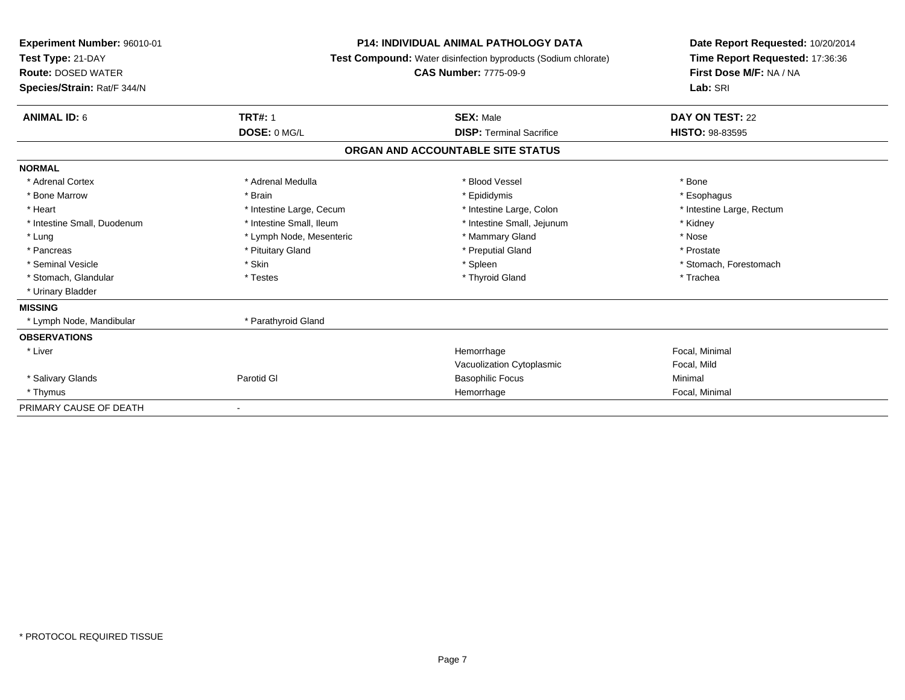| Experiment Number: 96010-01<br>Test Type: 21-DAY<br><b>Route: DOSED WATER</b><br>Species/Strain: Rat/F 344/N | <b>P14: INDIVIDUAL ANIMAL PATHOLOGY DATA</b><br>Test Compound: Water disinfection byproducts (Sodium chlorate)<br><b>CAS Number: 7775-09-9</b> |                                   | Date Report Requested: 10/20/2014<br>Time Report Requested: 17:36:36<br>First Dose M/F: NA / NA<br>Lab: SRI |  |
|--------------------------------------------------------------------------------------------------------------|------------------------------------------------------------------------------------------------------------------------------------------------|-----------------------------------|-------------------------------------------------------------------------------------------------------------|--|
| <b>ANIMAL ID: 6</b>                                                                                          | <b>TRT#: 1</b>                                                                                                                                 | <b>SEX: Male</b>                  | DAY ON TEST: 22                                                                                             |  |
|                                                                                                              | DOSE: 0 MG/L                                                                                                                                   | <b>DISP: Terminal Sacrifice</b>   | HISTO: 98-83595                                                                                             |  |
|                                                                                                              |                                                                                                                                                | ORGAN AND ACCOUNTABLE SITE STATUS |                                                                                                             |  |
| <b>NORMAL</b>                                                                                                |                                                                                                                                                |                                   |                                                                                                             |  |
| * Adrenal Cortex                                                                                             | * Adrenal Medulla                                                                                                                              | * Blood Vessel                    | * Bone                                                                                                      |  |
| * Bone Marrow                                                                                                | * Brain                                                                                                                                        | * Epididymis                      | * Esophagus                                                                                                 |  |
| * Heart                                                                                                      | * Intestine Large, Cecum                                                                                                                       | * Intestine Large, Colon          | * Intestine Large, Rectum                                                                                   |  |
| * Intestine Small, Duodenum                                                                                  | * Intestine Small, Ileum                                                                                                                       | * Intestine Small, Jejunum        | * Kidney                                                                                                    |  |
| * Lung                                                                                                       | * Lymph Node, Mesenteric                                                                                                                       | * Mammary Gland                   | * Nose                                                                                                      |  |
| * Pancreas                                                                                                   | * Pituitary Gland                                                                                                                              | * Preputial Gland                 | * Prostate                                                                                                  |  |
| * Seminal Vesicle                                                                                            | * Skin                                                                                                                                         | * Spleen                          | * Stomach, Forestomach                                                                                      |  |
| * Stomach, Glandular                                                                                         | * Testes                                                                                                                                       | * Thyroid Gland                   | * Trachea                                                                                                   |  |
| * Urinary Bladder                                                                                            |                                                                                                                                                |                                   |                                                                                                             |  |
| <b>MISSING</b>                                                                                               |                                                                                                                                                |                                   |                                                                                                             |  |
| * Lymph Node, Mandibular                                                                                     | * Parathyroid Gland                                                                                                                            |                                   |                                                                                                             |  |
| <b>OBSERVATIONS</b>                                                                                          |                                                                                                                                                |                                   |                                                                                                             |  |
| * Liver                                                                                                      |                                                                                                                                                | Hemorrhage                        | Focal, Minimal                                                                                              |  |
|                                                                                                              |                                                                                                                                                | Vacuolization Cytoplasmic         | Focal, Mild                                                                                                 |  |
| * Salivary Glands                                                                                            | Parotid GI                                                                                                                                     | <b>Basophilic Focus</b>           | Minimal                                                                                                     |  |
| * Thymus                                                                                                     |                                                                                                                                                | Hemorrhage                        | Focal, Minimal                                                                                              |  |
| PRIMARY CAUSE OF DEATH                                                                                       |                                                                                                                                                |                                   |                                                                                                             |  |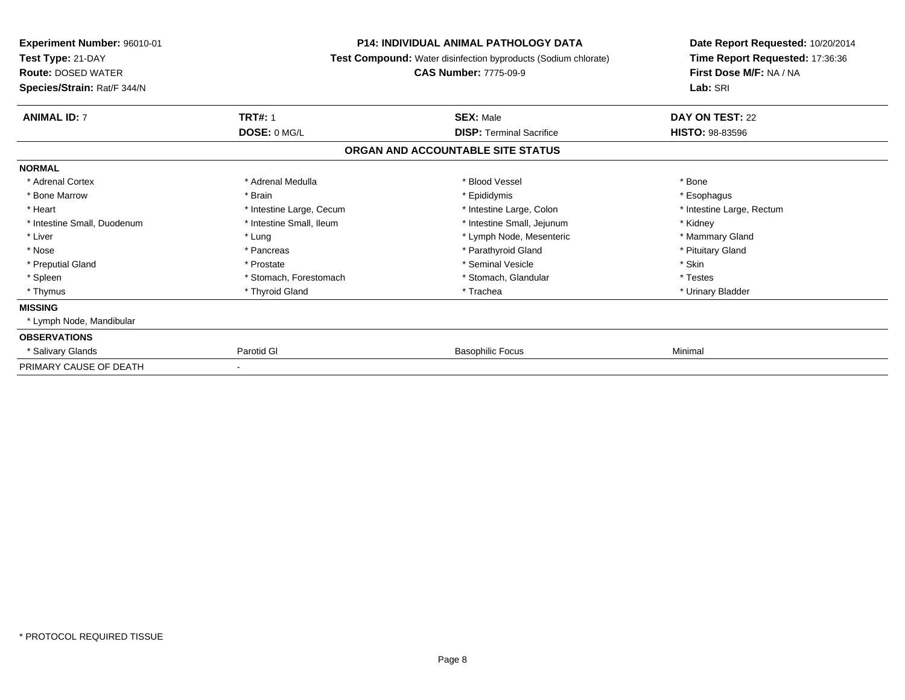| <b>Experiment Number: 96010-01</b><br>Test Type: 21-DAY<br><b>Route: DOSED WATER</b><br>Species/Strain: Rat/F 344/N |                          | <b>P14: INDIVIDUAL ANIMAL PATHOLOGY DATA</b><br>Test Compound: Water disinfection byproducts (Sodium chlorate)<br><b>CAS Number: 7775-09-9</b> |                           |
|---------------------------------------------------------------------------------------------------------------------|--------------------------|------------------------------------------------------------------------------------------------------------------------------------------------|---------------------------|
| <b>ANIMAL ID: 7</b>                                                                                                 | <b>TRT#: 1</b>           | <b>SEX: Male</b>                                                                                                                               | DAY ON TEST: 22           |
|                                                                                                                     | DOSE: 0 MG/L             | <b>DISP:</b> Terminal Sacrifice                                                                                                                | <b>HISTO: 98-83596</b>    |
|                                                                                                                     |                          | ORGAN AND ACCOUNTABLE SITE STATUS                                                                                                              |                           |
| <b>NORMAL</b>                                                                                                       |                          |                                                                                                                                                |                           |
| * Adrenal Cortex                                                                                                    | * Adrenal Medulla        | * Blood Vessel                                                                                                                                 | * Bone                    |
| * Bone Marrow                                                                                                       | * Brain                  | * Epididymis                                                                                                                                   | * Esophagus               |
| * Heart                                                                                                             | * Intestine Large, Cecum | * Intestine Large, Colon                                                                                                                       | * Intestine Large, Rectum |
| * Intestine Small, Duodenum                                                                                         | * Intestine Small, Ileum | * Intestine Small, Jejunum                                                                                                                     | * Kidney                  |
| * Liver                                                                                                             | * Lung                   | * Lymph Node, Mesenteric                                                                                                                       | * Mammary Gland           |
| * Nose                                                                                                              | * Pancreas               | * Parathyroid Gland                                                                                                                            | * Pituitary Gland         |
| * Preputial Gland                                                                                                   | * Prostate               | * Seminal Vesicle                                                                                                                              | * Skin                    |
| * Spleen                                                                                                            | * Stomach, Forestomach   | * Stomach, Glandular                                                                                                                           | * Testes                  |
| * Thymus                                                                                                            | * Thyroid Gland          | * Trachea                                                                                                                                      | * Urinary Bladder         |
| <b>MISSING</b>                                                                                                      |                          |                                                                                                                                                |                           |
| * Lymph Node, Mandibular                                                                                            |                          |                                                                                                                                                |                           |
| <b>OBSERVATIONS</b>                                                                                                 |                          |                                                                                                                                                |                           |
| * Salivary Glands                                                                                                   | Parotid GI               | <b>Basophilic Focus</b>                                                                                                                        | Minimal                   |
| PRIMARY CAUSE OF DEATH                                                                                              |                          |                                                                                                                                                |                           |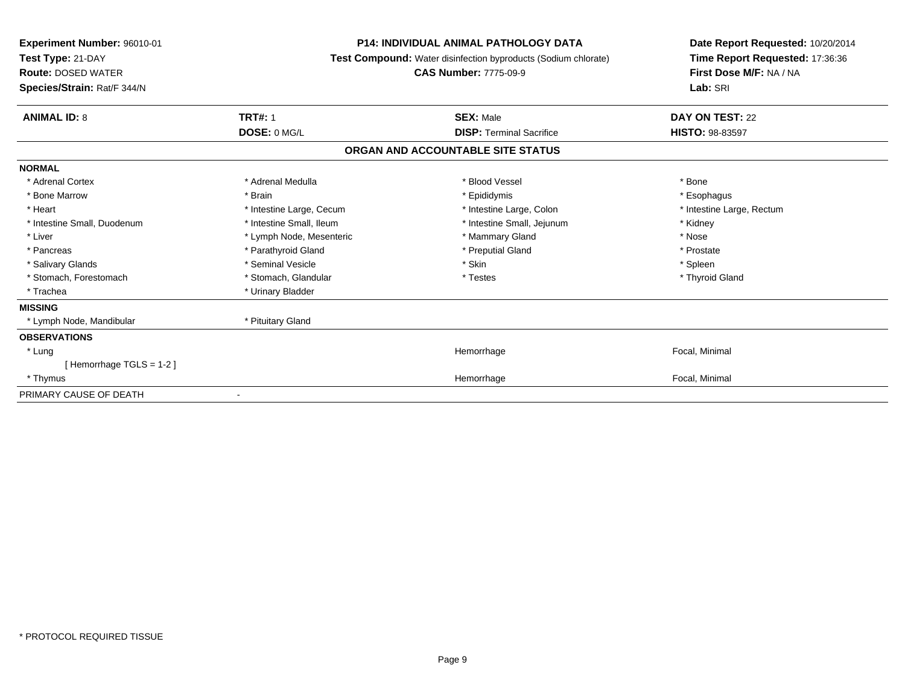| <b>Experiment Number: 96010-01</b><br>Test Type: 21-DAY<br><b>Route: DOSED WATER</b><br>Species/Strain: Rat/F 344/N | <b>P14: INDIVIDUAL ANIMAL PATHOLOGY DATA</b><br>Test Compound: Water disinfection byproducts (Sodium chlorate)<br><b>CAS Number: 7775-09-9</b> |                                   | Date Report Requested: 10/20/2014<br>Time Report Requested: 17:36:36<br>First Dose M/F: NA / NA<br>Lab: SRI |
|---------------------------------------------------------------------------------------------------------------------|------------------------------------------------------------------------------------------------------------------------------------------------|-----------------------------------|-------------------------------------------------------------------------------------------------------------|
| <b>ANIMAL ID: 8</b>                                                                                                 | <b>TRT#: 1</b>                                                                                                                                 | <b>SEX: Male</b>                  | DAY ON TEST: 22                                                                                             |
|                                                                                                                     | DOSE: 0 MG/L                                                                                                                                   | <b>DISP: Terminal Sacrifice</b>   | <b>HISTO: 98-83597</b>                                                                                      |
|                                                                                                                     |                                                                                                                                                | ORGAN AND ACCOUNTABLE SITE STATUS |                                                                                                             |
| <b>NORMAL</b>                                                                                                       |                                                                                                                                                |                                   |                                                                                                             |
| * Adrenal Cortex                                                                                                    | * Adrenal Medulla                                                                                                                              | * Blood Vessel                    | * Bone                                                                                                      |
| * Bone Marrow                                                                                                       | * Brain                                                                                                                                        | * Epididymis                      | * Esophagus                                                                                                 |
| * Heart                                                                                                             | * Intestine Large, Cecum                                                                                                                       | * Intestine Large, Colon          | * Intestine Large, Rectum                                                                                   |
| * Intestine Small, Duodenum                                                                                         | * Intestine Small, Ileum                                                                                                                       | * Intestine Small, Jejunum        | * Kidney                                                                                                    |
| * Liver                                                                                                             | * Lymph Node, Mesenteric                                                                                                                       | * Mammary Gland                   | * Nose                                                                                                      |
| * Pancreas                                                                                                          | * Parathyroid Gland                                                                                                                            | * Preputial Gland                 | * Prostate                                                                                                  |
| * Salivary Glands                                                                                                   | * Seminal Vesicle                                                                                                                              | * Skin                            | * Spleen                                                                                                    |
| * Stomach, Forestomach                                                                                              | * Stomach, Glandular                                                                                                                           | * Testes                          | * Thyroid Gland                                                                                             |
| * Trachea                                                                                                           | * Urinary Bladder                                                                                                                              |                                   |                                                                                                             |
| <b>MISSING</b>                                                                                                      |                                                                                                                                                |                                   |                                                                                                             |
| * Lymph Node, Mandibular                                                                                            | * Pituitary Gland                                                                                                                              |                                   |                                                                                                             |
| <b>OBSERVATIONS</b>                                                                                                 |                                                                                                                                                |                                   |                                                                                                             |
| * Lung                                                                                                              |                                                                                                                                                | Hemorrhage                        | Focal, Minimal                                                                                              |
| [Hemorrhage TGLS = 1-2]                                                                                             |                                                                                                                                                |                                   |                                                                                                             |
| * Thymus                                                                                                            |                                                                                                                                                | Hemorrhage                        | Focal, Minimal                                                                                              |
| PRIMARY CAUSE OF DEATH                                                                                              |                                                                                                                                                |                                   |                                                                                                             |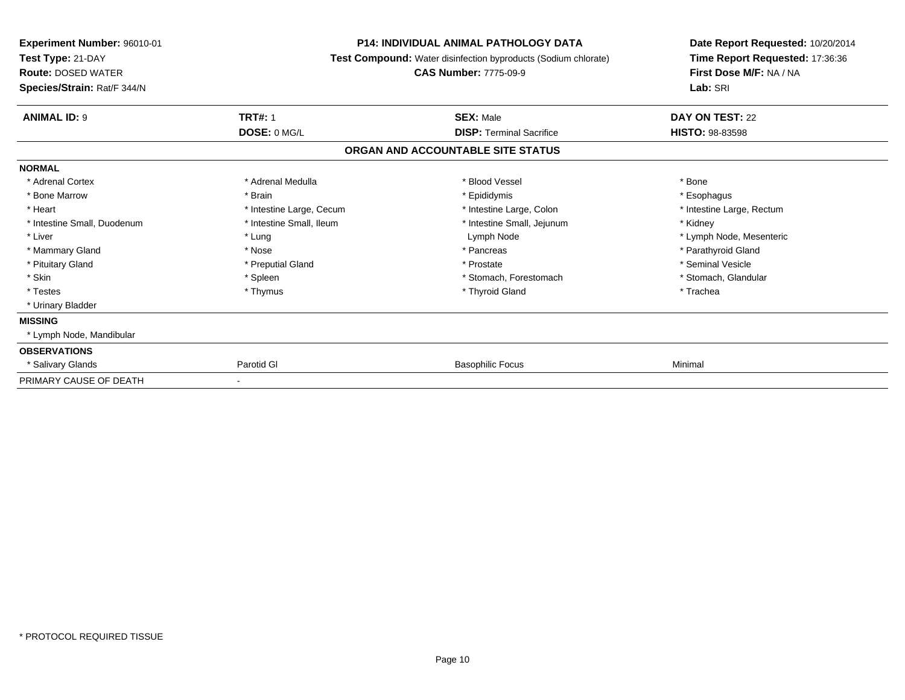| Experiment Number: 96010-01<br>Test Type: 21-DAY<br><b>Route: DOSED WATER</b><br>Species/Strain: Rat/F 344/N | <b>P14: INDIVIDUAL ANIMAL PATHOLOGY DATA</b><br>Test Compound: Water disinfection byproducts (Sodium chlorate)<br><b>CAS Number: 7775-09-9</b> |                                   | Date Report Requested: 10/20/2014<br>Time Report Requested: 17:36:36<br>First Dose M/F: NA / NA<br>Lab: SRI |  |
|--------------------------------------------------------------------------------------------------------------|------------------------------------------------------------------------------------------------------------------------------------------------|-----------------------------------|-------------------------------------------------------------------------------------------------------------|--|
| <b>ANIMAL ID: 9</b>                                                                                          | <b>TRT#: 1</b>                                                                                                                                 | <b>SEX: Male</b>                  | DAY ON TEST: 22                                                                                             |  |
|                                                                                                              | DOSE: 0 MG/L                                                                                                                                   | <b>DISP: Terminal Sacrifice</b>   | <b>HISTO: 98-83598</b>                                                                                      |  |
|                                                                                                              |                                                                                                                                                | ORGAN AND ACCOUNTABLE SITE STATUS |                                                                                                             |  |
| <b>NORMAL</b>                                                                                                |                                                                                                                                                |                                   |                                                                                                             |  |
| * Adrenal Cortex                                                                                             | * Adrenal Medulla                                                                                                                              | * Blood Vessel                    | * Bone                                                                                                      |  |
| * Bone Marrow                                                                                                | * Brain                                                                                                                                        | * Epididymis                      | * Esophagus                                                                                                 |  |
| * Heart                                                                                                      | * Intestine Large, Cecum                                                                                                                       | * Intestine Large, Colon          | * Intestine Large, Rectum                                                                                   |  |
| * Intestine Small, Duodenum                                                                                  | * Intestine Small. Ileum                                                                                                                       | * Intestine Small, Jejunum        | * Kidney                                                                                                    |  |
| * Liver                                                                                                      | * Lung                                                                                                                                         | Lymph Node                        | * Lymph Node, Mesenteric                                                                                    |  |
| * Mammary Gland                                                                                              | * Nose                                                                                                                                         | * Pancreas                        | * Parathyroid Gland                                                                                         |  |
| * Pituitary Gland                                                                                            | * Preputial Gland                                                                                                                              | * Prostate                        | * Seminal Vesicle                                                                                           |  |
| * Skin                                                                                                       | * Spleen                                                                                                                                       | * Stomach, Forestomach            | * Stomach, Glandular                                                                                        |  |
| * Testes                                                                                                     | * Thymus                                                                                                                                       | * Thyroid Gland                   | * Trachea                                                                                                   |  |
| * Urinary Bladder                                                                                            |                                                                                                                                                |                                   |                                                                                                             |  |
| <b>MISSING</b>                                                                                               |                                                                                                                                                |                                   |                                                                                                             |  |
| * Lymph Node, Mandibular                                                                                     |                                                                                                                                                |                                   |                                                                                                             |  |
| <b>OBSERVATIONS</b>                                                                                          |                                                                                                                                                |                                   |                                                                                                             |  |
| * Salivary Glands                                                                                            | Parotid GI                                                                                                                                     | <b>Basophilic Focus</b>           | Minimal                                                                                                     |  |
| PRIMARY CAUSE OF DEATH                                                                                       | $\qquad \qquad \blacksquare$                                                                                                                   |                                   |                                                                                                             |  |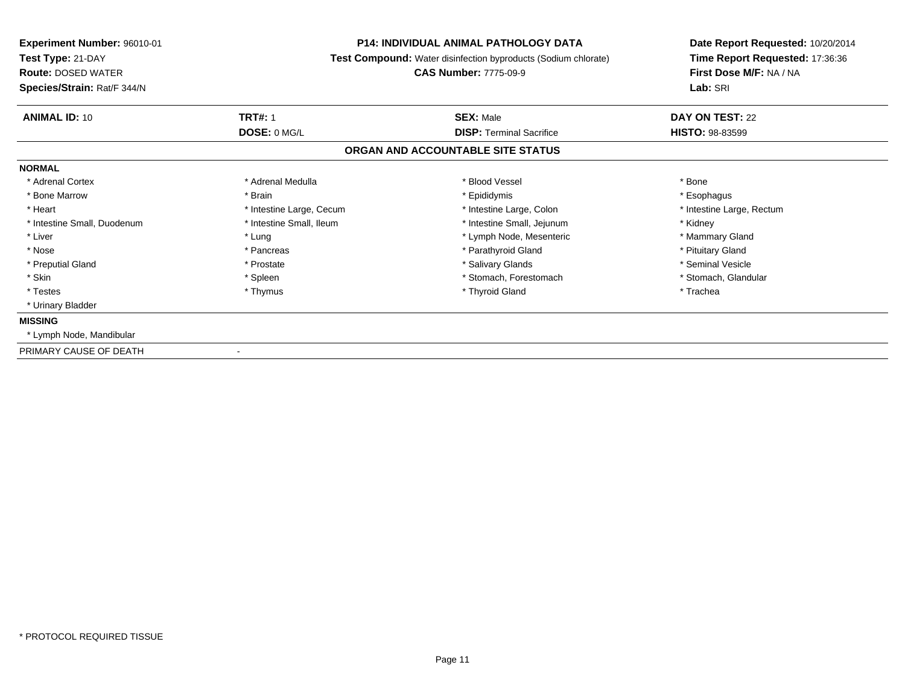| Experiment Number: 96010-01<br>Test Type: 21-DAY<br><b>Route: DOSED WATER</b><br>Species/Strain: Rat/F 344/N | <b>P14: INDIVIDUAL ANIMAL PATHOLOGY DATA</b><br><b>Test Compound:</b> Water disinfection byproducts (Sodium chlorate)<br><b>CAS Number: 7775-09-9</b> |                                   | Date Report Requested: 10/20/2014<br>Time Report Requested: 17:36:36<br>First Dose M/F: NA / NA<br>Lab: SRI |  |
|--------------------------------------------------------------------------------------------------------------|-------------------------------------------------------------------------------------------------------------------------------------------------------|-----------------------------------|-------------------------------------------------------------------------------------------------------------|--|
| <b>ANIMAL ID: 10</b>                                                                                         | <b>TRT#: 1</b>                                                                                                                                        | <b>SEX: Male</b>                  | DAY ON TEST: 22                                                                                             |  |
|                                                                                                              | DOSE: 0 MG/L                                                                                                                                          | <b>DISP: Terminal Sacrifice</b>   | <b>HISTO: 98-83599</b>                                                                                      |  |
|                                                                                                              |                                                                                                                                                       | ORGAN AND ACCOUNTABLE SITE STATUS |                                                                                                             |  |
| <b>NORMAL</b>                                                                                                |                                                                                                                                                       |                                   |                                                                                                             |  |
| * Adrenal Cortex                                                                                             | * Adrenal Medulla                                                                                                                                     | * Blood Vessel                    | * Bone                                                                                                      |  |
| * Bone Marrow                                                                                                | * Brain                                                                                                                                               | * Epididymis                      | * Esophagus                                                                                                 |  |
| * Heart                                                                                                      | * Intestine Large, Cecum                                                                                                                              | * Intestine Large, Colon          | * Intestine Large, Rectum                                                                                   |  |
| * Intestine Small, Duodenum                                                                                  | * Intestine Small, Ileum                                                                                                                              | * Intestine Small, Jejunum        | * Kidney                                                                                                    |  |
| * Liver                                                                                                      | * Lung                                                                                                                                                | * Lymph Node, Mesenteric          | * Mammary Gland                                                                                             |  |
| * Nose                                                                                                       | * Pancreas                                                                                                                                            | * Parathyroid Gland               | * Pituitary Gland                                                                                           |  |
| * Preputial Gland                                                                                            | * Prostate                                                                                                                                            | * Salivary Glands                 | * Seminal Vesicle                                                                                           |  |
| * Skin                                                                                                       | * Spleen                                                                                                                                              | * Stomach, Forestomach            | * Stomach, Glandular                                                                                        |  |
| * Testes                                                                                                     | * Thymus                                                                                                                                              | * Thyroid Gland                   | * Trachea                                                                                                   |  |
| * Urinary Bladder                                                                                            |                                                                                                                                                       |                                   |                                                                                                             |  |
| <b>MISSING</b>                                                                                               |                                                                                                                                                       |                                   |                                                                                                             |  |
| * Lymph Node, Mandibular                                                                                     |                                                                                                                                                       |                                   |                                                                                                             |  |
| PRIMARY CAUSE OF DEATH                                                                                       |                                                                                                                                                       |                                   |                                                                                                             |  |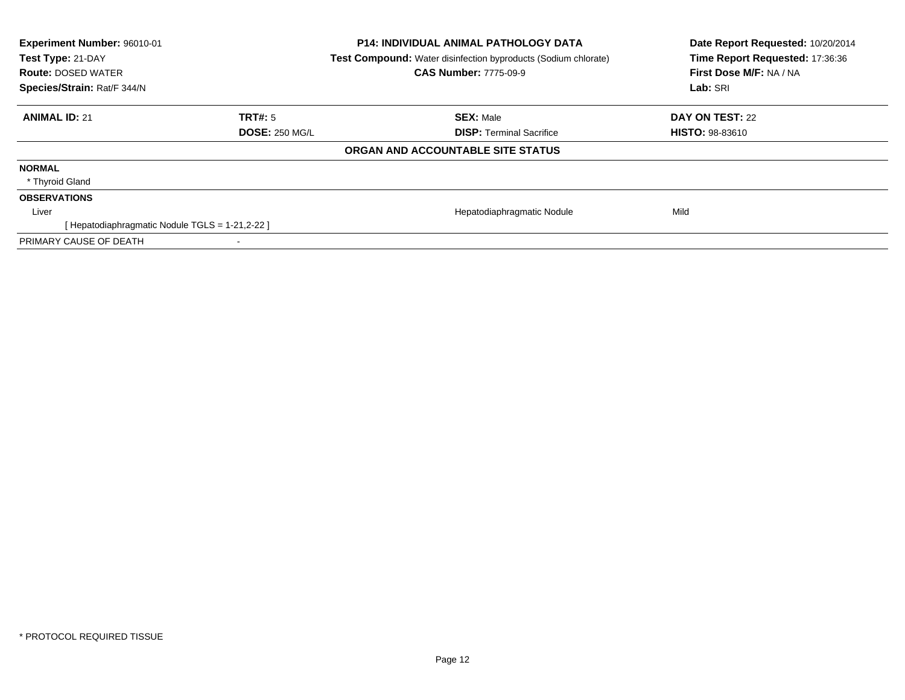| Experiment Number: 96010-01<br>Test Type: 21-DAY<br><b>Route: DOSED WATER</b><br>Species/Strain: Rat/F 344/N |               | <b>P14: INDIVIDUAL ANIMAL PATHOLOGY DATA</b><br><b>Test Compound:</b> Water disinfection byproducts (Sodium chlorate)<br><b>CAS Number: 7775-09-9</b> | Date Report Requested: 10/20/2014<br>Time Report Requested: 17:36:36<br>First Dose M/F: NA / NA<br>Lab: SRI |
|--------------------------------------------------------------------------------------------------------------|---------------|-------------------------------------------------------------------------------------------------------------------------------------------------------|-------------------------------------------------------------------------------------------------------------|
| <b>ANIMAL ID: 21</b>                                                                                         | TRT#: 5       | <b>SEX: Male</b>                                                                                                                                      | DAY ON TEST: 22                                                                                             |
|                                                                                                              | DOSE: 250 MGL | <b>DISP: Terminal Sacrifice</b>                                                                                                                       | <b>HISTO: 98-83610</b>                                                                                      |
|                                                                                                              |               | ORGAN AND ACCOUNTABLE SITE STATUS                                                                                                                     |                                                                                                             |
| <b>NORMAL</b>                                                                                                |               |                                                                                                                                                       |                                                                                                             |
| * Thyroid Gland                                                                                              |               |                                                                                                                                                       |                                                                                                             |
| <b>OBSERVATIONS</b>                                                                                          |               |                                                                                                                                                       |                                                                                                             |
| Liver                                                                                                        |               | Hepatodiaphragmatic Nodule                                                                                                                            | Mild                                                                                                        |
| [ Hepatodiaphragmatic Nodule TGLS = 1-21,2-22 ]                                                              |               |                                                                                                                                                       |                                                                                                             |
| PRIMARY CAUSE OF DEATH                                                                                       |               |                                                                                                                                                       |                                                                                                             |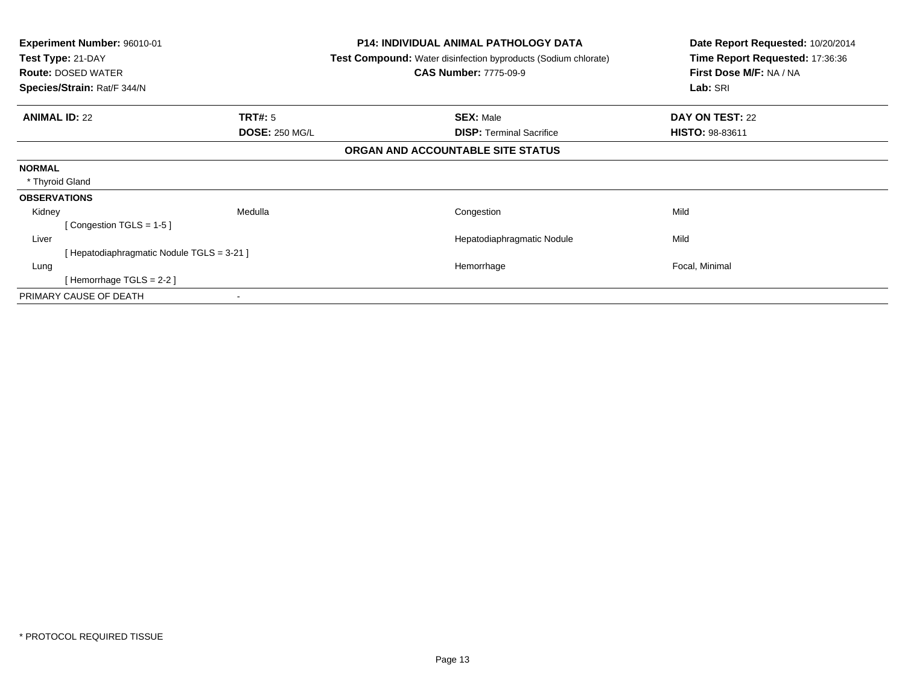| <b>Experiment Number: 96010-01</b><br>Test Type: 21-DAY<br><b>Route: DOSED WATER</b><br>Species/Strain: Rat/F 344/N | <b>P14: INDIVIDUAL ANIMAL PATHOLOGY DATA</b><br><b>Test Compound:</b> Water disinfection byproducts (Sodium chlorate)<br><b>CAS Number: 7775-09-9</b> | Date Report Requested: 10/20/2014<br>Time Report Requested: 17:36:36<br>First Dose M/F: NA / NA<br>Lab: SRI |
|---------------------------------------------------------------------------------------------------------------------|-------------------------------------------------------------------------------------------------------------------------------------------------------|-------------------------------------------------------------------------------------------------------------|
| <b>TRT#:</b> 5<br><b>ANIMAL ID: 22</b>                                                                              | <b>SEX: Male</b>                                                                                                                                      | <b>DAY ON TEST: 22</b>                                                                                      |
| <b>DOSE: 250 MG/L</b>                                                                                               | <b>DISP:</b> Terminal Sacrifice                                                                                                                       | <b>HISTO: 98-83611</b>                                                                                      |
|                                                                                                                     | ORGAN AND ACCOUNTABLE SITE STATUS                                                                                                                     |                                                                                                             |
| <b>NORMAL</b>                                                                                                       |                                                                                                                                                       |                                                                                                             |
| * Thyroid Gland                                                                                                     |                                                                                                                                                       |                                                                                                             |
| <b>OBSERVATIONS</b>                                                                                                 |                                                                                                                                                       |                                                                                                             |
| Medulla<br>Kidney                                                                                                   | Congestion                                                                                                                                            | Mild                                                                                                        |
| [Congestion TGLS = $1-5$ ]                                                                                          |                                                                                                                                                       |                                                                                                             |
| Liver                                                                                                               | Hepatodiaphragmatic Nodule                                                                                                                            | Mild                                                                                                        |
| [Hepatodiaphragmatic Nodule TGLS = 3-21]                                                                            |                                                                                                                                                       |                                                                                                             |
| Lung                                                                                                                | Hemorrhage                                                                                                                                            | Focal, Minimal                                                                                              |
| [Hemorrhage TGLS = 2-2]                                                                                             |                                                                                                                                                       |                                                                                                             |
| PRIMARY CAUSE OF DEATH                                                                                              |                                                                                                                                                       |                                                                                                             |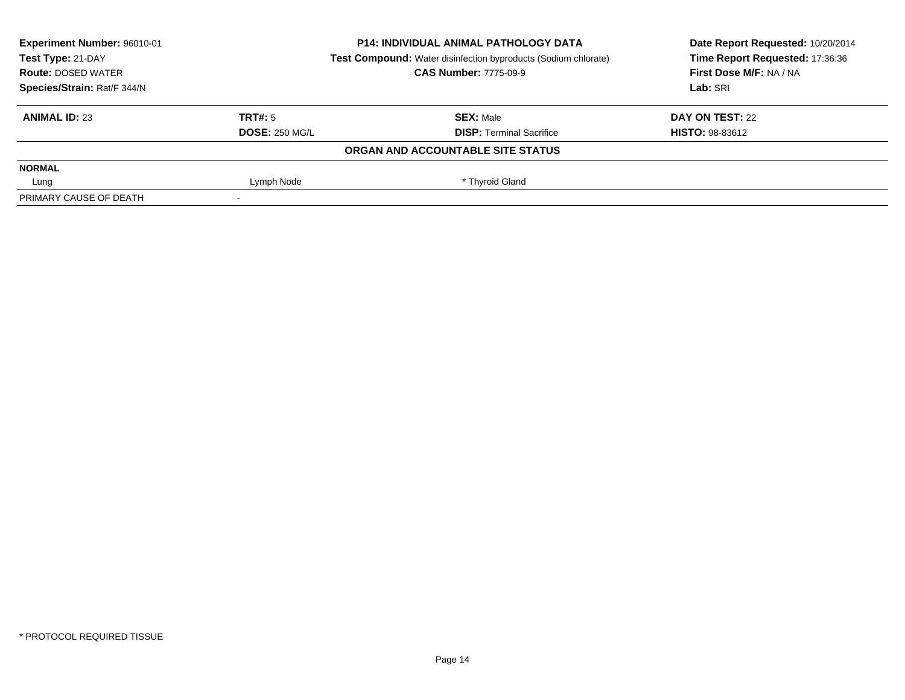| Experiment Number: 96010-01 |                       | <b>P14: INDIVIDUAL ANIMAL PATHOLOGY DATA</b>                          | Date Report Requested: 10/20/2014 |
|-----------------------------|-----------------------|-----------------------------------------------------------------------|-----------------------------------|
| Test Type: 21-DAY           |                       | <b>Test Compound:</b> Water disinfection byproducts (Sodium chlorate) | Time Report Requested: 17:36:36   |
| <b>Route: DOSED WATER</b>   |                       | <b>CAS Number: 7775-09-9</b>                                          | First Dose M/F: NA / NA           |
| Species/Strain: Rat/F 344/N |                       |                                                                       | Lab: SRI                          |
| <b>ANIMAL ID: 23</b>        | TRT#: 5               | <b>SEX: Male</b>                                                      | DAY ON TEST: 22                   |
|                             | <b>DOSE: 250 MG/L</b> | <b>DISP:</b> Terminal Sacrifice                                       | <b>HISTO: 98-83612</b>            |
|                             |                       | ORGAN AND ACCOUNTABLE SITE STATUS                                     |                                   |
| <b>NORMAL</b>               |                       |                                                                       |                                   |
| Lung                        | Lymph Node            | * Thyroid Gland                                                       |                                   |
| PRIMARY CAUSE OF DEATH      |                       |                                                                       |                                   |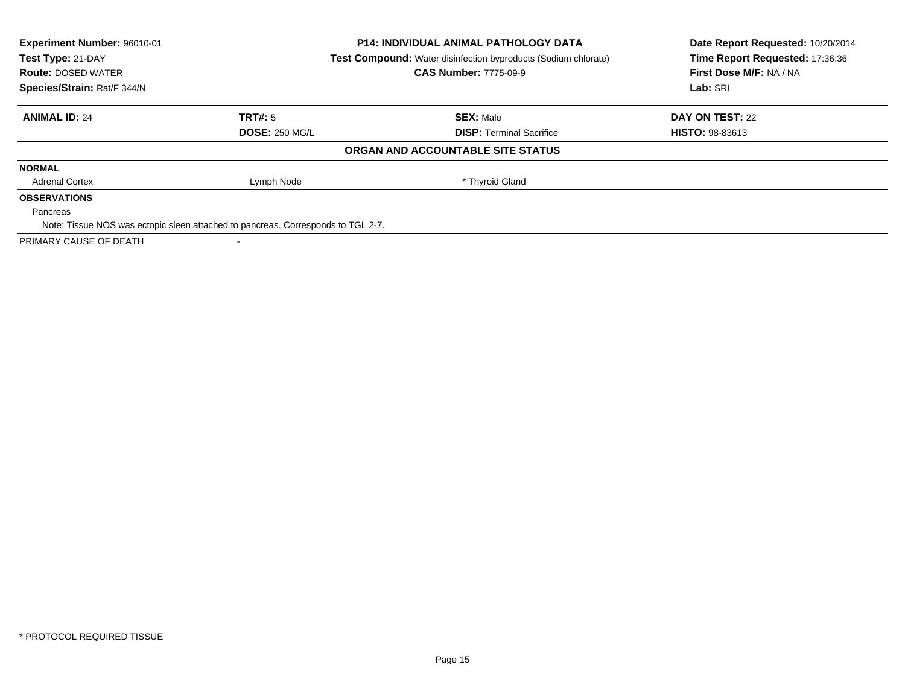| <b>Experiment Number: 96010-01</b> |                                                                                  | <b>P14: INDIVIDUAL ANIMAL PATHOLOGY DATA</b>                          | Date Report Requested: 10/20/2014 |
|------------------------------------|----------------------------------------------------------------------------------|-----------------------------------------------------------------------|-----------------------------------|
| Test Type: 21-DAY                  |                                                                                  | <b>Test Compound:</b> Water disinfection byproducts (Sodium chlorate) | Time Report Requested: 17:36:36   |
| <b>Route: DOSED WATER</b>          |                                                                                  | <b>CAS Number: 7775-09-9</b>                                          | First Dose M/F: NA / NA           |
| Species/Strain: Rat/F 344/N        |                                                                                  |                                                                       | Lab: SRI                          |
| <b>ANIMAL ID: 24</b>               | <b>TRT#:</b> 5                                                                   | <b>SEX: Male</b>                                                      | DAY ON TEST: 22                   |
|                                    | <b>DOSE: 250 MG/L</b>                                                            | <b>DISP:</b> Terminal Sacrifice                                       | <b>HISTO: 98-83613</b>            |
|                                    |                                                                                  | ORGAN AND ACCOUNTABLE SITE STATUS                                     |                                   |
| <b>NORMAL</b>                      |                                                                                  |                                                                       |                                   |
| <b>Adrenal Cortex</b>              | Lymph Node                                                                       | * Thyroid Gland                                                       |                                   |
| <b>OBSERVATIONS</b>                |                                                                                  |                                                                       |                                   |
| Pancreas                           |                                                                                  |                                                                       |                                   |
|                                    | Note: Tissue NOS was ectopic sleen attached to pancreas. Corresponds to TGL 2-7. |                                                                       |                                   |
| PRIMARY CAUSE OF DEATH             |                                                                                  |                                                                       |                                   |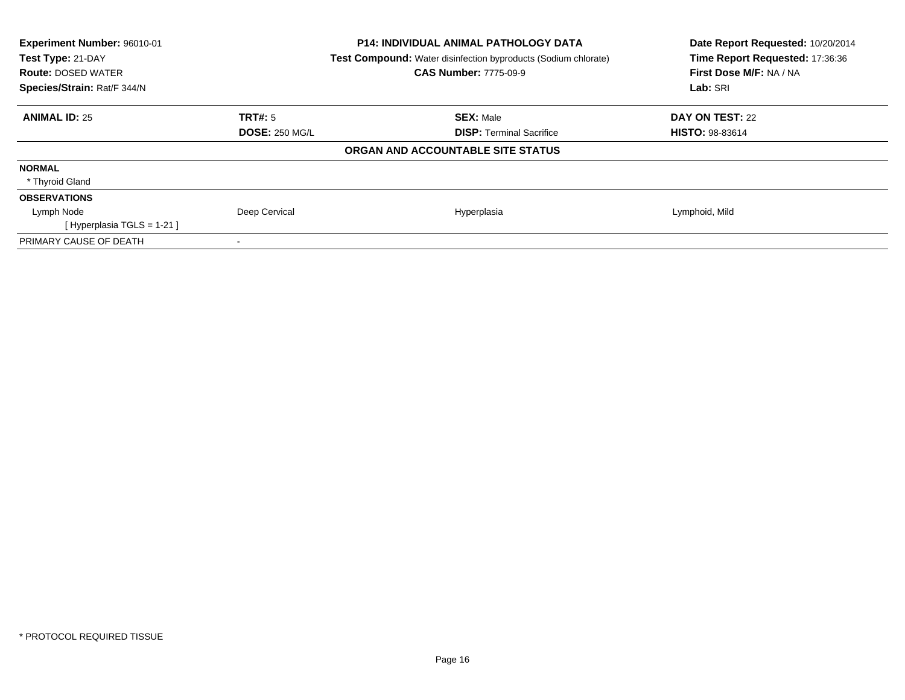| Experiment Number: 96010-01<br>Test Type: 21-DAY<br><b>Route: DOSED WATER</b><br>Species/Strain: Rat/F 344/N | <b>P14: INDIVIDUAL ANIMAL PATHOLOGY DATA</b><br><b>Test Compound:</b> Water disinfection byproducts (Sodium chlorate)<br><b>CAS Number: 7775-09-9</b> | Date Report Requested: 10/20/2014<br>Time Report Requested: 17:36:36<br>First Dose M/F: NA / NA<br>Lab: SRI |
|--------------------------------------------------------------------------------------------------------------|-------------------------------------------------------------------------------------------------------------------------------------------------------|-------------------------------------------------------------------------------------------------------------|
| <b>ANIMAL ID: 25</b><br>TRT#: 5                                                                              | <b>SEX: Male</b>                                                                                                                                      | DAY ON TEST: 22                                                                                             |
| <b>DOSE: 250 MG/L</b>                                                                                        | <b>DISP:</b> Terminal Sacrifice                                                                                                                       | <b>HISTO: 98-83614</b>                                                                                      |
|                                                                                                              | ORGAN AND ACCOUNTABLE SITE STATUS                                                                                                                     |                                                                                                             |
| <b>NORMAL</b>                                                                                                |                                                                                                                                                       |                                                                                                             |
| * Thyroid Gland                                                                                              |                                                                                                                                                       |                                                                                                             |
| <b>OBSERVATIONS</b>                                                                                          |                                                                                                                                                       |                                                                                                             |
| Deep Cervical<br>Lymph Node                                                                                  | Hyperplasia                                                                                                                                           | Lymphoid, Mild                                                                                              |
| [Hyperplasia TGLS = $1-21$ ]                                                                                 |                                                                                                                                                       |                                                                                                             |
| PRIMARY CAUSE OF DEATH                                                                                       |                                                                                                                                                       |                                                                                                             |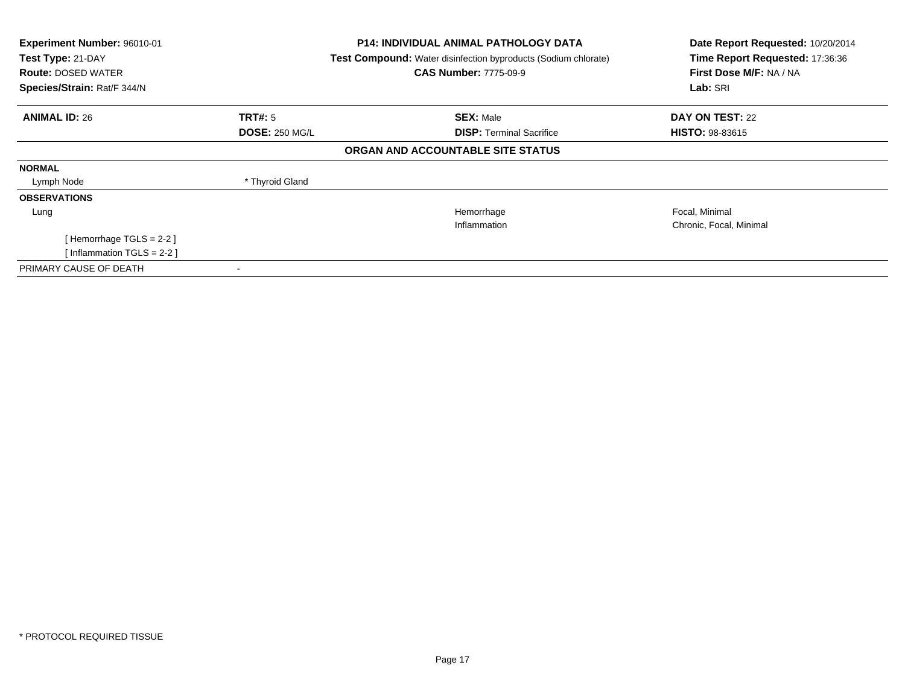| Experiment Number: 96010-01<br>Test Type: 21-DAY<br><b>Route: DOSED WATER</b><br>Species/Strain: Rat/F 344/N |                       | <b>P14: INDIVIDUAL ANIMAL PATHOLOGY DATA</b><br><b>Test Compound:</b> Water disinfection byproducts (Sodium chlorate)<br><b>CAS Number: 7775-09-9</b> | Date Report Requested: 10/20/2014<br>Time Report Requested: 17:36:36<br>First Dose M/F: NA / NA<br>Lab: SRI |
|--------------------------------------------------------------------------------------------------------------|-----------------------|-------------------------------------------------------------------------------------------------------------------------------------------------------|-------------------------------------------------------------------------------------------------------------|
|                                                                                                              |                       |                                                                                                                                                       |                                                                                                             |
| <b>ANIMAL ID: 26</b>                                                                                         | TRT#: 5               | <b>SEX: Male</b>                                                                                                                                      | <b>DAY ON TEST: 22</b>                                                                                      |
|                                                                                                              | <b>DOSE: 250 MG/L</b> | <b>DISP: Terminal Sacrifice</b>                                                                                                                       | <b>HISTO: 98-83615</b>                                                                                      |
|                                                                                                              |                       | ORGAN AND ACCOUNTABLE SITE STATUS                                                                                                                     |                                                                                                             |
| <b>NORMAL</b>                                                                                                |                       |                                                                                                                                                       |                                                                                                             |
| Lymph Node                                                                                                   | * Thyroid Gland       |                                                                                                                                                       |                                                                                                             |
| <b>OBSERVATIONS</b>                                                                                          |                       |                                                                                                                                                       |                                                                                                             |
| Lung                                                                                                         |                       | Hemorrhage                                                                                                                                            | Focal, Minimal                                                                                              |
|                                                                                                              |                       | Inflammation                                                                                                                                          | Chronic, Focal, Minimal                                                                                     |
| [Hemorrhage TGLS = 2-2]                                                                                      |                       |                                                                                                                                                       |                                                                                                             |
| [Inflammation TGLS = $2-2$ ]                                                                                 |                       |                                                                                                                                                       |                                                                                                             |
| PRIMARY CAUSE OF DEATH                                                                                       |                       |                                                                                                                                                       |                                                                                                             |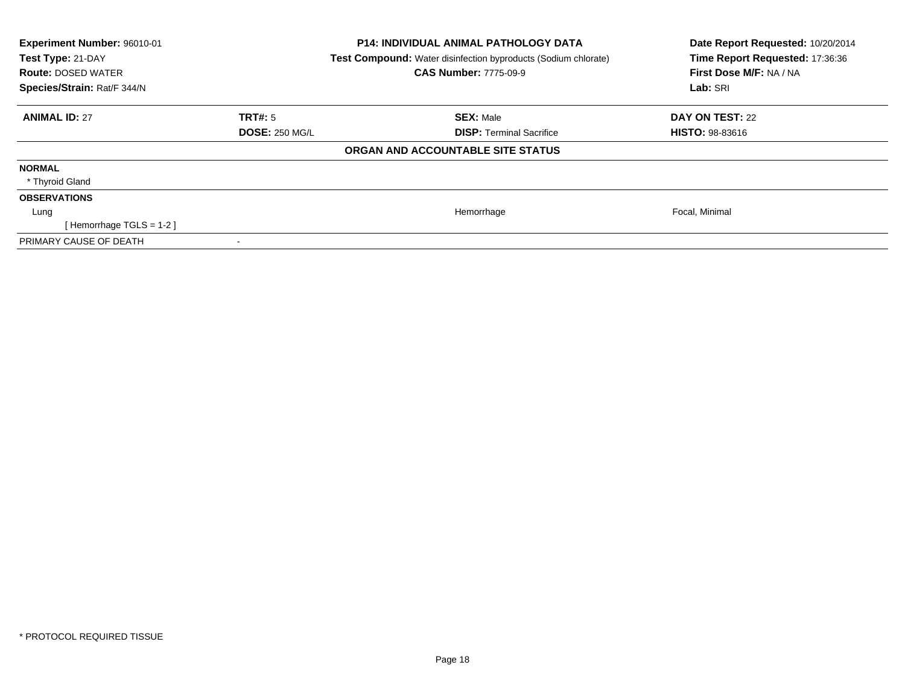| <b>Experiment Number: 96010-01</b><br>Test Type: 21-DAY<br><b>Route: DOSED WATER</b><br>Species/Strain: Rat/F 344/N |                       | <b>P14: INDIVIDUAL ANIMAL PATHOLOGY DATA</b><br><b>Test Compound:</b> Water disinfection byproducts (Sodium chlorate)<br><b>CAS Number: 7775-09-9</b> | Date Report Requested: 10/20/2014<br>Time Report Requested: 17:36:36<br>First Dose M/F: NA / NA<br>Lab: SRI |
|---------------------------------------------------------------------------------------------------------------------|-----------------------|-------------------------------------------------------------------------------------------------------------------------------------------------------|-------------------------------------------------------------------------------------------------------------|
| <b>ANIMAL ID: 27</b>                                                                                                | TRT#: 5               | <b>SEX: Male</b>                                                                                                                                      | DAY ON TEST: 22                                                                                             |
|                                                                                                                     | <b>DOSE: 250 MG/L</b> | <b>DISP: Terminal Sacrifice</b>                                                                                                                       | <b>HISTO: 98-83616</b>                                                                                      |
|                                                                                                                     |                       | ORGAN AND ACCOUNTABLE SITE STATUS                                                                                                                     |                                                                                                             |
| <b>NORMAL</b>                                                                                                       |                       |                                                                                                                                                       |                                                                                                             |
| * Thyroid Gland                                                                                                     |                       |                                                                                                                                                       |                                                                                                             |
| <b>OBSERVATIONS</b>                                                                                                 |                       |                                                                                                                                                       |                                                                                                             |
| Lung                                                                                                                |                       | Hemorrhage                                                                                                                                            | Focal, Minimal                                                                                              |
| [Hemorrhage TGLS = $1-2$ ]                                                                                          |                       |                                                                                                                                                       |                                                                                                             |
| PRIMARY CAUSE OF DEATH                                                                                              |                       |                                                                                                                                                       |                                                                                                             |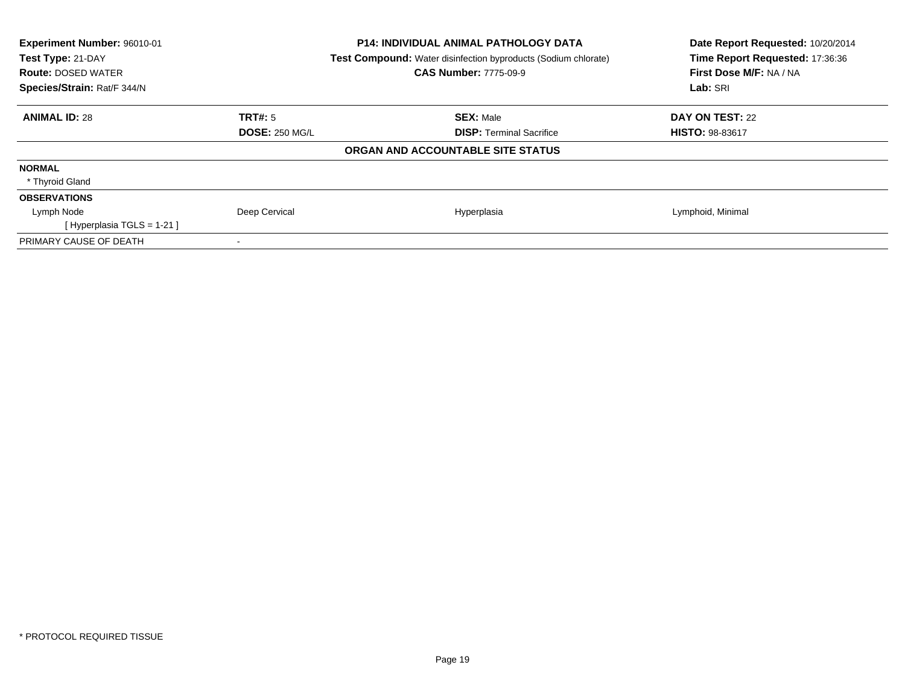| Experiment Number: 96010-01<br>Test Type: 21-DAY<br><b>Route: DOSED WATER</b><br>Species/Strain: Rat/F 344/N |                       | <b>P14: INDIVIDUAL ANIMAL PATHOLOGY DATA</b><br><b>Test Compound:</b> Water disinfection byproducts (Sodium chlorate)<br><b>CAS Number: 7775-09-9</b> | Date Report Requested: 10/20/2014<br>Time Report Requested: 17:36:36<br>First Dose M/F: NA / NA<br>Lab: SRI |
|--------------------------------------------------------------------------------------------------------------|-----------------------|-------------------------------------------------------------------------------------------------------------------------------------------------------|-------------------------------------------------------------------------------------------------------------|
| <b>ANIMAL ID: 28</b>                                                                                         | TRT#: 5               | <b>SEX: Male</b>                                                                                                                                      | DAY ON TEST: 22                                                                                             |
|                                                                                                              | <b>DOSE: 250 MG/L</b> | <b>DISP:</b> Terminal Sacrifice                                                                                                                       | <b>HISTO: 98-83617</b>                                                                                      |
|                                                                                                              |                       | ORGAN AND ACCOUNTABLE SITE STATUS                                                                                                                     |                                                                                                             |
| <b>NORMAL</b>                                                                                                |                       |                                                                                                                                                       |                                                                                                             |
| * Thyroid Gland                                                                                              |                       |                                                                                                                                                       |                                                                                                             |
| <b>OBSERVATIONS</b>                                                                                          |                       |                                                                                                                                                       |                                                                                                             |
| Lymph Node                                                                                                   | Deep Cervical         | Hyperplasia                                                                                                                                           | Lymphoid, Minimal                                                                                           |
| [Hyperplasia TGLS = $1-21$ ]                                                                                 |                       |                                                                                                                                                       |                                                                                                             |
| PRIMARY CAUSE OF DEATH                                                                                       |                       |                                                                                                                                                       |                                                                                                             |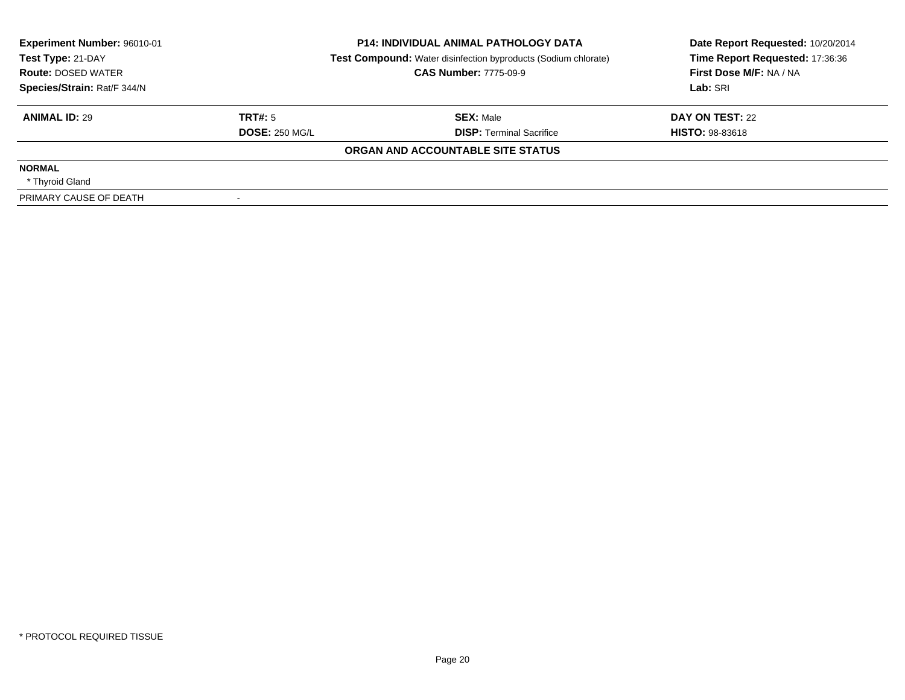| Experiment Number: 96010-01<br>Test Type: 21-DAY |                       | <b>P14: INDIVIDUAL ANIMAL PATHOLOGY DATA</b><br><b>Test Compound:</b> Water disinfection byproducts (Sodium chlorate) | Date Report Requested: 10/20/2014<br>Time Report Requested: 17:36:36 |
|--------------------------------------------------|-----------------------|-----------------------------------------------------------------------------------------------------------------------|----------------------------------------------------------------------|
| <b>Route: DOSED WATER</b>                        |                       | <b>CAS Number: 7775-09-9</b>                                                                                          | First Dose M/F: NA / NA                                              |
| Species/Strain: Rat/F 344/N                      |                       |                                                                                                                       | Lab: SRI                                                             |
| <b>ANIMAL ID: 29</b>                             | TRT#: 5               | <b>SEX: Male</b>                                                                                                      | DAY ON TEST: 22                                                      |
|                                                  | <b>DOSE: 250 MG/L</b> | <b>DISP:</b> Terminal Sacrifice                                                                                       | <b>HISTO: 98-83618</b>                                               |
|                                                  |                       | ORGAN AND ACCOUNTABLE SITE STATUS                                                                                     |                                                                      |
| <b>NORMAL</b>                                    |                       |                                                                                                                       |                                                                      |
| * Thyroid Gland                                  |                       |                                                                                                                       |                                                                      |
| PRIMARY CAUSE OF DEATH                           |                       |                                                                                                                       |                                                                      |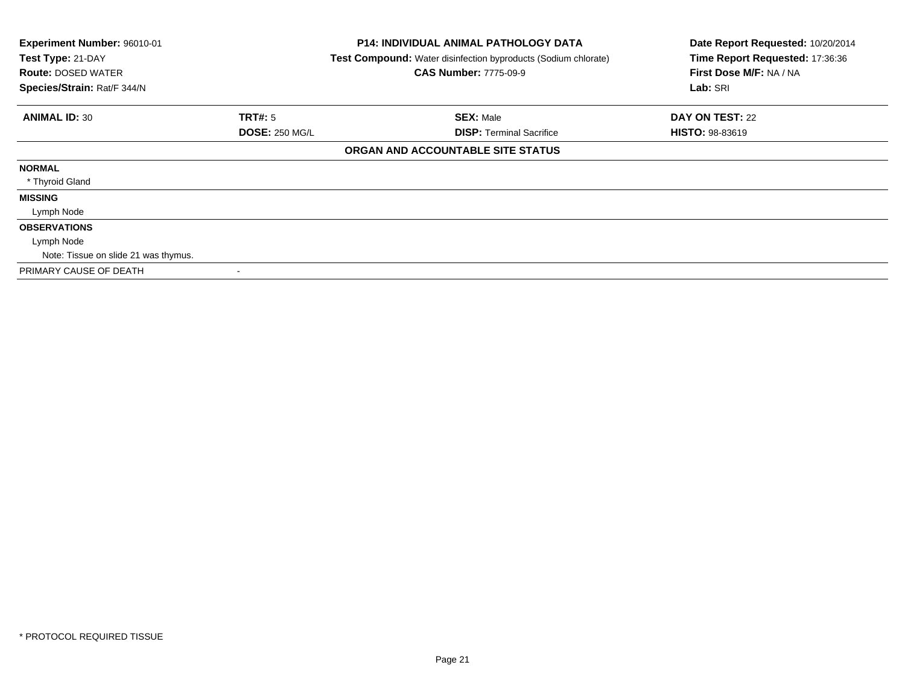| Experiment Number: 96010-01<br>Test Type: 21-DAY<br><b>Route: DOSED WATER</b><br>Species/Strain: Rat/F 344/N |                       | <b>P14: INDIVIDUAL ANIMAL PATHOLOGY DATA</b><br><b>Test Compound:</b> Water disinfection byproducts (Sodium chlorate)<br><b>CAS Number: 7775-09-9</b> | Date Report Requested: 10/20/2014<br>Time Report Requested: 17:36:36<br>First Dose M/F: NA / NA<br>Lab: SRI |
|--------------------------------------------------------------------------------------------------------------|-----------------------|-------------------------------------------------------------------------------------------------------------------------------------------------------|-------------------------------------------------------------------------------------------------------------|
| <b>ANIMAL ID: 30</b>                                                                                         | <b>TRT#: 5</b>        | <b>SEX: Male</b>                                                                                                                                      | DAY ON TEST: 22                                                                                             |
|                                                                                                              | <b>DOSE: 250 MG/L</b> | <b>DISP: Terminal Sacrifice</b>                                                                                                                       | <b>HISTO: 98-83619</b>                                                                                      |
|                                                                                                              |                       | ORGAN AND ACCOUNTABLE SITE STATUS                                                                                                                     |                                                                                                             |
| <b>NORMAL</b>                                                                                                |                       |                                                                                                                                                       |                                                                                                             |
| * Thyroid Gland                                                                                              |                       |                                                                                                                                                       |                                                                                                             |
| <b>MISSING</b>                                                                                               |                       |                                                                                                                                                       |                                                                                                             |
| Lymph Node                                                                                                   |                       |                                                                                                                                                       |                                                                                                             |
| <b>OBSERVATIONS</b>                                                                                          |                       |                                                                                                                                                       |                                                                                                             |
| Lymph Node                                                                                                   |                       |                                                                                                                                                       |                                                                                                             |
| Note: Tissue on slide 21 was thymus.                                                                         |                       |                                                                                                                                                       |                                                                                                             |
| PRIMARY CAUSE OF DEATH                                                                                       |                       |                                                                                                                                                       |                                                                                                             |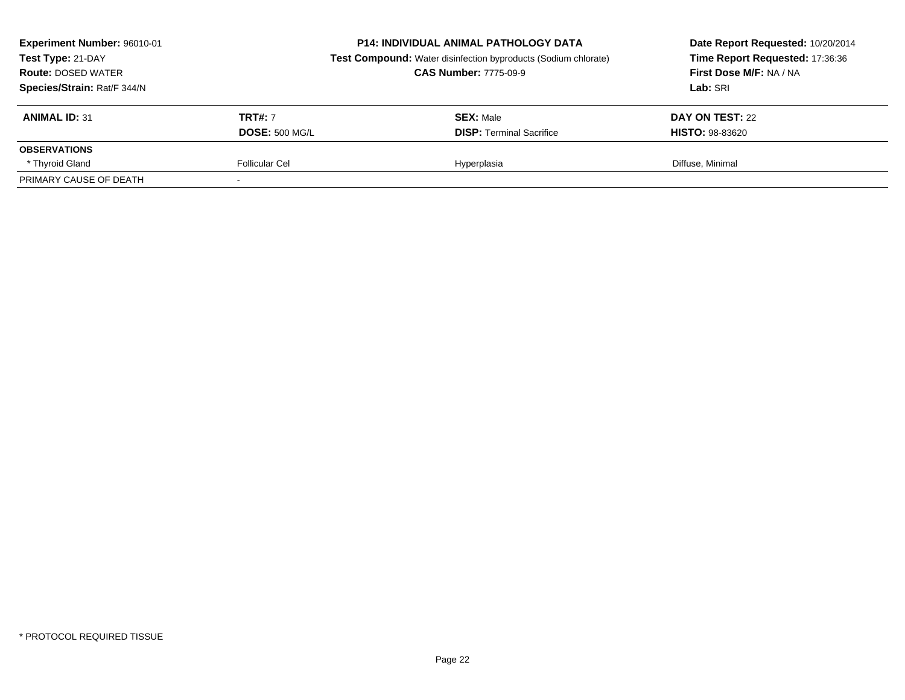| Experiment Number: 96010-01<br>Test Type: 21-DAY<br><b>Route: DOSED WATER</b><br>Species/Strain: Rat/F 344/N |                       | <b>P14: INDIVIDUAL ANIMAL PATHOLOGY DATA</b><br><b>Test Compound:</b> Water disinfection byproducts (Sodium chlorate)<br><b>CAS Number: 7775-09-9</b> | Date Report Requested: 10/20/2014<br>Time Report Requested: 17:36:36<br>First Dose M/F: NA / NA<br>Lab: SRI |
|--------------------------------------------------------------------------------------------------------------|-----------------------|-------------------------------------------------------------------------------------------------------------------------------------------------------|-------------------------------------------------------------------------------------------------------------|
| <b>ANIMAL ID: 31</b>                                                                                         | <b>TRT#: 7</b>        | <b>SEX: Male</b>                                                                                                                                      | DAY ON TEST: 22                                                                                             |
|                                                                                                              | <b>DOSE: 500 MG/L</b> | <b>DISP:</b> Terminal Sacrifice                                                                                                                       | <b>HISTO: 98-83620</b>                                                                                      |
| <b>OBSERVATIONS</b>                                                                                          |                       |                                                                                                                                                       |                                                                                                             |
| * Thyroid Gland                                                                                              | <b>Follicular Cel</b> | Hyperplasia                                                                                                                                           | Diffuse, Minimal                                                                                            |
| PRIMARY CAUSE OF DEATH                                                                                       |                       |                                                                                                                                                       |                                                                                                             |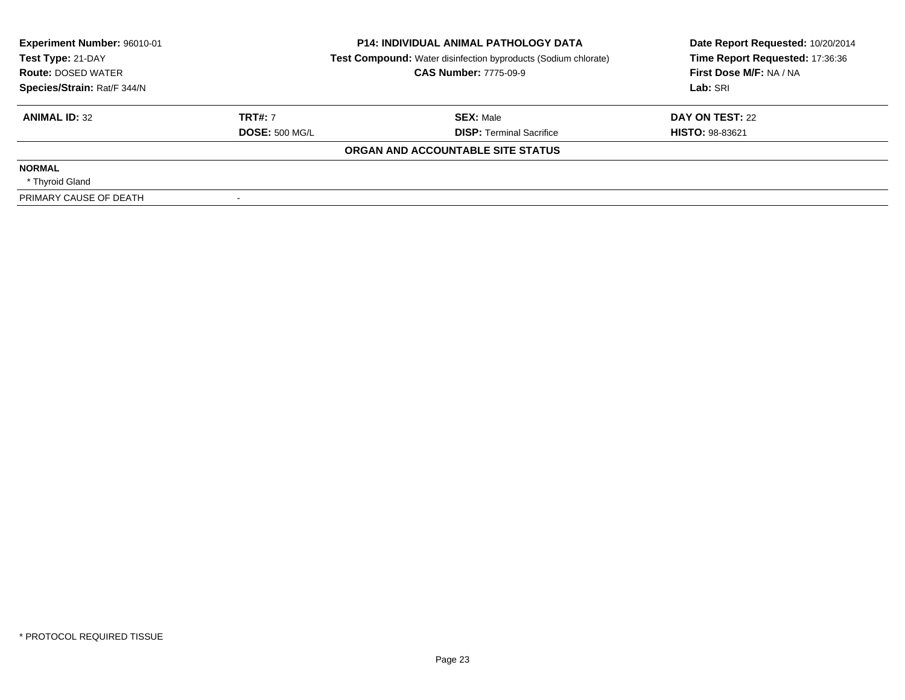| Experiment Number: 96010-01<br>Test Type: 21-DAY<br><b>Route: DOSED WATER</b> |                       | <b>P14: INDIVIDUAL ANIMAL PATHOLOGY DATA</b><br><b>Test Compound:</b> Water disinfection byproducts (Sodium chlorate)<br><b>CAS Number: 7775-09-9</b> | Date Report Requested: 10/20/2014<br>Time Report Requested: 17:36:36<br>First Dose M/F: NA / NA |  |
|-------------------------------------------------------------------------------|-----------------------|-------------------------------------------------------------------------------------------------------------------------------------------------------|-------------------------------------------------------------------------------------------------|--|
| Species/Strain: Rat/F 344/N                                                   |                       |                                                                                                                                                       | Lab: SRI                                                                                        |  |
| <b>ANIMAL ID: 32</b>                                                          | <b>TRT#: 7</b>        | <b>SEX: Male</b>                                                                                                                                      | DAY ON TEST: 22                                                                                 |  |
|                                                                               | <b>DOSE: 500 MG/L</b> | <b>DISP:</b> Terminal Sacrifice                                                                                                                       | <b>HISTO: 98-83621</b>                                                                          |  |
|                                                                               |                       | ORGAN AND ACCOUNTABLE SITE STATUS                                                                                                                     |                                                                                                 |  |
| <b>NORMAL</b>                                                                 |                       |                                                                                                                                                       |                                                                                                 |  |
| * Thyroid Gland                                                               |                       |                                                                                                                                                       |                                                                                                 |  |
| PRIMARY CAUSE OF DEATH                                                        |                       |                                                                                                                                                       |                                                                                                 |  |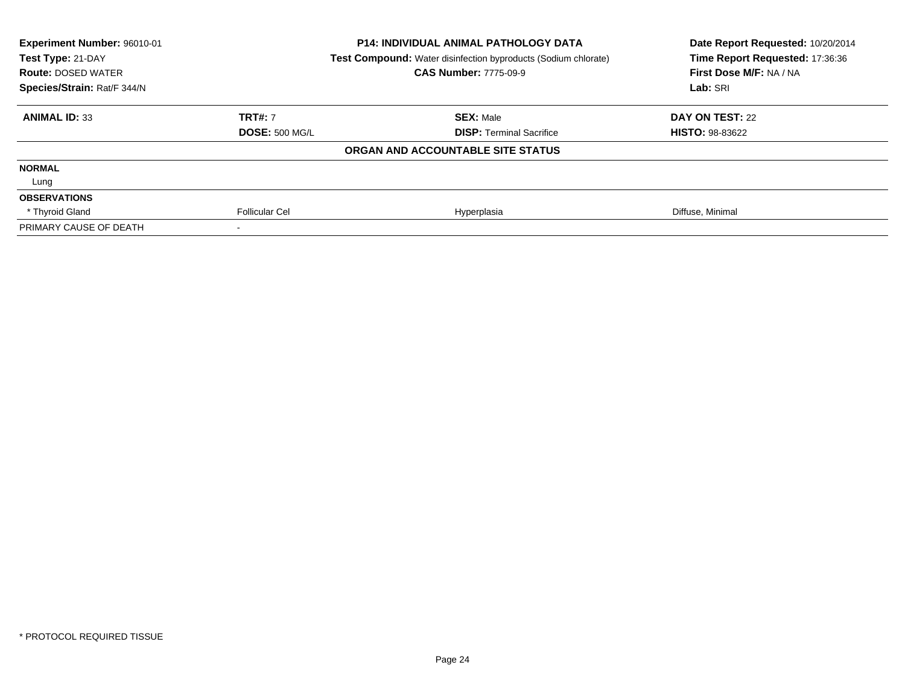| Experiment Number: 96010-01<br>Test Type: 21-DAY |                       | <b>P14: INDIVIDUAL ANIMAL PATHOLOGY DATA</b><br>Test Compound: Water disinfection byproducts (Sodium chlorate) | Date Report Requested: 10/20/2014<br>Time Report Requested: 17:36:36 |
|--------------------------------------------------|-----------------------|----------------------------------------------------------------------------------------------------------------|----------------------------------------------------------------------|
| <b>Route: DOSED WATER</b>                        |                       | <b>CAS Number: 7775-09-9</b>                                                                                   | First Dose M/F: NA / NA                                              |
| Species/Strain: Rat/F 344/N                      |                       |                                                                                                                | Lab: SRI                                                             |
| <b>ANIMAL ID: 33</b>                             | <b>TRT#: 7</b>        | <b>SEX: Male</b>                                                                                               | DAY ON TEST: 22                                                      |
|                                                  | <b>DOSE: 500 MG/L</b> | <b>DISP:</b> Terminal Sacrifice                                                                                | <b>HISTO: 98-83622</b>                                               |
|                                                  |                       | ORGAN AND ACCOUNTABLE SITE STATUS                                                                              |                                                                      |
| <b>NORMAL</b>                                    |                       |                                                                                                                |                                                                      |
| Lung                                             |                       |                                                                                                                |                                                                      |
| <b>OBSERVATIONS</b>                              |                       |                                                                                                                |                                                                      |
| * Thyroid Gland                                  | <b>Follicular Cel</b> | Hyperplasia                                                                                                    | Diffuse, Minimal                                                     |
| PRIMARY CAUSE OF DEATH                           |                       |                                                                                                                |                                                                      |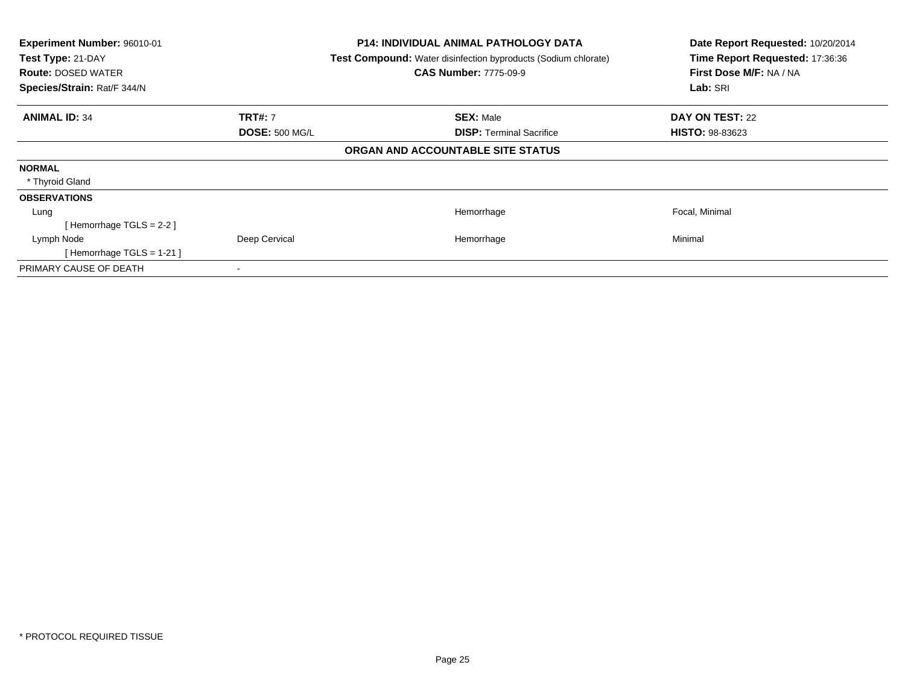| Experiment Number: 96010-01<br>Test Type: 21-DAY<br><b>Route: DOSED WATER</b><br>Species/Strain: Rat/F 344/N |                       | <b>P14: INDIVIDUAL ANIMAL PATHOLOGY DATA</b><br><b>Test Compound:</b> Water disinfection byproducts (Sodium chlorate)<br><b>CAS Number: 7775-09-9</b> | Date Report Requested: 10/20/2014<br>Time Report Requested: 17:36:36<br>First Dose M/F: NA / NA<br>Lab: SRI |
|--------------------------------------------------------------------------------------------------------------|-----------------------|-------------------------------------------------------------------------------------------------------------------------------------------------------|-------------------------------------------------------------------------------------------------------------|
| <b>ANIMAL ID: 34</b>                                                                                         | <b>TRT#: 7</b>        | <b>SEX: Male</b>                                                                                                                                      | <b>DAY ON TEST: 22</b>                                                                                      |
|                                                                                                              | <b>DOSE: 500 MG/L</b> | <b>DISP: Terminal Sacrifice</b>                                                                                                                       | <b>HISTO: 98-83623</b>                                                                                      |
|                                                                                                              |                       | ORGAN AND ACCOUNTABLE SITE STATUS                                                                                                                     |                                                                                                             |
| <b>NORMAL</b>                                                                                                |                       |                                                                                                                                                       |                                                                                                             |
| * Thyroid Gland                                                                                              |                       |                                                                                                                                                       |                                                                                                             |
| <b>OBSERVATIONS</b>                                                                                          |                       |                                                                                                                                                       |                                                                                                             |
| Lung                                                                                                         |                       | Hemorrhage                                                                                                                                            | Focal, Minimal                                                                                              |
| [Hemorrhage TGLS = 2-2]                                                                                      |                       |                                                                                                                                                       |                                                                                                             |
| Lymph Node                                                                                                   | Deep Cervical         | Hemorrhage                                                                                                                                            | Minimal                                                                                                     |
| [Hemorrhage TGLS = $1-21$ ]                                                                                  |                       |                                                                                                                                                       |                                                                                                             |
| PRIMARY CAUSE OF DEATH                                                                                       |                       |                                                                                                                                                       |                                                                                                             |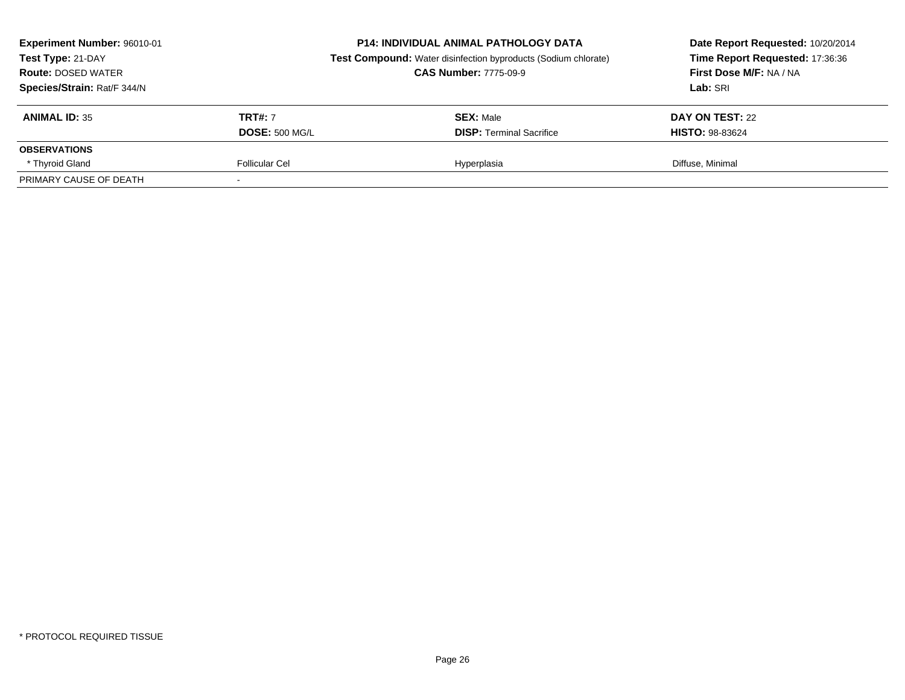| Experiment Number: 96010-01<br>Test Type: 21-DAY<br><b>Route: DOSED WATER</b><br>Species/Strain: Rat/F 344/N | <b>P14: INDIVIDUAL ANIMAL PATHOLOGY DATA</b><br><b>Test Compound:</b> Water disinfection byproducts (Sodium chlorate)<br><b>CAS Number: 7775-09-9</b> |                                 | Date Report Requested: 10/20/2014<br>Time Report Requested: 17:36:36<br>First Dose M/F: NA / NA<br>Lab: SRI |  |
|--------------------------------------------------------------------------------------------------------------|-------------------------------------------------------------------------------------------------------------------------------------------------------|---------------------------------|-------------------------------------------------------------------------------------------------------------|--|
| <b>ANIMAL ID: 35</b>                                                                                         | <b>TRT#: 7</b>                                                                                                                                        | <b>SEX: Male</b>                | DAY ON TEST: 22                                                                                             |  |
|                                                                                                              | <b>DOSE: 500 MG/L</b>                                                                                                                                 | <b>DISP: Terminal Sacrifice</b> | <b>HISTO: 98-83624</b>                                                                                      |  |
| <b>OBSERVATIONS</b>                                                                                          |                                                                                                                                                       |                                 |                                                                                                             |  |
| * Thyroid Gland                                                                                              | <b>Follicular Cel</b>                                                                                                                                 | Hyperplasia                     | Diffuse, Minimal                                                                                            |  |
| PRIMARY CAUSE OF DEATH                                                                                       |                                                                                                                                                       |                                 |                                                                                                             |  |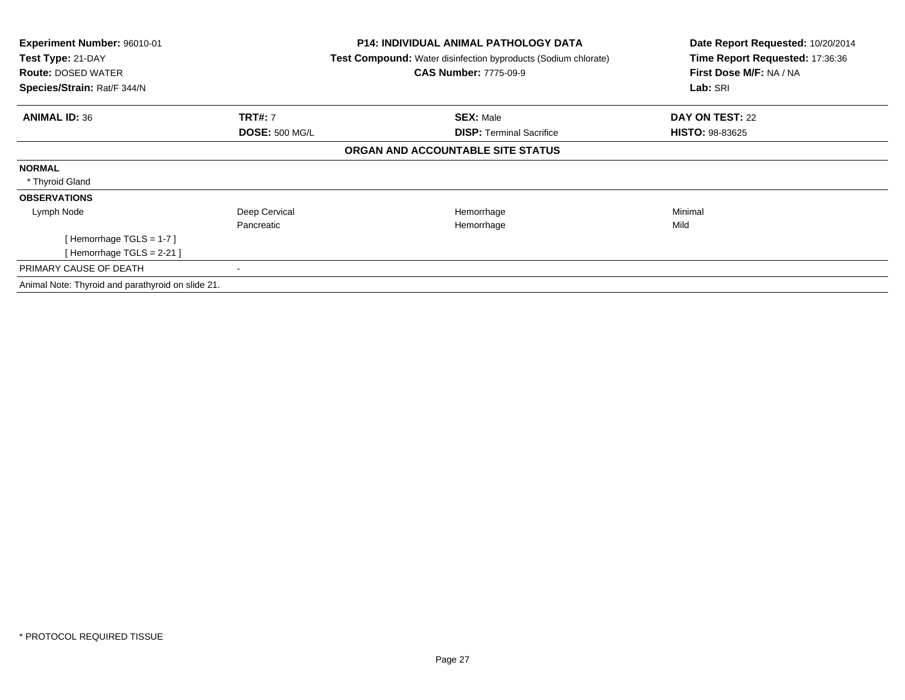| Experiment Number: 96010-01<br>Test Type: 21-DAY<br><b>Route: DOSED WATER</b><br>Species/Strain: Rat/F 344/N |                       | <b>P14: INDIVIDUAL ANIMAL PATHOLOGY DATA</b><br><b>Test Compound:</b> Water disinfection byproducts (Sodium chlorate)<br><b>CAS Number: 7775-09-9</b> | Date Report Requested: 10/20/2014<br>Time Report Requested: 17:36:36<br>First Dose M/F: NA / NA<br>Lab: SRI |
|--------------------------------------------------------------------------------------------------------------|-----------------------|-------------------------------------------------------------------------------------------------------------------------------------------------------|-------------------------------------------------------------------------------------------------------------|
| <b>ANIMAL ID: 36</b>                                                                                         | <b>TRT#: 7</b>        | <b>SEX: Male</b>                                                                                                                                      | DAY ON TEST: 22                                                                                             |
|                                                                                                              | <b>DOSE: 500 MG/L</b> | <b>DISP: Terminal Sacrifice</b>                                                                                                                       | <b>HISTO: 98-83625</b>                                                                                      |
|                                                                                                              |                       | ORGAN AND ACCOUNTABLE SITE STATUS                                                                                                                     |                                                                                                             |
| <b>NORMAL</b>                                                                                                |                       |                                                                                                                                                       |                                                                                                             |
| * Thyroid Gland                                                                                              |                       |                                                                                                                                                       |                                                                                                             |
| <b>OBSERVATIONS</b>                                                                                          |                       |                                                                                                                                                       |                                                                                                             |
| Lymph Node                                                                                                   | Deep Cervical         | Hemorrhage                                                                                                                                            | Minimal                                                                                                     |
|                                                                                                              | Pancreatic            | Hemorrhage                                                                                                                                            | Mild                                                                                                        |
| [Hemorrhage TGLS = $1-7$ ]                                                                                   |                       |                                                                                                                                                       |                                                                                                             |
| [Hemorrhage TGLS = $2-21$ ]                                                                                  |                       |                                                                                                                                                       |                                                                                                             |
| PRIMARY CAUSE OF DEATH                                                                                       |                       |                                                                                                                                                       |                                                                                                             |
| Animal Note: Thyroid and parathyroid on slide 21.                                                            |                       |                                                                                                                                                       |                                                                                                             |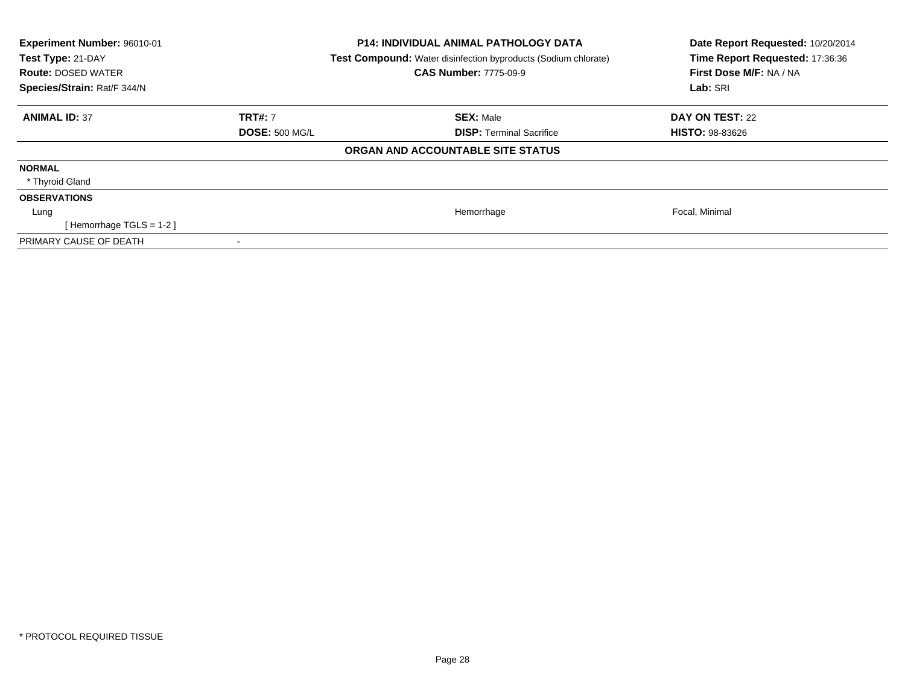| Experiment Number: 96010-01<br>Test Type: 21-DAY<br><b>Route: DOSED WATER</b><br>Species/Strain: Rat/F 344/N |                       | <b>P14: INDIVIDUAL ANIMAL PATHOLOGY DATA</b><br>Test Compound: Water disinfection byproducts (Sodium chlorate)<br><b>CAS Number: 7775-09-9</b> | Date Report Requested: 10/20/2014<br>Time Report Requested: 17:36:36<br>First Dose M/F: NA / NA<br>Lab: SRI |
|--------------------------------------------------------------------------------------------------------------|-----------------------|------------------------------------------------------------------------------------------------------------------------------------------------|-------------------------------------------------------------------------------------------------------------|
| <b>ANIMAL ID: 37</b>                                                                                         | <b>TRT#: 7</b>        | <b>SEX: Male</b>                                                                                                                               | <b>DAY ON TEST: 22</b>                                                                                      |
|                                                                                                              | <b>DOSE: 500 MG/L</b> | <b>DISP:</b> Terminal Sacrifice                                                                                                                | <b>HISTO: 98-83626</b>                                                                                      |
|                                                                                                              |                       | ORGAN AND ACCOUNTABLE SITE STATUS                                                                                                              |                                                                                                             |
| <b>NORMAL</b>                                                                                                |                       |                                                                                                                                                |                                                                                                             |
| * Thyroid Gland                                                                                              |                       |                                                                                                                                                |                                                                                                             |
| <b>OBSERVATIONS</b>                                                                                          |                       |                                                                                                                                                |                                                                                                             |
| Lung                                                                                                         |                       | Hemorrhage                                                                                                                                     | Focal, Minimal                                                                                              |
| [Hemorrhage TGLS = $1-2$ ]                                                                                   |                       |                                                                                                                                                |                                                                                                             |
| PRIMARY CAUSE OF DEATH                                                                                       |                       |                                                                                                                                                |                                                                                                             |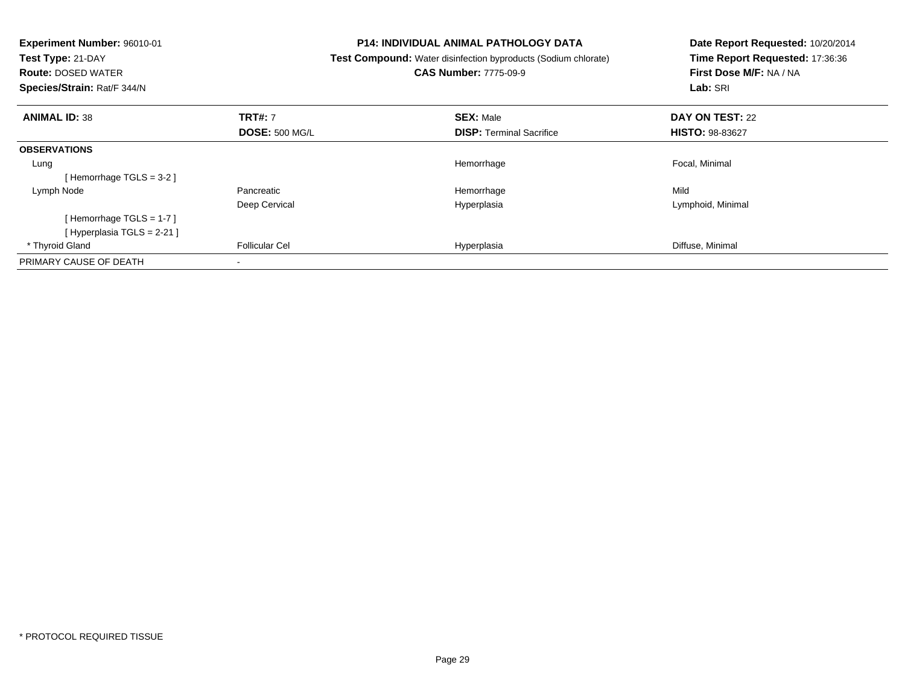| <b>Experiment Number: 96010-01</b><br>Test Type: 21-DAY<br><b>Route: DOSED WATER</b><br>Species/Strain: Rat/F 344/N |                       | <b>P14: INDIVIDUAL ANIMAL PATHOLOGY DATA</b><br>Test Compound: Water disinfection byproducts (Sodium chlorate)<br><b>CAS Number: 7775-09-9</b> | Date Report Requested: 10/20/2014<br>Time Report Requested: 17:36:36<br>First Dose M/F: NA / NA<br>Lab: SRI |
|---------------------------------------------------------------------------------------------------------------------|-----------------------|------------------------------------------------------------------------------------------------------------------------------------------------|-------------------------------------------------------------------------------------------------------------|
| <b>ANIMAL ID: 38</b>                                                                                                | <b>TRT#: 7</b>        | <b>SEX: Male</b>                                                                                                                               | <b>DAY ON TEST: 22</b>                                                                                      |
|                                                                                                                     | <b>DOSE: 500 MG/L</b> | <b>DISP:</b> Terminal Sacrifice                                                                                                                | <b>HISTO: 98-83627</b>                                                                                      |
| <b>OBSERVATIONS</b>                                                                                                 |                       |                                                                                                                                                |                                                                                                             |
| Lung                                                                                                                |                       | Hemorrhage                                                                                                                                     | Focal, Minimal                                                                                              |
| [Hemorrhage TGLS = 3-2]                                                                                             |                       |                                                                                                                                                |                                                                                                             |
| Lymph Node                                                                                                          | Pancreatic            | Hemorrhage                                                                                                                                     | Mild                                                                                                        |
|                                                                                                                     | Deep Cervical         | Hyperplasia                                                                                                                                    | Lymphoid, Minimal                                                                                           |
| [Hemorrhage TGLS = 1-7]                                                                                             |                       |                                                                                                                                                |                                                                                                             |
| [ Hyperplasia TGLS = 2-21 ]                                                                                         |                       |                                                                                                                                                |                                                                                                             |
| * Thyroid Gland                                                                                                     | <b>Follicular Cel</b> | Hyperplasia                                                                                                                                    | Diffuse, Minimal                                                                                            |
| PRIMARY CAUSE OF DEATH                                                                                              |                       |                                                                                                                                                |                                                                                                             |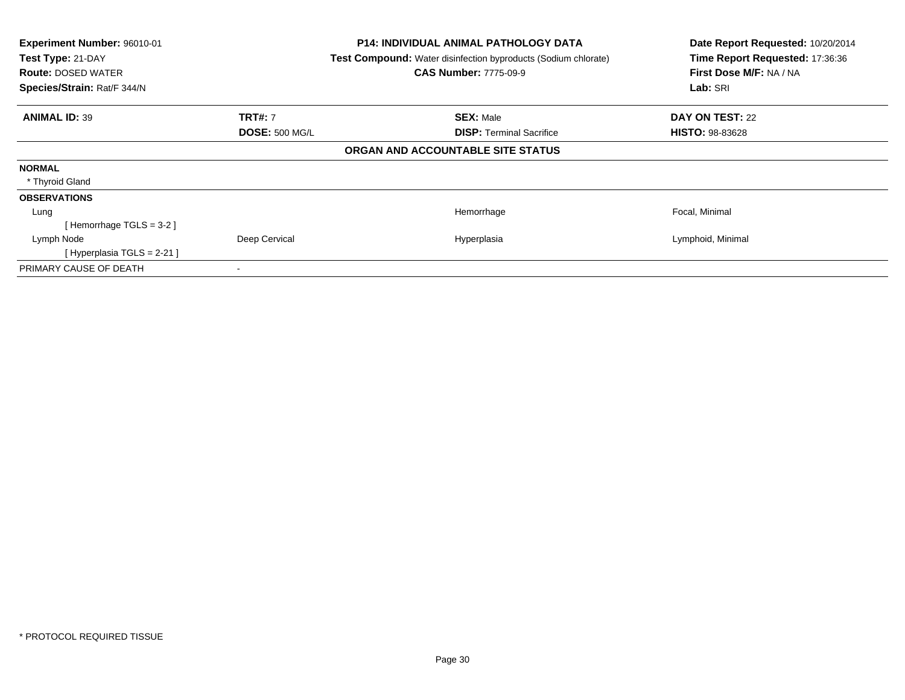| Experiment Number: 96010-01<br>Test Type: 21-DAY<br><b>Route: DOSED WATER</b><br>Species/Strain: Rat/F 344/N |                       | <b>P14: INDIVIDUAL ANIMAL PATHOLOGY DATA</b><br>Test Compound: Water disinfection byproducts (Sodium chlorate)<br><b>CAS Number: 7775-09-9</b> | Date Report Requested: 10/20/2014<br>Time Report Requested: 17:36:36<br>First Dose M/F: NA / NA<br>Lab: SRI |
|--------------------------------------------------------------------------------------------------------------|-----------------------|------------------------------------------------------------------------------------------------------------------------------------------------|-------------------------------------------------------------------------------------------------------------|
| <b>ANIMAL ID: 39</b>                                                                                         | <b>TRT#: 7</b>        | <b>SEX: Male</b>                                                                                                                               | DAY ON TEST: 22                                                                                             |
|                                                                                                              | <b>DOSE: 500 MG/L</b> | <b>DISP:</b> Terminal Sacrifice                                                                                                                | <b>HISTO: 98-83628</b>                                                                                      |
|                                                                                                              |                       | ORGAN AND ACCOUNTABLE SITE STATUS                                                                                                              |                                                                                                             |
| <b>NORMAL</b>                                                                                                |                       |                                                                                                                                                |                                                                                                             |
| * Thyroid Gland                                                                                              |                       |                                                                                                                                                |                                                                                                             |
| <b>OBSERVATIONS</b>                                                                                          |                       |                                                                                                                                                |                                                                                                             |
| Lung                                                                                                         |                       | Hemorrhage                                                                                                                                     | Focal, Minimal                                                                                              |
| Hemorrhage TGLS = 3-2 ]                                                                                      |                       |                                                                                                                                                |                                                                                                             |
| Lymph Node                                                                                                   | Deep Cervical         | Hyperplasia                                                                                                                                    | Lymphoid, Minimal                                                                                           |
| [Hyperplasia TGLS = 2-21 ]                                                                                   |                       |                                                                                                                                                |                                                                                                             |
| PRIMARY CAUSE OF DEATH                                                                                       |                       |                                                                                                                                                |                                                                                                             |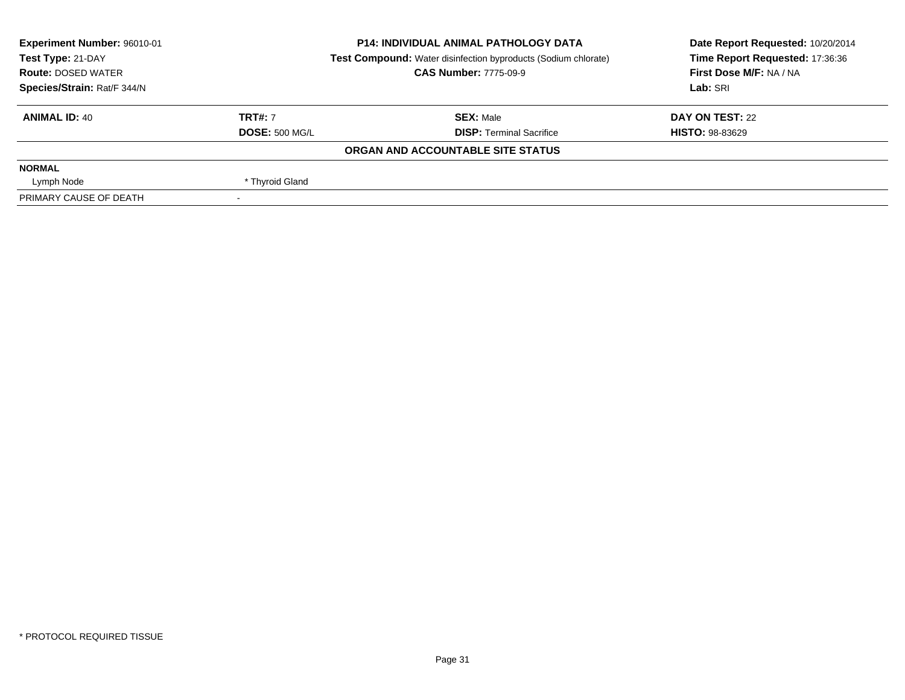| Experiment Number: 96010-01 |                       | <b>P14: INDIVIDUAL ANIMAL PATHOLOGY DATA</b>                          | Date Report Requested: 10/20/2014<br>Time Report Requested: 17:36:36 |  |
|-----------------------------|-----------------------|-----------------------------------------------------------------------|----------------------------------------------------------------------|--|
| Test Type: 21-DAY           |                       | <b>Test Compound:</b> Water disinfection byproducts (Sodium chlorate) |                                                                      |  |
| <b>Route: DOSED WATER</b>   |                       | <b>CAS Number: 7775-09-9</b>                                          | First Dose M/F: NA / NA                                              |  |
| Species/Strain: Rat/F 344/N |                       |                                                                       | Lab: SRI                                                             |  |
| <b>ANIMAL ID: 40</b>        | <b>TRT#: 7</b>        | <b>SEX: Male</b>                                                      | DAY ON TEST: 22                                                      |  |
|                             | <b>DOSE: 500 MG/L</b> | <b>DISP: Terminal Sacrifice</b>                                       | <b>HISTO: 98-83629</b>                                               |  |
|                             |                       | ORGAN AND ACCOUNTABLE SITE STATUS                                     |                                                                      |  |
| <b>NORMAL</b>               |                       |                                                                       |                                                                      |  |
| Lymph Node                  | * Thyroid Gland       |                                                                       |                                                                      |  |
| PRIMARY CAUSE OF DEATH      |                       |                                                                       |                                                                      |  |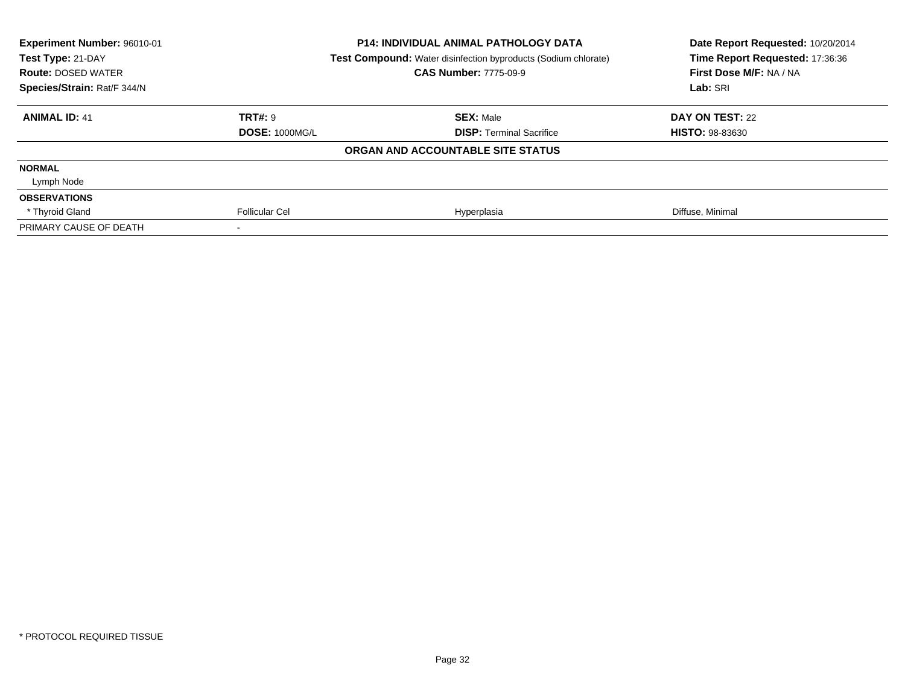| Experiment Number: 96010-01<br>Test Type: 21-DAY |                       | <b>P14: INDIVIDUAL ANIMAL PATHOLOGY DATA</b>                          | Date Report Requested: 10/20/2014<br>Time Report Requested: 17:36:36 |
|--------------------------------------------------|-----------------------|-----------------------------------------------------------------------|----------------------------------------------------------------------|
|                                                  |                       | <b>Test Compound:</b> Water disinfection byproducts (Sodium chlorate) |                                                                      |
| <b>Route: DOSED WATER</b>                        |                       | <b>CAS Number: 7775-09-9</b>                                          | First Dose M/F: NA / NA                                              |
| Species/Strain: Rat/F 344/N                      |                       |                                                                       | Lab: SRI                                                             |
| <b>ANIMAL ID: 41</b>                             | TRT#: 9               | <b>SEX: Male</b>                                                      | DAY ON TEST: 22                                                      |
|                                                  | <b>DOSE: 1000MG/L</b> | <b>DISP:</b> Terminal Sacrifice                                       | <b>HISTO: 98-83630</b>                                               |
|                                                  |                       | ORGAN AND ACCOUNTABLE SITE STATUS                                     |                                                                      |
| <b>NORMAL</b>                                    |                       |                                                                       |                                                                      |
| Lymph Node                                       |                       |                                                                       |                                                                      |
| <b>OBSERVATIONS</b>                              |                       |                                                                       |                                                                      |
| * Thyroid Gland                                  | <b>Follicular Cel</b> | Hyperplasia                                                           | Diffuse, Minimal                                                     |
| PRIMARY CAUSE OF DEATH                           |                       |                                                                       |                                                                      |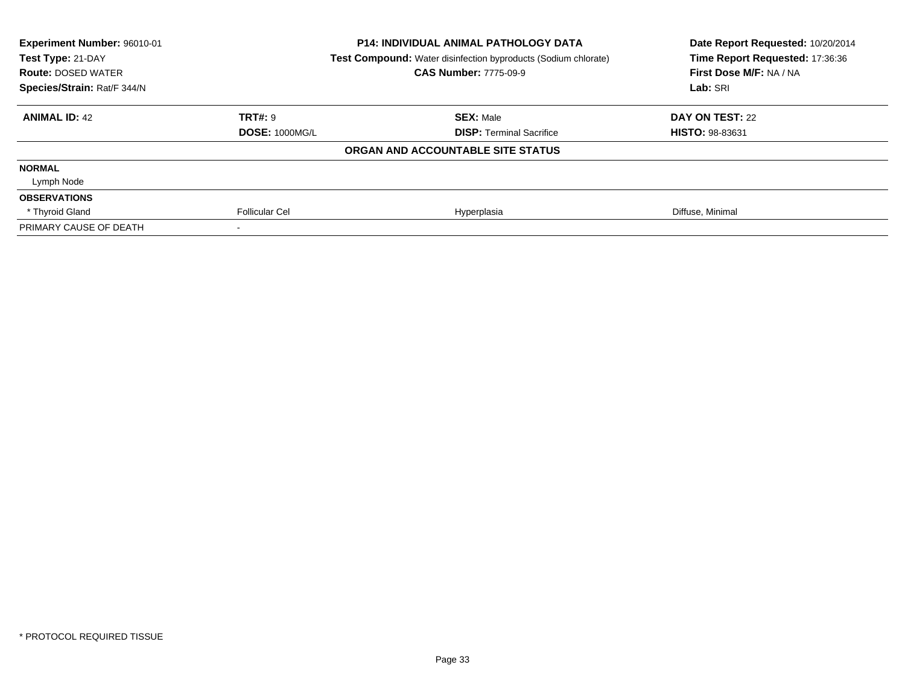| Experiment Number: 96010-01<br>Test Type: 21-DAY<br><b>Route: DOSED WATER</b> |                       | <b>P14: INDIVIDUAL ANIMAL PATHOLOGY DATA</b><br>Test Compound: Water disinfection byproducts (Sodium chlorate)<br><b>CAS Number: 7775-09-9</b> | Date Report Requested: 10/20/2014<br>Time Report Requested: 17:36:36<br>First Dose M/F: NA / NA |
|-------------------------------------------------------------------------------|-----------------------|------------------------------------------------------------------------------------------------------------------------------------------------|-------------------------------------------------------------------------------------------------|
| Species/Strain: Rat/F 344/N                                                   |                       |                                                                                                                                                | Lab: SRI                                                                                        |
| <b>ANIMAL ID: 42</b>                                                          | <b>TRT#: 9</b>        | <b>SEX: Male</b>                                                                                                                               | DAY ON TEST: 22                                                                                 |
|                                                                               | <b>DOSE: 1000MG/L</b> | <b>DISP:</b> Terminal Sacrifice                                                                                                                | <b>HISTO: 98-83631</b>                                                                          |
|                                                                               |                       | ORGAN AND ACCOUNTABLE SITE STATUS                                                                                                              |                                                                                                 |
| <b>NORMAL</b>                                                                 |                       |                                                                                                                                                |                                                                                                 |
| Lymph Node                                                                    |                       |                                                                                                                                                |                                                                                                 |
| <b>OBSERVATIONS</b>                                                           |                       |                                                                                                                                                |                                                                                                 |
| * Thyroid Gland                                                               | <b>Follicular Cel</b> | Hyperplasia                                                                                                                                    | Diffuse, Minimal                                                                                |
| PRIMARY CAUSE OF DEATH                                                        |                       |                                                                                                                                                |                                                                                                 |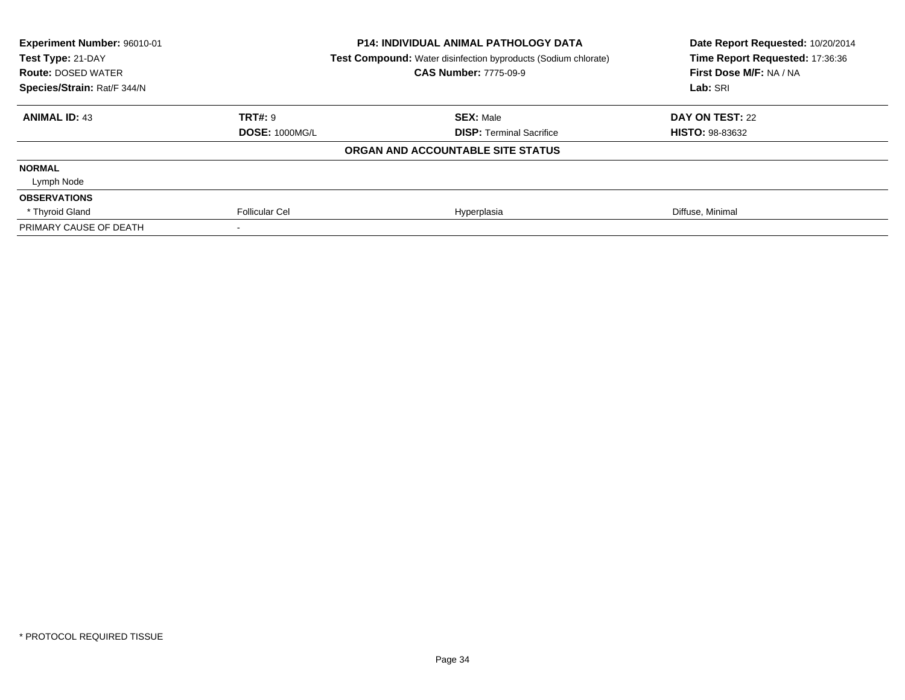| Experiment Number: 96010-01<br>Test Type: 21-DAY |                       | <b>P14: INDIVIDUAL ANIMAL PATHOLOGY DATA</b>                          | Date Report Requested: 10/20/2014<br>Time Report Requested: 17:36:36 |
|--------------------------------------------------|-----------------------|-----------------------------------------------------------------------|----------------------------------------------------------------------|
|                                                  |                       | <b>Test Compound:</b> Water disinfection byproducts (Sodium chlorate) |                                                                      |
| <b>Route: DOSED WATER</b>                        |                       | <b>CAS Number: 7775-09-9</b>                                          | First Dose M/F: NA / NA                                              |
| Species/Strain: Rat/F 344/N                      |                       |                                                                       | Lab: SRI                                                             |
| <b>ANIMAL ID: 43</b>                             | TRT#: 9               | <b>SEX: Male</b>                                                      | DAY ON TEST: 22                                                      |
|                                                  | <b>DOSE: 1000MG/L</b> | <b>DISP:</b> Terminal Sacrifice                                       | <b>HISTO: 98-83632</b>                                               |
|                                                  |                       | ORGAN AND ACCOUNTABLE SITE STATUS                                     |                                                                      |
| <b>NORMAL</b>                                    |                       |                                                                       |                                                                      |
| Lymph Node                                       |                       |                                                                       |                                                                      |
| <b>OBSERVATIONS</b>                              |                       |                                                                       |                                                                      |
| * Thyroid Gland                                  | <b>Follicular Cel</b> | Hyperplasia                                                           | Diffuse, Minimal                                                     |
| PRIMARY CAUSE OF DEATH                           |                       |                                                                       |                                                                      |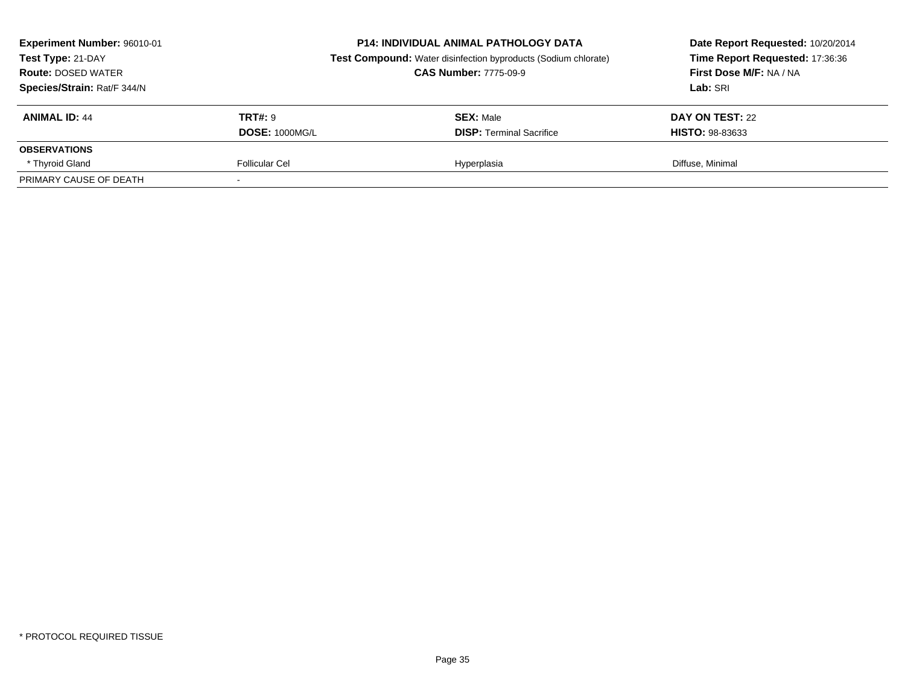| Experiment Number: 96010-01<br>Test Type: 21-DAY<br><b>Route: DOSED WATER</b><br>Species/Strain: Rat/F 344/N | <b>P14: INDIVIDUAL ANIMAL PATHOLOGY DATA</b><br><b>Test Compound:</b> Water disinfection byproducts (Sodium chlorate)<br><b>CAS Number: 7775-09-9</b> |                                 | Date Report Requested: 10/20/2014<br>Time Report Requested: 17:36:36<br>First Dose M/F: NA / NA<br>Lab: SRI |  |
|--------------------------------------------------------------------------------------------------------------|-------------------------------------------------------------------------------------------------------------------------------------------------------|---------------------------------|-------------------------------------------------------------------------------------------------------------|--|
| <b>ANIMAL ID: 44</b>                                                                                         | <b>TRT#:</b> 9                                                                                                                                        | <b>SEX: Male</b>                | DAY ON TEST: 22                                                                                             |  |
|                                                                                                              | <b>DOSE: 1000MG/L</b>                                                                                                                                 | <b>DISP: Terminal Sacrifice</b> | <b>HISTO: 98-83633</b>                                                                                      |  |
| <b>OBSERVATIONS</b>                                                                                          |                                                                                                                                                       |                                 |                                                                                                             |  |
| * Thyroid Gland                                                                                              | Follicular Cel                                                                                                                                        | Hyperplasia                     | Diffuse, Minimal                                                                                            |  |
| PRIMARY CAUSE OF DEATH                                                                                       |                                                                                                                                                       |                                 |                                                                                                             |  |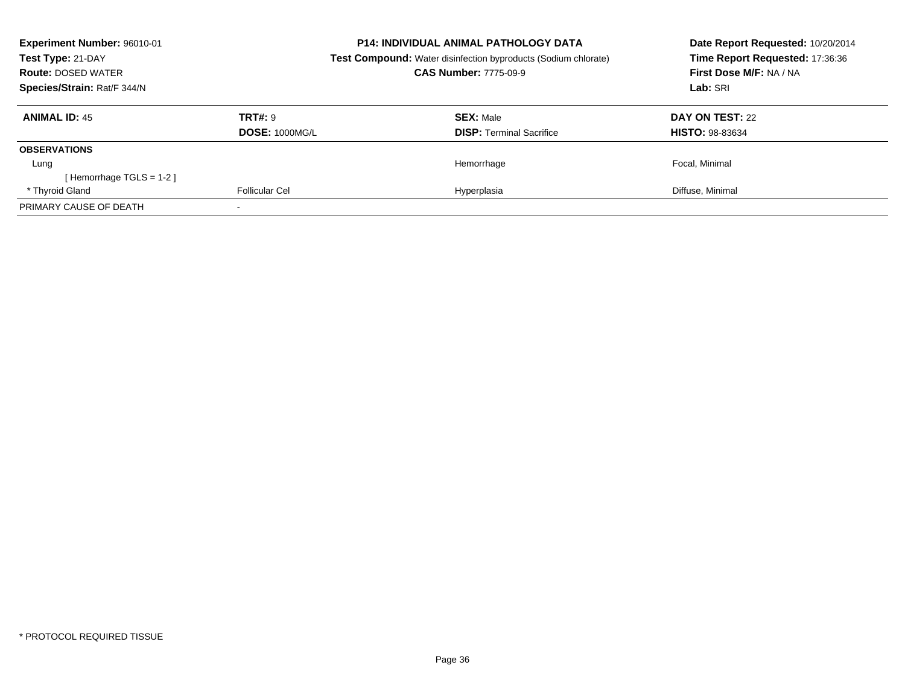| Experiment Number: 96010-01<br>Test Type: 21-DAY<br><b>Route: DOSED WATER</b><br>Species/Strain: Rat/F 344/N |                                         | <b>P14: INDIVIDUAL ANIMAL PATHOLOGY DATA</b><br><b>Test Compound:</b> Water disinfection byproducts (Sodium chlorate)<br><b>CAS Number: 7775-09-9</b> | Date Report Requested: 10/20/2014<br>Time Report Requested: 17:36:36<br>First Dose M/F: NA / NA<br>Lab: SRI |
|--------------------------------------------------------------------------------------------------------------|-----------------------------------------|-------------------------------------------------------------------------------------------------------------------------------------------------------|-------------------------------------------------------------------------------------------------------------|
| <b>ANIMAL ID: 45</b>                                                                                         | <b>TRT#: 9</b><br><b>DOSE: 1000MG/L</b> | <b>SEX: Male</b><br><b>DISP:</b> Terminal Sacrifice                                                                                                   | DAY ON TEST: 22<br><b>HISTO: 98-83634</b>                                                                   |
| <b>OBSERVATIONS</b>                                                                                          |                                         |                                                                                                                                                       |                                                                                                             |
| Lung<br>[Hemorrhage TGLS = $1-2$ ]                                                                           |                                         | Hemorrhage                                                                                                                                            | Focal, Minimal                                                                                              |
| * Thyroid Gland                                                                                              | Follicular Cel                          | Hyperplasia                                                                                                                                           | Diffuse, Minimal                                                                                            |
| PRIMARY CAUSE OF DEATH                                                                                       |                                         |                                                                                                                                                       |                                                                                                             |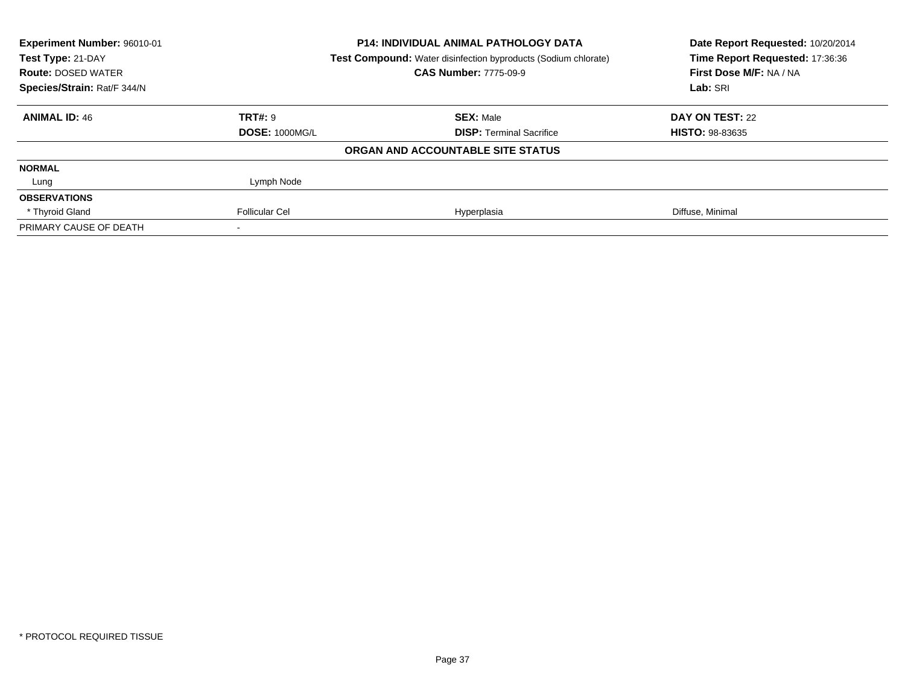| Experiment Number: 96010-01                    |                       | <b>P14: INDIVIDUAL ANIMAL PATHOLOGY DATA</b><br>Test Compound: Water disinfection byproducts (Sodium chlorate) | Date Report Requested: 10/20/2014<br>Time Report Requested: 17:36:36 |  |
|------------------------------------------------|-----------------------|----------------------------------------------------------------------------------------------------------------|----------------------------------------------------------------------|--|
| Test Type: 21-DAY<br><b>Route: DOSED WATER</b> |                       | <b>CAS Number: 7775-09-9</b>                                                                                   | First Dose M/F: NA / NA                                              |  |
| Species/Strain: Rat/F 344/N                    |                       |                                                                                                                | Lab: SRI                                                             |  |
| <b>ANIMAL ID: 46</b>                           | <b>TRT#: 9</b>        | <b>SEX: Male</b>                                                                                               | DAY ON TEST: 22                                                      |  |
|                                                | <b>DOSE: 1000MG/L</b> | <b>DISP:</b> Terminal Sacrifice                                                                                | <b>HISTO: 98-83635</b>                                               |  |
|                                                |                       | ORGAN AND ACCOUNTABLE SITE STATUS                                                                              |                                                                      |  |
| <b>NORMAL</b>                                  |                       |                                                                                                                |                                                                      |  |
| Lung                                           | Lymph Node            |                                                                                                                |                                                                      |  |
| <b>OBSERVATIONS</b>                            |                       |                                                                                                                |                                                                      |  |
| * Thyroid Gland                                | <b>Follicular Cel</b> | Hyperplasia                                                                                                    | Diffuse, Minimal                                                     |  |
| PRIMARY CAUSE OF DEATH                         |                       |                                                                                                                |                                                                      |  |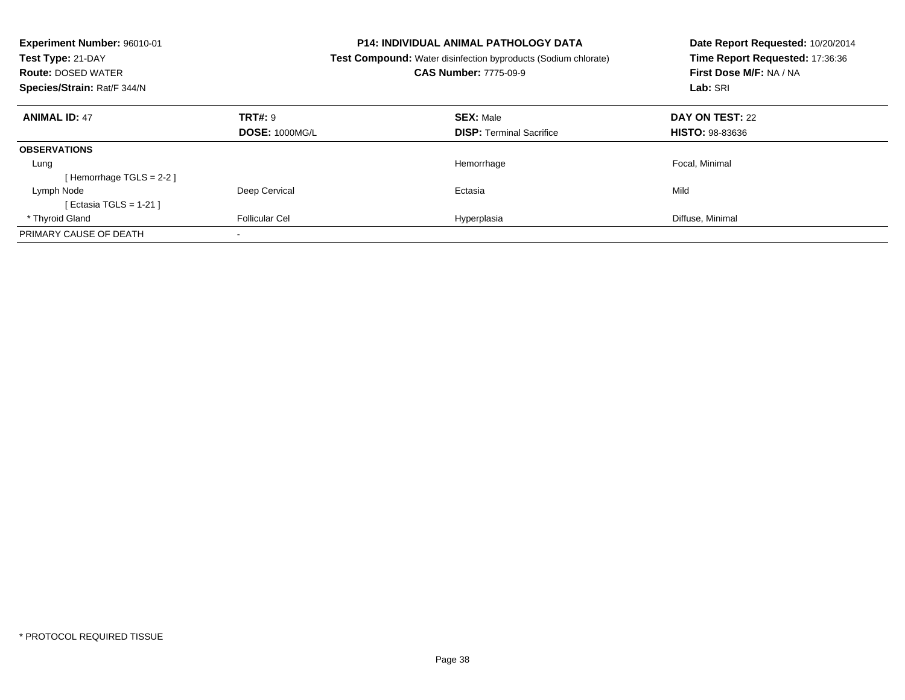| Experiment Number: 96010-01<br>Test Type: 21-DAY<br><b>Route: DOSED WATER</b><br>Species/Strain: Rat/F 344/N |                       | <b>P14: INDIVIDUAL ANIMAL PATHOLOGY DATA</b><br><b>Test Compound:</b> Water disinfection byproducts (Sodium chlorate)<br><b>CAS Number: 7775-09-9</b> | Date Report Requested: 10/20/2014<br>Time Report Requested: 17:36:36<br>First Dose M/F: NA / NA<br>Lab: SRI |
|--------------------------------------------------------------------------------------------------------------|-----------------------|-------------------------------------------------------------------------------------------------------------------------------------------------------|-------------------------------------------------------------------------------------------------------------|
| <b>ANIMAL ID: 47</b>                                                                                         | TRT#: 9               | <b>SEX: Male</b>                                                                                                                                      | DAY ON TEST: 22                                                                                             |
|                                                                                                              | <b>DOSE: 1000MG/L</b> | <b>DISP:</b> Terminal Sacrifice                                                                                                                       | <b>HISTO: 98-83636</b>                                                                                      |
| <b>OBSERVATIONS</b>                                                                                          |                       |                                                                                                                                                       |                                                                                                             |
| Lung                                                                                                         |                       | Hemorrhage                                                                                                                                            | Focal, Minimal                                                                                              |
| [Hemorrhage TGLS = $2-2$ ]                                                                                   |                       |                                                                                                                                                       |                                                                                                             |
| Lymph Node                                                                                                   | Deep Cervical         | Ectasia                                                                                                                                               | Mild                                                                                                        |
| [ Ectasia TGLS = $1-21$ ]                                                                                    |                       |                                                                                                                                                       |                                                                                                             |
| * Thyroid Gland                                                                                              | <b>Follicular Cel</b> | Hyperplasia                                                                                                                                           | Diffuse, Minimal                                                                                            |
| PRIMARY CAUSE OF DEATH                                                                                       |                       |                                                                                                                                                       |                                                                                                             |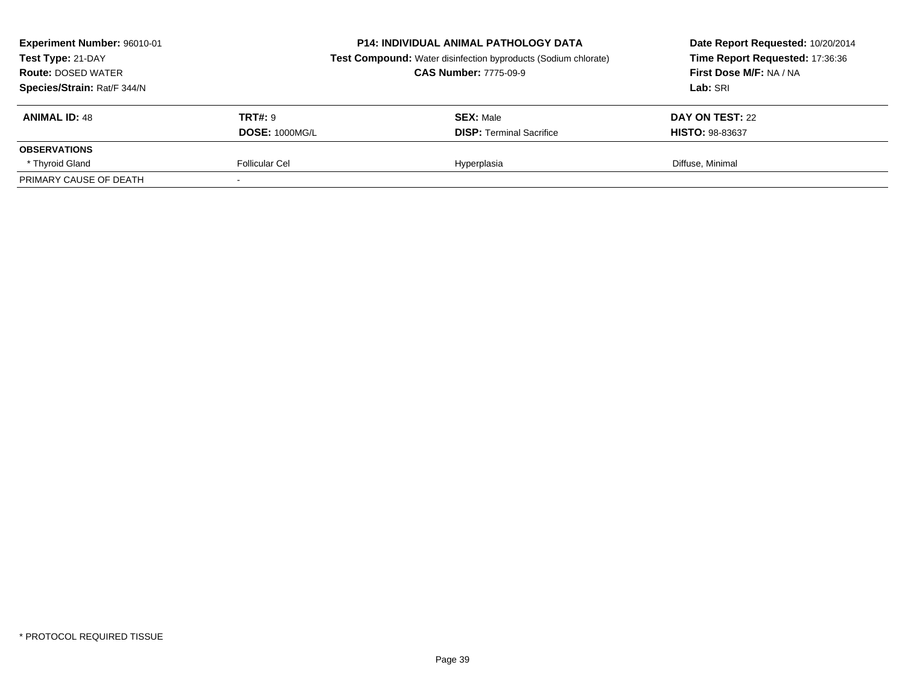| Experiment Number: 96010-01<br>Test Type: 21-DAY<br><b>Route: DOSED WATER</b><br>Species/Strain: Rat/F 344/N |                       | <b>P14: INDIVIDUAL ANIMAL PATHOLOGY DATA</b><br><b>Test Compound:</b> Water disinfection byproducts (Sodium chlorate)<br><b>CAS Number: 7775-09-9</b> | Date Report Requested: 10/20/2014<br>Time Report Requested: 17:36:36<br>First Dose M/F: NA / NA<br>Lab: SRI |  |
|--------------------------------------------------------------------------------------------------------------|-----------------------|-------------------------------------------------------------------------------------------------------------------------------------------------------|-------------------------------------------------------------------------------------------------------------|--|
| <b>ANIMAL ID: 48</b>                                                                                         | <b>TRT#:</b> 9        | <b>SEX: Male</b>                                                                                                                                      | DAY ON TEST: 22                                                                                             |  |
|                                                                                                              | <b>DOSE: 1000MG/L</b> | <b>DISP: Terminal Sacrifice</b>                                                                                                                       | <b>HISTO: 98-83637</b>                                                                                      |  |
| <b>OBSERVATIONS</b>                                                                                          |                       |                                                                                                                                                       |                                                                                                             |  |
| * Thyroid Gland                                                                                              | Follicular Cel        | Hyperplasia                                                                                                                                           | Diffuse, Minimal                                                                                            |  |
| PRIMARY CAUSE OF DEATH                                                                                       |                       |                                                                                                                                                       |                                                                                                             |  |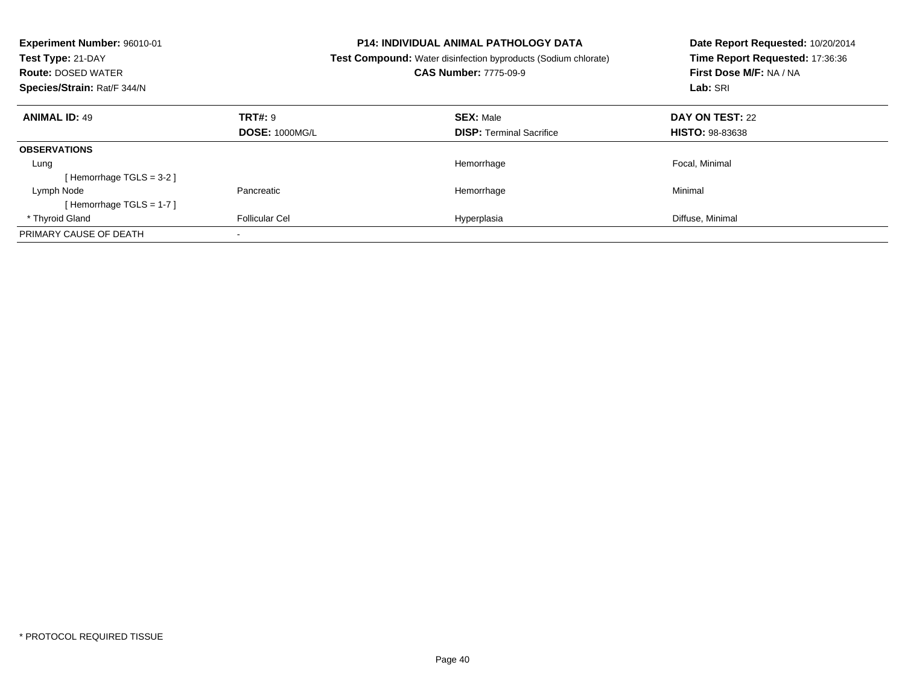| Experiment Number: 96010-01<br>Test Type: 21-DAY<br><b>Route: DOSED WATER</b><br>Species/Strain: Rat/F 344/N |                       | <b>P14: INDIVIDUAL ANIMAL PATHOLOGY DATA</b><br><b>Test Compound:</b> Water disinfection byproducts (Sodium chlorate)<br><b>CAS Number: 7775-09-9</b> | Date Report Requested: 10/20/2014<br>Time Report Requested: 17:36:36<br>First Dose M/F: NA / NA<br>Lab: SRI |
|--------------------------------------------------------------------------------------------------------------|-----------------------|-------------------------------------------------------------------------------------------------------------------------------------------------------|-------------------------------------------------------------------------------------------------------------|
| <b>ANIMAL ID: 49</b>                                                                                         | TRT#: 9               | <b>SEX: Male</b>                                                                                                                                      | DAY ON TEST: 22                                                                                             |
|                                                                                                              | <b>DOSE: 1000MG/L</b> | <b>DISP:</b> Terminal Sacrifice                                                                                                                       | <b>HISTO: 98-83638</b>                                                                                      |
| <b>OBSERVATIONS</b>                                                                                          |                       |                                                                                                                                                       |                                                                                                             |
| Lung                                                                                                         |                       | Hemorrhage                                                                                                                                            | Focal, Minimal                                                                                              |
| [Hemorrhage TGLS = 3-2]                                                                                      |                       |                                                                                                                                                       |                                                                                                             |
| Lymph Node                                                                                                   | Pancreatic            | Hemorrhage                                                                                                                                            | Minimal                                                                                                     |
| [Hemorrhage TGLS = $1-7$ ]                                                                                   |                       |                                                                                                                                                       |                                                                                                             |
| * Thyroid Gland                                                                                              | <b>Follicular Cel</b> | Hyperplasia                                                                                                                                           | Diffuse, Minimal                                                                                            |
| PRIMARY CAUSE OF DEATH                                                                                       |                       |                                                                                                                                                       |                                                                                                             |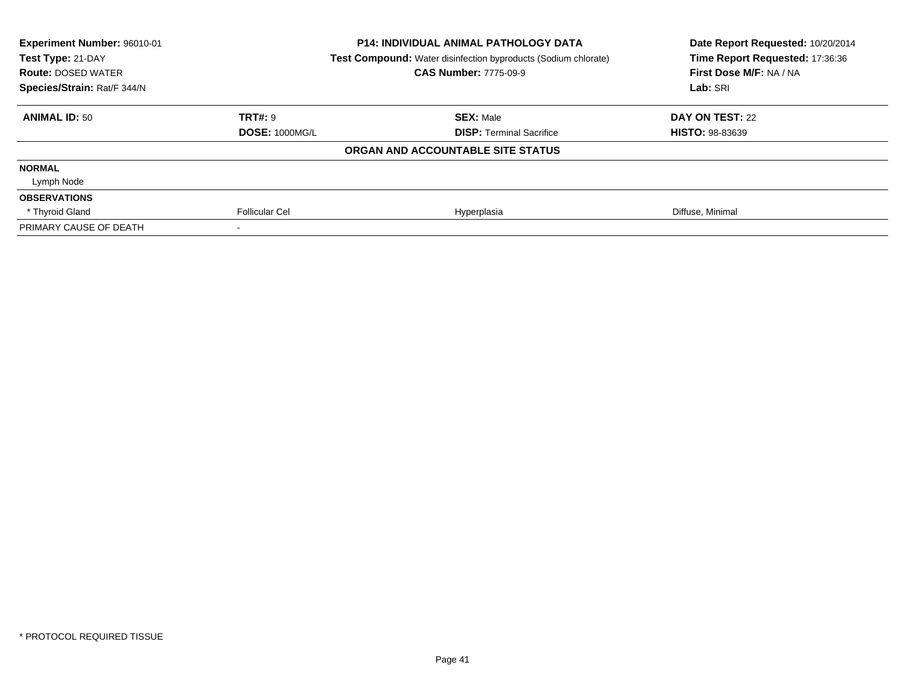| Experiment Number: 96010-01<br>Test Type: 21-DAY<br><b>Route: DOSED WATER</b> |                       | P14: INDIVIDUAL ANIMAL PATHOLOGY DATA<br>Test Compound: Water disinfection byproducts (Sodium chlorate)<br><b>CAS Number: 7775-09-9</b> | Date Report Requested: 10/20/2014<br>Time Report Requested: 17:36:36<br>First Dose M/F: NA / NA |  |
|-------------------------------------------------------------------------------|-----------------------|-----------------------------------------------------------------------------------------------------------------------------------------|-------------------------------------------------------------------------------------------------|--|
| Species/Strain: Rat/F 344/N                                                   |                       |                                                                                                                                         | Lab: SRI                                                                                        |  |
| <b>ANIMAL ID: 50</b>                                                          | TRT#: 9               | <b>SEX: Male</b>                                                                                                                        | DAY ON TEST: 22                                                                                 |  |
|                                                                               | <b>DOSE: 1000MG/L</b> | <b>DISP:</b> Terminal Sacrifice                                                                                                         | <b>HISTO: 98-83639</b>                                                                          |  |
|                                                                               |                       | ORGAN AND ACCOUNTABLE SITE STATUS                                                                                                       |                                                                                                 |  |
| <b>NORMAL</b>                                                                 |                       |                                                                                                                                         |                                                                                                 |  |
| Lymph Node                                                                    |                       |                                                                                                                                         |                                                                                                 |  |
| <b>OBSERVATIONS</b>                                                           |                       |                                                                                                                                         |                                                                                                 |  |
| * Thyroid Gland                                                               | <b>Follicular Cel</b> | Hyperplasia                                                                                                                             | Diffuse, Minimal                                                                                |  |
| PRIMARY CAUSE OF DEATH                                                        |                       |                                                                                                                                         |                                                                                                 |  |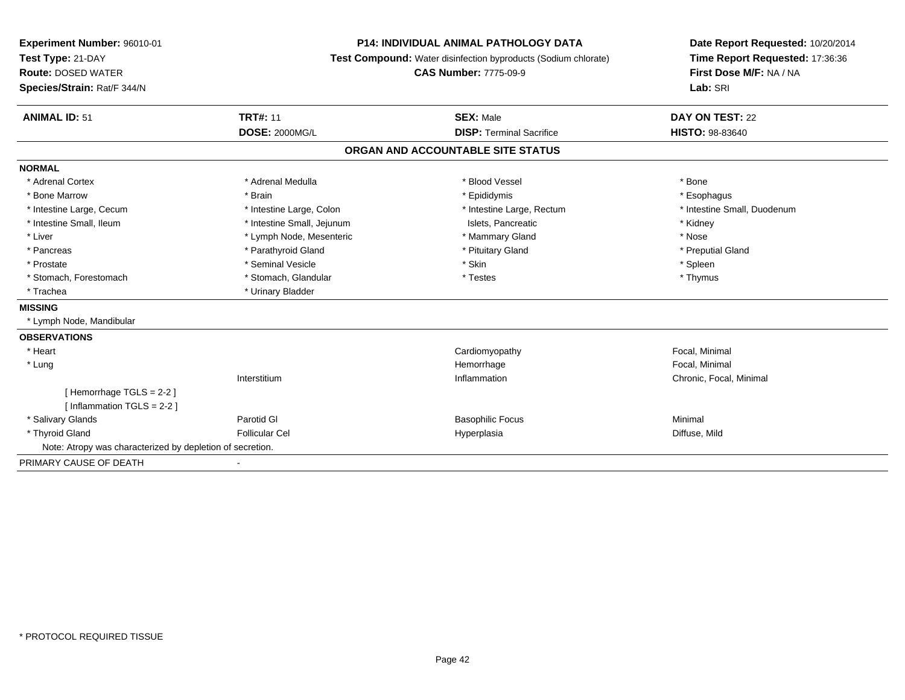| Experiment Number: 96010-01<br>Test Type: 21-DAY            |                            | <b>P14: INDIVIDUAL ANIMAL PATHOLOGY DATA</b><br>Test Compound: Water disinfection byproducts (Sodium chlorate) | Date Report Requested: 10/20/2014<br>Time Report Requested: 17:36:36 |  |
|-------------------------------------------------------------|----------------------------|----------------------------------------------------------------------------------------------------------------|----------------------------------------------------------------------|--|
| <b>Route: DOSED WATER</b>                                   |                            | <b>CAS Number: 7775-09-9</b>                                                                                   | First Dose M/F: NA / NA                                              |  |
| Species/Strain: Rat/F 344/N                                 |                            |                                                                                                                | Lab: SRI                                                             |  |
| <b>ANIMAL ID: 51</b>                                        | <b>TRT#: 11</b>            | <b>SEX: Male</b>                                                                                               | DAY ON TEST: 22                                                      |  |
|                                                             | <b>DOSE: 2000MG/L</b>      | <b>DISP: Terminal Sacrifice</b>                                                                                | <b>HISTO: 98-83640</b>                                               |  |
|                                                             |                            | ORGAN AND ACCOUNTABLE SITE STATUS                                                                              |                                                                      |  |
| <b>NORMAL</b>                                               |                            |                                                                                                                |                                                                      |  |
| * Adrenal Cortex                                            | * Adrenal Medulla          | * Blood Vessel                                                                                                 | * Bone                                                               |  |
| * Bone Marrow                                               | * Brain                    | * Epididymis                                                                                                   | * Esophagus                                                          |  |
| * Intestine Large, Cecum                                    | * Intestine Large, Colon   | * Intestine Large, Rectum                                                                                      | * Intestine Small, Duodenum                                          |  |
| * Intestine Small, Ileum                                    | * Intestine Small, Jejunum | Islets, Pancreatic                                                                                             | * Kidney                                                             |  |
| * Liver                                                     | * Lymph Node, Mesenteric   | * Mammary Gland                                                                                                | * Nose                                                               |  |
| * Pancreas                                                  | * Parathyroid Gland        | * Pituitary Gland                                                                                              | * Preputial Gland                                                    |  |
| * Prostate                                                  | * Seminal Vesicle          | * Skin                                                                                                         | * Spleen                                                             |  |
| * Stomach, Forestomach                                      | * Stomach, Glandular       | * Testes                                                                                                       | * Thymus                                                             |  |
| * Trachea                                                   | * Urinary Bladder          |                                                                                                                |                                                                      |  |
| <b>MISSING</b>                                              |                            |                                                                                                                |                                                                      |  |
| * Lymph Node, Mandibular                                    |                            |                                                                                                                |                                                                      |  |
| <b>OBSERVATIONS</b>                                         |                            |                                                                                                                |                                                                      |  |
| * Heart                                                     |                            | Cardiomyopathy                                                                                                 | Focal, Minimal                                                       |  |
| * Lung                                                      |                            | Hemorrhage                                                                                                     | Focal, Minimal                                                       |  |
|                                                             | Interstitium               | Inflammation                                                                                                   | Chronic, Focal, Minimal                                              |  |
| [Hemorrhage TGLS = $2-2$ ]<br>[ Inflammation $TGLS = 2-2$ ] |                            |                                                                                                                |                                                                      |  |
| * Salivary Glands                                           | Parotid GI                 | <b>Basophilic Focus</b>                                                                                        | Minimal                                                              |  |
| * Thyroid Gland                                             | <b>Follicular Cel</b>      | Hyperplasia                                                                                                    | Diffuse, Mild                                                        |  |
| Note: Atropy was characterized by depletion of secretion.   |                            |                                                                                                                |                                                                      |  |
| PRIMARY CAUSE OF DEATH                                      |                            |                                                                                                                |                                                                      |  |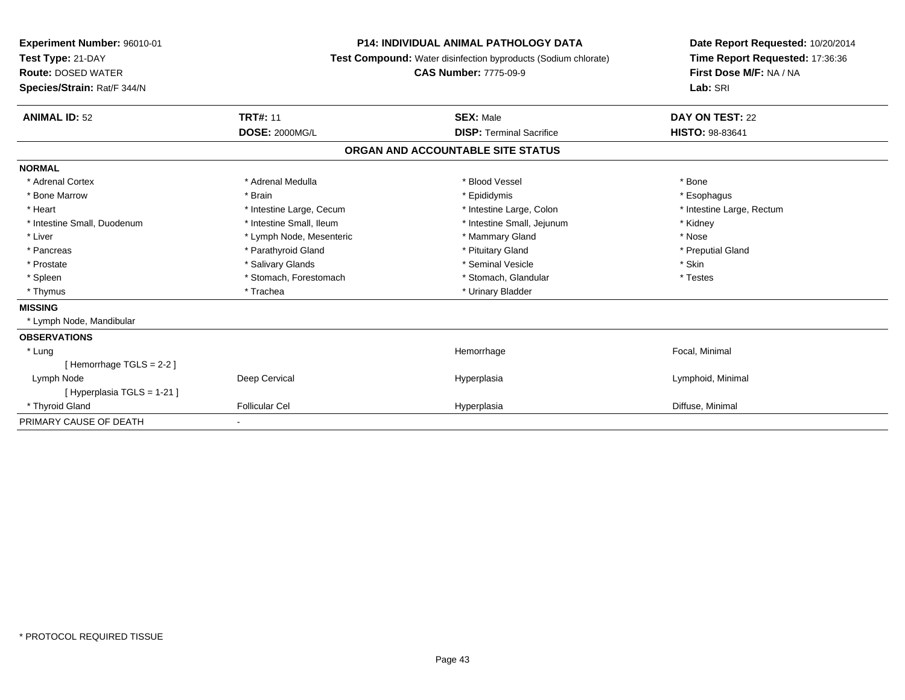| <b>Experiment Number: 96010-01</b><br>Test Type: 21-DAY<br><b>Route: DOSED WATER</b><br>Species/Strain: Rat/F 344/N | <b>P14: INDIVIDUAL ANIMAL PATHOLOGY DATA</b><br>Test Compound: Water disinfection byproducts (Sodium chlorate)<br><b>CAS Number: 7775-09-9</b> |                                   | Date Report Requested: 10/20/2014<br>Time Report Requested: 17:36:36<br>First Dose M/F: NA / NA<br>Lab: SRI |
|---------------------------------------------------------------------------------------------------------------------|------------------------------------------------------------------------------------------------------------------------------------------------|-----------------------------------|-------------------------------------------------------------------------------------------------------------|
| <b>ANIMAL ID: 52</b>                                                                                                | <b>TRT#: 11</b>                                                                                                                                | <b>SEX: Male</b>                  | DAY ON TEST: 22                                                                                             |
|                                                                                                                     | <b>DOSE: 2000MG/L</b>                                                                                                                          | <b>DISP: Terminal Sacrifice</b>   | <b>HISTO: 98-83641</b>                                                                                      |
|                                                                                                                     |                                                                                                                                                | ORGAN AND ACCOUNTABLE SITE STATUS |                                                                                                             |
| <b>NORMAL</b>                                                                                                       |                                                                                                                                                |                                   |                                                                                                             |
| * Adrenal Cortex                                                                                                    | * Adrenal Medulla                                                                                                                              | * Blood Vessel                    | * Bone                                                                                                      |
| * Bone Marrow                                                                                                       | * Brain                                                                                                                                        | * Epididymis                      | * Esophagus                                                                                                 |
| * Heart                                                                                                             | * Intestine Large, Cecum                                                                                                                       | * Intestine Large, Colon          | * Intestine Large, Rectum                                                                                   |
| * Intestine Small, Duodenum                                                                                         | * Intestine Small, Ileum                                                                                                                       | * Intestine Small, Jejunum        | * Kidney                                                                                                    |
| * Liver                                                                                                             | * Lymph Node, Mesenteric                                                                                                                       | * Mammary Gland                   | * Nose                                                                                                      |
| * Pancreas                                                                                                          | * Parathyroid Gland                                                                                                                            | * Pituitary Gland                 | * Preputial Gland                                                                                           |
| * Prostate                                                                                                          | * Salivary Glands                                                                                                                              | * Seminal Vesicle                 | * Skin                                                                                                      |
| * Spleen                                                                                                            | * Stomach, Forestomach                                                                                                                         | * Stomach, Glandular              | * Testes                                                                                                    |
| * Thymus                                                                                                            | * Trachea                                                                                                                                      | * Urinary Bladder                 |                                                                                                             |
| <b>MISSING</b>                                                                                                      |                                                                                                                                                |                                   |                                                                                                             |
| * Lymph Node, Mandibular                                                                                            |                                                                                                                                                |                                   |                                                                                                             |
| <b>OBSERVATIONS</b>                                                                                                 |                                                                                                                                                |                                   |                                                                                                             |
| * Lung                                                                                                              |                                                                                                                                                | Hemorrhage                        | Focal, Minimal                                                                                              |
| [Hemorrhage TGLS = $2-2$ ]                                                                                          |                                                                                                                                                |                                   |                                                                                                             |
| Lymph Node                                                                                                          | Deep Cervical                                                                                                                                  | Hyperplasia                       | Lymphoid, Minimal                                                                                           |
| [ Hyperplasia TGLS = 1-21 ]                                                                                         |                                                                                                                                                |                                   |                                                                                                             |
| * Thyroid Gland                                                                                                     | <b>Follicular Cel</b>                                                                                                                          | Hyperplasia                       | Diffuse, Minimal                                                                                            |
| PRIMARY CAUSE OF DEATH                                                                                              | ٠                                                                                                                                              |                                   |                                                                                                             |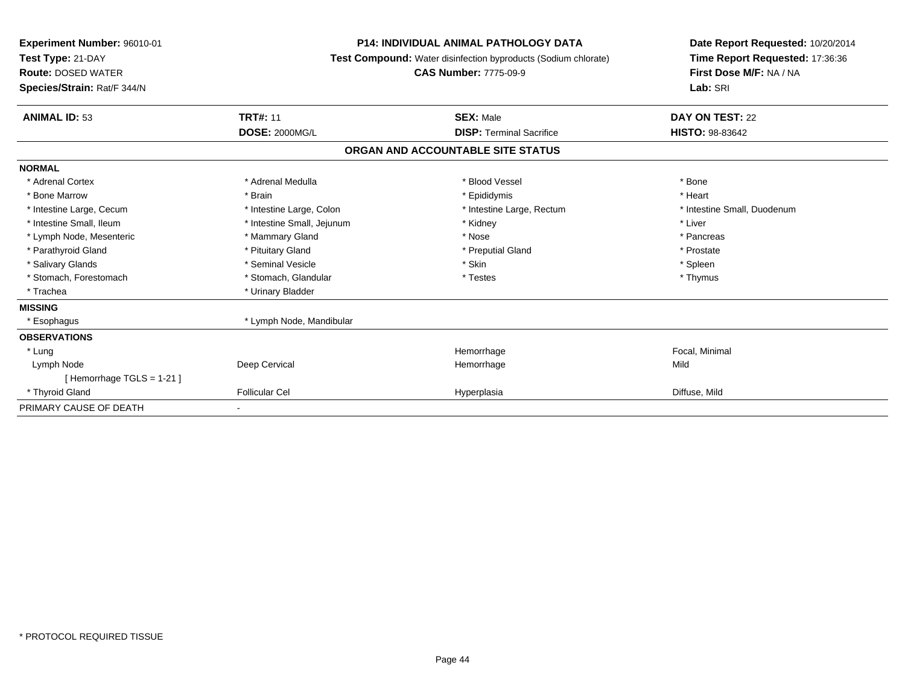| Experiment Number: 96010-01<br>Test Type: 21-DAY<br><b>Route: DOSED WATER</b><br>Species/Strain: Rat/F 344/N | <b>P14: INDIVIDUAL ANIMAL PATHOLOGY DATA</b><br>Test Compound: Water disinfection byproducts (Sodium chlorate)<br><b>CAS Number: 7775-09-9</b> |                                   | Date Report Requested: 10/20/2014<br>Time Report Requested: 17:36:36<br>First Dose M/F: NA / NA<br>Lab: SRI |
|--------------------------------------------------------------------------------------------------------------|------------------------------------------------------------------------------------------------------------------------------------------------|-----------------------------------|-------------------------------------------------------------------------------------------------------------|
| <b>ANIMAL ID: 53</b>                                                                                         | <b>TRT#: 11</b>                                                                                                                                | <b>SEX: Male</b>                  | DAY ON TEST: 22                                                                                             |
|                                                                                                              | <b>DOSE: 2000MG/L</b>                                                                                                                          | <b>DISP: Terminal Sacrifice</b>   | HISTO: 98-83642                                                                                             |
|                                                                                                              |                                                                                                                                                | ORGAN AND ACCOUNTABLE SITE STATUS |                                                                                                             |
| <b>NORMAL</b>                                                                                                |                                                                                                                                                |                                   |                                                                                                             |
| * Adrenal Cortex                                                                                             | * Adrenal Medulla                                                                                                                              | * Blood Vessel                    | * Bone                                                                                                      |
| * Bone Marrow                                                                                                | * Brain                                                                                                                                        | * Epididymis                      | * Heart                                                                                                     |
| * Intestine Large, Cecum                                                                                     | * Intestine Large, Colon                                                                                                                       | * Intestine Large, Rectum         | * Intestine Small, Duodenum                                                                                 |
| * Intestine Small, Ileum                                                                                     | * Intestine Small, Jejunum                                                                                                                     | * Kidney                          | * Liver                                                                                                     |
| * Lymph Node, Mesenteric                                                                                     | * Mammary Gland                                                                                                                                | * Nose                            | * Pancreas                                                                                                  |
| * Parathyroid Gland                                                                                          | * Pituitary Gland                                                                                                                              | * Preputial Gland                 | * Prostate                                                                                                  |
| * Salivary Glands                                                                                            | * Seminal Vesicle                                                                                                                              | * Skin                            | * Spleen                                                                                                    |
| * Stomach, Forestomach                                                                                       | * Stomach, Glandular                                                                                                                           | * Testes                          | * Thymus                                                                                                    |
| * Trachea                                                                                                    | * Urinary Bladder                                                                                                                              |                                   |                                                                                                             |
| <b>MISSING</b>                                                                                               |                                                                                                                                                |                                   |                                                                                                             |
| * Esophagus                                                                                                  | * Lymph Node, Mandibular                                                                                                                       |                                   |                                                                                                             |
| <b>OBSERVATIONS</b>                                                                                          |                                                                                                                                                |                                   |                                                                                                             |
| * Lung                                                                                                       |                                                                                                                                                | Hemorrhage                        | Focal, Minimal                                                                                              |
| Lymph Node                                                                                                   | Deep Cervical                                                                                                                                  | Hemorrhage                        | Mild                                                                                                        |
| [Hemorrhage TGLS = $1-21$ ]                                                                                  |                                                                                                                                                |                                   |                                                                                                             |
| * Thyroid Gland                                                                                              | <b>Follicular Cel</b>                                                                                                                          | Hyperplasia                       | Diffuse, Mild                                                                                               |
| PRIMARY CAUSE OF DEATH                                                                                       |                                                                                                                                                |                                   |                                                                                                             |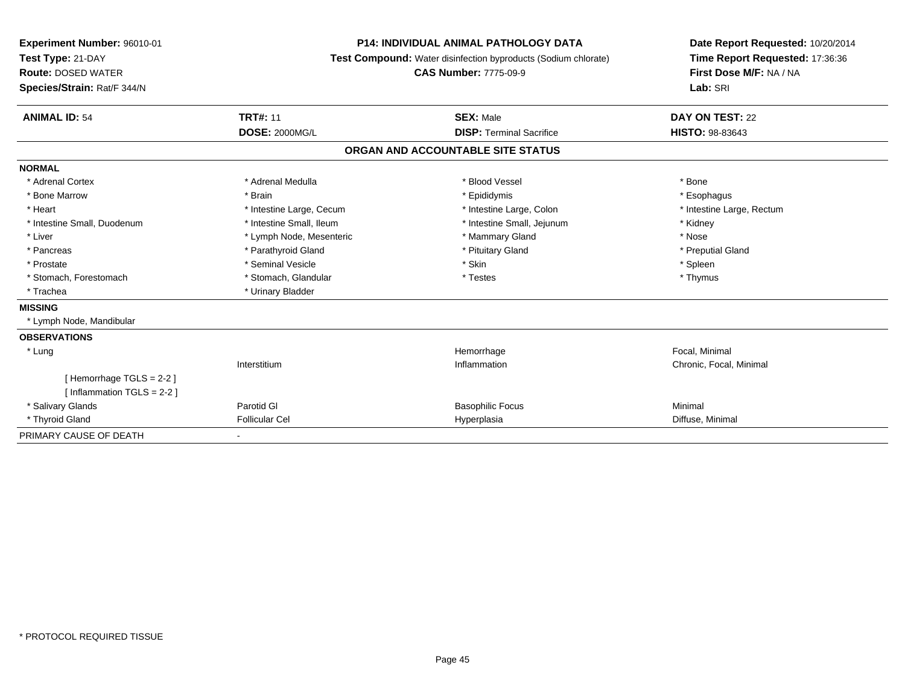| Experiment Number: 96010-01<br>Test Type: 21-DAY<br><b>Route: DOSED WATER</b> | <b>P14: INDIVIDUAL ANIMAL PATHOLOGY DATA</b><br><b>Test Compound:</b> Water disinfection byproducts (Sodium chlorate)<br><b>CAS Number: 7775-09-9</b> |                                   | Date Report Requested: 10/20/2014<br>Time Report Requested: 17:36:36<br>First Dose M/F: NA / NA |
|-------------------------------------------------------------------------------|-------------------------------------------------------------------------------------------------------------------------------------------------------|-----------------------------------|-------------------------------------------------------------------------------------------------|
| Species/Strain: Rat/F 344/N                                                   |                                                                                                                                                       |                                   | Lab: SRI                                                                                        |
| <b>ANIMAL ID: 54</b>                                                          | <b>TRT#: 11</b>                                                                                                                                       | <b>SEX: Male</b>                  | DAY ON TEST: 22                                                                                 |
|                                                                               | <b>DOSE: 2000MG/L</b>                                                                                                                                 | <b>DISP: Terminal Sacrifice</b>   | <b>HISTO: 98-83643</b>                                                                          |
|                                                                               |                                                                                                                                                       | ORGAN AND ACCOUNTABLE SITE STATUS |                                                                                                 |
| <b>NORMAL</b>                                                                 |                                                                                                                                                       |                                   |                                                                                                 |
| * Adrenal Cortex                                                              | * Adrenal Medulla                                                                                                                                     | * Blood Vessel                    | * Bone                                                                                          |
| * Bone Marrow                                                                 | * Brain                                                                                                                                               | * Epididymis                      | * Esophagus                                                                                     |
| * Heart                                                                       | * Intestine Large, Cecum                                                                                                                              | * Intestine Large, Colon          | * Intestine Large, Rectum                                                                       |
| * Intestine Small, Duodenum                                                   | * Intestine Small, Ileum                                                                                                                              | * Intestine Small, Jejunum        | * Kidney                                                                                        |
| * Liver                                                                       | * Lymph Node, Mesenteric                                                                                                                              | * Mammary Gland                   | * Nose                                                                                          |
| * Pancreas                                                                    | * Parathyroid Gland                                                                                                                                   | * Pituitary Gland                 | * Preputial Gland                                                                               |
| * Prostate                                                                    | * Seminal Vesicle                                                                                                                                     | * Skin                            | * Spleen                                                                                        |
| * Stomach, Forestomach                                                        | * Stomach, Glandular                                                                                                                                  | * Testes                          | * Thymus                                                                                        |
| * Trachea                                                                     | * Urinary Bladder                                                                                                                                     |                                   |                                                                                                 |
| <b>MISSING</b>                                                                |                                                                                                                                                       |                                   |                                                                                                 |
| * Lymph Node, Mandibular                                                      |                                                                                                                                                       |                                   |                                                                                                 |
| <b>OBSERVATIONS</b>                                                           |                                                                                                                                                       |                                   |                                                                                                 |
| * Lung                                                                        |                                                                                                                                                       | Hemorrhage                        | Focal, Minimal                                                                                  |
|                                                                               | Interstitium                                                                                                                                          | Inflammation                      | Chronic, Focal, Minimal                                                                         |
| [Hemorrhage TGLS = 2-2]                                                       |                                                                                                                                                       |                                   |                                                                                                 |
| [Inflammation TGLS = $2-2$ ]                                                  |                                                                                                                                                       |                                   |                                                                                                 |
| * Salivary Glands                                                             | Parotid GI                                                                                                                                            | <b>Basophilic Focus</b>           | Minimal                                                                                         |
| * Thyroid Gland                                                               | <b>Follicular Cel</b>                                                                                                                                 | Hyperplasia                       | Diffuse, Minimal                                                                                |
| PRIMARY CAUSE OF DEATH                                                        |                                                                                                                                                       |                                   |                                                                                                 |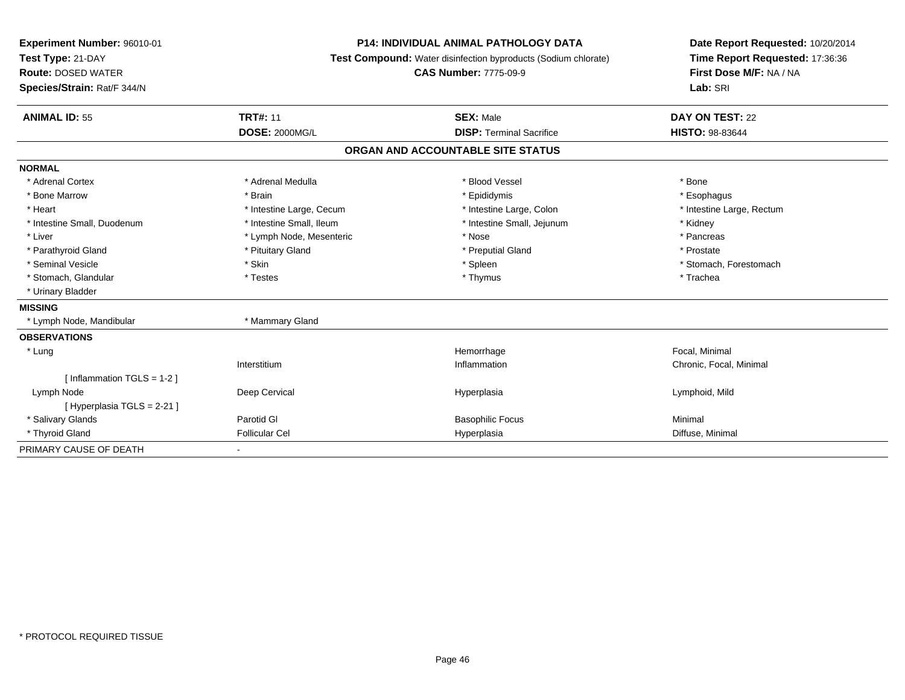| Experiment Number: 96010-01<br>Test Type: 21-DAY<br><b>Route: DOSED WATER</b><br>Species/Strain: Rat/F 344/N |                          | <b>P14: INDIVIDUAL ANIMAL PATHOLOGY DATA</b><br>Test Compound: Water disinfection byproducts (Sodium chlorate)<br><b>CAS Number: 7775-09-9</b> | Date Report Requested: 10/20/2014<br>Time Report Requested: 17:36:36<br>First Dose M/F: NA / NA<br>Lab: SRI |
|--------------------------------------------------------------------------------------------------------------|--------------------------|------------------------------------------------------------------------------------------------------------------------------------------------|-------------------------------------------------------------------------------------------------------------|
| <b>ANIMAL ID: 55</b>                                                                                         | <b>TRT#: 11</b>          | <b>SEX: Male</b>                                                                                                                               | DAY ON TEST: 22                                                                                             |
|                                                                                                              | <b>DOSE: 2000MG/L</b>    | <b>DISP: Terminal Sacrifice</b>                                                                                                                | HISTO: 98-83644                                                                                             |
|                                                                                                              |                          | ORGAN AND ACCOUNTABLE SITE STATUS                                                                                                              |                                                                                                             |
| <b>NORMAL</b>                                                                                                |                          |                                                                                                                                                |                                                                                                             |
| * Adrenal Cortex                                                                                             | * Adrenal Medulla        | * Blood Vessel                                                                                                                                 | * Bone                                                                                                      |
| * Bone Marrow                                                                                                | * Brain                  | * Epididymis                                                                                                                                   | * Esophagus                                                                                                 |
| * Heart                                                                                                      | * Intestine Large, Cecum | * Intestine Large, Colon                                                                                                                       | * Intestine Large, Rectum                                                                                   |
| * Intestine Small, Duodenum                                                                                  | * Intestine Small, Ileum | * Intestine Small, Jejunum                                                                                                                     | * Kidney                                                                                                    |
| * Liver                                                                                                      | * Lymph Node, Mesenteric | * Nose                                                                                                                                         | * Pancreas                                                                                                  |
| * Parathyroid Gland                                                                                          | * Pituitary Gland        | * Preputial Gland                                                                                                                              | * Prostate                                                                                                  |
| * Seminal Vesicle                                                                                            | * Skin                   | * Spleen                                                                                                                                       | * Stomach. Forestomach                                                                                      |
| * Stomach, Glandular                                                                                         | * Testes                 | * Thymus                                                                                                                                       | * Trachea                                                                                                   |
| * Urinary Bladder                                                                                            |                          |                                                                                                                                                |                                                                                                             |
| <b>MISSING</b>                                                                                               |                          |                                                                                                                                                |                                                                                                             |
| * Lymph Node, Mandibular                                                                                     | * Mammary Gland          |                                                                                                                                                |                                                                                                             |
| <b>OBSERVATIONS</b>                                                                                          |                          |                                                                                                                                                |                                                                                                             |
| * Lung                                                                                                       |                          | Hemorrhage                                                                                                                                     | Focal, Minimal                                                                                              |
|                                                                                                              | Interstitium             | Inflammation                                                                                                                                   | Chronic, Focal, Minimal                                                                                     |
| [Inflammation TGLS = $1-2$ ]                                                                                 |                          |                                                                                                                                                |                                                                                                             |
| Lymph Node                                                                                                   | Deep Cervical            | Hyperplasia                                                                                                                                    | Lymphoid, Mild                                                                                              |
| [Hyperplasia TGLS = 2-21]                                                                                    |                          |                                                                                                                                                |                                                                                                             |
| * Salivary Glands                                                                                            | Parotid GI               | <b>Basophilic Focus</b>                                                                                                                        | Minimal                                                                                                     |
| * Thyroid Gland                                                                                              | <b>Follicular Cel</b>    | Hyperplasia                                                                                                                                    | Diffuse, Minimal                                                                                            |
| PRIMARY CAUSE OF DEATH                                                                                       |                          |                                                                                                                                                |                                                                                                             |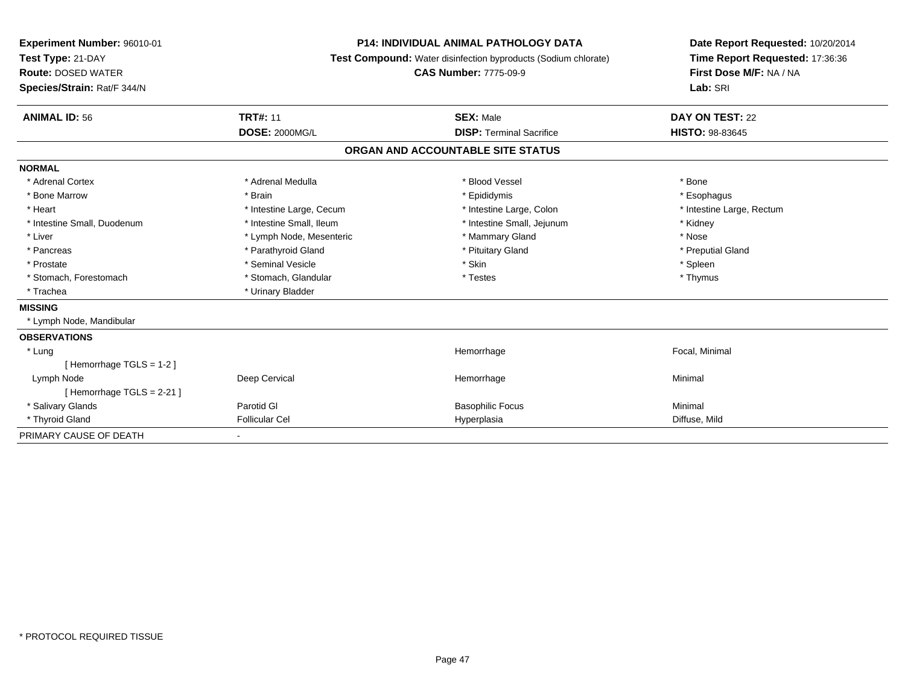| Experiment Number: 96010-01<br>Test Type: 21-DAY         | <b>P14: INDIVIDUAL ANIMAL PATHOLOGY DATA</b><br><b>Test Compound:</b> Water disinfection byproducts (Sodium chlorate) | Date Report Requested: 10/20/2014<br>Time Report Requested: 17:36:36 |                                     |
|----------------------------------------------------------|-----------------------------------------------------------------------------------------------------------------------|----------------------------------------------------------------------|-------------------------------------|
| <b>Route: DOSED WATER</b><br>Species/Strain: Rat/F 344/N |                                                                                                                       | <b>CAS Number: 7775-09-9</b>                                         | First Dose M/F: NA / NA<br>Lab: SRI |
|                                                          |                                                                                                                       |                                                                      |                                     |
| <b>ANIMAL ID: 56</b>                                     | <b>TRT#: 11</b>                                                                                                       | <b>SEX: Male</b>                                                     | DAY ON TEST: 22                     |
|                                                          | <b>DOSE: 2000MG/L</b>                                                                                                 | <b>DISP: Terminal Sacrifice</b>                                      | <b>HISTO: 98-83645</b>              |
|                                                          |                                                                                                                       | ORGAN AND ACCOUNTABLE SITE STATUS                                    |                                     |
| <b>NORMAL</b>                                            |                                                                                                                       |                                                                      |                                     |
| * Adrenal Cortex                                         | * Adrenal Medulla                                                                                                     | * Blood Vessel                                                       | * Bone                              |
| * Bone Marrow                                            | * Brain                                                                                                               | * Epididymis                                                         | * Esophagus                         |
| * Heart                                                  | * Intestine Large, Cecum                                                                                              | * Intestine Large, Colon                                             | * Intestine Large, Rectum           |
| * Intestine Small, Duodenum                              | * Intestine Small, Ileum                                                                                              | * Intestine Small, Jejunum                                           | * Kidney                            |
| * Liver                                                  | * Lymph Node, Mesenteric                                                                                              | * Mammary Gland                                                      | * Nose                              |
| * Pancreas                                               | * Parathyroid Gland                                                                                                   | * Pituitary Gland                                                    | * Preputial Gland                   |
| * Prostate                                               | * Seminal Vesicle                                                                                                     | * Skin                                                               | * Spleen                            |
| * Stomach, Forestomach                                   | * Stomach, Glandular                                                                                                  | * Testes                                                             | * Thymus                            |
| * Trachea                                                | * Urinary Bladder                                                                                                     |                                                                      |                                     |
| <b>MISSING</b>                                           |                                                                                                                       |                                                                      |                                     |
| * Lymph Node, Mandibular                                 |                                                                                                                       |                                                                      |                                     |
| <b>OBSERVATIONS</b>                                      |                                                                                                                       |                                                                      |                                     |
| * Lung                                                   |                                                                                                                       | Hemorrhage                                                           | Focal, Minimal                      |
| [Hemorrhage TGLS = $1-2$ ]                               |                                                                                                                       |                                                                      |                                     |
| Lymph Node                                               | Deep Cervical                                                                                                         | Hemorrhage                                                           | Minimal                             |
| [Hemorrhage TGLS = $2-21$ ]                              |                                                                                                                       |                                                                      |                                     |
| * Salivary Glands                                        | Parotid GI                                                                                                            | <b>Basophilic Focus</b>                                              | Minimal                             |
| * Thyroid Gland                                          | <b>Follicular Cel</b>                                                                                                 | Hyperplasia                                                          | Diffuse, Mild                       |
| PRIMARY CAUSE OF DEATH                                   |                                                                                                                       |                                                                      |                                     |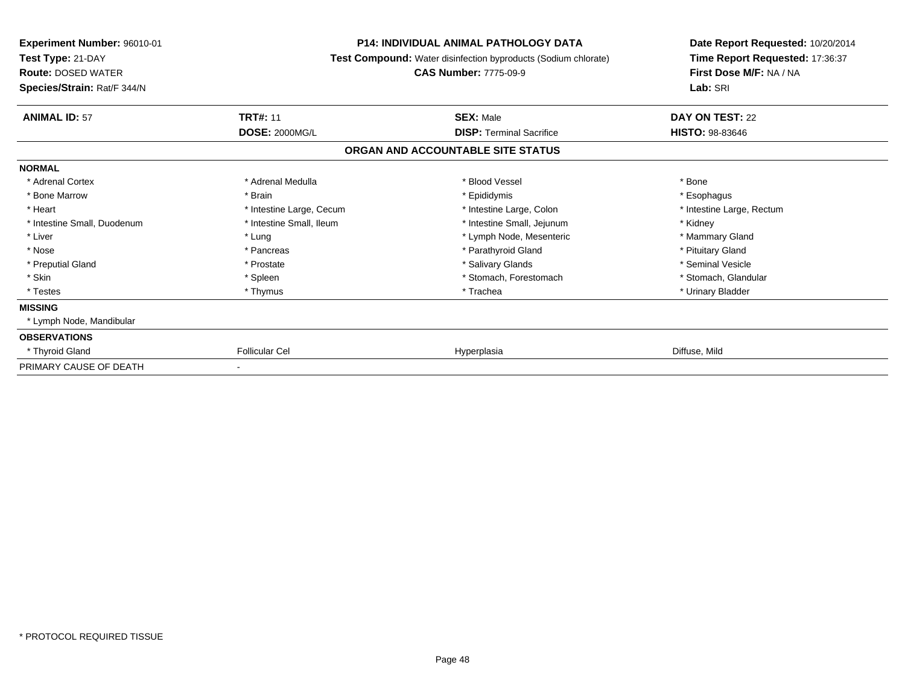| Experiment Number: 96010-01<br>Test Type: 21-DAY<br><b>Route: DOSED WATER</b><br>Species/Strain: Rat/F 344/N | <b>P14: INDIVIDUAL ANIMAL PATHOLOGY DATA</b><br><b>Test Compound:</b> Water disinfection byproducts (Sodium chlorate)<br><b>CAS Number: 7775-09-9</b> |                                                     | Date Report Requested: 10/20/2014<br>Time Report Requested: 17:36:37<br>First Dose M/F: NA / NA<br>Lab: SRI |
|--------------------------------------------------------------------------------------------------------------|-------------------------------------------------------------------------------------------------------------------------------------------------------|-----------------------------------------------------|-------------------------------------------------------------------------------------------------------------|
| <b>ANIMAL ID: 57</b>                                                                                         | <b>TRT#: 11</b>                                                                                                                                       | <b>SEX: Male</b><br><b>DISP: Terminal Sacrifice</b> | DAY ON TEST: 22<br><b>HISTO: 98-83646</b>                                                                   |
|                                                                                                              | <b>DOSE: 2000MG/L</b>                                                                                                                                 | ORGAN AND ACCOUNTABLE SITE STATUS                   |                                                                                                             |
| <b>NORMAL</b>                                                                                                |                                                                                                                                                       |                                                     |                                                                                                             |
| * Adrenal Cortex                                                                                             | * Adrenal Medulla                                                                                                                                     | * Blood Vessel                                      | * Bone                                                                                                      |
| * Bone Marrow                                                                                                | * Brain                                                                                                                                               | * Epididymis                                        | * Esophagus                                                                                                 |
| * Heart                                                                                                      | * Intestine Large, Cecum                                                                                                                              | * Intestine Large, Colon                            | * Intestine Large, Rectum                                                                                   |
| * Intestine Small, Duodenum                                                                                  | * Intestine Small, Ileum                                                                                                                              | * Intestine Small, Jejunum                          | * Kidney                                                                                                    |
| * Liver                                                                                                      | * Lung                                                                                                                                                | * Lymph Node, Mesenteric                            | * Mammary Gland                                                                                             |
| * Nose                                                                                                       | * Pancreas                                                                                                                                            | * Parathyroid Gland                                 | * Pituitary Gland                                                                                           |
| * Preputial Gland                                                                                            | * Prostate                                                                                                                                            | * Salivary Glands                                   | * Seminal Vesicle                                                                                           |
| * Skin                                                                                                       | * Spleen                                                                                                                                              | * Stomach, Forestomach                              | * Stomach, Glandular                                                                                        |
| * Testes                                                                                                     | * Thymus                                                                                                                                              | * Trachea                                           | * Urinary Bladder                                                                                           |
| <b>MISSING</b>                                                                                               |                                                                                                                                                       |                                                     |                                                                                                             |
| * Lymph Node, Mandibular                                                                                     |                                                                                                                                                       |                                                     |                                                                                                             |
| <b>OBSERVATIONS</b>                                                                                          |                                                                                                                                                       |                                                     |                                                                                                             |
| * Thyroid Gland                                                                                              | <b>Follicular Cel</b>                                                                                                                                 | Hyperplasia                                         | Diffuse, Mild                                                                                               |
| PRIMARY CAUSE OF DEATH                                                                                       |                                                                                                                                                       |                                                     |                                                                                                             |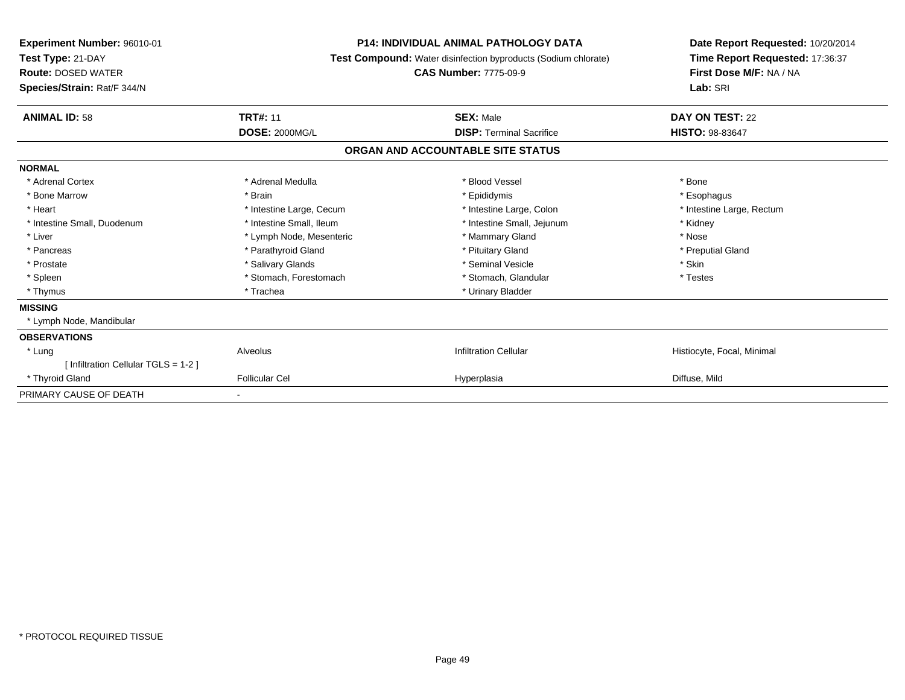| Experiment Number: 96010-01<br>Test Type: 21-DAY<br><b>Route: DOSED WATER</b><br>Species/Strain: Rat/F 344/N |                          | <b>P14: INDIVIDUAL ANIMAL PATHOLOGY DATA</b><br>Test Compound: Water disinfection byproducts (Sodium chlorate)<br><b>CAS Number: 7775-09-9</b> | Date Report Requested: 10/20/2014<br>Time Report Requested: 17:36:37<br>First Dose M/F: NA / NA<br>Lab: SRI |
|--------------------------------------------------------------------------------------------------------------|--------------------------|------------------------------------------------------------------------------------------------------------------------------------------------|-------------------------------------------------------------------------------------------------------------|
| <b>ANIMAL ID: 58</b>                                                                                         | <b>TRT#: 11</b>          | <b>SEX: Male</b>                                                                                                                               | <b>DAY ON TEST: 22</b>                                                                                      |
|                                                                                                              | <b>DOSE: 2000MG/L</b>    | <b>DISP:</b> Terminal Sacrifice                                                                                                                | <b>HISTO: 98-83647</b>                                                                                      |
|                                                                                                              |                          | ORGAN AND ACCOUNTABLE SITE STATUS                                                                                                              |                                                                                                             |
| <b>NORMAL</b>                                                                                                |                          |                                                                                                                                                |                                                                                                             |
| * Adrenal Cortex                                                                                             | * Adrenal Medulla        | * Blood Vessel                                                                                                                                 | * Bone                                                                                                      |
| * Bone Marrow                                                                                                | * Brain                  | * Epididymis                                                                                                                                   | * Esophagus                                                                                                 |
| * Heart                                                                                                      | * Intestine Large, Cecum | * Intestine Large, Colon                                                                                                                       | * Intestine Large, Rectum                                                                                   |
| * Intestine Small, Duodenum                                                                                  | * Intestine Small, Ileum | * Intestine Small, Jejunum                                                                                                                     | * Kidney                                                                                                    |
| * Liver                                                                                                      | * Lymph Node, Mesenteric | * Mammary Gland                                                                                                                                | * Nose                                                                                                      |
| * Pancreas                                                                                                   | * Parathyroid Gland      | * Pituitary Gland                                                                                                                              | * Preputial Gland                                                                                           |
| * Prostate                                                                                                   | * Salivary Glands        | * Seminal Vesicle                                                                                                                              | * Skin                                                                                                      |
| * Spleen                                                                                                     | * Stomach, Forestomach   | * Stomach, Glandular                                                                                                                           | * Testes                                                                                                    |
| * Thymus                                                                                                     | * Trachea                | * Urinary Bladder                                                                                                                              |                                                                                                             |
| <b>MISSING</b>                                                                                               |                          |                                                                                                                                                |                                                                                                             |
| * Lymph Node, Mandibular                                                                                     |                          |                                                                                                                                                |                                                                                                             |
| <b>OBSERVATIONS</b>                                                                                          |                          |                                                                                                                                                |                                                                                                             |
| * Lung                                                                                                       | Alveolus                 | <b>Infiltration Cellular</b>                                                                                                                   | Histiocyte, Focal, Minimal                                                                                  |
| [ Infiltration Cellular TGLS = 1-2 ]                                                                         |                          |                                                                                                                                                |                                                                                                             |
| * Thyroid Gland                                                                                              | <b>Follicular Cel</b>    | Hyperplasia                                                                                                                                    | Diffuse, Mild                                                                                               |
| PRIMARY CAUSE OF DEATH                                                                                       |                          |                                                                                                                                                |                                                                                                             |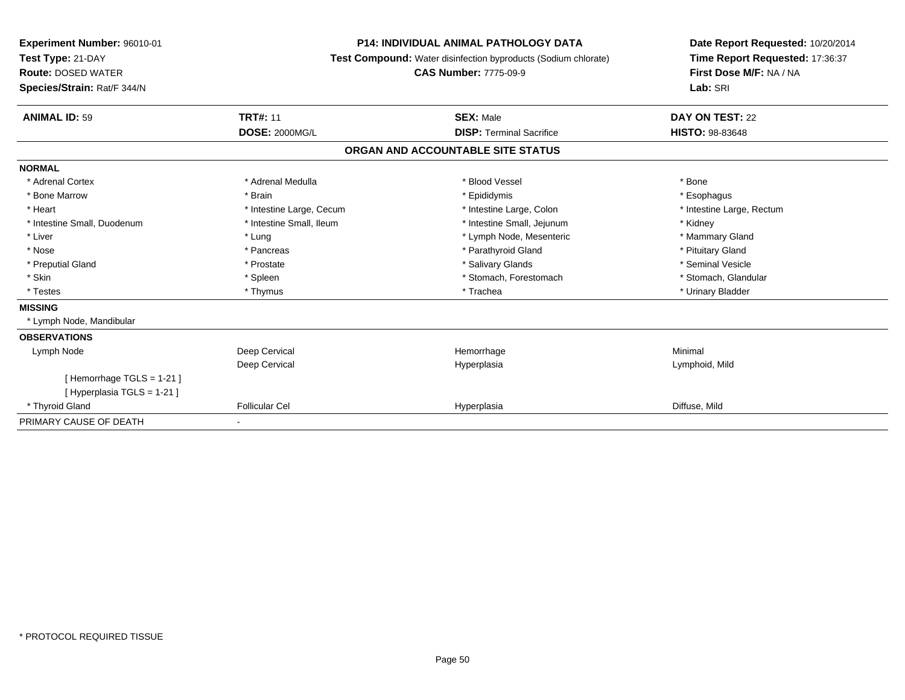| Experiment Number: 96010-01<br>Test Type: 21-DAY<br><b>Route: DOSED WATER</b><br>Species/Strain: Rat/F 344/N |                          | <b>P14: INDIVIDUAL ANIMAL PATHOLOGY DATA</b><br>Test Compound: Water disinfection byproducts (Sodium chlorate)<br><b>CAS Number: 7775-09-9</b> | Date Report Requested: 10/20/2014<br>Time Report Requested: 17:36:37<br>First Dose M/F: NA / NA<br>Lab: SRI |  |
|--------------------------------------------------------------------------------------------------------------|--------------------------|------------------------------------------------------------------------------------------------------------------------------------------------|-------------------------------------------------------------------------------------------------------------|--|
| <b>ANIMAL ID: 59</b>                                                                                         | <b>TRT#: 11</b>          | <b>SEX: Male</b>                                                                                                                               | DAY ON TEST: 22                                                                                             |  |
|                                                                                                              | <b>DOSE: 2000MG/L</b>    | <b>DISP: Terminal Sacrifice</b>                                                                                                                | <b>HISTO: 98-83648</b>                                                                                      |  |
|                                                                                                              |                          | ORGAN AND ACCOUNTABLE SITE STATUS                                                                                                              |                                                                                                             |  |
| <b>NORMAL</b>                                                                                                |                          |                                                                                                                                                |                                                                                                             |  |
| * Adrenal Cortex                                                                                             | * Adrenal Medulla        | * Blood Vessel                                                                                                                                 | * Bone                                                                                                      |  |
| * Bone Marrow                                                                                                | * Brain                  | * Epididymis                                                                                                                                   | * Esophagus                                                                                                 |  |
| * Heart                                                                                                      | * Intestine Large, Cecum | * Intestine Large, Colon                                                                                                                       | * Intestine Large, Rectum                                                                                   |  |
| * Intestine Small, Duodenum                                                                                  | * Intestine Small, Ileum | * Intestine Small, Jejunum                                                                                                                     | * Kidney                                                                                                    |  |
| * Liver                                                                                                      | * Lung                   | * Lymph Node, Mesenteric                                                                                                                       | * Mammary Gland                                                                                             |  |
| * Nose                                                                                                       | * Pancreas               | * Parathyroid Gland                                                                                                                            | * Pituitary Gland                                                                                           |  |
| * Preputial Gland                                                                                            | * Prostate               | * Salivary Glands                                                                                                                              | * Seminal Vesicle                                                                                           |  |
| * Skin                                                                                                       | * Spleen                 | * Stomach, Forestomach                                                                                                                         | * Stomach, Glandular                                                                                        |  |
| * Testes                                                                                                     | * Thymus                 | * Trachea                                                                                                                                      | * Urinary Bladder                                                                                           |  |
| <b>MISSING</b>                                                                                               |                          |                                                                                                                                                |                                                                                                             |  |
| * Lymph Node, Mandibular                                                                                     |                          |                                                                                                                                                |                                                                                                             |  |
| <b>OBSERVATIONS</b>                                                                                          |                          |                                                                                                                                                |                                                                                                             |  |
| Lymph Node                                                                                                   | Deep Cervical            | Hemorrhage                                                                                                                                     | Minimal                                                                                                     |  |
|                                                                                                              | Deep Cervical            | Hyperplasia                                                                                                                                    | Lymphoid, Mild                                                                                              |  |
| [Hemorrhage TGLS = $1-21$ ]                                                                                  |                          |                                                                                                                                                |                                                                                                             |  |
| [ Hyperplasia TGLS = 1-21 ]                                                                                  |                          |                                                                                                                                                |                                                                                                             |  |
| * Thyroid Gland                                                                                              | <b>Follicular Cel</b>    | Hyperplasia                                                                                                                                    | Diffuse, Mild                                                                                               |  |
| PRIMARY CAUSE OF DEATH                                                                                       |                          |                                                                                                                                                |                                                                                                             |  |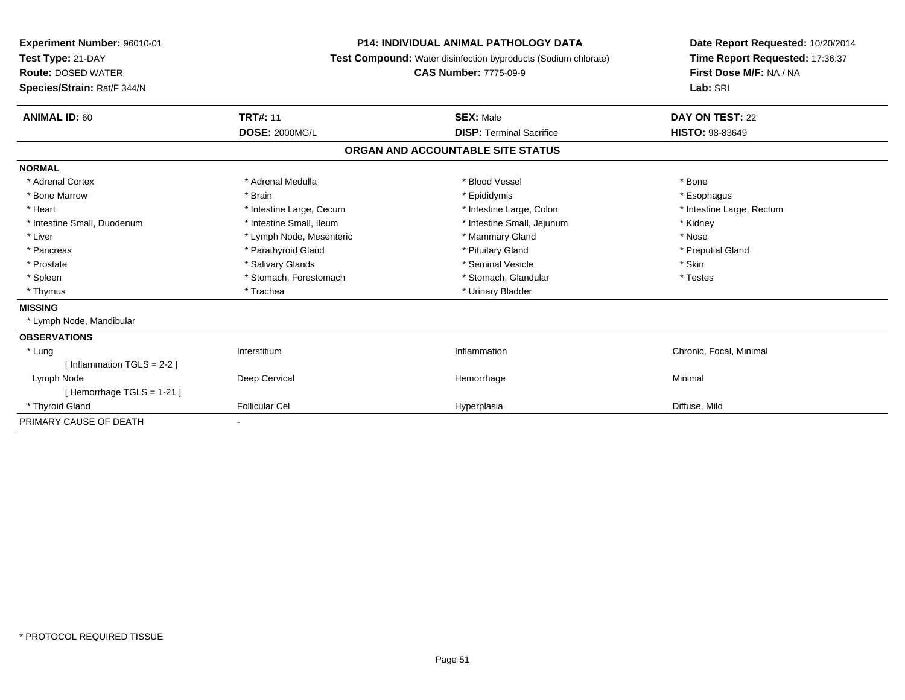| Experiment Number: 96010-01<br>Test Type: 21-DAY<br><b>Route: DOSED WATER</b><br>Species/Strain: Rat/F 344/N | <b>P14: INDIVIDUAL ANIMAL PATHOLOGY DATA</b><br>Test Compound: Water disinfection byproducts (Sodium chlorate)<br><b>CAS Number: 7775-09-9</b> |                                   | Date Report Requested: 10/20/2014<br>Time Report Requested: 17:36:37<br>First Dose M/F: NA / NA<br>Lab: SRI |  |
|--------------------------------------------------------------------------------------------------------------|------------------------------------------------------------------------------------------------------------------------------------------------|-----------------------------------|-------------------------------------------------------------------------------------------------------------|--|
| <b>ANIMAL ID: 60</b>                                                                                         | <b>TRT#: 11</b>                                                                                                                                | <b>SEX: Male</b>                  | DAY ON TEST: 22                                                                                             |  |
|                                                                                                              | <b>DOSE: 2000MG/L</b>                                                                                                                          | <b>DISP: Terminal Sacrifice</b>   | <b>HISTO: 98-83649</b>                                                                                      |  |
|                                                                                                              |                                                                                                                                                | ORGAN AND ACCOUNTABLE SITE STATUS |                                                                                                             |  |
| <b>NORMAL</b>                                                                                                |                                                                                                                                                |                                   |                                                                                                             |  |
| * Adrenal Cortex                                                                                             | * Adrenal Medulla                                                                                                                              | * Blood Vessel                    | * Bone                                                                                                      |  |
| * Bone Marrow                                                                                                | * Brain                                                                                                                                        | * Epididymis                      | * Esophagus                                                                                                 |  |
| * Heart                                                                                                      | * Intestine Large, Cecum                                                                                                                       | * Intestine Large, Colon          | * Intestine Large, Rectum                                                                                   |  |
| * Intestine Small, Duodenum                                                                                  | * Intestine Small, Ileum                                                                                                                       | * Intestine Small, Jejunum        | * Kidney                                                                                                    |  |
| * Liver                                                                                                      | * Lymph Node, Mesenteric                                                                                                                       | * Mammary Gland                   | * Nose                                                                                                      |  |
| * Pancreas                                                                                                   | * Parathyroid Gland                                                                                                                            | * Pituitary Gland                 | * Preputial Gland                                                                                           |  |
| * Prostate                                                                                                   | * Salivary Glands                                                                                                                              | * Seminal Vesicle                 | * Skin                                                                                                      |  |
| * Spleen                                                                                                     | * Stomach, Forestomach                                                                                                                         | * Stomach, Glandular              | * Testes                                                                                                    |  |
| * Thymus                                                                                                     | * Trachea                                                                                                                                      | * Urinary Bladder                 |                                                                                                             |  |
| <b>MISSING</b>                                                                                               |                                                                                                                                                |                                   |                                                                                                             |  |
| * Lymph Node, Mandibular                                                                                     |                                                                                                                                                |                                   |                                                                                                             |  |
| <b>OBSERVATIONS</b>                                                                                          |                                                                                                                                                |                                   |                                                                                                             |  |
| * Lung                                                                                                       | Interstitium                                                                                                                                   | Inflammation                      | Chronic, Focal, Minimal                                                                                     |  |
| [Inflammation TGLS = $2-2$ ]                                                                                 |                                                                                                                                                |                                   |                                                                                                             |  |
| Lymph Node                                                                                                   | Deep Cervical                                                                                                                                  | Hemorrhage                        | Minimal                                                                                                     |  |
| [Hemorrhage TGLS = 1-21]                                                                                     |                                                                                                                                                |                                   |                                                                                                             |  |
| * Thyroid Gland                                                                                              | <b>Follicular Cel</b>                                                                                                                          | Hyperplasia                       | Diffuse, Mild                                                                                               |  |
| PRIMARY CAUSE OF DEATH                                                                                       |                                                                                                                                                |                                   |                                                                                                             |  |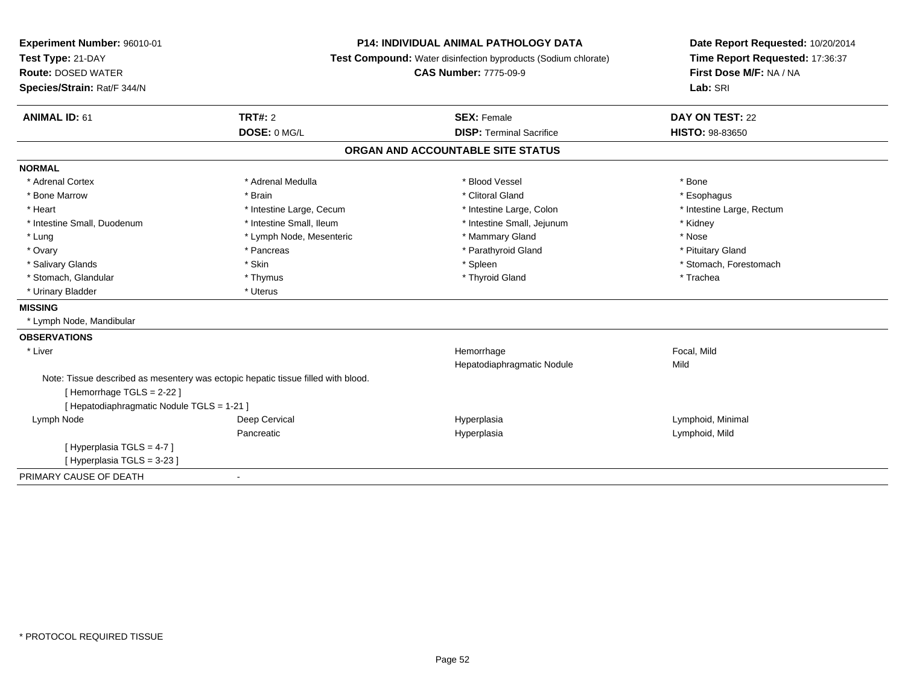| <b>Experiment Number: 96010-01</b>                                                | <b>P14: INDIVIDUAL ANIMAL PATHOLOGY DATA</b><br>Test Compound: Water disinfection byproducts (Sodium chlorate) |                                   | Date Report Requested: 10/20/2014 |
|-----------------------------------------------------------------------------------|----------------------------------------------------------------------------------------------------------------|-----------------------------------|-----------------------------------|
| Test Type: 21-DAY                                                                 |                                                                                                                |                                   | Time Report Requested: 17:36:37   |
| <b>Route: DOSED WATER</b>                                                         |                                                                                                                | <b>CAS Number: 7775-09-9</b>      | First Dose M/F: NA / NA           |
| Species/Strain: Rat/F 344/N                                                       |                                                                                                                |                                   | Lab: SRI                          |
| <b>ANIMAL ID: 61</b>                                                              | <b>TRT#: 2</b>                                                                                                 | <b>SEX: Female</b>                | DAY ON TEST: 22                   |
|                                                                                   | DOSE: 0 MG/L                                                                                                   | <b>DISP: Terminal Sacrifice</b>   | <b>HISTO: 98-83650</b>            |
|                                                                                   |                                                                                                                | ORGAN AND ACCOUNTABLE SITE STATUS |                                   |
| <b>NORMAL</b>                                                                     |                                                                                                                |                                   |                                   |
| * Adrenal Cortex                                                                  | * Adrenal Medulla                                                                                              | * Blood Vessel                    | * Bone                            |
| * Bone Marrow                                                                     | * Brain                                                                                                        | * Clitoral Gland                  | * Esophagus                       |
| * Heart                                                                           | * Intestine Large, Cecum                                                                                       | * Intestine Large, Colon          | * Intestine Large, Rectum         |
| * Intestine Small, Duodenum                                                       | * Intestine Small, Ileum                                                                                       | * Intestine Small, Jejunum        | * Kidney                          |
| * Lung                                                                            | * Lymph Node, Mesenteric                                                                                       | * Mammary Gland                   | * Nose                            |
| * Ovary                                                                           | * Pancreas                                                                                                     | * Parathyroid Gland               | * Pituitary Gland                 |
| * Salivary Glands                                                                 | * Skin                                                                                                         | * Spleen                          | * Stomach, Forestomach            |
| * Stomach, Glandular                                                              | * Thymus                                                                                                       | * Thyroid Gland                   | * Trachea                         |
| * Urinary Bladder                                                                 | * Uterus                                                                                                       |                                   |                                   |
| <b>MISSING</b>                                                                    |                                                                                                                |                                   |                                   |
| * Lymph Node, Mandibular                                                          |                                                                                                                |                                   |                                   |
| <b>OBSERVATIONS</b>                                                               |                                                                                                                |                                   |                                   |
| * Liver                                                                           |                                                                                                                | Hemorrhage                        | Focal, Mild                       |
|                                                                                   |                                                                                                                | Hepatodiaphragmatic Nodule        | Mild                              |
| Note: Tissue described as mesentery was ectopic hepatic tissue filled with blood. |                                                                                                                |                                   |                                   |
| [Hemorrhage TGLS = 2-22]                                                          |                                                                                                                |                                   |                                   |
| [ Hepatodiaphragmatic Nodule TGLS = 1-21 ]                                        |                                                                                                                |                                   |                                   |
| Lymph Node                                                                        | Deep Cervical                                                                                                  | Hyperplasia                       | Lymphoid, Minimal                 |
|                                                                                   | Pancreatic                                                                                                     | Hyperplasia                       | Lymphoid, Mild                    |
| [Hyperplasia TGLS = 4-7]                                                          |                                                                                                                |                                   |                                   |
| [Hyperplasia TGLS = 3-23]                                                         |                                                                                                                |                                   |                                   |
| PRIMARY CAUSE OF DEATH                                                            | $\blacksquare$                                                                                                 |                                   |                                   |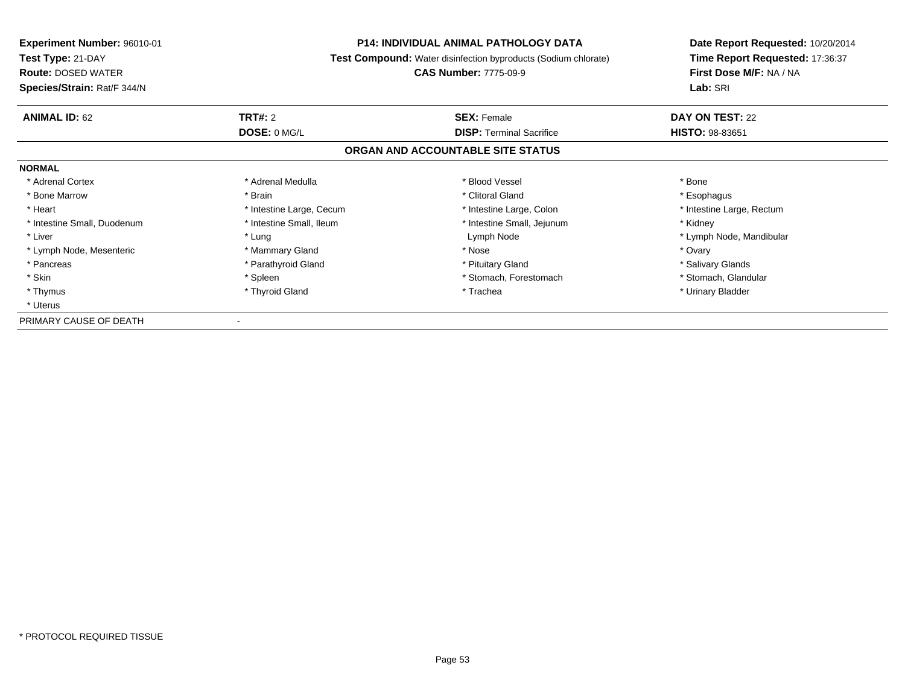| <b>Experiment Number: 96010-01</b> | <b>P14: INDIVIDUAL ANIMAL PATHOLOGY DATA</b> |                                                                       | Date Report Requested: 10/20/2014 |
|------------------------------------|----------------------------------------------|-----------------------------------------------------------------------|-----------------------------------|
| Test Type: 21-DAY                  |                                              | <b>Test Compound:</b> Water disinfection byproducts (Sodium chlorate) |                                   |
| <b>Route: DOSED WATER</b>          |                                              | <b>CAS Number: 7775-09-9</b>                                          | First Dose M/F: NA / NA           |
| Species/Strain: Rat/F 344/N        |                                              |                                                                       | Lab: SRI                          |
| <b>ANIMAL ID: 62</b>               | TRT#: 2                                      | <b>SEX: Female</b>                                                    | DAY ON TEST: 22                   |
|                                    | DOSE: 0 MG/L                                 | <b>DISP: Terminal Sacrifice</b>                                       | HISTO: 98-83651                   |
|                                    |                                              | ORGAN AND ACCOUNTABLE SITE STATUS                                     |                                   |
| <b>NORMAL</b>                      |                                              |                                                                       |                                   |
| * Adrenal Cortex                   | * Adrenal Medulla                            | * Blood Vessel                                                        | * Bone                            |
| * Bone Marrow                      | * Brain                                      | * Clitoral Gland                                                      | * Esophagus                       |
| * Heart                            | * Intestine Large, Cecum                     | * Intestine Large, Colon                                              | * Intestine Large, Rectum         |
| * Intestine Small, Duodenum        | * Intestine Small, Ileum                     | * Intestine Small, Jejunum                                            | * Kidney                          |
| * Liver                            | * Lung                                       | Lymph Node                                                            | * Lymph Node, Mandibular          |
| * Lymph Node, Mesenteric           | * Mammary Gland                              | * Nose                                                                | * Ovary                           |
| * Pancreas                         | * Parathyroid Gland                          | * Pituitary Gland                                                     | * Salivary Glands                 |
| * Skin                             | * Spleen                                     | * Stomach, Forestomach                                                | * Stomach, Glandular              |
| * Thymus                           | * Thyroid Gland                              | * Trachea                                                             | * Urinary Bladder                 |
| * Uterus                           |                                              |                                                                       |                                   |
| PRIMARY CAUSE OF DEATH             |                                              |                                                                       |                                   |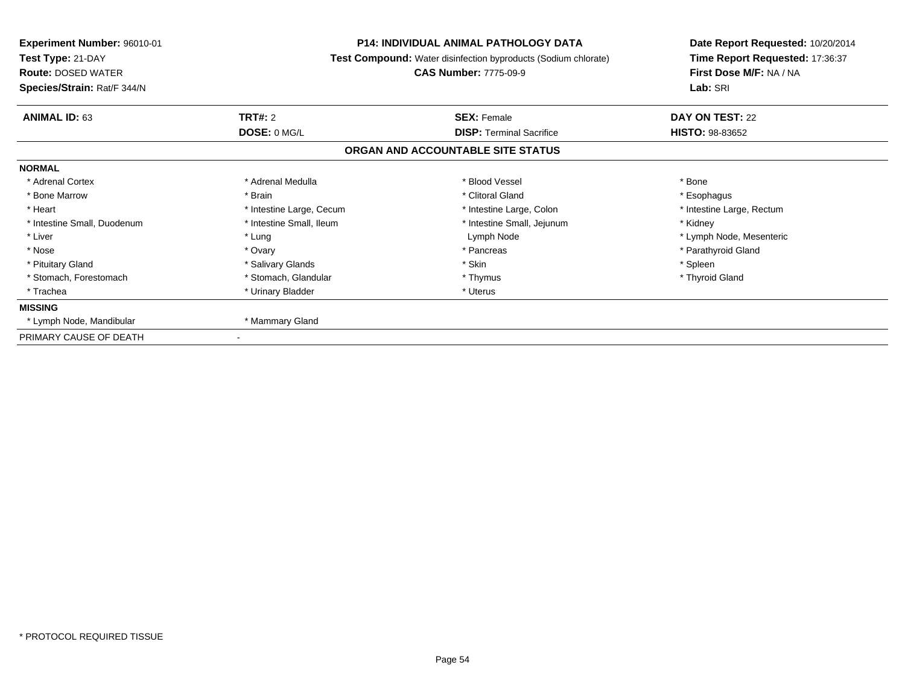| <b>Experiment Number: 96010-01</b><br>Test Type: 21-DAY<br><b>Route: DOSED WATER</b><br>Species/Strain: Rat/F 344/N |                          | <b>P14: INDIVIDUAL ANIMAL PATHOLOGY DATA</b><br>Test Compound: Water disinfection byproducts (Sodium chlorate)<br><b>CAS Number: 7775-09-9</b> | Date Report Requested: 10/20/2014<br>Time Report Requested: 17:36:37<br>First Dose M/F: NA / NA<br>Lab: SRI |
|---------------------------------------------------------------------------------------------------------------------|--------------------------|------------------------------------------------------------------------------------------------------------------------------------------------|-------------------------------------------------------------------------------------------------------------|
| <b>ANIMAL ID: 63</b>                                                                                                | <b>TRT#: 2</b>           | <b>SEX: Female</b>                                                                                                                             | DAY ON TEST: 22                                                                                             |
|                                                                                                                     | DOSE: 0 MG/L             | <b>DISP:</b> Terminal Sacrifice                                                                                                                | <b>HISTO: 98-83652</b>                                                                                      |
|                                                                                                                     |                          | ORGAN AND ACCOUNTABLE SITE STATUS                                                                                                              |                                                                                                             |
| <b>NORMAL</b>                                                                                                       |                          |                                                                                                                                                |                                                                                                             |
| * Adrenal Cortex                                                                                                    | * Adrenal Medulla        | * Blood Vessel                                                                                                                                 | * Bone                                                                                                      |
| * Bone Marrow                                                                                                       | * Brain                  | * Clitoral Gland                                                                                                                               | * Esophagus                                                                                                 |
| * Heart                                                                                                             | * Intestine Large, Cecum | * Intestine Large, Colon                                                                                                                       | * Intestine Large, Rectum                                                                                   |
| * Intestine Small, Duodenum                                                                                         | * Intestine Small, Ileum | * Intestine Small, Jejunum                                                                                                                     | * Kidney                                                                                                    |
| * Liver                                                                                                             | * Lung                   | Lymph Node                                                                                                                                     | * Lymph Node, Mesenteric                                                                                    |
| * Nose                                                                                                              | * Ovary                  | * Pancreas                                                                                                                                     | * Parathyroid Gland                                                                                         |
| * Pituitary Gland                                                                                                   | * Salivary Glands        | * Skin                                                                                                                                         | * Spleen                                                                                                    |
| * Stomach, Forestomach                                                                                              | * Stomach, Glandular     | * Thymus                                                                                                                                       | * Thyroid Gland                                                                                             |
| * Trachea                                                                                                           | * Urinary Bladder        | * Uterus                                                                                                                                       |                                                                                                             |
| <b>MISSING</b>                                                                                                      |                          |                                                                                                                                                |                                                                                                             |
| * Lymph Node, Mandibular                                                                                            | * Mammary Gland          |                                                                                                                                                |                                                                                                             |
| PRIMARY CAUSE OF DEATH                                                                                              |                          |                                                                                                                                                |                                                                                                             |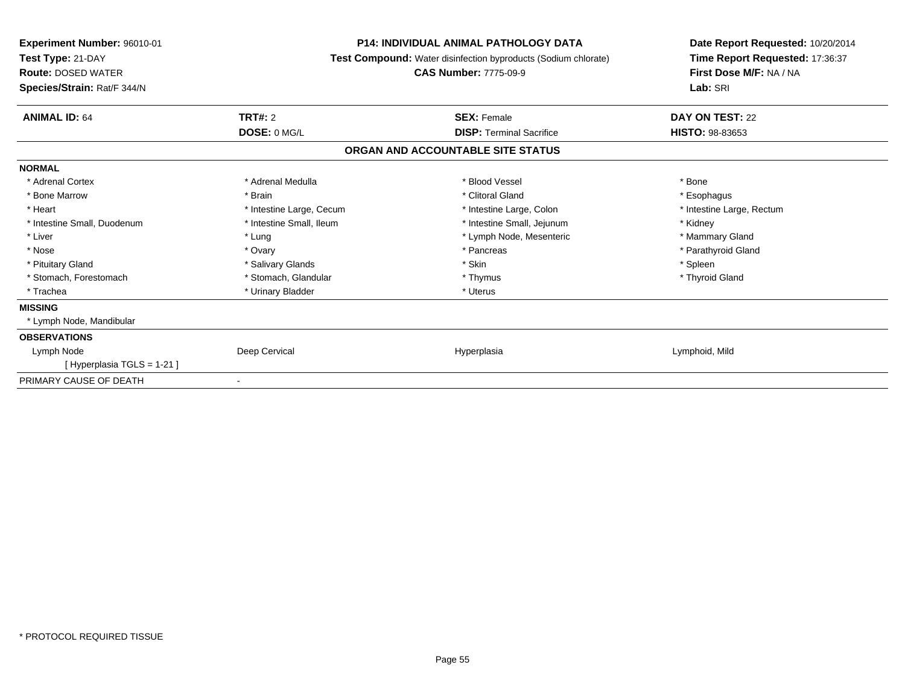| Experiment Number: 96010-01<br>Test Type: 21-DAY<br><b>Route: DOSED WATER</b><br>Species/Strain: Rat/F 344/N | <b>P14: INDIVIDUAL ANIMAL PATHOLOGY DATA</b><br><b>Test Compound:</b> Water disinfection byproducts (Sodium chlorate)<br><b>CAS Number: 7775-09-9</b> |                                   | Date Report Requested: 10/20/2014<br>Time Report Requested: 17:36:37<br>First Dose M/F: NA / NA<br>Lab: SRI |
|--------------------------------------------------------------------------------------------------------------|-------------------------------------------------------------------------------------------------------------------------------------------------------|-----------------------------------|-------------------------------------------------------------------------------------------------------------|
| <b>ANIMAL ID: 64</b>                                                                                         | <b>TRT#: 2</b>                                                                                                                                        | <b>SEX: Female</b>                | DAY ON TEST: 22                                                                                             |
|                                                                                                              | DOSE: 0 MG/L                                                                                                                                          | <b>DISP: Terminal Sacrifice</b>   | <b>HISTO: 98-83653</b>                                                                                      |
|                                                                                                              |                                                                                                                                                       | ORGAN AND ACCOUNTABLE SITE STATUS |                                                                                                             |
| <b>NORMAL</b>                                                                                                |                                                                                                                                                       |                                   |                                                                                                             |
| * Adrenal Cortex                                                                                             | * Adrenal Medulla                                                                                                                                     | * Blood Vessel                    | * Bone                                                                                                      |
| * Bone Marrow                                                                                                | * Brain                                                                                                                                               | * Clitoral Gland                  | * Esophagus                                                                                                 |
| * Heart                                                                                                      | * Intestine Large, Cecum                                                                                                                              | * Intestine Large, Colon          | * Intestine Large, Rectum                                                                                   |
| * Intestine Small, Duodenum                                                                                  | * Intestine Small, Ileum                                                                                                                              | * Intestine Small, Jejunum        | * Kidney                                                                                                    |
| * Liver                                                                                                      | * Lung                                                                                                                                                | * Lymph Node, Mesenteric          | * Mammary Gland                                                                                             |
| * Nose                                                                                                       | * Ovary                                                                                                                                               | * Pancreas                        | * Parathyroid Gland                                                                                         |
| * Pituitary Gland                                                                                            | * Salivary Glands                                                                                                                                     | * Skin                            | * Spleen                                                                                                    |
| * Stomach, Forestomach                                                                                       | * Stomach, Glandular                                                                                                                                  | * Thymus                          | * Thyroid Gland                                                                                             |
| * Trachea                                                                                                    | * Urinary Bladder                                                                                                                                     | * Uterus                          |                                                                                                             |
| <b>MISSING</b>                                                                                               |                                                                                                                                                       |                                   |                                                                                                             |
| * Lymph Node, Mandibular                                                                                     |                                                                                                                                                       |                                   |                                                                                                             |
| <b>OBSERVATIONS</b>                                                                                          |                                                                                                                                                       |                                   |                                                                                                             |
| Lymph Node                                                                                                   | Deep Cervical                                                                                                                                         | Hyperplasia                       | Lymphoid, Mild                                                                                              |
| [ Hyperplasia TGLS = 1-21 ]                                                                                  |                                                                                                                                                       |                                   |                                                                                                             |
| PRIMARY CAUSE OF DEATH                                                                                       | $\overline{\phantom{a}}$                                                                                                                              |                                   |                                                                                                             |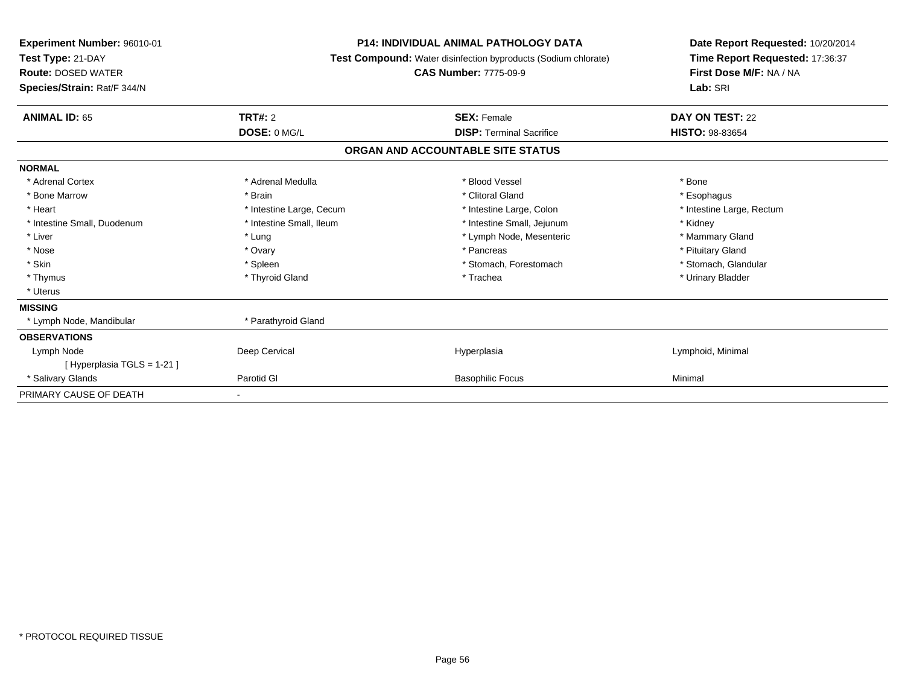| Experiment Number: 96010-01<br>Test Type: 21-DAY<br><b>Route: DOSED WATER</b><br>Species/Strain: Rat/F 344/N | <b>P14: INDIVIDUAL ANIMAL PATHOLOGY DATA</b><br>Test Compound: Water disinfection byproducts (Sodium chlorate)<br><b>CAS Number: 7775-09-9</b> |                                   | Date Report Requested: 10/20/2014<br>Time Report Requested: 17:36:37<br>First Dose M/F: NA / NA<br>Lab: SRI |
|--------------------------------------------------------------------------------------------------------------|------------------------------------------------------------------------------------------------------------------------------------------------|-----------------------------------|-------------------------------------------------------------------------------------------------------------|
| <b>ANIMAL ID: 65</b>                                                                                         | TRT#: 2                                                                                                                                        | <b>SEX: Female</b>                | DAY ON TEST: 22                                                                                             |
|                                                                                                              | DOSE: 0 MG/L                                                                                                                                   | <b>DISP: Terminal Sacrifice</b>   | <b>HISTO: 98-83654</b>                                                                                      |
|                                                                                                              |                                                                                                                                                | ORGAN AND ACCOUNTABLE SITE STATUS |                                                                                                             |
| <b>NORMAL</b>                                                                                                |                                                                                                                                                |                                   |                                                                                                             |
| * Adrenal Cortex                                                                                             | * Adrenal Medulla                                                                                                                              | * Blood Vessel                    | * Bone                                                                                                      |
| * Bone Marrow                                                                                                | * Brain                                                                                                                                        | * Clitoral Gland                  | * Esophagus                                                                                                 |
| * Heart                                                                                                      | * Intestine Large, Cecum                                                                                                                       | * Intestine Large, Colon          | * Intestine Large, Rectum                                                                                   |
| * Intestine Small, Duodenum                                                                                  | * Intestine Small, Ileum                                                                                                                       | * Intestine Small, Jejunum        | * Kidney                                                                                                    |
| * Liver                                                                                                      | * Lung                                                                                                                                         | * Lymph Node, Mesenteric          | * Mammary Gland                                                                                             |
| * Nose                                                                                                       | * Ovary                                                                                                                                        | * Pancreas                        | * Pituitary Gland                                                                                           |
| * Skin                                                                                                       | * Spleen                                                                                                                                       | * Stomach, Forestomach            | * Stomach, Glandular                                                                                        |
| * Thymus                                                                                                     | * Thyroid Gland                                                                                                                                | * Trachea                         | * Urinary Bladder                                                                                           |
| * Uterus                                                                                                     |                                                                                                                                                |                                   |                                                                                                             |
| <b>MISSING</b>                                                                                               |                                                                                                                                                |                                   |                                                                                                             |
| * Lymph Node, Mandibular                                                                                     | * Parathyroid Gland                                                                                                                            |                                   |                                                                                                             |
| <b>OBSERVATIONS</b>                                                                                          |                                                                                                                                                |                                   |                                                                                                             |
| Lymph Node                                                                                                   | Deep Cervical                                                                                                                                  | Hyperplasia                       | Lymphoid, Minimal                                                                                           |
| [Hyperplasia TGLS = $1-21$ ]                                                                                 |                                                                                                                                                |                                   |                                                                                                             |
| * Salivary Glands                                                                                            | Parotid GI                                                                                                                                     | <b>Basophilic Focus</b>           | Minimal                                                                                                     |
| PRIMARY CAUSE OF DEATH                                                                                       |                                                                                                                                                |                                   |                                                                                                             |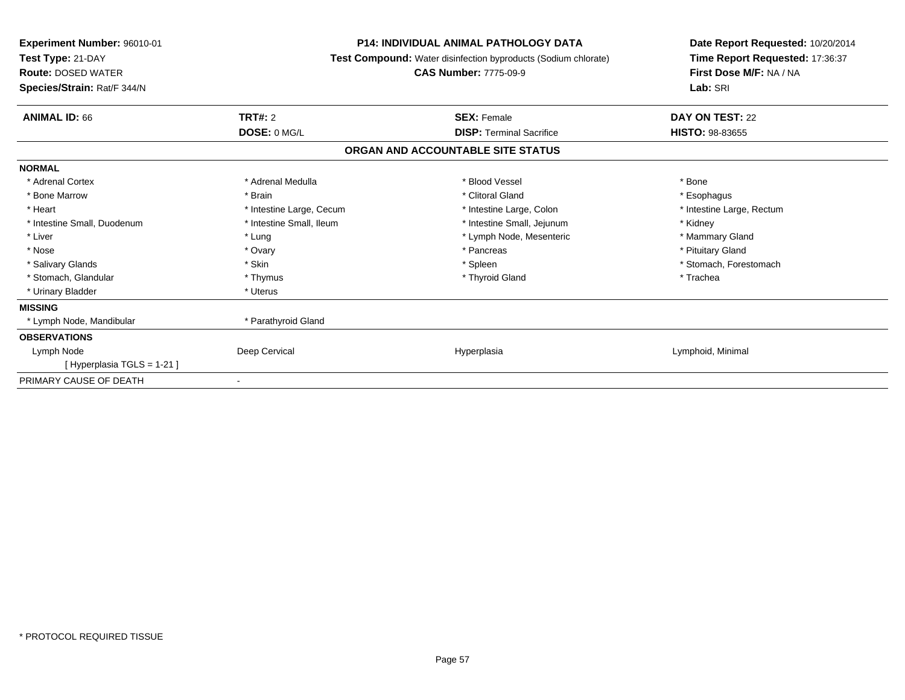| Experiment Number: 96010-01<br>Test Type: 21-DAY<br><b>Route: DOSED WATER</b><br>Species/Strain: Rat/F 344/N | <b>P14: INDIVIDUAL ANIMAL PATHOLOGY DATA</b><br>Test Compound: Water disinfection byproducts (Sodium chlorate)<br><b>CAS Number: 7775-09-9</b> |                                   | Date Report Requested: 10/20/2014<br>Time Report Requested: 17:36:37<br>First Dose M/F: NA / NA<br>Lab: SRI |
|--------------------------------------------------------------------------------------------------------------|------------------------------------------------------------------------------------------------------------------------------------------------|-----------------------------------|-------------------------------------------------------------------------------------------------------------|
| <b>ANIMAL ID: 66</b>                                                                                         | <b>TRT#: 2</b>                                                                                                                                 | <b>SEX: Female</b>                | DAY ON TEST: 22                                                                                             |
|                                                                                                              | DOSE: 0 MG/L                                                                                                                                   | <b>DISP: Terminal Sacrifice</b>   | <b>HISTO: 98-83655</b>                                                                                      |
|                                                                                                              |                                                                                                                                                | ORGAN AND ACCOUNTABLE SITE STATUS |                                                                                                             |
| <b>NORMAL</b>                                                                                                |                                                                                                                                                |                                   |                                                                                                             |
| * Adrenal Cortex                                                                                             | * Adrenal Medulla                                                                                                                              | * Blood Vessel                    | * Bone                                                                                                      |
| * Bone Marrow                                                                                                | * Brain                                                                                                                                        | * Clitoral Gland                  | * Esophagus                                                                                                 |
| * Heart                                                                                                      | * Intestine Large, Cecum                                                                                                                       | * Intestine Large, Colon          | * Intestine Large, Rectum                                                                                   |
| * Intestine Small, Duodenum                                                                                  | * Intestine Small. Ileum                                                                                                                       | * Intestine Small, Jejunum        | * Kidney                                                                                                    |
| * Liver                                                                                                      | * Lung                                                                                                                                         | * Lymph Node, Mesenteric          | * Mammary Gland                                                                                             |
| * Nose                                                                                                       | * Ovary                                                                                                                                        | * Pancreas                        | * Pituitary Gland                                                                                           |
| * Salivary Glands                                                                                            | * Skin                                                                                                                                         | * Spleen                          | * Stomach, Forestomach                                                                                      |
| * Stomach, Glandular                                                                                         | * Thymus                                                                                                                                       | * Thyroid Gland                   | * Trachea                                                                                                   |
| * Urinary Bladder                                                                                            | * Uterus                                                                                                                                       |                                   |                                                                                                             |
| <b>MISSING</b>                                                                                               |                                                                                                                                                |                                   |                                                                                                             |
| * Lymph Node, Mandibular                                                                                     | * Parathyroid Gland                                                                                                                            |                                   |                                                                                                             |
| <b>OBSERVATIONS</b>                                                                                          |                                                                                                                                                |                                   |                                                                                                             |
| Lymph Node                                                                                                   | Deep Cervical                                                                                                                                  | Hyperplasia                       | Lymphoid, Minimal                                                                                           |
| [Hyperplasia TGLS = 1-21]                                                                                    |                                                                                                                                                |                                   |                                                                                                             |
| PRIMARY CAUSE OF DEATH                                                                                       | $\overline{\phantom{a}}$                                                                                                                       |                                   |                                                                                                             |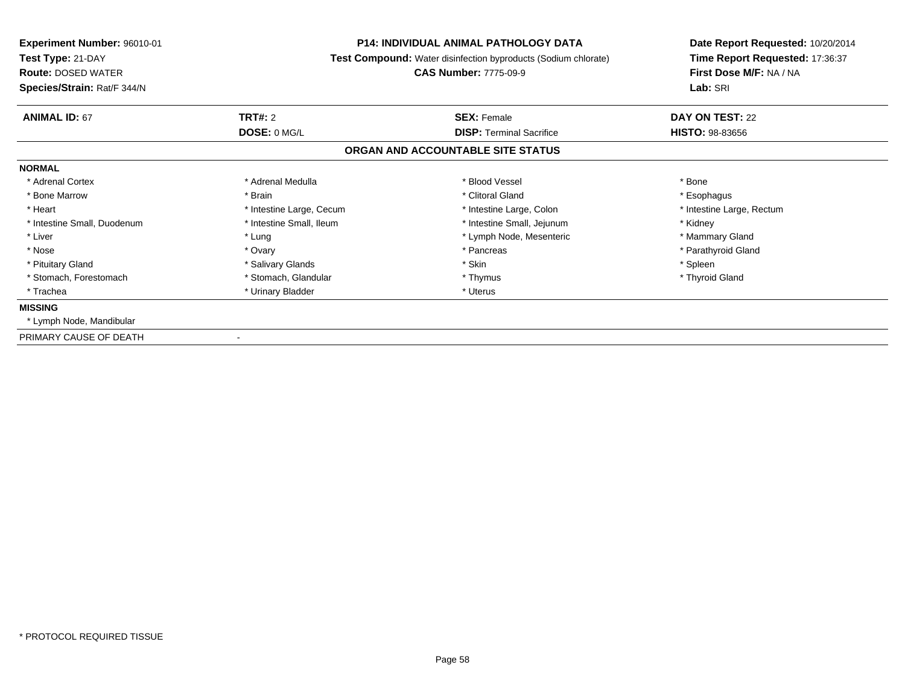| <b>Experiment Number: 96010-01</b><br>Test Type: 21-DAY<br><b>Route: DOSED WATER</b><br>Species/Strain: Rat/F 344/N | <b>P14: INDIVIDUAL ANIMAL PATHOLOGY DATA</b><br><b>Test Compound:</b> Water disinfection byproducts (Sodium chlorate)<br><b>CAS Number: 7775-09-9</b> |                                   | Date Report Requested: 10/20/2014<br>Time Report Requested: 17:36:37<br>First Dose M/F: NA / NA<br>Lab: SRI |
|---------------------------------------------------------------------------------------------------------------------|-------------------------------------------------------------------------------------------------------------------------------------------------------|-----------------------------------|-------------------------------------------------------------------------------------------------------------|
| <b>ANIMAL ID: 67</b>                                                                                                | <b>TRT#: 2</b>                                                                                                                                        | <b>SEX: Female</b>                | DAY ON TEST: 22                                                                                             |
|                                                                                                                     | DOSE: 0 MG/L                                                                                                                                          | <b>DISP: Terminal Sacrifice</b>   | <b>HISTO: 98-83656</b>                                                                                      |
|                                                                                                                     |                                                                                                                                                       | ORGAN AND ACCOUNTABLE SITE STATUS |                                                                                                             |
| <b>NORMAL</b>                                                                                                       |                                                                                                                                                       |                                   |                                                                                                             |
| * Adrenal Cortex                                                                                                    | * Adrenal Medulla                                                                                                                                     | * Blood Vessel                    | * Bone                                                                                                      |
| * Bone Marrow                                                                                                       | * Brain                                                                                                                                               | * Clitoral Gland                  | * Esophagus                                                                                                 |
| * Heart                                                                                                             | * Intestine Large, Cecum                                                                                                                              | * Intestine Large, Colon          | * Intestine Large, Rectum                                                                                   |
| * Intestine Small, Duodenum                                                                                         | * Intestine Small, Ileum                                                                                                                              | * Intestine Small, Jejunum        | * Kidney                                                                                                    |
| * Liver                                                                                                             | * Lung                                                                                                                                                | * Lymph Node, Mesenteric          | * Mammary Gland                                                                                             |
| * Nose                                                                                                              | * Ovary                                                                                                                                               | * Pancreas                        | * Parathyroid Gland                                                                                         |
| * Pituitary Gland                                                                                                   | * Salivary Glands                                                                                                                                     | * Skin                            | * Spleen                                                                                                    |
| * Stomach, Forestomach                                                                                              | * Stomach, Glandular                                                                                                                                  | * Thymus                          | * Thyroid Gland                                                                                             |
| * Trachea                                                                                                           | * Urinary Bladder                                                                                                                                     | * Uterus                          |                                                                                                             |
| <b>MISSING</b>                                                                                                      |                                                                                                                                                       |                                   |                                                                                                             |
| * Lymph Node, Mandibular                                                                                            |                                                                                                                                                       |                                   |                                                                                                             |
| PRIMARY CAUSE OF DEATH                                                                                              |                                                                                                                                                       |                                   |                                                                                                             |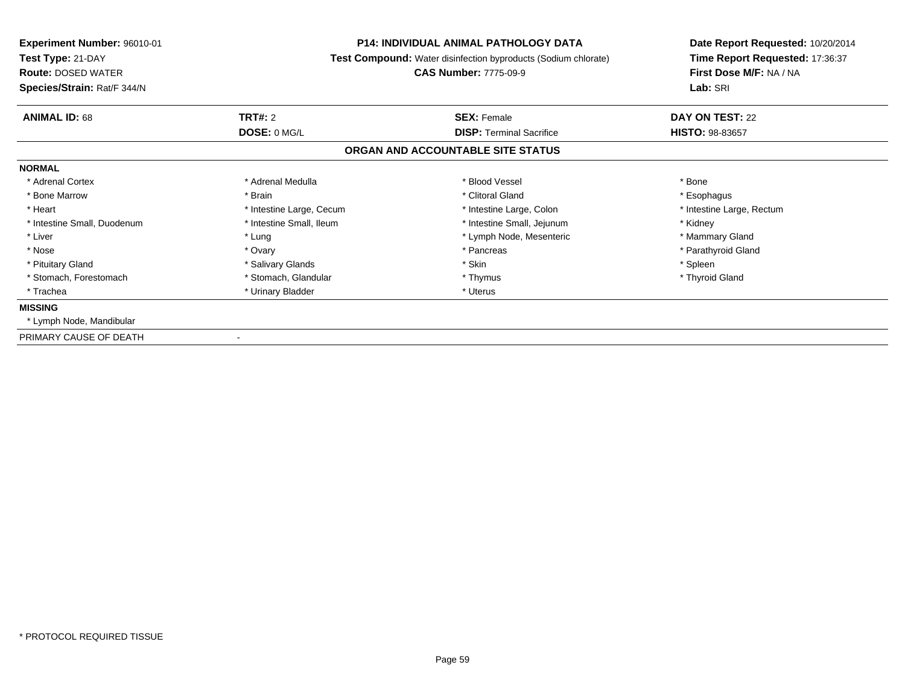| Experiment Number: 96010-01<br>Test Type: 21-DAY<br><b>Route: DOSED WATER</b><br>Species/Strain: Rat/F 344/N | <b>P14: INDIVIDUAL ANIMAL PATHOLOGY DATA</b><br>Test Compound: Water disinfection byproducts (Sodium chlorate)<br><b>CAS Number: 7775-09-9</b> |                                   | Date Report Requested: 10/20/2014<br>Time Report Requested: 17:36:37<br>First Dose M/F: NA / NA<br>Lab: SRI |
|--------------------------------------------------------------------------------------------------------------|------------------------------------------------------------------------------------------------------------------------------------------------|-----------------------------------|-------------------------------------------------------------------------------------------------------------|
| <b>ANIMAL ID: 68</b>                                                                                         | <b>TRT#: 2</b>                                                                                                                                 | <b>SEX: Female</b>                | DAY ON TEST: 22                                                                                             |
|                                                                                                              | DOSE: 0 MG/L                                                                                                                                   | <b>DISP: Terminal Sacrifice</b>   | <b>HISTO: 98-83657</b>                                                                                      |
|                                                                                                              |                                                                                                                                                | ORGAN AND ACCOUNTABLE SITE STATUS |                                                                                                             |
| <b>NORMAL</b>                                                                                                |                                                                                                                                                |                                   |                                                                                                             |
| * Adrenal Cortex                                                                                             | * Adrenal Medulla                                                                                                                              | * Blood Vessel                    | * Bone                                                                                                      |
| * Bone Marrow                                                                                                | * Brain                                                                                                                                        | * Clitoral Gland                  | * Esophagus                                                                                                 |
| * Heart                                                                                                      | * Intestine Large, Cecum                                                                                                                       | * Intestine Large, Colon          | * Intestine Large, Rectum                                                                                   |
| * Intestine Small, Duodenum                                                                                  | * Intestine Small, Ileum                                                                                                                       | * Intestine Small, Jejunum        | * Kidney                                                                                                    |
| * Liver                                                                                                      | * Lung                                                                                                                                         | * Lymph Node, Mesenteric          | * Mammary Gland                                                                                             |
| * Nose                                                                                                       | * Ovary                                                                                                                                        | * Pancreas                        | * Parathyroid Gland                                                                                         |
| * Pituitary Gland                                                                                            | * Salivary Glands                                                                                                                              | * Skin                            | * Spleen                                                                                                    |
| * Stomach, Forestomach                                                                                       | * Stomach, Glandular                                                                                                                           | * Thymus                          | * Thyroid Gland                                                                                             |
| * Trachea                                                                                                    | * Urinary Bladder                                                                                                                              | * Uterus                          |                                                                                                             |
| <b>MISSING</b>                                                                                               |                                                                                                                                                |                                   |                                                                                                             |
| * Lymph Node, Mandibular                                                                                     |                                                                                                                                                |                                   |                                                                                                             |
| PRIMARY CAUSE OF DEATH                                                                                       |                                                                                                                                                |                                   |                                                                                                             |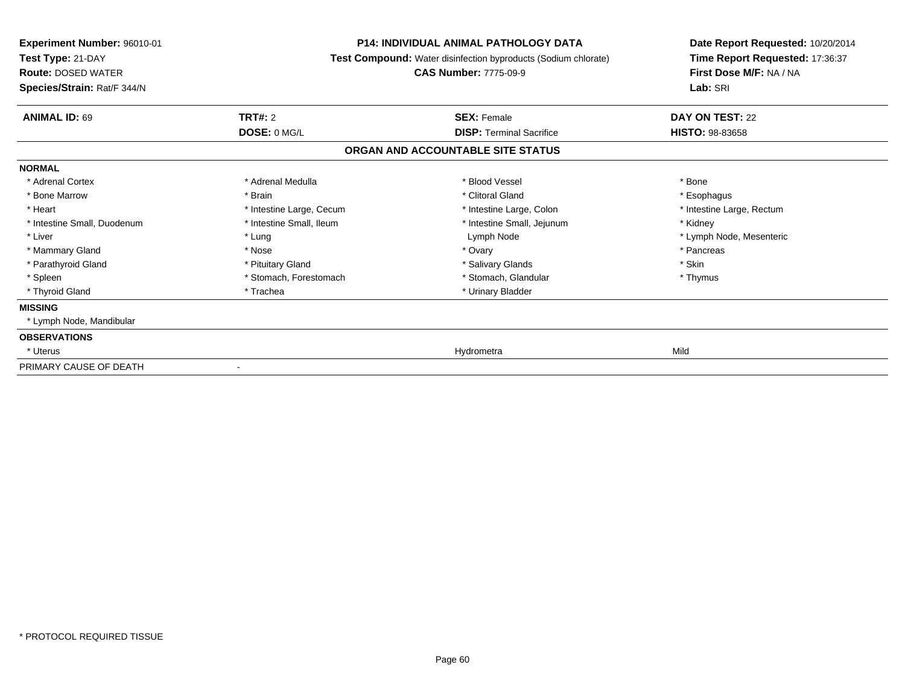| Experiment Number: 96010-01<br>Test Type: 21-DAY<br><b>Route: DOSED WATER</b><br>Species/Strain: Rat/F 344/N | <b>P14: INDIVIDUAL ANIMAL PATHOLOGY DATA</b><br>Test Compound: Water disinfection byproducts (Sodium chlorate)<br><b>CAS Number: 7775-09-9</b> |                                   | Date Report Requested: 10/20/2014<br>Time Report Requested: 17:36:37<br>First Dose M/F: NA / NA<br>Lab: SRI |
|--------------------------------------------------------------------------------------------------------------|------------------------------------------------------------------------------------------------------------------------------------------------|-----------------------------------|-------------------------------------------------------------------------------------------------------------|
| <b>ANIMAL ID: 69</b>                                                                                         | TRT#: 2                                                                                                                                        | <b>SEX: Female</b>                | DAY ON TEST: 22                                                                                             |
|                                                                                                              | DOSE: 0 MG/L                                                                                                                                   | <b>DISP: Terminal Sacrifice</b>   | <b>HISTO: 98-83658</b>                                                                                      |
|                                                                                                              |                                                                                                                                                | ORGAN AND ACCOUNTABLE SITE STATUS |                                                                                                             |
| <b>NORMAL</b>                                                                                                |                                                                                                                                                |                                   |                                                                                                             |
| * Adrenal Cortex                                                                                             | * Adrenal Medulla                                                                                                                              | * Blood Vessel                    | * Bone                                                                                                      |
| * Bone Marrow                                                                                                | * Brain                                                                                                                                        | * Clitoral Gland                  | * Esophagus                                                                                                 |
| * Heart                                                                                                      | * Intestine Large, Cecum                                                                                                                       | * Intestine Large, Colon          | * Intestine Large, Rectum                                                                                   |
| * Intestine Small, Duodenum                                                                                  | * Intestine Small, Ileum                                                                                                                       | * Intestine Small, Jejunum        | * Kidney                                                                                                    |
| * Liver                                                                                                      | * Lung                                                                                                                                         | Lymph Node                        | * Lymph Node, Mesenteric                                                                                    |
| * Mammary Gland                                                                                              | * Nose                                                                                                                                         | * Ovary                           | * Pancreas                                                                                                  |
| * Parathyroid Gland                                                                                          | * Pituitary Gland                                                                                                                              | * Salivary Glands                 | * Skin                                                                                                      |
| * Spleen                                                                                                     | * Stomach, Forestomach                                                                                                                         | * Stomach, Glandular              | * Thymus                                                                                                    |
| * Thyroid Gland                                                                                              | * Trachea                                                                                                                                      | * Urinary Bladder                 |                                                                                                             |
| <b>MISSING</b>                                                                                               |                                                                                                                                                |                                   |                                                                                                             |
| * Lymph Node, Mandibular                                                                                     |                                                                                                                                                |                                   |                                                                                                             |
| <b>OBSERVATIONS</b>                                                                                          |                                                                                                                                                |                                   |                                                                                                             |
| * Uterus                                                                                                     |                                                                                                                                                | Hydrometra                        | Mild                                                                                                        |
| PRIMARY CAUSE OF DEATH                                                                                       |                                                                                                                                                |                                   |                                                                                                             |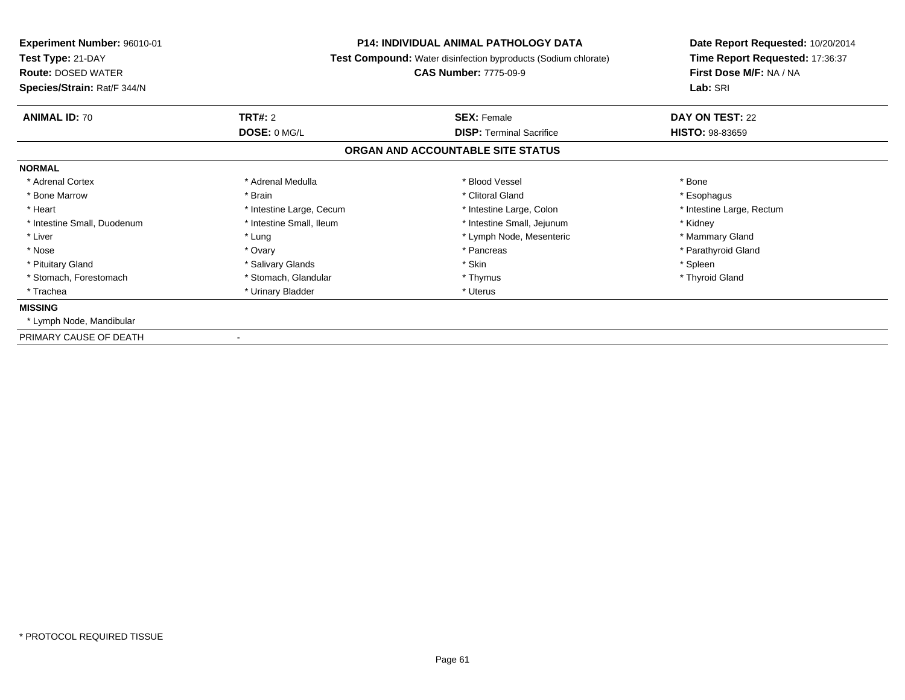| <b>Experiment Number: 96010-01</b><br>Test Type: 21-DAY<br><b>Route: DOSED WATER</b><br>Species/Strain: Rat/F 344/N |                          | <b>P14: INDIVIDUAL ANIMAL PATHOLOGY DATA</b><br><b>Test Compound:</b> Water disinfection byproducts (Sodium chlorate)<br><b>CAS Number: 7775-09-9</b> | Date Report Requested: 10/20/2014<br>Time Report Requested: 17:36:37<br>First Dose M/F: NA / NA<br>Lab: SRI |
|---------------------------------------------------------------------------------------------------------------------|--------------------------|-------------------------------------------------------------------------------------------------------------------------------------------------------|-------------------------------------------------------------------------------------------------------------|
| <b>ANIMAL ID: 70</b>                                                                                                | <b>TRT#: 2</b>           | <b>SEX: Female</b>                                                                                                                                    | DAY ON TEST: 22                                                                                             |
|                                                                                                                     | DOSE: 0 MG/L             | <b>DISP: Terminal Sacrifice</b>                                                                                                                       | <b>HISTO: 98-83659</b>                                                                                      |
|                                                                                                                     |                          | ORGAN AND ACCOUNTABLE SITE STATUS                                                                                                                     |                                                                                                             |
| <b>NORMAL</b>                                                                                                       |                          |                                                                                                                                                       |                                                                                                             |
| * Adrenal Cortex                                                                                                    | * Adrenal Medulla        | * Blood Vessel                                                                                                                                        | * Bone                                                                                                      |
| * Bone Marrow                                                                                                       | * Brain                  | * Clitoral Gland                                                                                                                                      | * Esophagus                                                                                                 |
| * Heart                                                                                                             | * Intestine Large, Cecum | * Intestine Large, Colon                                                                                                                              | * Intestine Large, Rectum                                                                                   |
| * Intestine Small, Duodenum                                                                                         | * Intestine Small, Ileum | * Intestine Small, Jejunum                                                                                                                            | * Kidney                                                                                                    |
| * Liver                                                                                                             | * Lung                   | * Lymph Node, Mesenteric                                                                                                                              | * Mammary Gland                                                                                             |
| * Nose                                                                                                              | * Ovary                  | * Pancreas                                                                                                                                            | * Parathyroid Gland                                                                                         |
| * Pituitary Gland                                                                                                   | * Salivary Glands        | * Skin                                                                                                                                                | * Spleen                                                                                                    |
| * Stomach, Forestomach                                                                                              | * Stomach, Glandular     | * Thymus                                                                                                                                              | * Thyroid Gland                                                                                             |
| * Trachea                                                                                                           | * Urinary Bladder        | * Uterus                                                                                                                                              |                                                                                                             |
| <b>MISSING</b>                                                                                                      |                          |                                                                                                                                                       |                                                                                                             |
| * Lymph Node, Mandibular                                                                                            |                          |                                                                                                                                                       |                                                                                                             |
| PRIMARY CAUSE OF DEATH                                                                                              |                          |                                                                                                                                                       |                                                                                                             |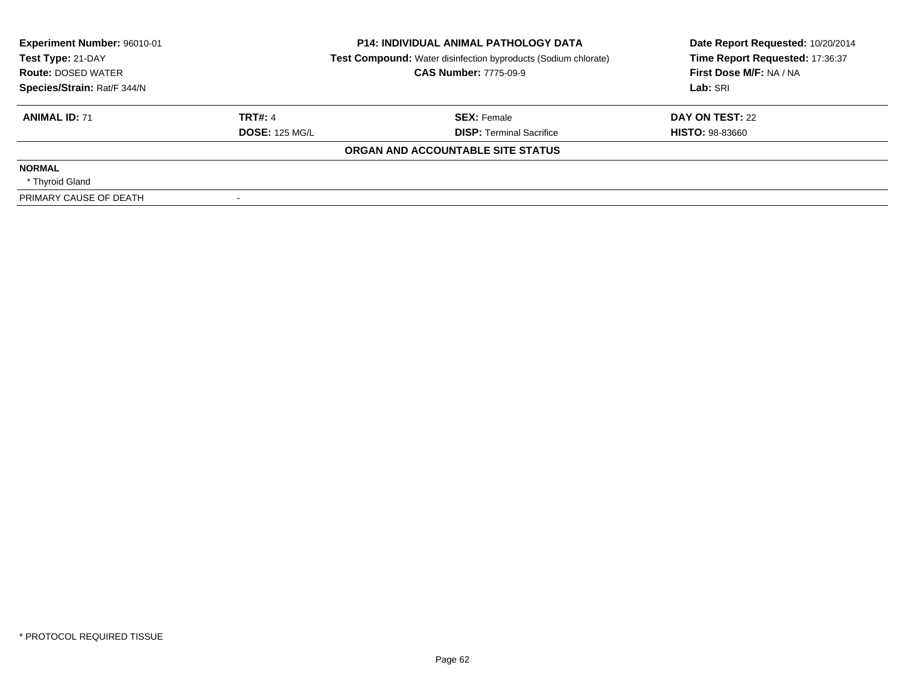| Experiment Number: 96010-01<br>Test Type: 21-DAY |                       | <b>P14: INDIVIDUAL ANIMAL PATHOLOGY DATA</b><br><b>Test Compound:</b> Water disinfection byproducts (Sodium chlorate) | Date Report Requested: 10/20/2014<br>Time Report Requested: 17:36:37 |
|--------------------------------------------------|-----------------------|-----------------------------------------------------------------------------------------------------------------------|----------------------------------------------------------------------|
| <b>Route: DOSED WATER</b>                        |                       | <b>CAS Number: 7775-09-9</b>                                                                                          | First Dose M/F: NA / NA                                              |
| Species/Strain: Rat/F 344/N                      |                       |                                                                                                                       | Lab: SRI                                                             |
| <b>ANIMAL ID: 71</b>                             | <b>TRT#: 4</b>        | <b>SEX: Female</b>                                                                                                    | DAY ON TEST: 22                                                      |
|                                                  | <b>DOSE: 125 MG/L</b> | <b>DISP:</b> Terminal Sacrifice                                                                                       | <b>HISTO: 98-83660</b>                                               |
|                                                  |                       | ORGAN AND ACCOUNTABLE SITE STATUS                                                                                     |                                                                      |
| <b>NORMAL</b>                                    |                       |                                                                                                                       |                                                                      |
| * Thyroid Gland                                  |                       |                                                                                                                       |                                                                      |
| PRIMARY CAUSE OF DEATH                           |                       |                                                                                                                       |                                                                      |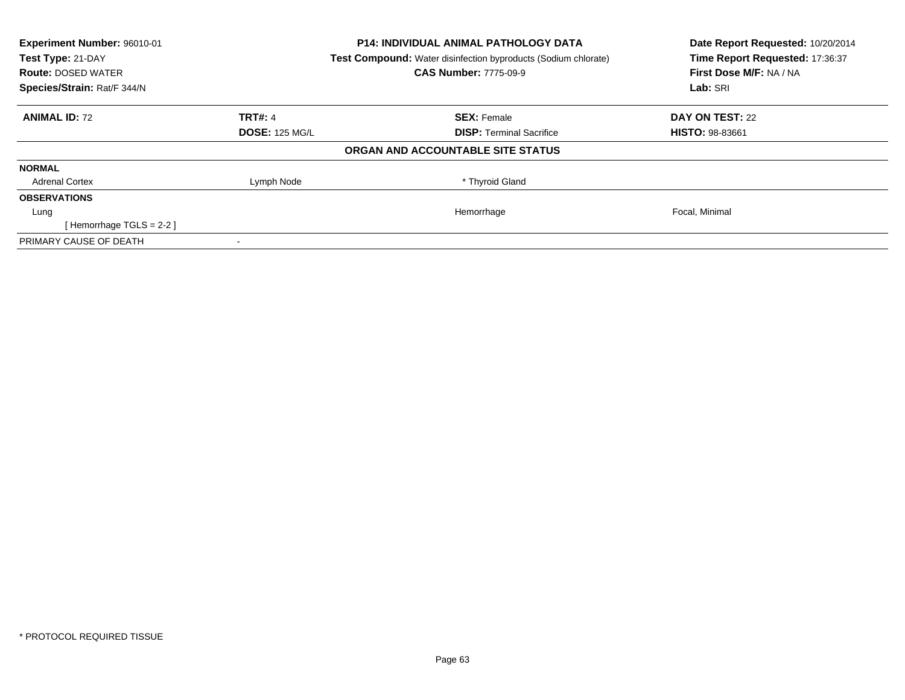| Experiment Number: 96010-01<br>Test Type: 21-DAY<br><b>Route: DOSED WATER</b> |                       | <b>P14: INDIVIDUAL ANIMAL PATHOLOGY DATA</b><br>Test Compound: Water disinfection byproducts (Sodium chlorate)<br><b>CAS Number: 7775-09-9</b> | Date Report Requested: 10/20/2014<br>Time Report Requested: 17:36:37<br>First Dose M/F: NA / NA |
|-------------------------------------------------------------------------------|-----------------------|------------------------------------------------------------------------------------------------------------------------------------------------|-------------------------------------------------------------------------------------------------|
| Species/Strain: Rat/F 344/N                                                   |                       |                                                                                                                                                | Lab: SRI                                                                                        |
| <b>ANIMAL ID: 72</b>                                                          | <b>TRT#: 4</b>        | <b>SEX: Female</b>                                                                                                                             | DAY ON TEST: 22                                                                                 |
|                                                                               | <b>DOSE: 125 MG/L</b> | <b>DISP:</b> Terminal Sacrifice                                                                                                                | <b>HISTO: 98-83661</b>                                                                          |
|                                                                               |                       | ORGAN AND ACCOUNTABLE SITE STATUS                                                                                                              |                                                                                                 |
| <b>NORMAL</b>                                                                 |                       |                                                                                                                                                |                                                                                                 |
| <b>Adrenal Cortex</b>                                                         | Lymph Node            | * Thyroid Gland                                                                                                                                |                                                                                                 |
| <b>OBSERVATIONS</b>                                                           |                       |                                                                                                                                                |                                                                                                 |
| Lung                                                                          |                       | Hemorrhage                                                                                                                                     | Focal, Minimal                                                                                  |
| [Hemorrhage TGLS = $2-2$ ]                                                    |                       |                                                                                                                                                |                                                                                                 |
| PRIMARY CAUSE OF DEATH                                                        |                       |                                                                                                                                                |                                                                                                 |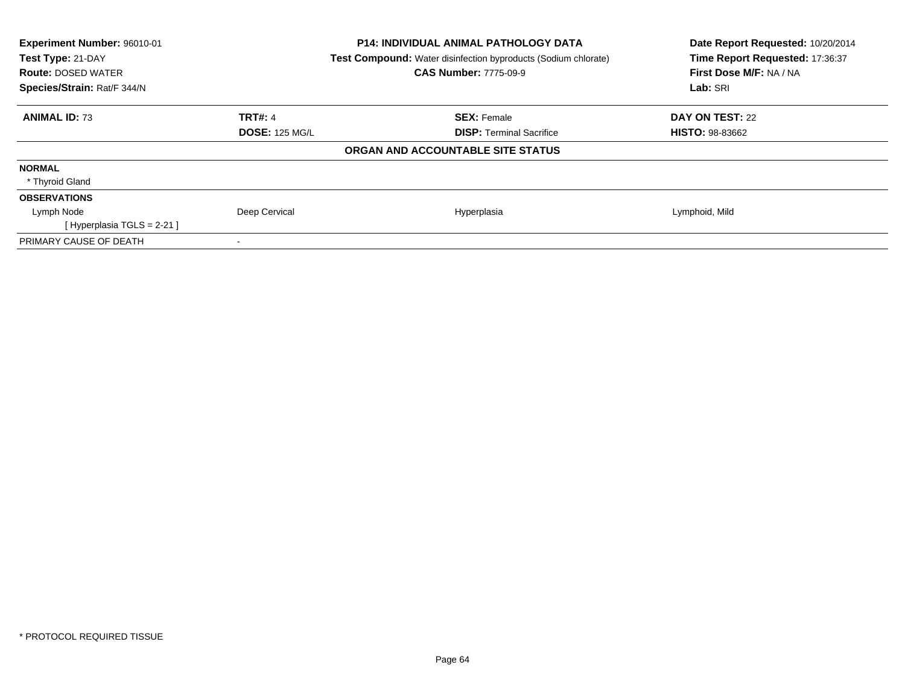| Experiment Number: 96010-01            | P14: INDIVIDUAL ANIMAL PATHOLOGY DATA                                 | Date Report Requested: 10/20/2014 |
|----------------------------------------|-----------------------------------------------------------------------|-----------------------------------|
| Test Type: 21-DAY                      | <b>Test Compound:</b> Water disinfection byproducts (Sodium chlorate) | Time Report Requested: 17:36:37   |
| <b>Route: DOSED WATER</b>              | <b>CAS Number: 7775-09-9</b>                                          | First Dose M/F: NA / NA           |
| Species/Strain: Rat/F 344/N            |                                                                       | Lab: SRI                          |
| <b>ANIMAL ID: 73</b><br><b>TRT#: 4</b> | <b>SEX: Female</b>                                                    | DAY ON TEST: 22                   |
| <b>DOSE: 125 MG/L</b>                  | <b>DISP:</b> Terminal Sacrifice                                       | <b>HISTO: 98-83662</b>            |
|                                        | ORGAN AND ACCOUNTABLE SITE STATUS                                     |                                   |
| <b>NORMAL</b>                          |                                                                       |                                   |
| * Thyroid Gland                        |                                                                       |                                   |
| <b>OBSERVATIONS</b>                    |                                                                       |                                   |
| Deep Cervical<br>Lymph Node            | Hyperplasia                                                           | Lymphoid, Mild                    |
| [Hyperplasia TGLS = $2-21$ ]           |                                                                       |                                   |
| PRIMARY CAUSE OF DEATH                 |                                                                       |                                   |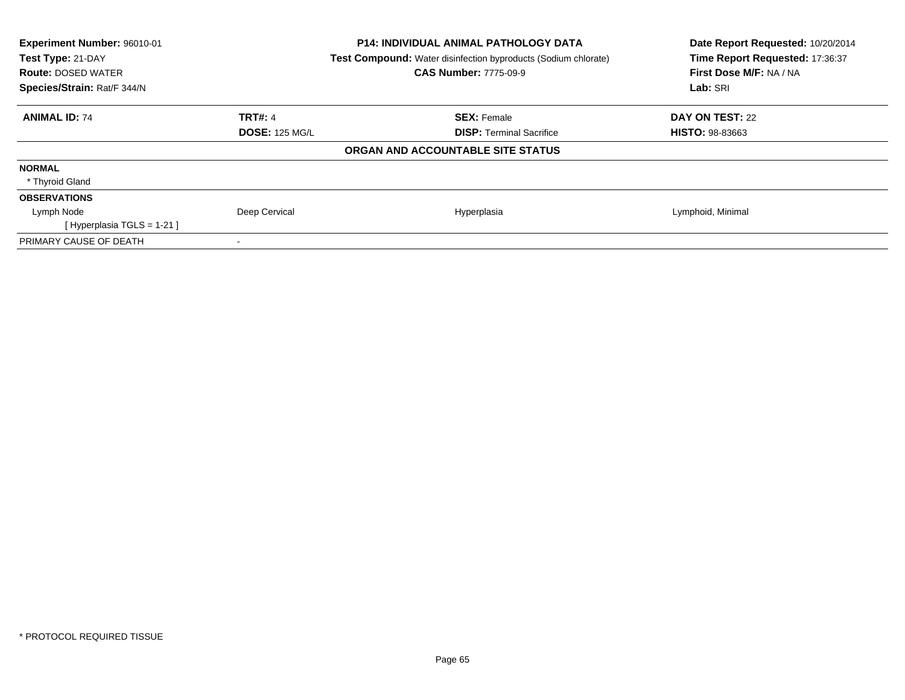| Experiment Number: 96010-01<br>Test Type: 21-DAY<br><b>Route: DOSED WATER</b><br>Species/Strain: Rat/F 344/N | <b>P14: INDIVIDUAL ANIMAL PATHOLOGY DATA</b><br><b>Test Compound:</b> Water disinfection byproducts (Sodium chlorate)<br><b>CAS Number: 7775-09-9</b> | Date Report Requested: 10/20/2014<br>Time Report Requested: 17:36:37<br>First Dose M/F: NA / NA<br>Lab: SRI |
|--------------------------------------------------------------------------------------------------------------|-------------------------------------------------------------------------------------------------------------------------------------------------------|-------------------------------------------------------------------------------------------------------------|
| <b>ANIMAL ID: 74</b><br><b>TRT#: 4</b>                                                                       | <b>SEX: Female</b>                                                                                                                                    | DAY ON TEST: 22                                                                                             |
| <b>DOSE: 125 MG/L</b>                                                                                        | <b>DISP:</b> Terminal Sacrifice                                                                                                                       | <b>HISTO: 98-83663</b>                                                                                      |
|                                                                                                              | ORGAN AND ACCOUNTABLE SITE STATUS                                                                                                                     |                                                                                                             |
| <b>NORMAL</b>                                                                                                |                                                                                                                                                       |                                                                                                             |
| * Thyroid Gland                                                                                              |                                                                                                                                                       |                                                                                                             |
| <b>OBSERVATIONS</b>                                                                                          |                                                                                                                                                       |                                                                                                             |
| Deep Cervical<br>Lymph Node                                                                                  | Hyperplasia                                                                                                                                           | Lymphoid, Minimal                                                                                           |
| [Hyperplasia TGLS = $1-21$ ]                                                                                 |                                                                                                                                                       |                                                                                                             |
| PRIMARY CAUSE OF DEATH                                                                                       |                                                                                                                                                       |                                                                                                             |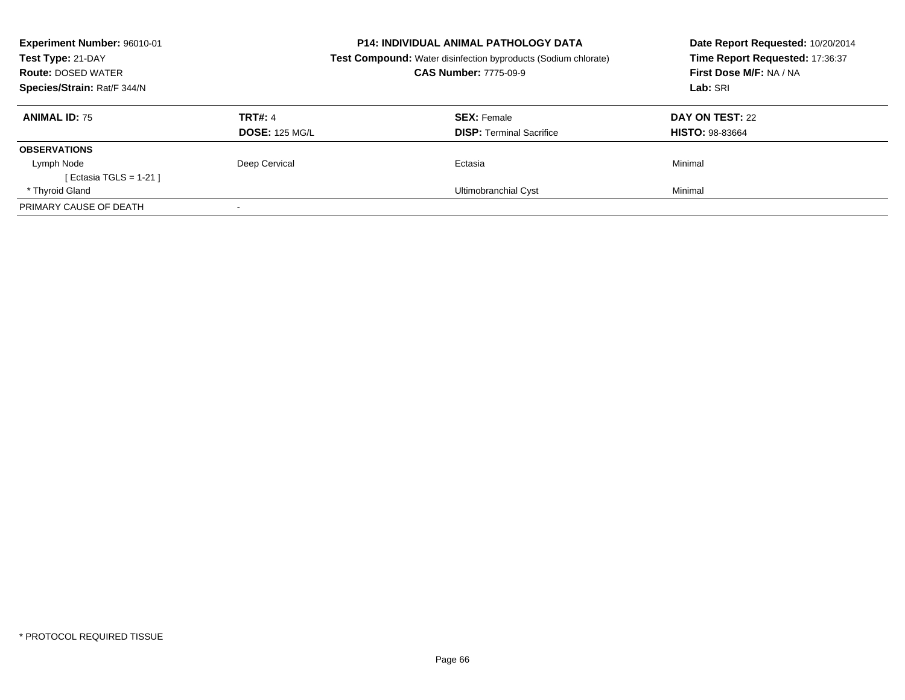| Experiment Number: 96010-01<br>Test Type: 21-DAY<br><b>Route: DOSED WATER</b><br>Species/Strain: Rat/F 344/N |                                         | <b>P14: INDIVIDUAL ANIMAL PATHOLOGY DATA</b><br><b>Test Compound:</b> Water disinfection byproducts (Sodium chlorate)<br><b>CAS Number: 7775-09-9</b> | Date Report Requested: 10/20/2014<br>Time Report Requested: 17:36:37<br>First Dose M/F: NA / NA<br>Lab: SRI |
|--------------------------------------------------------------------------------------------------------------|-----------------------------------------|-------------------------------------------------------------------------------------------------------------------------------------------------------|-------------------------------------------------------------------------------------------------------------|
| <b>ANIMAL ID: 75</b>                                                                                         | <b>TRT#: 4</b><br><b>DOSE: 125 MG/L</b> | <b>SEX: Female</b><br><b>DISP:</b> Terminal Sacrifice                                                                                                 | DAY ON TEST: 22<br><b>HISTO: 98-83664</b>                                                                   |
| <b>OBSERVATIONS</b>                                                                                          |                                         |                                                                                                                                                       |                                                                                                             |
| Lymph Node<br>[ Ectasia TGLS = $1-21$ ]                                                                      | Deep Cervical                           | Ectasia                                                                                                                                               | Minimal                                                                                                     |
| * Thyroid Gland                                                                                              |                                         | Ultimobranchial Cyst                                                                                                                                  | Minimal                                                                                                     |
| PRIMARY CAUSE OF DEATH                                                                                       |                                         |                                                                                                                                                       |                                                                                                             |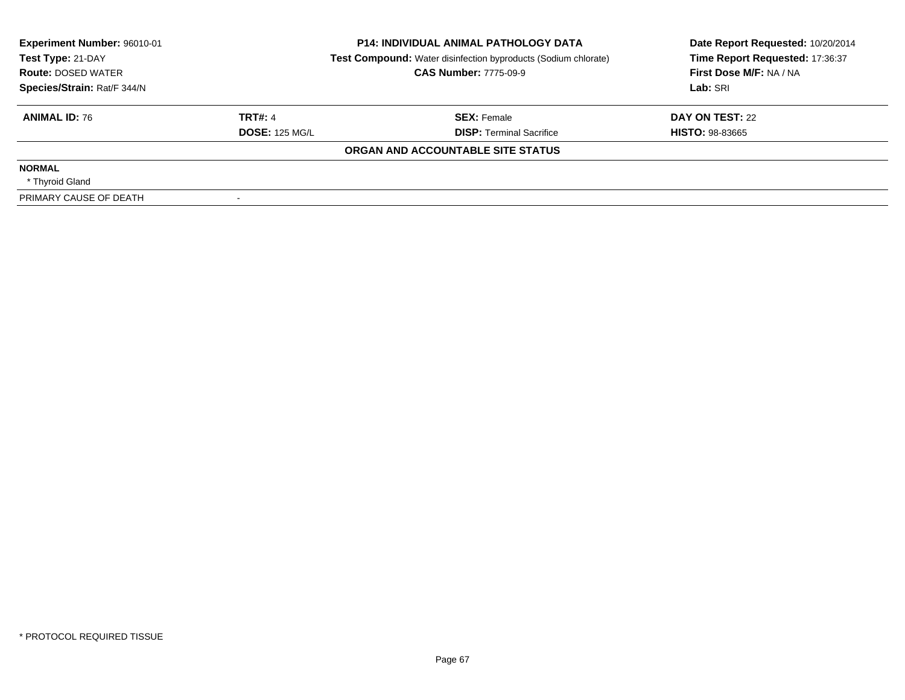| Experiment Number: 96010-01<br><b>P14: INDIVIDUAL ANIMAL PATHOLOGY DATA</b><br>Test Type: 21-DAY<br><b>Test Compound:</b> Water disinfection byproducts (Sodium chlorate) |                       | Date Report Requested: 10/20/2014<br>Time Report Requested: 17:36:37 |                         |
|---------------------------------------------------------------------------------------------------------------------------------------------------------------------------|-----------------------|----------------------------------------------------------------------|-------------------------|
| <b>Route: DOSED WATER</b>                                                                                                                                                 |                       | <b>CAS Number: 7775-09-9</b>                                         | First Dose M/F: NA / NA |
| Species/Strain: Rat/F 344/N                                                                                                                                               |                       |                                                                      | Lab: SRI                |
| <b>ANIMAL ID: 76</b>                                                                                                                                                      | <b>TRT#: 4</b>        | <b>SEX: Female</b>                                                   | DAY ON TEST: 22         |
|                                                                                                                                                                           | <b>DOSE: 125 MG/L</b> | <b>DISP:</b> Terminal Sacrifice                                      | <b>HISTO: 98-83665</b>  |
|                                                                                                                                                                           |                       | ORGAN AND ACCOUNTABLE SITE STATUS                                    |                         |
| <b>NORMAL</b>                                                                                                                                                             |                       |                                                                      |                         |
| * Thyroid Gland                                                                                                                                                           |                       |                                                                      |                         |
| PRIMARY CAUSE OF DEATH                                                                                                                                                    |                       |                                                                      |                         |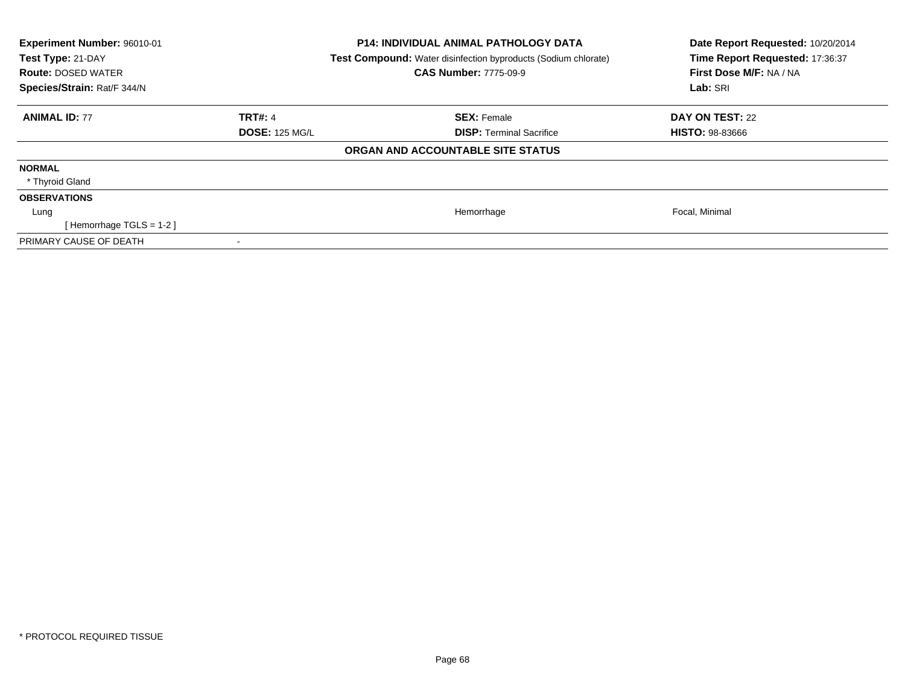| <b>Experiment Number: 96010-01</b><br>Test Type: 21-DAY<br><b>Route: DOSED WATER</b><br>Species/Strain: Rat/F 344/N |                       | <b>P14: INDIVIDUAL ANIMAL PATHOLOGY DATA</b><br><b>Test Compound:</b> Water disinfection byproducts (Sodium chlorate)<br><b>CAS Number: 7775-09-9</b> | Date Report Requested: 10/20/2014<br>Time Report Requested: 17:36:37<br>First Dose M/F: NA / NA<br>Lab: SRI |
|---------------------------------------------------------------------------------------------------------------------|-----------------------|-------------------------------------------------------------------------------------------------------------------------------------------------------|-------------------------------------------------------------------------------------------------------------|
| <b>ANIMAL ID: 77</b>                                                                                                | TRT#: 4               | <b>SEX: Female</b>                                                                                                                                    | DAY ON TEST: 22                                                                                             |
|                                                                                                                     | <b>DOSE: 125 MG/L</b> | <b>DISP:</b> Terminal Sacrifice                                                                                                                       | <b>HISTO: 98-83666</b>                                                                                      |
|                                                                                                                     |                       | ORGAN AND ACCOUNTABLE SITE STATUS                                                                                                                     |                                                                                                             |
| <b>NORMAL</b>                                                                                                       |                       |                                                                                                                                                       |                                                                                                             |
| * Thyroid Gland                                                                                                     |                       |                                                                                                                                                       |                                                                                                             |
| <b>OBSERVATIONS</b>                                                                                                 |                       |                                                                                                                                                       |                                                                                                             |
| Lung                                                                                                                |                       | Hemorrhage                                                                                                                                            | Focal, Minimal                                                                                              |
| [Hemorrhage TGLS = $1-2$ ]                                                                                          |                       |                                                                                                                                                       |                                                                                                             |
| PRIMARY CAUSE OF DEATH                                                                                              |                       |                                                                                                                                                       |                                                                                                             |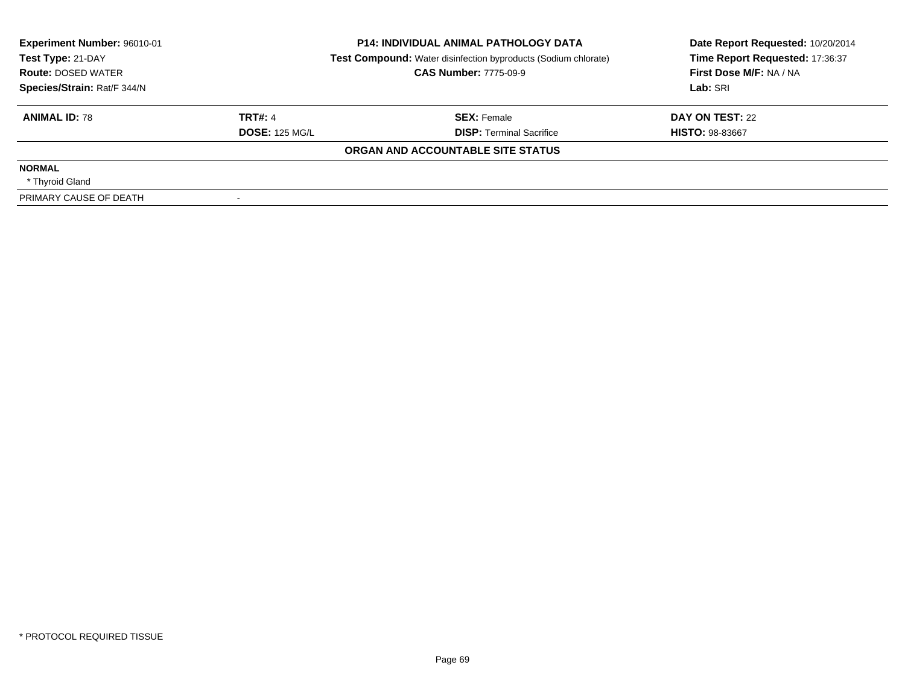| Experiment Number: 96010-01<br><b>P14: INDIVIDUAL ANIMAL PATHOLOGY DATA</b><br>Test Type: 21-DAY<br><b>Test Compound:</b> Water disinfection byproducts (Sodium chlorate) |                       | Date Report Requested: 10/20/2014<br>Time Report Requested: 17:36:37 |                         |
|---------------------------------------------------------------------------------------------------------------------------------------------------------------------------|-----------------------|----------------------------------------------------------------------|-------------------------|
| <b>Route: DOSED WATER</b>                                                                                                                                                 |                       | <b>CAS Number: 7775-09-9</b>                                         | First Dose M/F: NA / NA |
| Species/Strain: Rat/F 344/N                                                                                                                                               |                       |                                                                      | Lab: SRI                |
| <b>ANIMAL ID: 78</b>                                                                                                                                                      | <b>TRT#: 4</b>        | <b>SEX: Female</b>                                                   | DAY ON TEST: 22         |
|                                                                                                                                                                           | <b>DOSE: 125 MG/L</b> | <b>DISP:</b> Terminal Sacrifice                                      | <b>HISTO: 98-83667</b>  |
|                                                                                                                                                                           |                       | ORGAN AND ACCOUNTABLE SITE STATUS                                    |                         |
| <b>NORMAL</b>                                                                                                                                                             |                       |                                                                      |                         |
| * Thyroid Gland                                                                                                                                                           |                       |                                                                      |                         |
| PRIMARY CAUSE OF DEATH                                                                                                                                                    |                       |                                                                      |                         |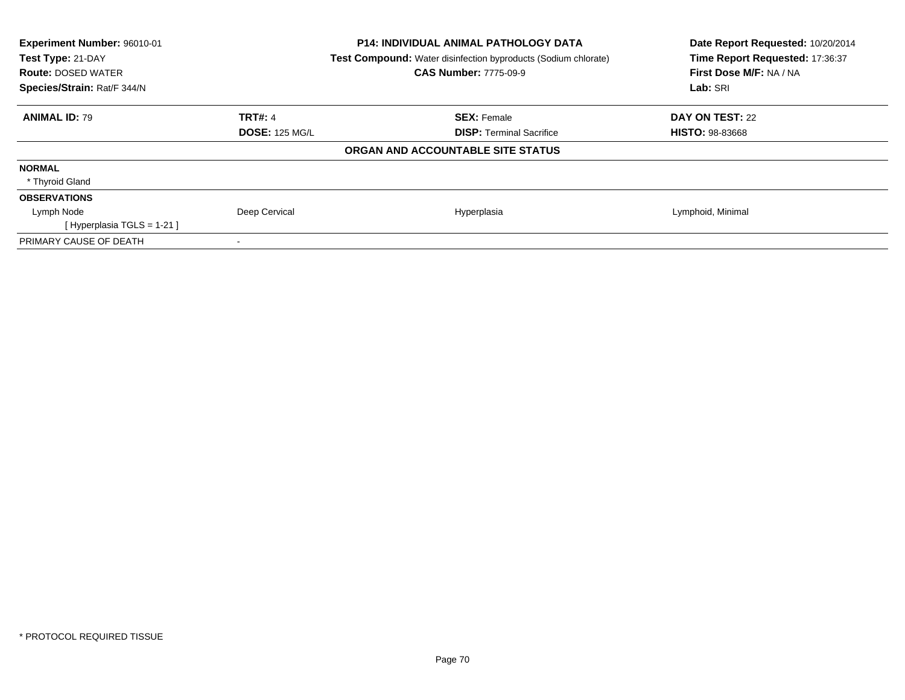| <b>Experiment Number: 96010-01</b><br>Test Type: 21-DAY<br><b>Route: DOSED WATER</b><br>Species/Strain: Rat/F 344/N |                       | <b>P14: INDIVIDUAL ANIMAL PATHOLOGY DATA</b><br>Test Compound: Water disinfection byproducts (Sodium chlorate)<br><b>CAS Number: 7775-09-9</b> | Date Report Requested: 10/20/2014<br>Time Report Requested: 17:36:37<br>First Dose M/F: NA / NA<br>Lab: SRI |
|---------------------------------------------------------------------------------------------------------------------|-----------------------|------------------------------------------------------------------------------------------------------------------------------------------------|-------------------------------------------------------------------------------------------------------------|
| <b>ANIMAL ID: 79</b>                                                                                                | <b>TRT#: 4</b>        | <b>SEX: Female</b>                                                                                                                             | DAY ON TEST: 22                                                                                             |
|                                                                                                                     | <b>DOSE: 125 MG/L</b> | <b>DISP:</b> Terminal Sacrifice                                                                                                                | <b>HISTO: 98-83668</b>                                                                                      |
|                                                                                                                     |                       | ORGAN AND ACCOUNTABLE SITE STATUS                                                                                                              |                                                                                                             |
| <b>NORMAL</b>                                                                                                       |                       |                                                                                                                                                |                                                                                                             |
| * Thyroid Gland                                                                                                     |                       |                                                                                                                                                |                                                                                                             |
| <b>OBSERVATIONS</b>                                                                                                 |                       |                                                                                                                                                |                                                                                                             |
| Lymph Node                                                                                                          | Deep Cervical         | Hyperplasia                                                                                                                                    | Lymphoid, Minimal                                                                                           |
| [Hyperplasia TGLS = $1-21$ ]                                                                                        |                       |                                                                                                                                                |                                                                                                             |
| PRIMARY CAUSE OF DEATH                                                                                              |                       |                                                                                                                                                |                                                                                                             |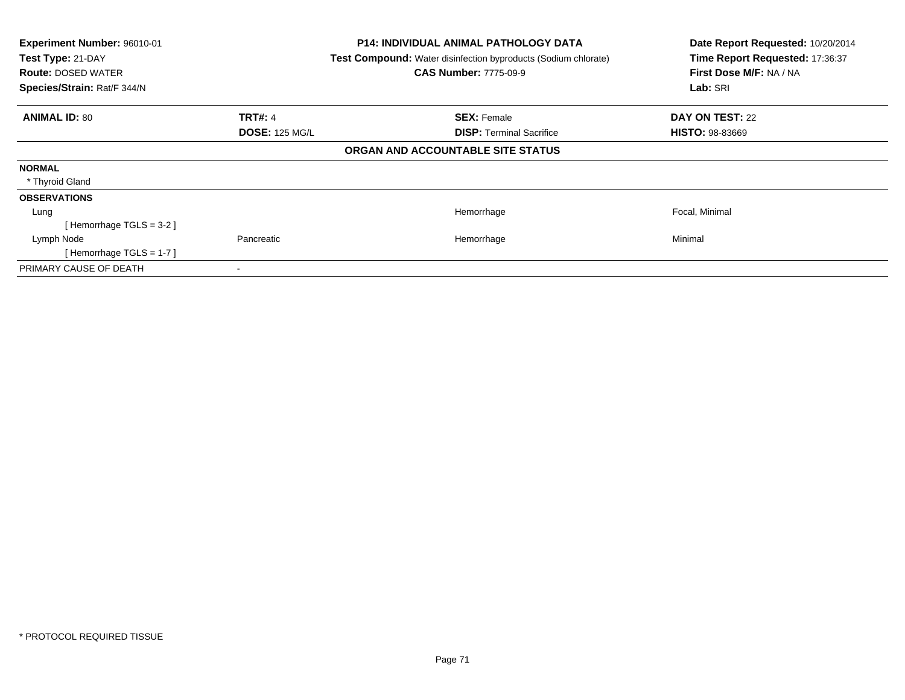| Experiment Number: 96010-01<br>Test Type: 21-DAY<br><b>Route: DOSED WATER</b><br>Species/Strain: Rat/F 344/N | <b>P14: INDIVIDUAL ANIMAL PATHOLOGY DATA</b><br>Test Compound: Water disinfection byproducts (Sodium chlorate)<br><b>CAS Number: 7775-09-9</b> | Date Report Requested: 10/20/2014<br>Time Report Requested: 17:36:37<br>First Dose M/F: NA / NA<br>Lab: SRI |
|--------------------------------------------------------------------------------------------------------------|------------------------------------------------------------------------------------------------------------------------------------------------|-------------------------------------------------------------------------------------------------------------|
| <b>ANIMAL ID: 80</b><br><b>TRT#: 4</b>                                                                       | <b>SEX: Female</b>                                                                                                                             | <b>DAY ON TEST: 22</b>                                                                                      |
| <b>DOSE: 125 MG/L</b>                                                                                        | <b>DISP: Terminal Sacrifice</b>                                                                                                                | <b>HISTO: 98-83669</b>                                                                                      |
|                                                                                                              | ORGAN AND ACCOUNTABLE SITE STATUS                                                                                                              |                                                                                                             |
| <b>NORMAL</b>                                                                                                |                                                                                                                                                |                                                                                                             |
| * Thyroid Gland                                                                                              |                                                                                                                                                |                                                                                                             |
| <b>OBSERVATIONS</b>                                                                                          |                                                                                                                                                |                                                                                                             |
| Lung                                                                                                         | Hemorrhage                                                                                                                                     | Focal, Minimal                                                                                              |
| [Hemorrhage TGLS = 3-2]                                                                                      |                                                                                                                                                |                                                                                                             |
| Pancreatic<br>Lymph Node                                                                                     | Hemorrhage                                                                                                                                     | Minimal                                                                                                     |
| [Hemorrhage TGLS = $1-7$ ]                                                                                   |                                                                                                                                                |                                                                                                             |
| PRIMARY CAUSE OF DEATH                                                                                       |                                                                                                                                                |                                                                                                             |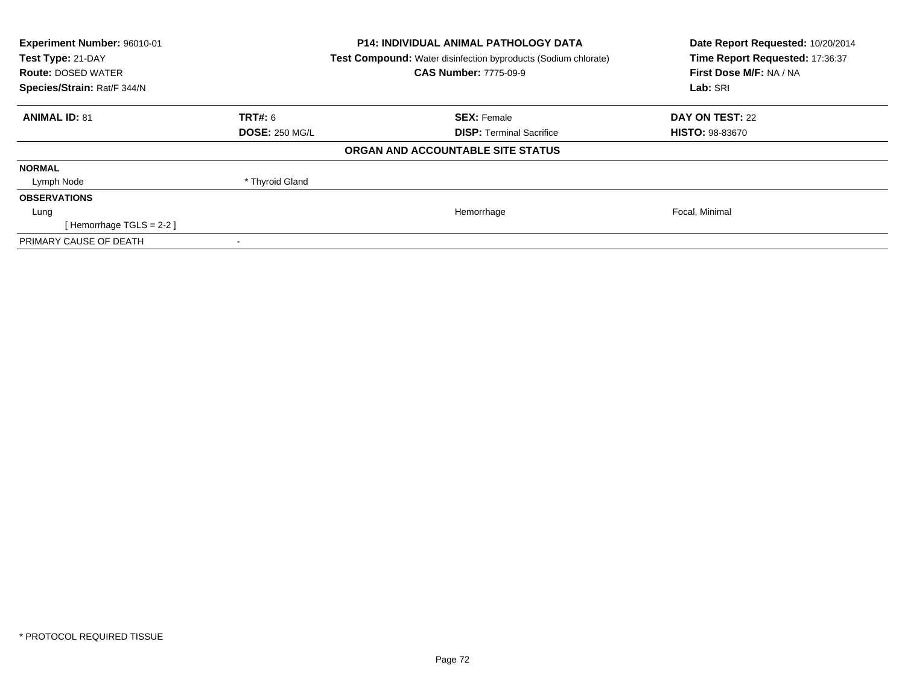| Experiment Number: 96010-01<br>Test Type: 21-DAY<br><b>Route: DOSED WATER</b><br>Species/Strain: Rat/F 344/N |                       | <b>P14: INDIVIDUAL ANIMAL PATHOLOGY DATA</b><br>Test Compound: Water disinfection byproducts (Sodium chlorate)<br><b>CAS Number: 7775-09-9</b> | Date Report Requested: 10/20/2014<br>Time Report Requested: 17:36:37<br>First Dose M/F: NA / NA<br>Lab: SRI |
|--------------------------------------------------------------------------------------------------------------|-----------------------|------------------------------------------------------------------------------------------------------------------------------------------------|-------------------------------------------------------------------------------------------------------------|
| <b>ANIMAL ID: 81</b>                                                                                         | <b>TRT#: 6</b>        | <b>SEX: Female</b>                                                                                                                             | <b>DAY ON TEST: 22</b>                                                                                      |
|                                                                                                              | <b>DOSE: 250 MG/L</b> | <b>DISP:</b> Terminal Sacrifice                                                                                                                | <b>HISTO: 98-83670</b>                                                                                      |
|                                                                                                              |                       | ORGAN AND ACCOUNTABLE SITE STATUS                                                                                                              |                                                                                                             |
| <b>NORMAL</b>                                                                                                |                       |                                                                                                                                                |                                                                                                             |
| Lymph Node                                                                                                   | * Thyroid Gland       |                                                                                                                                                |                                                                                                             |
| <b>OBSERVATIONS</b>                                                                                          |                       |                                                                                                                                                |                                                                                                             |
| Lung                                                                                                         |                       | Hemorrhage                                                                                                                                     | Focal, Minimal                                                                                              |
| [Hemorrhage TGLS = $2-2$ ]                                                                                   |                       |                                                                                                                                                |                                                                                                             |
| PRIMARY CAUSE OF DEATH                                                                                       |                       |                                                                                                                                                |                                                                                                             |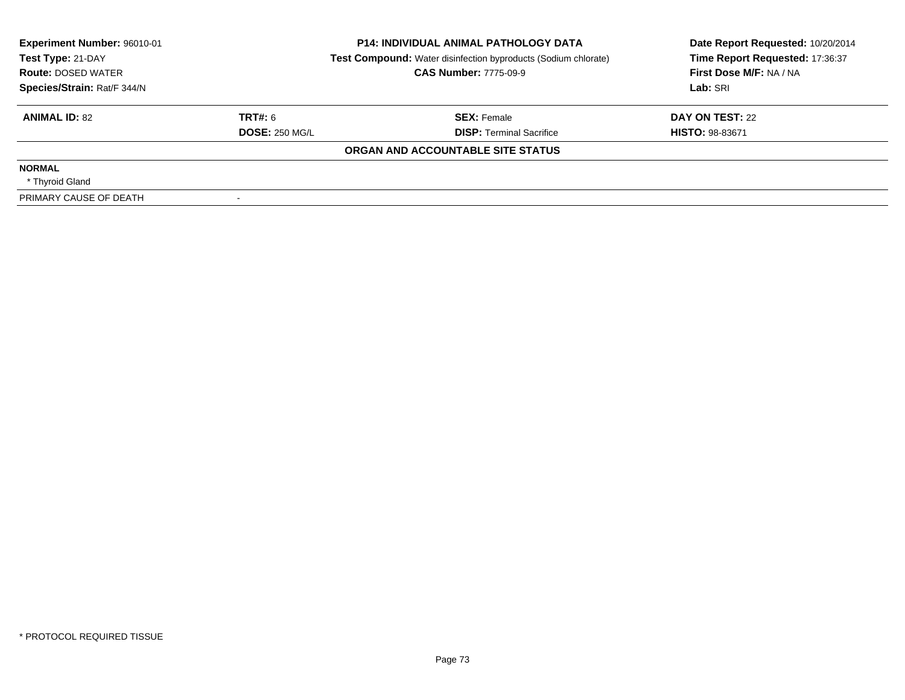| Experiment Number: 96010-01<br>Test Type: 21-DAY | <b>P14: INDIVIDUAL ANIMAL PATHOLOGY DATA</b><br><b>Test Compound:</b> Water disinfection byproducts (Sodium chlorate) |                                   | Date Report Requested: 10/20/2014<br>Time Report Requested: 17:36:37 |  |
|--------------------------------------------------|-----------------------------------------------------------------------------------------------------------------------|-----------------------------------|----------------------------------------------------------------------|--|
| <b>Route: DOSED WATER</b>                        |                                                                                                                       | <b>CAS Number: 7775-09-9</b>      | First Dose M/F: NA / NA                                              |  |
| Species/Strain: Rat/F 344/N                      |                                                                                                                       |                                   | Lab: SRI                                                             |  |
| <b>ANIMAL ID: 82</b>                             | TRT#: 6                                                                                                               | <b>SEX: Female</b>                | DAY ON TEST: 22                                                      |  |
|                                                  | <b>DOSE: 250 MG/L</b>                                                                                                 | <b>DISP:</b> Terminal Sacrifice   | <b>HISTO: 98-83671</b>                                               |  |
|                                                  |                                                                                                                       | ORGAN AND ACCOUNTABLE SITE STATUS |                                                                      |  |
| <b>NORMAL</b>                                    |                                                                                                                       |                                   |                                                                      |  |
| * Thyroid Gland                                  |                                                                                                                       |                                   |                                                                      |  |
| PRIMARY CAUSE OF DEATH                           |                                                                                                                       |                                   |                                                                      |  |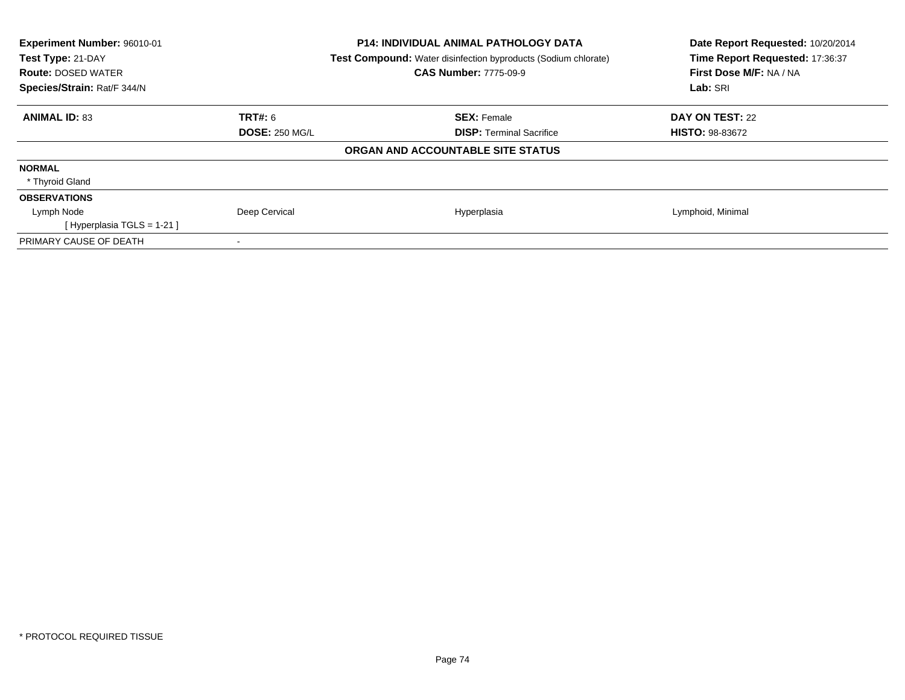| Experiment Number: 96010-01<br>Test Type: 21-DAY<br><b>Route: DOSED WATER</b><br>Species/Strain: Rat/F 344/N | <b>P14: INDIVIDUAL ANIMAL PATHOLOGY DATA</b><br><b>Test Compound:</b> Water disinfection byproducts (Sodium chlorate)<br><b>CAS Number: 7775-09-9</b> | Date Report Requested: 10/20/2014<br>Time Report Requested: 17:36:37<br>First Dose M/F: NA / NA<br>Lab: SRI |
|--------------------------------------------------------------------------------------------------------------|-------------------------------------------------------------------------------------------------------------------------------------------------------|-------------------------------------------------------------------------------------------------------------|
| <b>ANIMAL ID: 83</b><br><b>TRT#: 6</b>                                                                       | <b>SEX: Female</b>                                                                                                                                    | DAY ON TEST: 22                                                                                             |
| <b>DOSE: 250 MG/L</b>                                                                                        | <b>DISP:</b> Terminal Sacrifice                                                                                                                       | <b>HISTO: 98-83672</b>                                                                                      |
|                                                                                                              | ORGAN AND ACCOUNTABLE SITE STATUS                                                                                                                     |                                                                                                             |
| <b>NORMAL</b>                                                                                                |                                                                                                                                                       |                                                                                                             |
| * Thyroid Gland                                                                                              |                                                                                                                                                       |                                                                                                             |
| <b>OBSERVATIONS</b>                                                                                          |                                                                                                                                                       |                                                                                                             |
| Deep Cervical<br>Lymph Node                                                                                  | Hyperplasia                                                                                                                                           | Lymphoid, Minimal                                                                                           |
| [Hyperplasia TGLS = $1-21$ ]                                                                                 |                                                                                                                                                       |                                                                                                             |
| PRIMARY CAUSE OF DEATH                                                                                       |                                                                                                                                                       |                                                                                                             |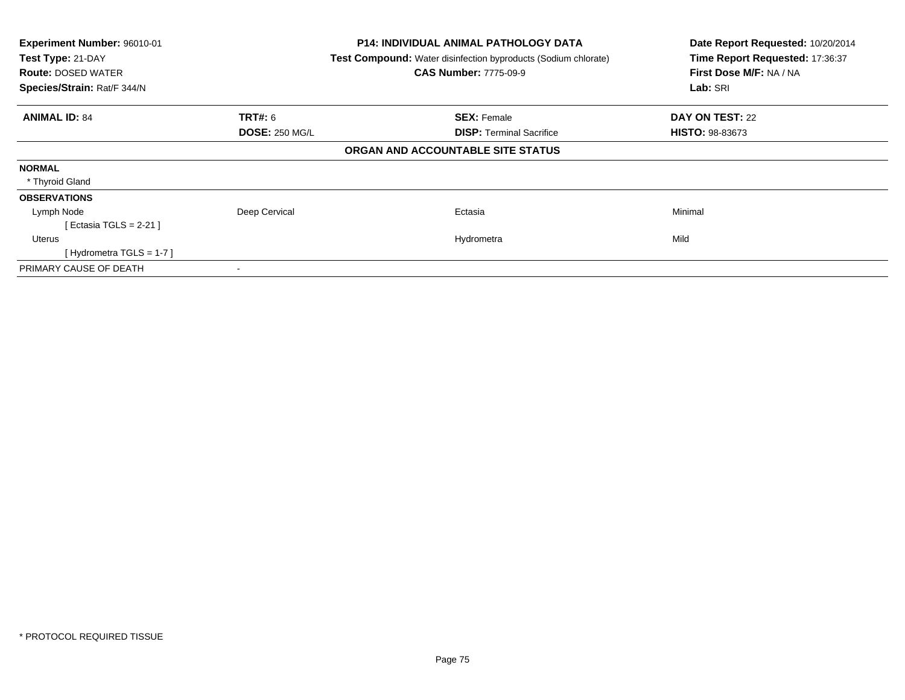| Experiment Number: 96010-01<br>Test Type: 21-DAY<br><b>Route: DOSED WATER</b><br>Species/Strain: Rat/F 344/N |                       | P14: INDIVIDUAL ANIMAL PATHOLOGY DATA<br><b>Test Compound:</b> Water disinfection byproducts (Sodium chlorate)<br><b>CAS Number: 7775-09-9</b> | Date Report Requested: 10/20/2014<br>Time Report Requested: 17:36:37<br>First Dose M/F: NA / NA<br>Lab: SRI |
|--------------------------------------------------------------------------------------------------------------|-----------------------|------------------------------------------------------------------------------------------------------------------------------------------------|-------------------------------------------------------------------------------------------------------------|
| <b>ANIMAL ID: 84</b>                                                                                         | <b>TRT#:</b> 6        | <b>SEX: Female</b>                                                                                                                             | DAY ON TEST: 22                                                                                             |
|                                                                                                              | <b>DOSE: 250 MG/L</b> | <b>DISP:</b> Terminal Sacrifice                                                                                                                | <b>HISTO: 98-83673</b>                                                                                      |
|                                                                                                              |                       | ORGAN AND ACCOUNTABLE SITE STATUS                                                                                                              |                                                                                                             |
| <b>NORMAL</b>                                                                                                |                       |                                                                                                                                                |                                                                                                             |
| * Thyroid Gland                                                                                              |                       |                                                                                                                                                |                                                                                                             |
| <b>OBSERVATIONS</b>                                                                                          |                       |                                                                                                                                                |                                                                                                             |
| Lymph Node                                                                                                   | Deep Cervical         | Ectasia                                                                                                                                        | Minimal                                                                                                     |
| [ Ectasia TGLS = 2-21 ]                                                                                      |                       |                                                                                                                                                |                                                                                                             |
| Uterus                                                                                                       |                       | Hydrometra                                                                                                                                     | Mild                                                                                                        |
| [Hydrometra TGLS = $1-7$ ]                                                                                   |                       |                                                                                                                                                |                                                                                                             |
| PRIMARY CAUSE OF DEATH                                                                                       |                       |                                                                                                                                                |                                                                                                             |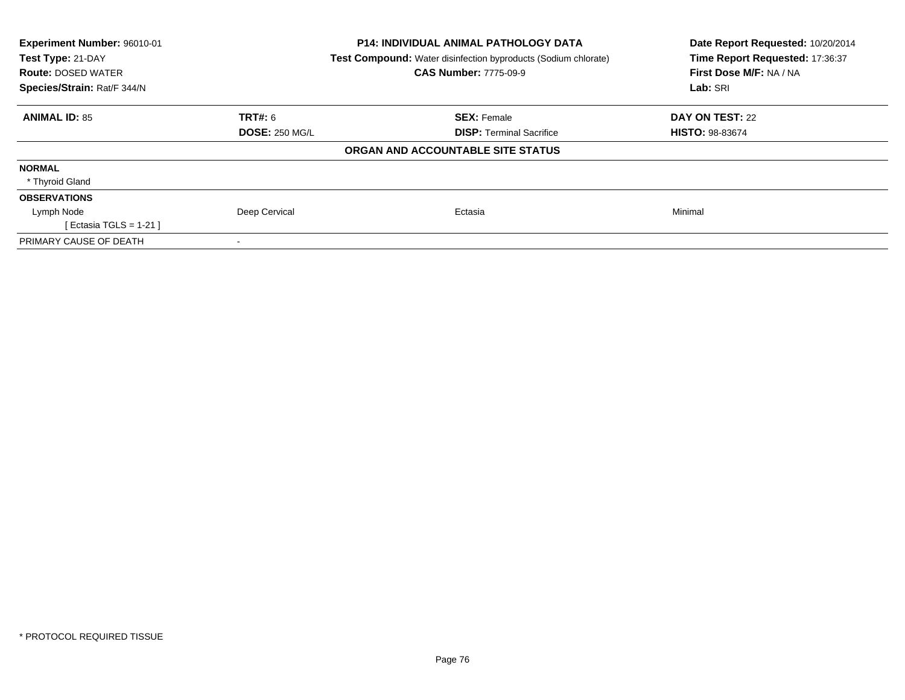| Experiment Number: 96010-01 |                       | <b>P14: INDIVIDUAL ANIMAL PATHOLOGY DATA</b>                          | Date Report Requested: 10/20/2014 |  |
|-----------------------------|-----------------------|-----------------------------------------------------------------------|-----------------------------------|--|
| Test Type: 21-DAY           |                       | <b>Test Compound:</b> Water disinfection byproducts (Sodium chlorate) | Time Report Requested: 17:36:37   |  |
| <b>Route: DOSED WATER</b>   |                       | <b>CAS Number: 7775-09-9</b>                                          | First Dose M/F: NA / NA           |  |
| Species/Strain: Rat/F 344/N |                       |                                                                       | Lab: SRI                          |  |
| <b>ANIMAL ID: 85</b>        | TRT#: 6               | <b>SEX: Female</b>                                                    | DAY ON TEST: 22                   |  |
|                             | <b>DOSE: 250 MG/L</b> | <b>DISP:</b> Terminal Sacrifice                                       | <b>HISTO: 98-83674</b>            |  |
|                             |                       | ORGAN AND ACCOUNTABLE SITE STATUS                                     |                                   |  |
| <b>NORMAL</b>               |                       |                                                                       |                                   |  |
| * Thyroid Gland             |                       |                                                                       |                                   |  |
| <b>OBSERVATIONS</b>         |                       |                                                                       |                                   |  |
| Lymph Node                  | Deep Cervical         | Ectasia                                                               | Minimal                           |  |
| [ Ectasia TGLS = 1-21 ]     |                       |                                                                       |                                   |  |
| PRIMARY CAUSE OF DEATH      |                       |                                                                       |                                   |  |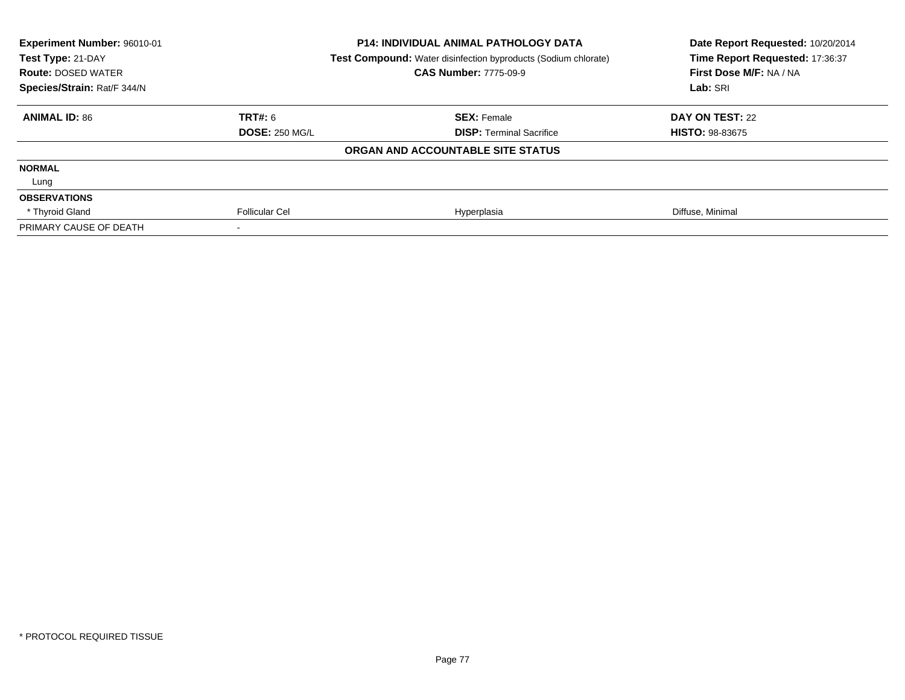| Experiment Number: 96010-01 |                       | <b>P14: INDIVIDUAL ANIMAL PATHOLOGY DATA</b>                          | Date Report Requested: 10/20/2014 |
|-----------------------------|-----------------------|-----------------------------------------------------------------------|-----------------------------------|
| Test Type: 21-DAY           |                       | <b>Test Compound:</b> Water disinfection byproducts (Sodium chlorate) | Time Report Requested: 17:36:37   |
| <b>Route: DOSED WATER</b>   |                       | <b>CAS Number: 7775-09-9</b>                                          | First Dose M/F: NA / NA           |
| Species/Strain: Rat/F 344/N |                       |                                                                       | Lab: SRI                          |
| <b>ANIMAL ID: 86</b>        | <b>TRT#: 6</b>        | <b>SEX: Female</b>                                                    | DAY ON TEST: 22                   |
|                             | <b>DOSE: 250 MG/L</b> | <b>DISP: Terminal Sacrifice</b>                                       | <b>HISTO: 98-83675</b>            |
|                             |                       | ORGAN AND ACCOUNTABLE SITE STATUS                                     |                                   |
| <b>NORMAL</b>               |                       |                                                                       |                                   |
| Lung                        |                       |                                                                       |                                   |
| <b>OBSERVATIONS</b>         |                       |                                                                       |                                   |
| * Thyroid Gland             | <b>Follicular Cel</b> | Hyperplasia                                                           | Diffuse, Minimal                  |
| PRIMARY CAUSE OF DEATH      |                       |                                                                       |                                   |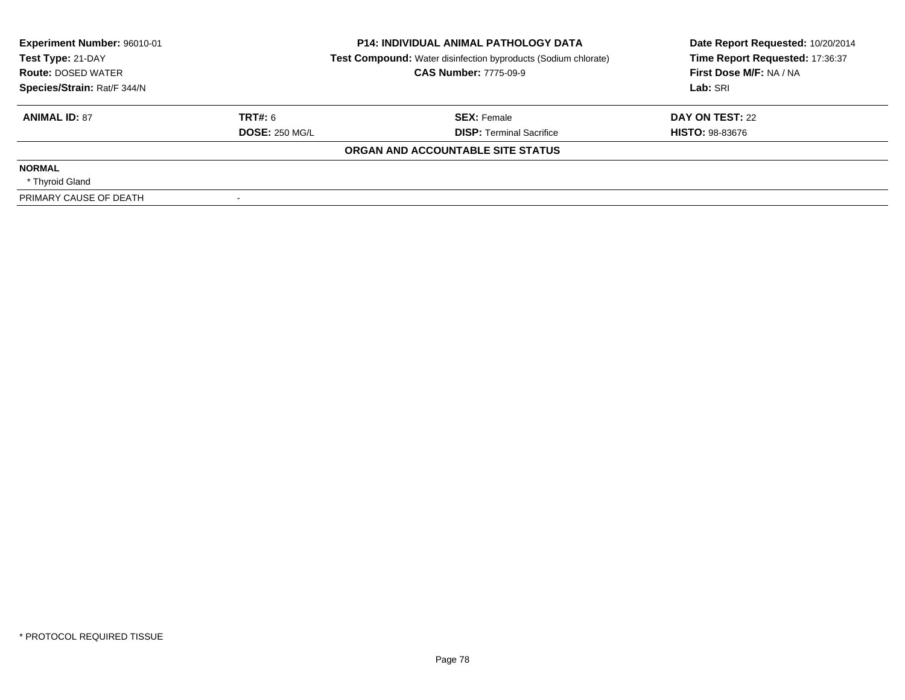| Experiment Number: 96010-01<br>Test Type: 21-DAY         | <b>P14: INDIVIDUAL ANIMAL PATHOLOGY DATA</b><br><b>Test Compound:</b> Water disinfection byproducts (Sodium chlorate)<br><b>CAS Number: 7775-09-9</b> |                                   | Date Report Requested: 10/20/2014<br>Time Report Requested: 17:36:37<br>First Dose M/F: NA / NA |
|----------------------------------------------------------|-------------------------------------------------------------------------------------------------------------------------------------------------------|-----------------------------------|-------------------------------------------------------------------------------------------------|
| <b>Route: DOSED WATER</b><br>Species/Strain: Rat/F 344/N |                                                                                                                                                       |                                   | Lab: SRI                                                                                        |
| <b>ANIMAL ID: 87</b>                                     | TRT#: 6                                                                                                                                               | <b>SEX: Female</b>                | DAY ON TEST: 22                                                                                 |
|                                                          | <b>DOSE: 250 MG/L</b>                                                                                                                                 | <b>DISP:</b> Terminal Sacrifice   | <b>HISTO: 98-83676</b>                                                                          |
|                                                          |                                                                                                                                                       | ORGAN AND ACCOUNTABLE SITE STATUS |                                                                                                 |
| <b>NORMAL</b>                                            |                                                                                                                                                       |                                   |                                                                                                 |
| * Thyroid Gland                                          |                                                                                                                                                       |                                   |                                                                                                 |
| PRIMARY CAUSE OF DEATH                                   |                                                                                                                                                       |                                   |                                                                                                 |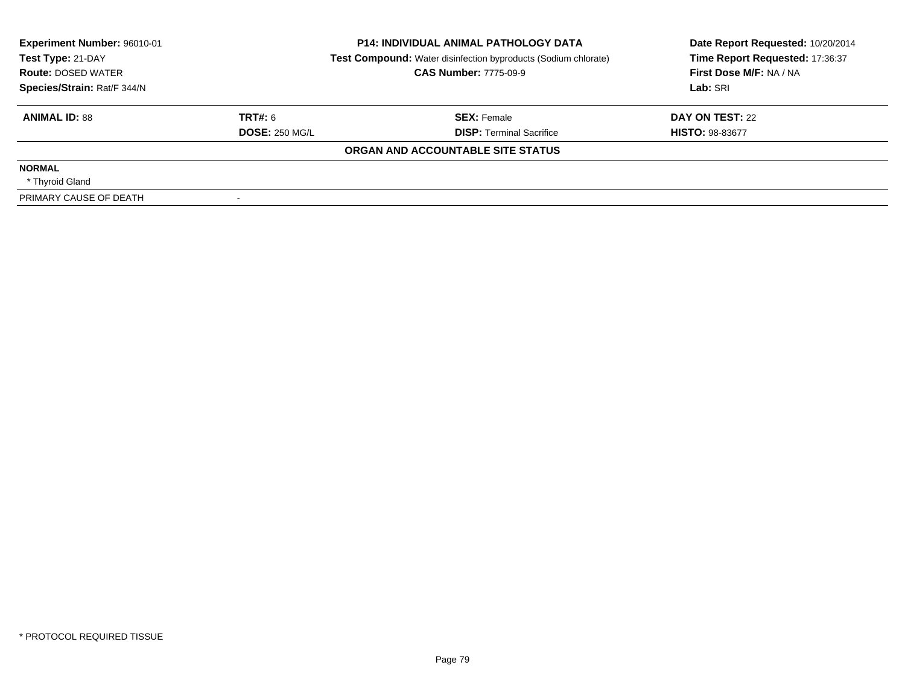| Experiment Number: 96010-01<br>Test Type: 21-DAY | <b>P14: INDIVIDUAL ANIMAL PATHOLOGY DATA</b><br><b>Test Compound:</b> Water disinfection byproducts (Sodium chlorate) |                                   | Date Report Requested: 10/20/2014<br>Time Report Requested: 17:36:37 |
|--------------------------------------------------|-----------------------------------------------------------------------------------------------------------------------|-----------------------------------|----------------------------------------------------------------------|
| <b>Route: DOSED WATER</b>                        |                                                                                                                       | <b>CAS Number: 7775-09-9</b>      | First Dose M/F: NA / NA                                              |
| Species/Strain: Rat/F 344/N                      |                                                                                                                       |                                   | Lab: SRI                                                             |
| <b>ANIMAL ID: 88</b>                             | TRT#: 6                                                                                                               | <b>SEX: Female</b>                | DAY ON TEST: 22                                                      |
|                                                  | <b>DOSE: 250 MG/L</b>                                                                                                 | <b>DISP:</b> Terminal Sacrifice   | <b>HISTO: 98-83677</b>                                               |
|                                                  |                                                                                                                       | ORGAN AND ACCOUNTABLE SITE STATUS |                                                                      |
| <b>NORMAL</b>                                    |                                                                                                                       |                                   |                                                                      |
| * Thyroid Gland                                  |                                                                                                                       |                                   |                                                                      |
| PRIMARY CAUSE OF DEATH                           |                                                                                                                       |                                   |                                                                      |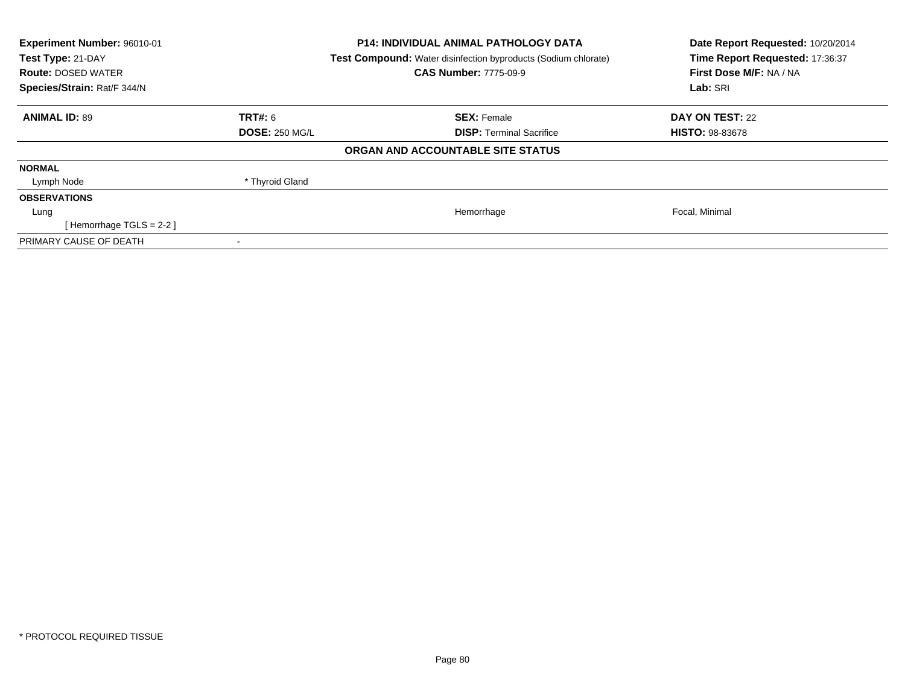| Experiment Number: 96010-01<br>Test Type: 21-DAY<br><b>Route: DOSED WATER</b><br>Species/Strain: Rat/F 344/N |                       | <b>P14: INDIVIDUAL ANIMAL PATHOLOGY DATA</b><br>Test Compound: Water disinfection byproducts (Sodium chlorate)<br><b>CAS Number: 7775-09-9</b> | Date Report Requested: 10/20/2014<br>Time Report Requested: 17:36:37<br>First Dose M/F: NA / NA<br>Lab: SRI |
|--------------------------------------------------------------------------------------------------------------|-----------------------|------------------------------------------------------------------------------------------------------------------------------------------------|-------------------------------------------------------------------------------------------------------------|
| <b>ANIMAL ID: 89</b>                                                                                         | TRT#: 6               | <b>SEX: Female</b>                                                                                                                             | <b>DAY ON TEST: 22</b>                                                                                      |
|                                                                                                              | <b>DOSE: 250 MG/L</b> | <b>DISP:</b> Terminal Sacrifice                                                                                                                | <b>HISTO: 98-83678</b>                                                                                      |
|                                                                                                              |                       | ORGAN AND ACCOUNTABLE SITE STATUS                                                                                                              |                                                                                                             |
| <b>NORMAL</b>                                                                                                |                       |                                                                                                                                                |                                                                                                             |
| Lymph Node                                                                                                   | * Thyroid Gland       |                                                                                                                                                |                                                                                                             |
| <b>OBSERVATIONS</b>                                                                                          |                       |                                                                                                                                                |                                                                                                             |
| Lung                                                                                                         |                       | Hemorrhage                                                                                                                                     | Focal, Minimal                                                                                              |
| [Hemorrhage TGLS = $2-2$ ]                                                                                   |                       |                                                                                                                                                |                                                                                                             |
| PRIMARY CAUSE OF DEATH                                                                                       |                       |                                                                                                                                                |                                                                                                             |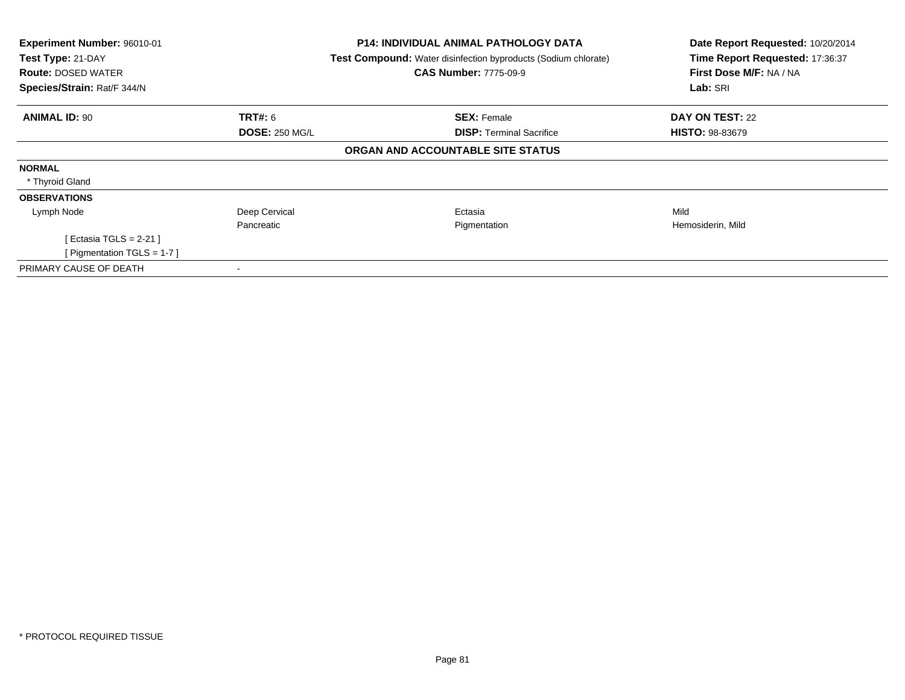| Experiment Number: 96010-01<br>Test Type: 21-DAY<br><b>Route: DOSED WATER</b> |                       | <b>P14: INDIVIDUAL ANIMAL PATHOLOGY DATA</b><br><b>Test Compound:</b> Water disinfection byproducts (Sodium chlorate)<br><b>CAS Number: 7775-09-9</b> | Date Report Requested: 10/20/2014<br>Time Report Requested: 17:36:37<br>First Dose M/F: NA / NA |
|-------------------------------------------------------------------------------|-----------------------|-------------------------------------------------------------------------------------------------------------------------------------------------------|-------------------------------------------------------------------------------------------------|
| Species/Strain: Rat/F 344/N                                                   |                       |                                                                                                                                                       | Lab: SRI                                                                                        |
| <b>ANIMAL ID: 90</b>                                                          | <b>TRT#:</b> 6        | <b>SEX: Female</b>                                                                                                                                    | <b>DAY ON TEST: 22</b>                                                                          |
|                                                                               | <b>DOSE: 250 MG/L</b> | <b>DISP:</b> Terminal Sacrifice                                                                                                                       | <b>HISTO: 98-83679</b>                                                                          |
|                                                                               |                       | ORGAN AND ACCOUNTABLE SITE STATUS                                                                                                                     |                                                                                                 |
| <b>NORMAL</b>                                                                 |                       |                                                                                                                                                       |                                                                                                 |
| * Thyroid Gland                                                               |                       |                                                                                                                                                       |                                                                                                 |
| <b>OBSERVATIONS</b>                                                           |                       |                                                                                                                                                       |                                                                                                 |
| Lymph Node                                                                    | Deep Cervical         | Ectasia                                                                                                                                               | Mild                                                                                            |
|                                                                               | Pancreatic            | Pigmentation                                                                                                                                          | Hemosiderin, Mild                                                                               |
| [ Ectasia TGLS = 2-21 ]                                                       |                       |                                                                                                                                                       |                                                                                                 |
| [ Pigmentation TGLS = $1-7$ ]                                                 |                       |                                                                                                                                                       |                                                                                                 |
| PRIMARY CAUSE OF DEATH                                                        |                       |                                                                                                                                                       |                                                                                                 |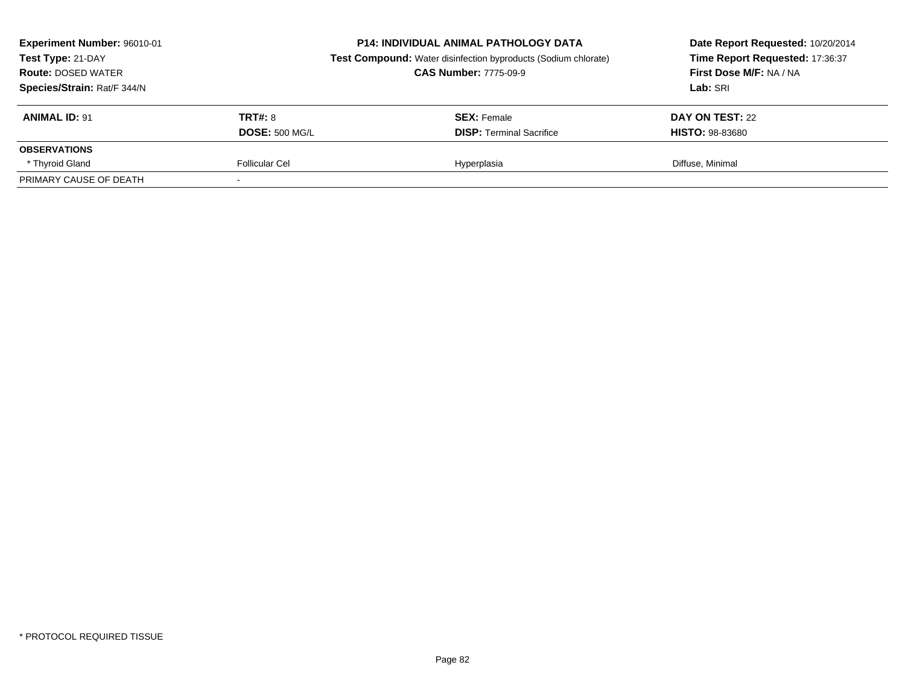| Experiment Number: 96010-01<br>Test Type: 21-DAY<br><b>Route: DOSED WATER</b><br>Species/Strain: Rat/F 344/N |                       | <b>P14: INDIVIDUAL ANIMAL PATHOLOGY DATA</b><br><b>Test Compound:</b> Water disinfection byproducts (Sodium chlorate)<br><b>CAS Number: 7775-09-9</b> | Date Report Requested: 10/20/2014<br>Time Report Requested: 17:36:37<br>First Dose M/F: NA / NA<br>Lab: SRI |  |
|--------------------------------------------------------------------------------------------------------------|-----------------------|-------------------------------------------------------------------------------------------------------------------------------------------------------|-------------------------------------------------------------------------------------------------------------|--|
| <b>ANIMAL ID: 91</b>                                                                                         | <b>TRT#: 8</b>        | <b>SEX:</b> Female                                                                                                                                    | DAY ON TEST: 22                                                                                             |  |
|                                                                                                              | <b>DOSE: 500 MG/L</b> | <b>DISP: Terminal Sacrifice</b>                                                                                                                       | <b>HISTO: 98-83680</b>                                                                                      |  |
| <b>OBSERVATIONS</b>                                                                                          |                       |                                                                                                                                                       |                                                                                                             |  |
| * Thyroid Gland                                                                                              | Follicular Cel        | Hyperplasia                                                                                                                                           | Diffuse, Minimal                                                                                            |  |
| PRIMARY CAUSE OF DEATH                                                                                       |                       |                                                                                                                                                       |                                                                                                             |  |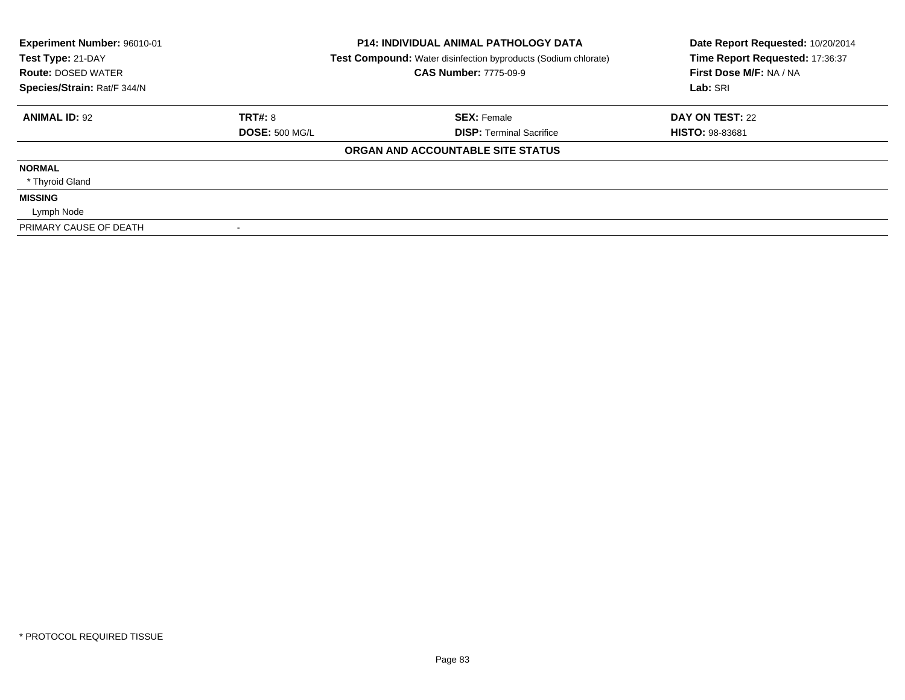| Experiment Number: 96010-01<br>Test Type: 21-DAY<br><b>Route: DOSED WATER</b><br>Species/Strain: Rat/F 344/N |                       | <b>P14: INDIVIDUAL ANIMAL PATHOLOGY DATA</b><br>Test Compound: Water disinfection byproducts (Sodium chlorate)<br><b>CAS Number: 7775-09-9</b> | Date Report Requested: 10/20/2014<br>Time Report Requested: 17:36:37<br>First Dose M/F: NA / NA<br>Lab: SRI |
|--------------------------------------------------------------------------------------------------------------|-----------------------|------------------------------------------------------------------------------------------------------------------------------------------------|-------------------------------------------------------------------------------------------------------------|
| <b>ANIMAL ID: 92</b>                                                                                         | <b>TRT#: 8</b>        | <b>SEX: Female</b>                                                                                                                             | DAY ON TEST: 22                                                                                             |
|                                                                                                              | <b>DOSE: 500 MG/L</b> | <b>DISP: Terminal Sacrifice</b>                                                                                                                | <b>HISTO: 98-83681</b>                                                                                      |
|                                                                                                              |                       | ORGAN AND ACCOUNTABLE SITE STATUS                                                                                                              |                                                                                                             |
| <b>NORMAL</b>                                                                                                |                       |                                                                                                                                                |                                                                                                             |
| * Thyroid Gland                                                                                              |                       |                                                                                                                                                |                                                                                                             |
| <b>MISSING</b>                                                                                               |                       |                                                                                                                                                |                                                                                                             |
| Lymph Node                                                                                                   |                       |                                                                                                                                                |                                                                                                             |
| PRIMARY CAUSE OF DEATH                                                                                       |                       |                                                                                                                                                |                                                                                                             |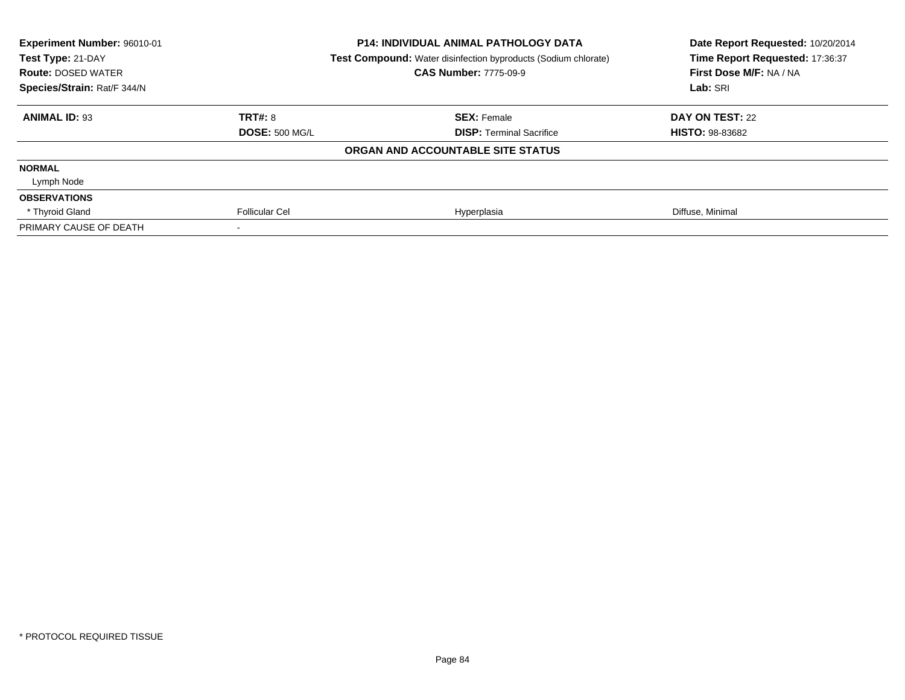| Experiment Number: 96010-01 |                       | <b>P14: INDIVIDUAL ANIMAL PATHOLOGY DATA</b>                   | Date Report Requested: 10/20/2014 |
|-----------------------------|-----------------------|----------------------------------------------------------------|-----------------------------------|
| Test Type: 21-DAY           |                       | Test Compound: Water disinfection byproducts (Sodium chlorate) | Time Report Requested: 17:36:37   |
| <b>Route: DOSED WATER</b>   |                       | <b>CAS Number: 7775-09-9</b>                                   | First Dose M/F: NA / NA           |
| Species/Strain: Rat/F 344/N |                       |                                                                | Lab: SRI                          |
| <b>ANIMAL ID: 93</b>        | TRT#: 8               | <b>SEX: Female</b>                                             | DAY ON TEST: 22                   |
|                             | <b>DOSE: 500 MG/L</b> | <b>DISP: Terminal Sacrifice</b>                                | <b>HISTO: 98-83682</b>            |
|                             |                       | ORGAN AND ACCOUNTABLE SITE STATUS                              |                                   |
| <b>NORMAL</b>               |                       |                                                                |                                   |
| Lymph Node                  |                       |                                                                |                                   |
| <b>OBSERVATIONS</b>         |                       |                                                                |                                   |
| * Thyroid Gland             | <b>Follicular Cel</b> | Hyperplasia                                                    | Diffuse, Minimal                  |
| PRIMARY CAUSE OF DEATH      |                       |                                                                |                                   |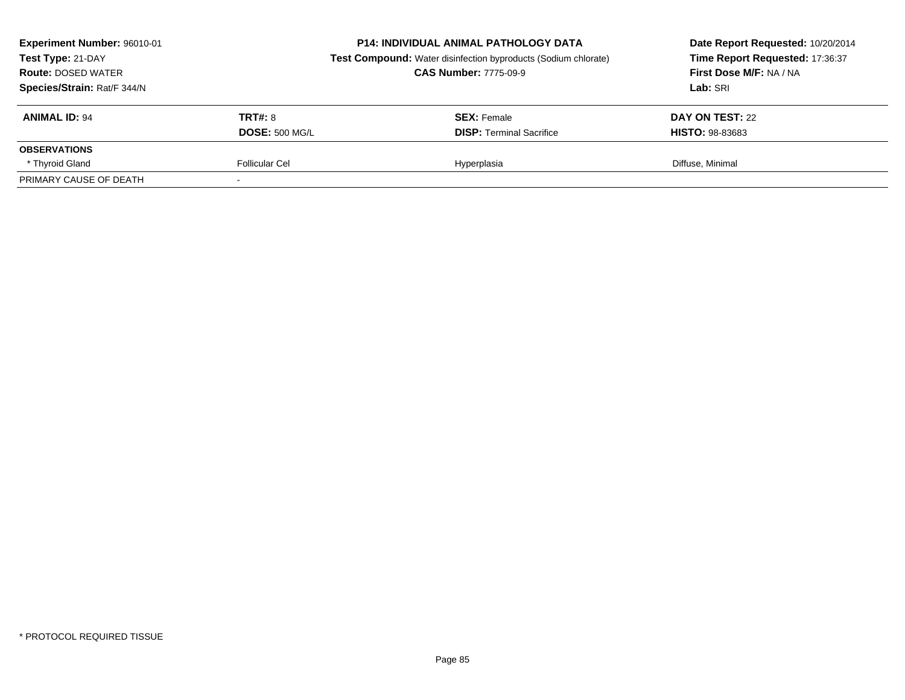| Experiment Number: 96010-01<br><b>P14: INDIVIDUAL ANIMAL PATHOLOGY DATA</b><br>Test Type: 21-DAY<br><b>Test Compound:</b> Water disinfection byproducts (Sodium chlorate)<br><b>CAS Number: 7775-09-9</b><br><b>Route: DOSED WATER</b><br>Species/Strain: Rat/F 344/N |                       | Date Report Requested: 10/20/2014<br>Time Report Requested: 17:36:37<br>First Dose M/F: NA / NA<br>Lab: SRI |                        |
|-----------------------------------------------------------------------------------------------------------------------------------------------------------------------------------------------------------------------------------------------------------------------|-----------------------|-------------------------------------------------------------------------------------------------------------|------------------------|
| <b>ANIMAL ID: 94</b>                                                                                                                                                                                                                                                  | TRT#: 8               | <b>SEX: Female</b>                                                                                          | DAY ON TEST: 22        |
|                                                                                                                                                                                                                                                                       | <b>DOSE: 500 MG/L</b> | <b>DISP:</b> Terminal Sacrifice                                                                             | <b>HISTO: 98-83683</b> |
| <b>OBSERVATIONS</b>                                                                                                                                                                                                                                                   |                       |                                                                                                             |                        |
| * Thyroid Gland                                                                                                                                                                                                                                                       | <b>Follicular Cel</b> | Hyperplasia                                                                                                 | Diffuse, Minimal       |
| PRIMARY CAUSE OF DEATH                                                                                                                                                                                                                                                |                       |                                                                                                             |                        |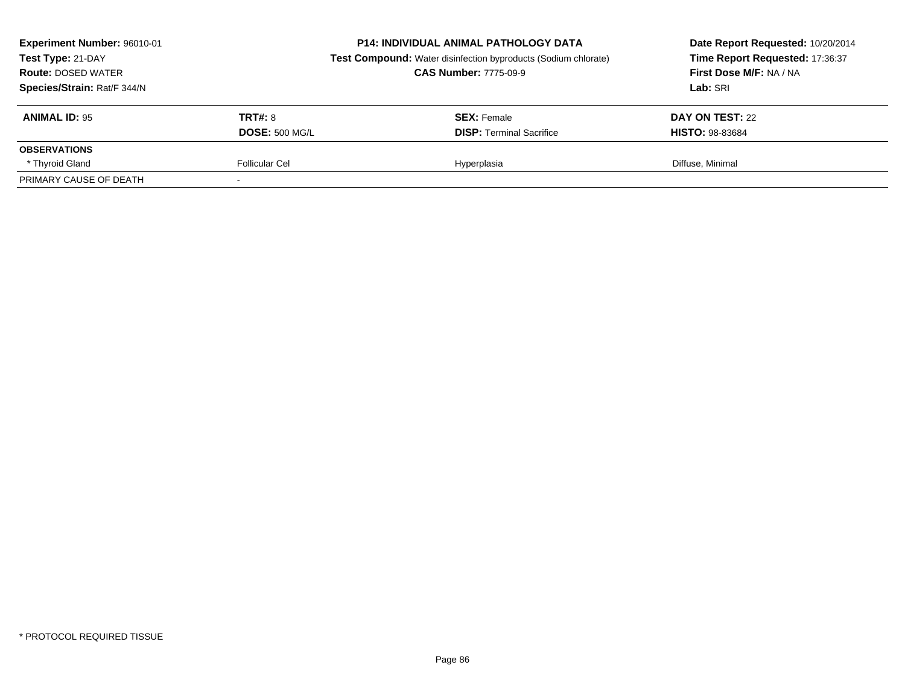| Experiment Number: 96010-01<br>Test Type: 21-DAY<br><b>CAS Number: 7775-09-9</b><br><b>Route: DOSED WATER</b><br>Species/Strain: Rat/F 344/N |                       | <b>P14: INDIVIDUAL ANIMAL PATHOLOGY DATA</b><br><b>Test Compound:</b> Water disinfection byproducts (Sodium chlorate) | Date Report Requested: 10/20/2014<br>Time Report Requested: 17:36:37<br>First Dose M/F: NA / NA<br>Lab: SRI |
|----------------------------------------------------------------------------------------------------------------------------------------------|-----------------------|-----------------------------------------------------------------------------------------------------------------------|-------------------------------------------------------------------------------------------------------------|
| <b>ANIMAL ID: 95</b>                                                                                                                         | TRT#: 8               | <b>SEX: Female</b>                                                                                                    | DAY ON TEST: 22                                                                                             |
|                                                                                                                                              | <b>DOSE: 500 MG/L</b> | <b>DISP:</b> Terminal Sacrifice                                                                                       | <b>HISTO: 98-83684</b>                                                                                      |
| <b>OBSERVATIONS</b>                                                                                                                          |                       |                                                                                                                       |                                                                                                             |
| * Thyroid Gland                                                                                                                              | <b>Follicular Cel</b> | Hyperplasia                                                                                                           | Diffuse, Minimal                                                                                            |
| PRIMARY CAUSE OF DEATH                                                                                                                       |                       |                                                                                                                       |                                                                                                             |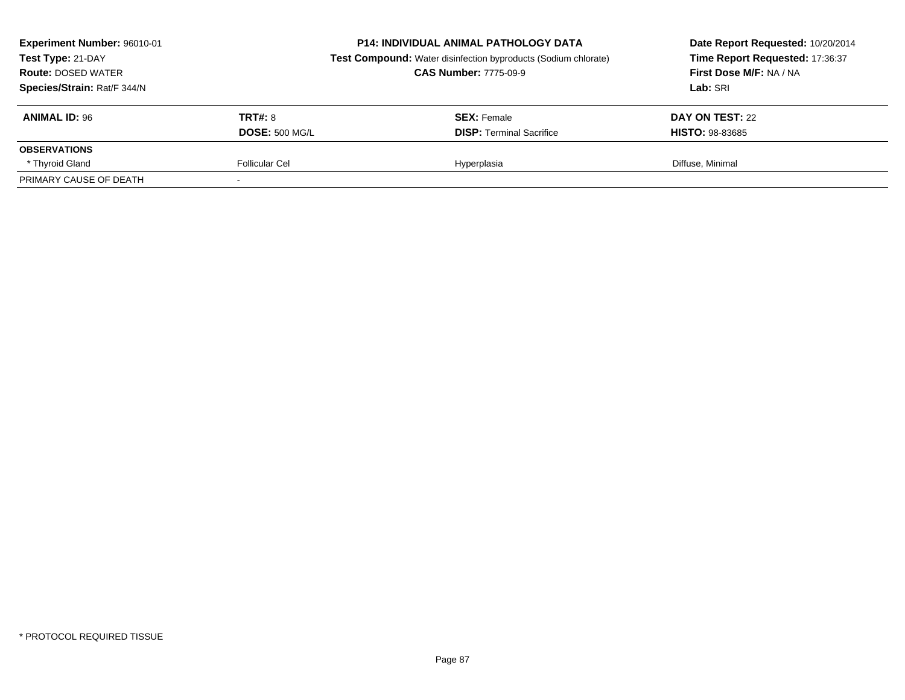| Experiment Number: 96010-01<br><b>P14: INDIVIDUAL ANIMAL PATHOLOGY DATA</b><br>Test Type: 21-DAY<br><b>Test Compound:</b> Water disinfection byproducts (Sodium chlorate)<br><b>CAS Number: 7775-09-9</b><br><b>Route: DOSED WATER</b><br>Species/Strain: Rat/F 344/N |                       |                                 | Date Report Requested: 10/20/2014<br>Time Report Requested: 17:36:37<br>First Dose M/F: NA / NA<br>Lab: SRI |  |
|-----------------------------------------------------------------------------------------------------------------------------------------------------------------------------------------------------------------------------------------------------------------------|-----------------------|---------------------------------|-------------------------------------------------------------------------------------------------------------|--|
| <b>ANIMAL ID: 96</b>                                                                                                                                                                                                                                                  | TRT#: 8               | <b>SEX: Female</b>              | DAY ON TEST: 22                                                                                             |  |
|                                                                                                                                                                                                                                                                       | <b>DOSE: 500 MG/L</b> | <b>DISP:</b> Terminal Sacrifice | <b>HISTO: 98-83685</b>                                                                                      |  |
| <b>OBSERVATIONS</b>                                                                                                                                                                                                                                                   |                       |                                 |                                                                                                             |  |
| * Thyroid Gland                                                                                                                                                                                                                                                       | <b>Follicular Cel</b> | Hyperplasia                     | Diffuse, Minimal                                                                                            |  |
| PRIMARY CAUSE OF DEATH                                                                                                                                                                                                                                                |                       |                                 |                                                                                                             |  |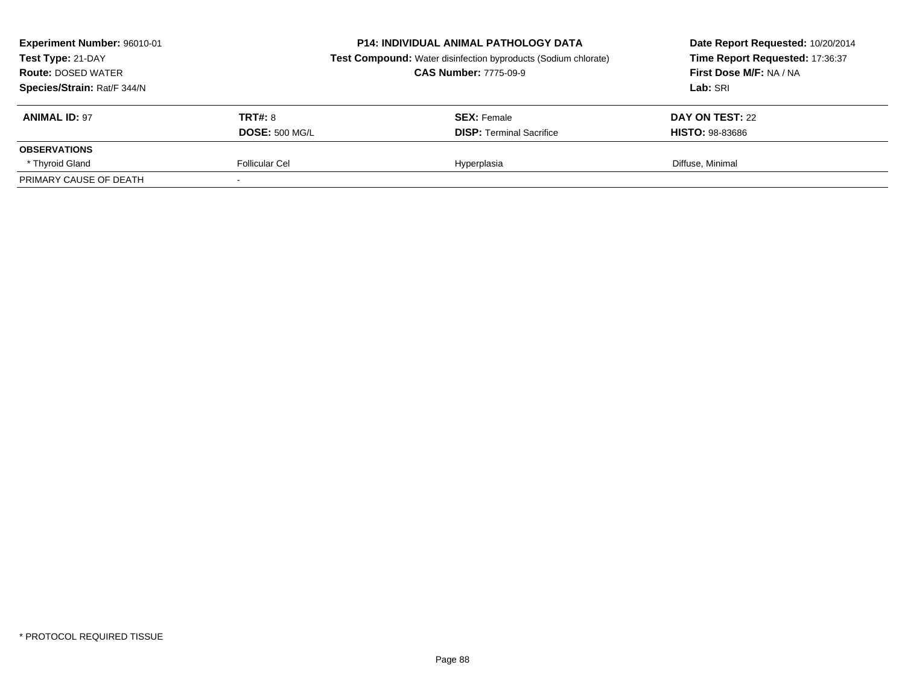| Experiment Number: 96010-01<br><b>P14: INDIVIDUAL ANIMAL PATHOLOGY DATA</b><br>Test Type: 21-DAY<br><b>CAS Number: 7775-09-9</b><br><b>Route: DOSED WATER</b><br>Species/Strain: Rat/F 344/N |                       | <b>Test Compound:</b> Water disinfection byproducts (Sodium chlorate) | Date Report Requested: 10/20/2014<br>Time Report Requested: 17:36:37<br>First Dose M/F: NA / NA<br>Lab: SRI |
|----------------------------------------------------------------------------------------------------------------------------------------------------------------------------------------------|-----------------------|-----------------------------------------------------------------------|-------------------------------------------------------------------------------------------------------------|
| <b>ANIMAL ID: 97</b>                                                                                                                                                                         | <b>TRT#: 8</b>        | <b>SEX:</b> Female                                                    | DAY ON TEST: 22                                                                                             |
|                                                                                                                                                                                              | <b>DOSE: 500 MG/L</b> | <b>DISP:</b> Terminal Sacrifice                                       | <b>HISTO: 98-83686</b>                                                                                      |
| <b>OBSERVATIONS</b>                                                                                                                                                                          |                       |                                                                       |                                                                                                             |
| * Thyroid Gland                                                                                                                                                                              | Follicular Cel        | Hyperplasia                                                           | Diffuse, Minimal                                                                                            |
| PRIMARY CAUSE OF DEATH                                                                                                                                                                       |                       |                                                                       |                                                                                                             |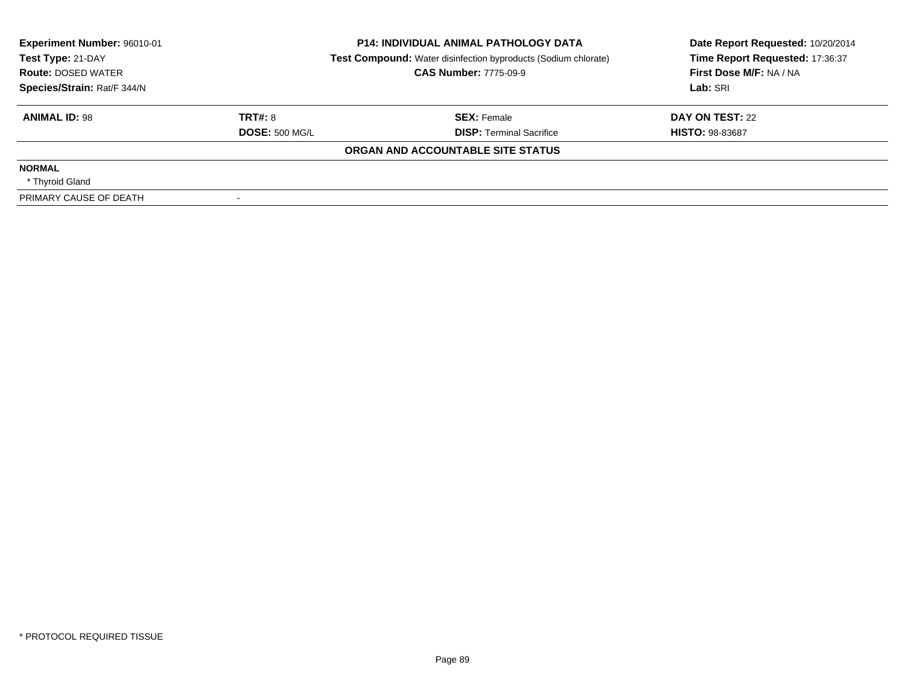| Experiment Number: 96010-01<br>Test Type: 21-DAY | <b>P14: INDIVIDUAL ANIMAL PATHOLOGY DATA</b><br><b>Test Compound:</b> Water disinfection byproducts (Sodium chlorate) |                                   | Date Report Requested: 10/20/2014<br>Time Report Requested: 17:36:37 |  |
|--------------------------------------------------|-----------------------------------------------------------------------------------------------------------------------|-----------------------------------|----------------------------------------------------------------------|--|
| <b>Route: DOSED WATER</b>                        |                                                                                                                       | <b>CAS Number: 7775-09-9</b>      | First Dose M/F: NA / NA                                              |  |
| Species/Strain: Rat/F 344/N                      |                                                                                                                       |                                   | Lab: SRI                                                             |  |
| <b>ANIMAL ID: 98</b>                             | TRT#: 8                                                                                                               | <b>SEX: Female</b>                | DAY ON TEST: 22                                                      |  |
|                                                  | <b>DOSE: 500 MG/L</b>                                                                                                 | <b>DISP:</b> Terminal Sacrifice   | <b>HISTO: 98-83687</b>                                               |  |
|                                                  |                                                                                                                       | ORGAN AND ACCOUNTABLE SITE STATUS |                                                                      |  |
| <b>NORMAL</b>                                    |                                                                                                                       |                                   |                                                                      |  |
| * Thyroid Gland                                  |                                                                                                                       |                                   |                                                                      |  |
| PRIMARY CAUSE OF DEATH                           |                                                                                                                       |                                   |                                                                      |  |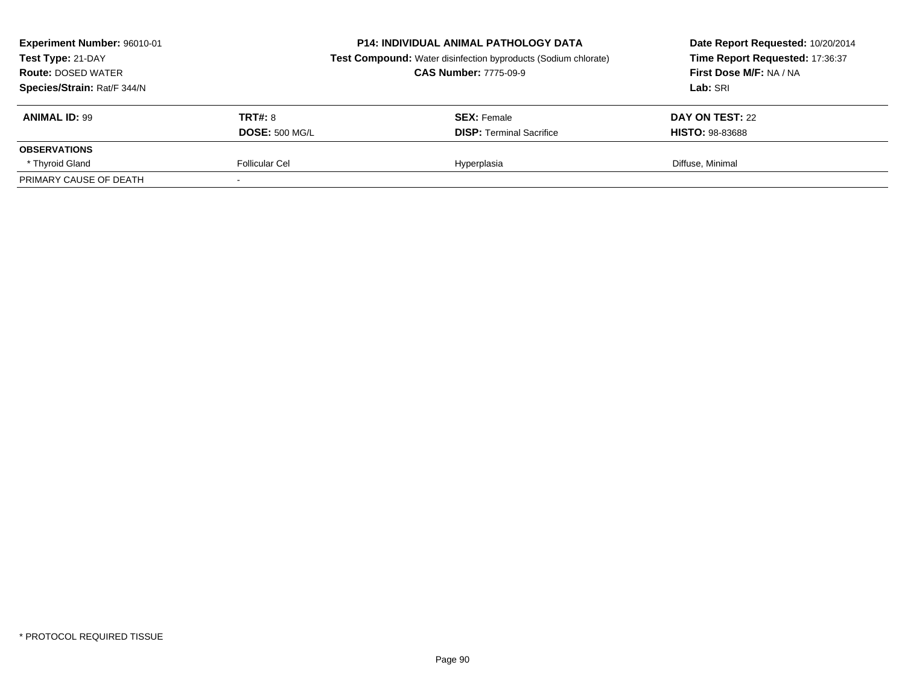| Experiment Number: 96010-01<br>Test Type: 21-DAY<br><b>CAS Number: 7775-09-9</b><br><b>Route: DOSED WATER</b><br>Species/Strain: Rat/F 344/N |                       | <b>P14: INDIVIDUAL ANIMAL PATHOLOGY DATA</b><br><b>Test Compound:</b> Water disinfection byproducts (Sodium chlorate) | Date Report Requested: 10/20/2014<br>Time Report Requested: 17:36:37<br>First Dose M/F: NA / NA<br>Lab: SRI |
|----------------------------------------------------------------------------------------------------------------------------------------------|-----------------------|-----------------------------------------------------------------------------------------------------------------------|-------------------------------------------------------------------------------------------------------------|
| <b>ANIMAL ID: 99</b>                                                                                                                         | <b>TRT#: 8</b>        | <b>SEX:</b> Female                                                                                                    | DAY ON TEST: 22                                                                                             |
|                                                                                                                                              | <b>DOSE: 500 MG/L</b> | <b>DISP:</b> Terminal Sacrifice                                                                                       | <b>HISTO: 98-83688</b>                                                                                      |
| <b>OBSERVATIONS</b>                                                                                                                          |                       |                                                                                                                       |                                                                                                             |
| * Thyroid Gland                                                                                                                              | Follicular Cel        | Hyperplasia                                                                                                           | Diffuse, Minimal                                                                                            |
| PRIMARY CAUSE OF DEATH                                                                                                                       |                       |                                                                                                                       |                                                                                                             |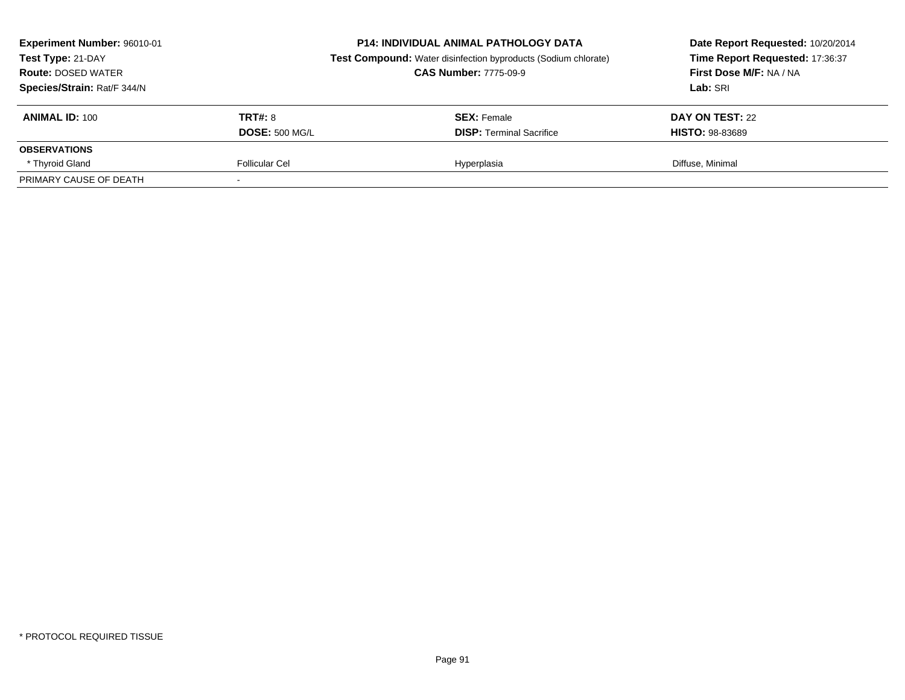| Experiment Number: 96010-01<br>Test Type: 21-DAY<br><b>Route: DOSED WATER</b><br>Species/Strain: Rat/F 344/N |                       | <b>P14: INDIVIDUAL ANIMAL PATHOLOGY DATA</b><br><b>Test Compound:</b> Water disinfection byproducts (Sodium chlorate)<br><b>CAS Number: 7775-09-9</b> | Date Report Requested: 10/20/2014<br>Time Report Requested: 17:36:37<br>First Dose M/F: NA / NA<br>Lab: SRI |
|--------------------------------------------------------------------------------------------------------------|-----------------------|-------------------------------------------------------------------------------------------------------------------------------------------------------|-------------------------------------------------------------------------------------------------------------|
| <b>ANIMAL ID: 100</b>                                                                                        | <b>TRT#: 8</b>        | <b>SEX:</b> Female                                                                                                                                    | DAY ON TEST: 22                                                                                             |
|                                                                                                              | <b>DOSE: 500 MG/L</b> | <b>DISP: Terminal Sacrifice</b>                                                                                                                       | <b>HISTO: 98-83689</b>                                                                                      |
| <b>OBSERVATIONS</b>                                                                                          |                       |                                                                                                                                                       |                                                                                                             |
| * Thyroid Gland                                                                                              | Follicular Cel        | Hyperplasia                                                                                                                                           | Diffuse, Minimal                                                                                            |
| PRIMARY CAUSE OF DEATH                                                                                       |                       |                                                                                                                                                       |                                                                                                             |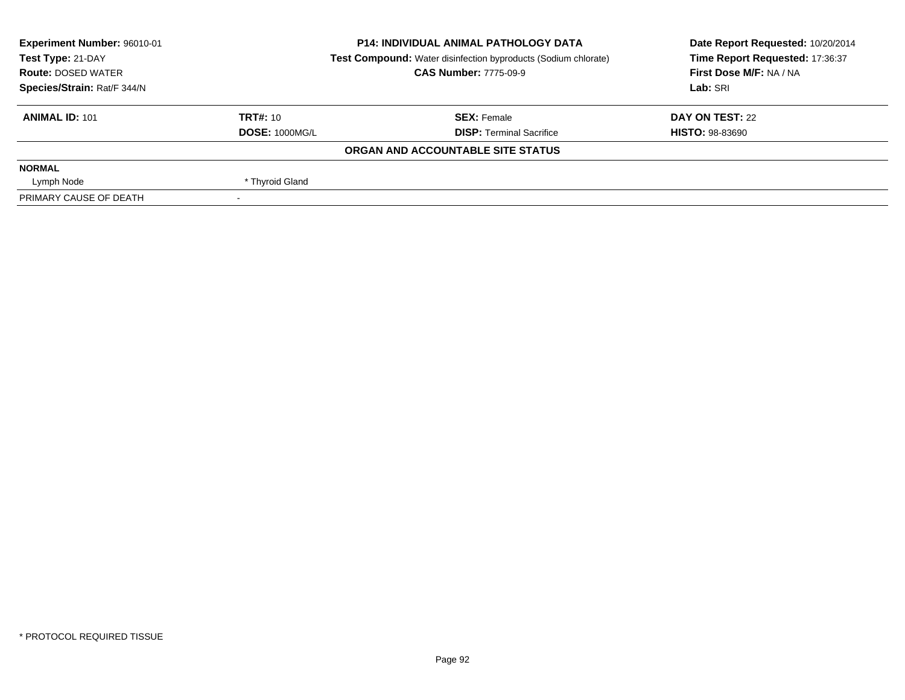| Experiment Number: 96010-01 | <b>P14: INDIVIDUAL ANIMAL PATHOLOGY DATA</b> |                                                                       | Date Report Requested: 10/20/2014 |  |
|-----------------------------|----------------------------------------------|-----------------------------------------------------------------------|-----------------------------------|--|
| Test Type: 21-DAY           |                                              | <b>Test Compound:</b> Water disinfection byproducts (Sodium chlorate) | Time Report Requested: 17:36:37   |  |
| <b>Route: DOSED WATER</b>   |                                              | <b>CAS Number: 7775-09-9</b>                                          | First Dose M/F: NA / NA           |  |
| Species/Strain: Rat/F 344/N |                                              |                                                                       | Lab: SRI                          |  |
| <b>ANIMAL ID: 101</b>       | TRT#: 10                                     | <b>SEX: Female</b>                                                    | DAY ON TEST: 22                   |  |
|                             | <b>DOSE: 1000MG/L</b>                        | <b>DISP: Terminal Sacrifice</b>                                       | <b>HISTO: 98-83690</b>            |  |
|                             |                                              | ORGAN AND ACCOUNTABLE SITE STATUS                                     |                                   |  |
| <b>NORMAL</b>               |                                              |                                                                       |                                   |  |
| Lymph Node                  | * Thyroid Gland                              |                                                                       |                                   |  |
| PRIMARY CAUSE OF DEATH      |                                              |                                                                       |                                   |  |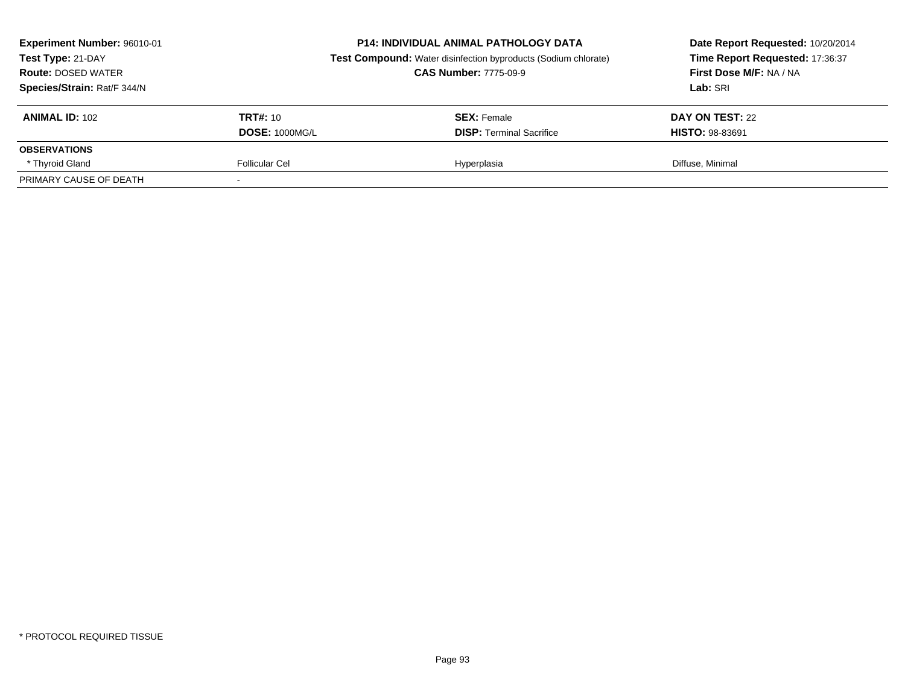| Experiment Number: 96010-01<br><b>P14: INDIVIDUAL ANIMAL PATHOLOGY DATA</b><br><b>Test Compound:</b> Water disinfection byproducts (Sodium chlorate)<br>Test Type: 21-DAY<br><b>CAS Number: 7775-09-9</b><br><b>Route: DOSED WATER</b><br>Species/Strain: Rat/F 344/N |                       | Date Report Requested: 10/20/2014<br>Time Report Requested: 17:36:37<br>First Dose M/F: NA / NA<br>Lab: SRI |                        |
|-----------------------------------------------------------------------------------------------------------------------------------------------------------------------------------------------------------------------------------------------------------------------|-----------------------|-------------------------------------------------------------------------------------------------------------|------------------------|
| <b>ANIMAL ID: 102</b>                                                                                                                                                                                                                                                 | TRT#: 10              | <b>SEX:</b> Female                                                                                          | DAY ON TEST: 22        |
|                                                                                                                                                                                                                                                                       | <b>DOSE: 1000MG/L</b> | <b>DISP:</b> Terminal Sacrifice                                                                             | <b>HISTO: 98-83691</b> |
| <b>OBSERVATIONS</b>                                                                                                                                                                                                                                                   |                       |                                                                                                             |                        |
| * Thyroid Gland                                                                                                                                                                                                                                                       | Follicular Cel        | Hyperplasia                                                                                                 | Diffuse, Minimal       |
| PRIMARY CAUSE OF DEATH                                                                                                                                                                                                                                                |                       |                                                                                                             |                        |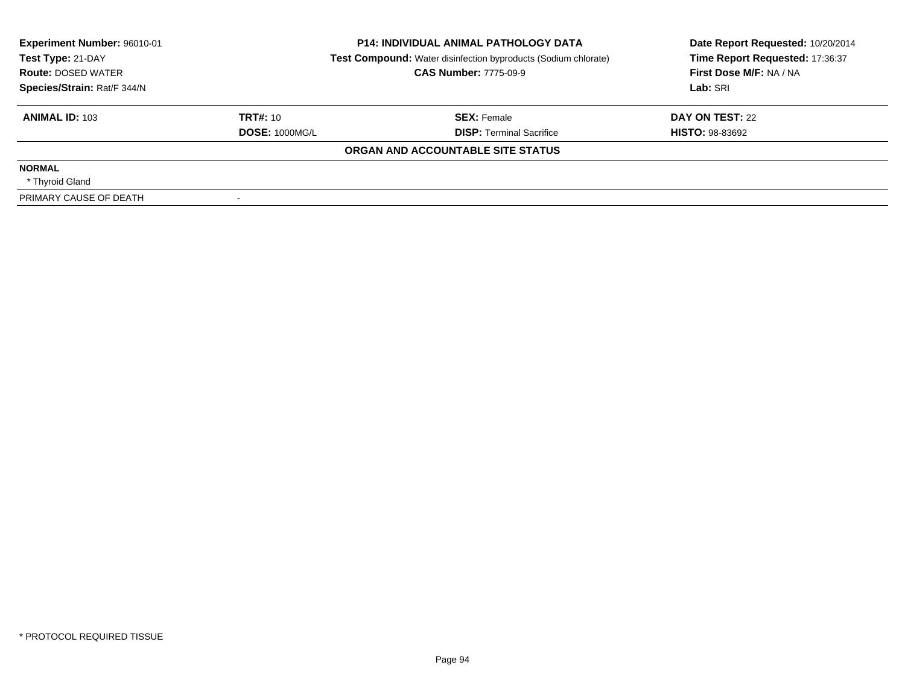| Experiment Number: 96010-01<br>Test Type: 21-DAY | <b>P14: INDIVIDUAL ANIMAL PATHOLOGY DATA</b><br><b>Test Compound:</b> Water disinfection byproducts (Sodium chlorate) |                                   | Date Report Requested: 10/20/2014<br>Time Report Requested: 17:36:37 |  |
|--------------------------------------------------|-----------------------------------------------------------------------------------------------------------------------|-----------------------------------|----------------------------------------------------------------------|--|
| <b>Route: DOSED WATER</b>                        |                                                                                                                       | <b>CAS Number: 7775-09-9</b>      | First Dose M/F: NA / NA                                              |  |
| Species/Strain: Rat/F 344/N                      |                                                                                                                       |                                   | Lab: SRI                                                             |  |
| <b>ANIMAL ID: 103</b>                            | TRT#: 10                                                                                                              | <b>SEX: Female</b>                | DAY ON TEST: 22                                                      |  |
|                                                  | <b>DOSE: 1000MG/L</b>                                                                                                 | <b>DISP:</b> Terminal Sacrifice   | <b>HISTO: 98-83692</b>                                               |  |
|                                                  |                                                                                                                       | ORGAN AND ACCOUNTABLE SITE STATUS |                                                                      |  |
| <b>NORMAL</b>                                    |                                                                                                                       |                                   |                                                                      |  |
| * Thyroid Gland                                  |                                                                                                                       |                                   |                                                                      |  |
| PRIMARY CAUSE OF DEATH                           |                                                                                                                       |                                   |                                                                      |  |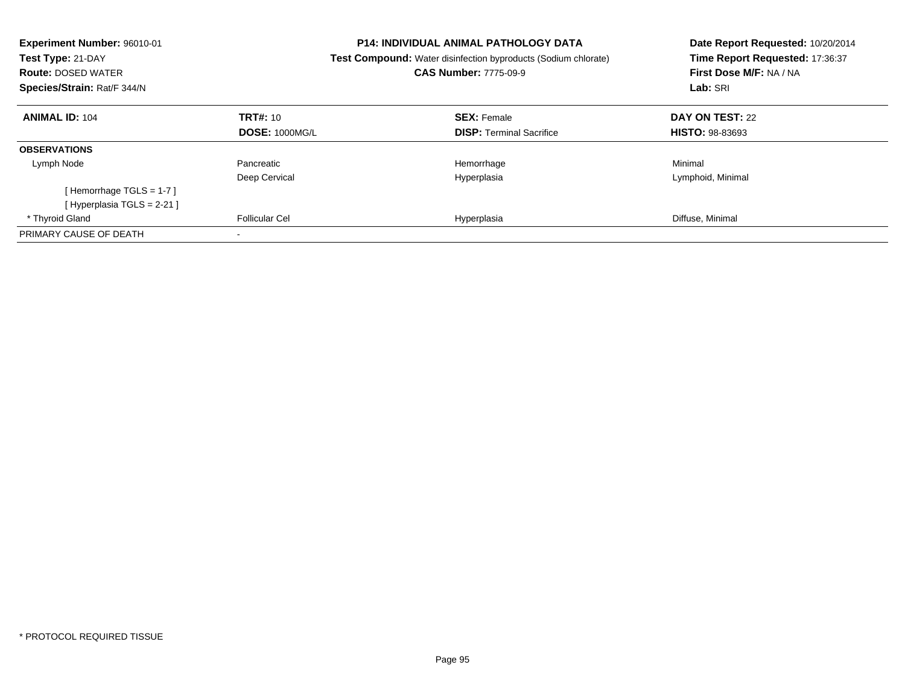| Experiment Number: 96010-01<br>Test Type: 21-DAY<br><b>Route: DOSED WATER</b><br>Species/Strain: Rat/F 344/N |                       | <b>P14: INDIVIDUAL ANIMAL PATHOLOGY DATA</b><br><b>Test Compound:</b> Water disinfection byproducts (Sodium chlorate)<br><b>CAS Number: 7775-09-9</b> | Date Report Requested: 10/20/2014<br>Time Report Requested: 17:36:37<br>First Dose M/F: NA / NA<br>Lab: SRI |
|--------------------------------------------------------------------------------------------------------------|-----------------------|-------------------------------------------------------------------------------------------------------------------------------------------------------|-------------------------------------------------------------------------------------------------------------|
| <b>ANIMAL ID: 104</b>                                                                                        | <b>TRT#: 10</b>       | <b>SEX: Female</b>                                                                                                                                    | DAY ON TEST: 22                                                                                             |
|                                                                                                              | <b>DOSE: 1000MG/L</b> | <b>DISP:</b> Terminal Sacrifice                                                                                                                       | <b>HISTO: 98-83693</b>                                                                                      |
| <b>OBSERVATIONS</b>                                                                                          |                       |                                                                                                                                                       |                                                                                                             |
| Lymph Node                                                                                                   | Pancreatic            | Hemorrhage                                                                                                                                            | Minimal                                                                                                     |
|                                                                                                              | Deep Cervical         | Hyperplasia                                                                                                                                           | Lymphoid, Minimal                                                                                           |
| [Hemorrhage TGLS = $1-7$ ]                                                                                   |                       |                                                                                                                                                       |                                                                                                             |
| [Hyperplasia TGLS = $2-21$ ]                                                                                 |                       |                                                                                                                                                       |                                                                                                             |
| * Thyroid Gland                                                                                              | <b>Follicular Cel</b> | Hyperplasia                                                                                                                                           | Diffuse, Minimal                                                                                            |
| PRIMARY CAUSE OF DEATH                                                                                       |                       |                                                                                                                                                       |                                                                                                             |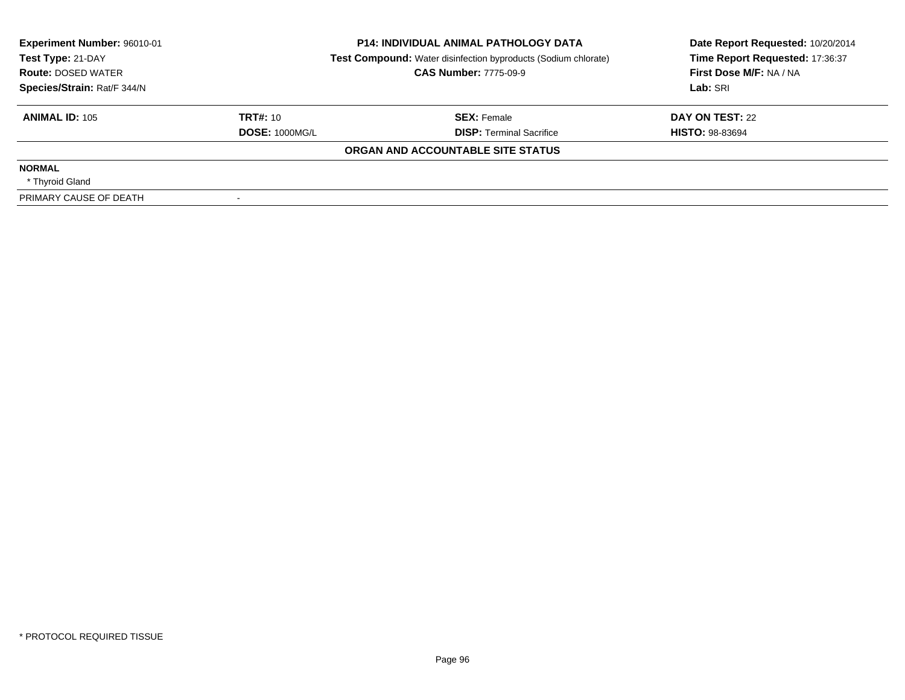| Experiment Number: 96010-01<br>Test Type: 21-DAY<br><b>Route: DOSED WATER</b> | <b>P14: INDIVIDUAL ANIMAL PATHOLOGY DATA</b><br><b>Test Compound:</b> Water disinfection byproducts (Sodium chlorate)<br><b>CAS Number: 7775-09-9</b> |                                   | Date Report Requested: 10/20/2014<br>Time Report Requested: 17:36:37<br>First Dose M/F: NA / NA |  |
|-------------------------------------------------------------------------------|-------------------------------------------------------------------------------------------------------------------------------------------------------|-----------------------------------|-------------------------------------------------------------------------------------------------|--|
| Species/Strain: Rat/F 344/N                                                   |                                                                                                                                                       |                                   | Lab: SRI                                                                                        |  |
| <b>ANIMAL ID: 105</b>                                                         | TRT#: 10                                                                                                                                              | <b>SEX: Female</b>                | DAY ON TEST: 22                                                                                 |  |
|                                                                               | <b>DOSE: 1000MG/L</b>                                                                                                                                 | <b>DISP:</b> Terminal Sacrifice   | <b>HISTO: 98-83694</b>                                                                          |  |
|                                                                               |                                                                                                                                                       | ORGAN AND ACCOUNTABLE SITE STATUS |                                                                                                 |  |
| <b>NORMAL</b>                                                                 |                                                                                                                                                       |                                   |                                                                                                 |  |
| * Thyroid Gland                                                               |                                                                                                                                                       |                                   |                                                                                                 |  |
| PRIMARY CAUSE OF DEATH                                                        |                                                                                                                                                       |                                   |                                                                                                 |  |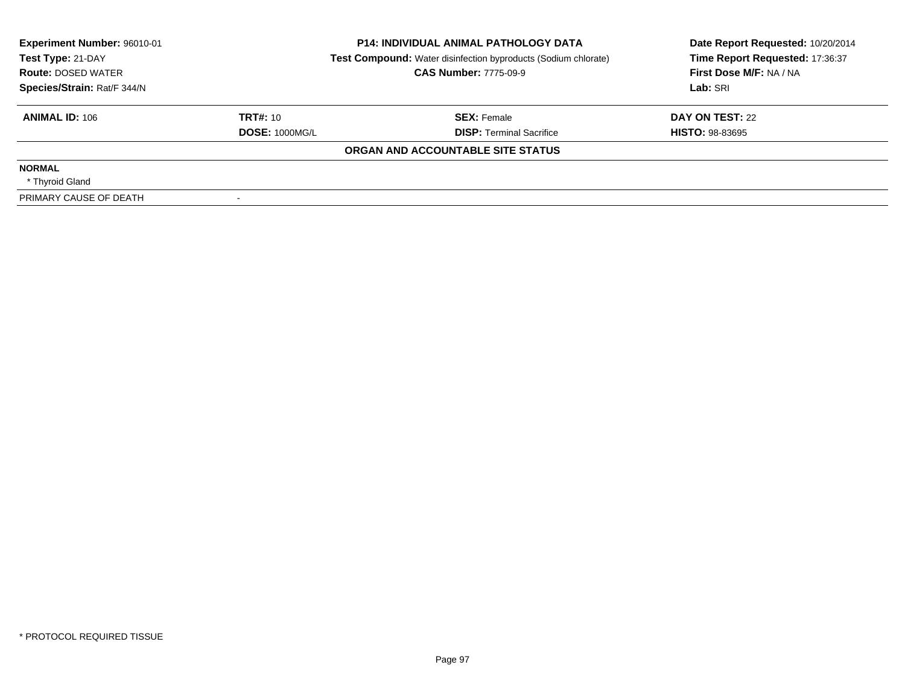| Experiment Number: 96010-01<br>Test Type: 21-DAY<br><b>Route: DOSED WATER</b> | <b>P14: INDIVIDUAL ANIMAL PATHOLOGY DATA</b><br><b>Test Compound:</b> Water disinfection byproducts (Sodium chlorate)<br><b>CAS Number: 7775-09-9</b> |                                   | Date Report Requested: 10/20/2014<br>Time Report Requested: 17:36:37<br>First Dose M/F: NA / NA |  |
|-------------------------------------------------------------------------------|-------------------------------------------------------------------------------------------------------------------------------------------------------|-----------------------------------|-------------------------------------------------------------------------------------------------|--|
| Species/Strain: Rat/F 344/N                                                   |                                                                                                                                                       |                                   | Lab: SRI                                                                                        |  |
|                                                                               |                                                                                                                                                       |                                   |                                                                                                 |  |
| <b>ANIMAL ID: 106</b>                                                         | TRT#: 10                                                                                                                                              | <b>SEX: Female</b>                | DAY ON TEST: 22                                                                                 |  |
|                                                                               | <b>DOSE: 1000MG/L</b>                                                                                                                                 | <b>DISP:</b> Terminal Sacrifice   | <b>HISTO: 98-83695</b>                                                                          |  |
|                                                                               |                                                                                                                                                       | ORGAN AND ACCOUNTABLE SITE STATUS |                                                                                                 |  |
| <b>NORMAL</b>                                                                 |                                                                                                                                                       |                                   |                                                                                                 |  |
| * Thyroid Gland                                                               |                                                                                                                                                       |                                   |                                                                                                 |  |
| PRIMARY CAUSE OF DEATH                                                        |                                                                                                                                                       |                                   |                                                                                                 |  |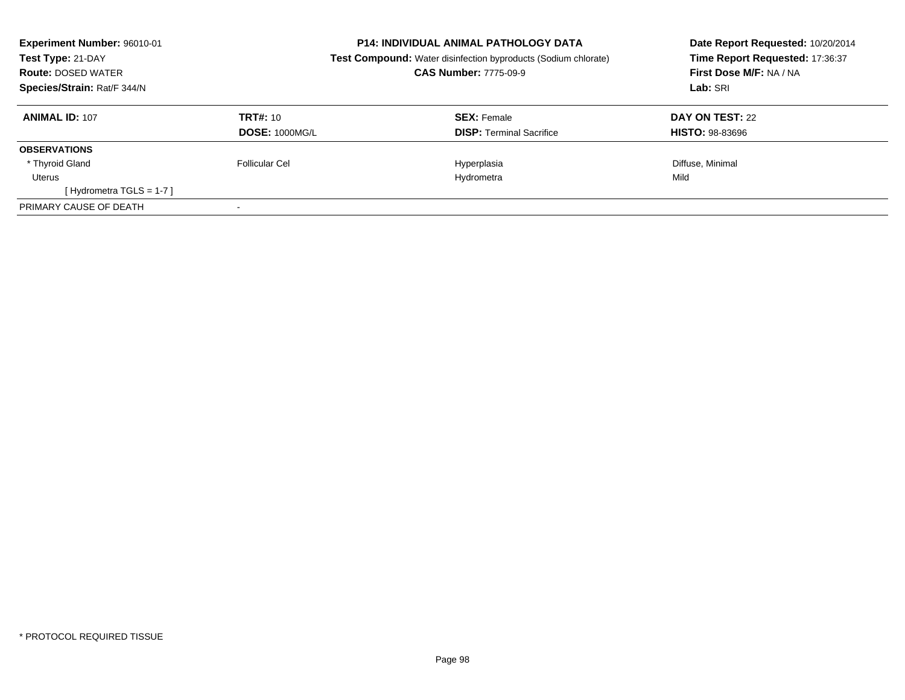| Experiment Number: 96010-01<br>Test Type: 21-DAY<br><b>Route: DOSED WATER</b><br>Species/Strain: Rat/F 344/N |                       | <b>P14: INDIVIDUAL ANIMAL PATHOLOGY DATA</b><br><b>Test Compound:</b> Water disinfection byproducts (Sodium chlorate)<br><b>CAS Number: 7775-09-9</b> | Date Report Requested: 10/20/2014<br>Time Report Requested: 17:36:37<br>First Dose M/F: NA / NA<br>Lab: SRI |
|--------------------------------------------------------------------------------------------------------------|-----------------------|-------------------------------------------------------------------------------------------------------------------------------------------------------|-------------------------------------------------------------------------------------------------------------|
| <b>ANIMAL ID: 107</b>                                                                                        | TRT#: 10              | <b>SEX: Female</b>                                                                                                                                    | DAY ON TEST: 22                                                                                             |
|                                                                                                              | <b>DOSE: 1000MG/L</b> | <b>DISP:</b> Terminal Sacrifice                                                                                                                       | <b>HISTO: 98-83696</b>                                                                                      |
| <b>OBSERVATIONS</b>                                                                                          |                       |                                                                                                                                                       |                                                                                                             |
| * Thyroid Gland                                                                                              | Follicular Cel        | Hyperplasia                                                                                                                                           | Diffuse, Minimal                                                                                            |
| Uterus                                                                                                       |                       | Hydrometra                                                                                                                                            | Mild                                                                                                        |
| [Hydrometra TGLS = $1-7$ ]                                                                                   |                       |                                                                                                                                                       |                                                                                                             |
| PRIMARY CAUSE OF DEATH                                                                                       |                       |                                                                                                                                                       |                                                                                                             |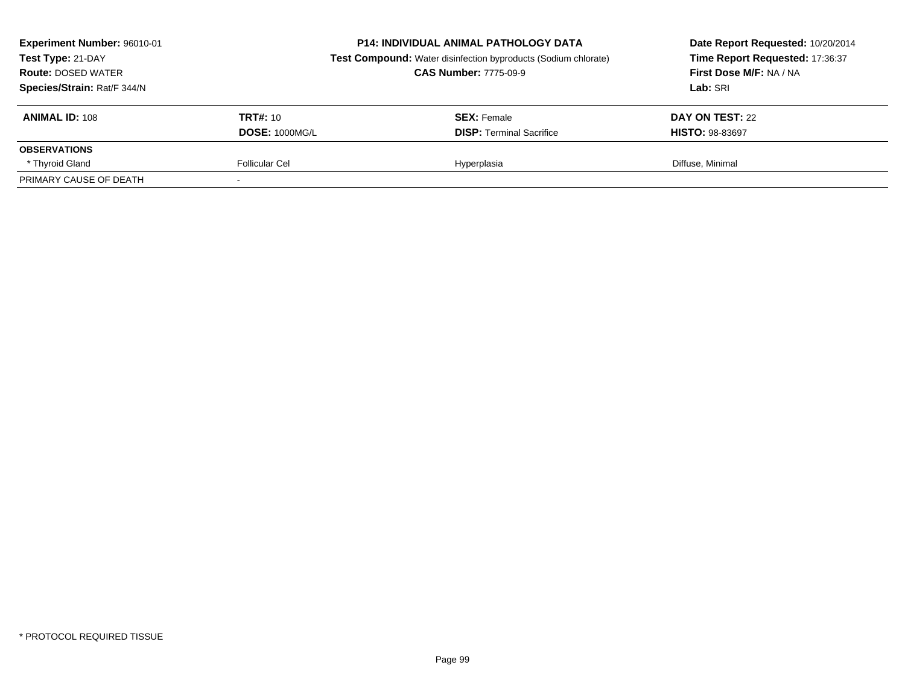| Experiment Number: 96010-01<br>Test Type: 21-DAY<br><b>Route: DOSED WATER</b><br>Species/Strain: Rat/F 344/N |                       | <b>P14: INDIVIDUAL ANIMAL PATHOLOGY DATA</b><br><b>Test Compound:</b> Water disinfection byproducts (Sodium chlorate)<br><b>CAS Number: 7775-09-9</b> | Date Report Requested: 10/20/2014<br>Time Report Requested: 17:36:37<br>First Dose M/F: NA / NA<br>Lab: SRI |  |
|--------------------------------------------------------------------------------------------------------------|-----------------------|-------------------------------------------------------------------------------------------------------------------------------------------------------|-------------------------------------------------------------------------------------------------------------|--|
| <b>ANIMAL ID: 108</b>                                                                                        | TRT#: 10              | <b>SEX:</b> Female                                                                                                                                    | DAY ON TEST: 22                                                                                             |  |
|                                                                                                              | <b>DOSE: 1000MG/L</b> | <b>DISP:</b> Terminal Sacrifice                                                                                                                       | <b>HISTO: 98-83697</b>                                                                                      |  |
| <b>OBSERVATIONS</b>                                                                                          |                       |                                                                                                                                                       |                                                                                                             |  |
| * Thyroid Gland                                                                                              | Follicular Cel        | Hyperplasia                                                                                                                                           | Diffuse, Minimal                                                                                            |  |
| PRIMARY CAUSE OF DEATH                                                                                       |                       |                                                                                                                                                       |                                                                                                             |  |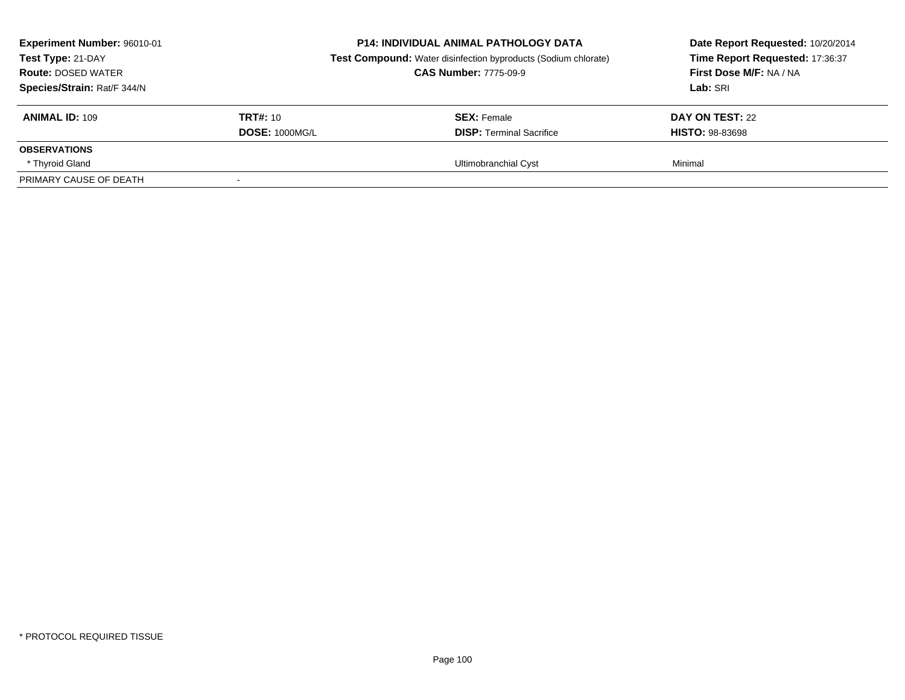| Experiment Number: 96010-01<br>Test Type: 21-DAY<br><b>Route: DOSED WATER</b><br>Species/Strain: Rat/F 344/N |                       | <b>P14: INDIVIDUAL ANIMAL PATHOLOGY DATA</b><br><b>Test Compound:</b> Water disinfection byproducts (Sodium chlorate)<br><b>CAS Number: 7775-09-9</b> | Date Report Requested: 10/20/2014<br>Time Report Requested: 17:36:37<br>First Dose M/F: NA / NA<br>Lab: SRI |  |
|--------------------------------------------------------------------------------------------------------------|-----------------------|-------------------------------------------------------------------------------------------------------------------------------------------------------|-------------------------------------------------------------------------------------------------------------|--|
| <b>ANIMAL ID: 109</b>                                                                                        | <b>TRT#:</b> 10       | <b>SEX:</b> Female                                                                                                                                    | DAY ON TEST: 22                                                                                             |  |
|                                                                                                              | <b>DOSE: 1000MG/L</b> | <b>DISP: Terminal Sacrifice</b>                                                                                                                       | <b>HISTO: 98-83698</b>                                                                                      |  |
| <b>OBSERVATIONS</b>                                                                                          |                       |                                                                                                                                                       |                                                                                                             |  |
| * Thyroid Gland                                                                                              |                       | Ultimobranchial Cyst                                                                                                                                  | Minimal                                                                                                     |  |
| PRIMARY CAUSE OF DEATH                                                                                       |                       |                                                                                                                                                       |                                                                                                             |  |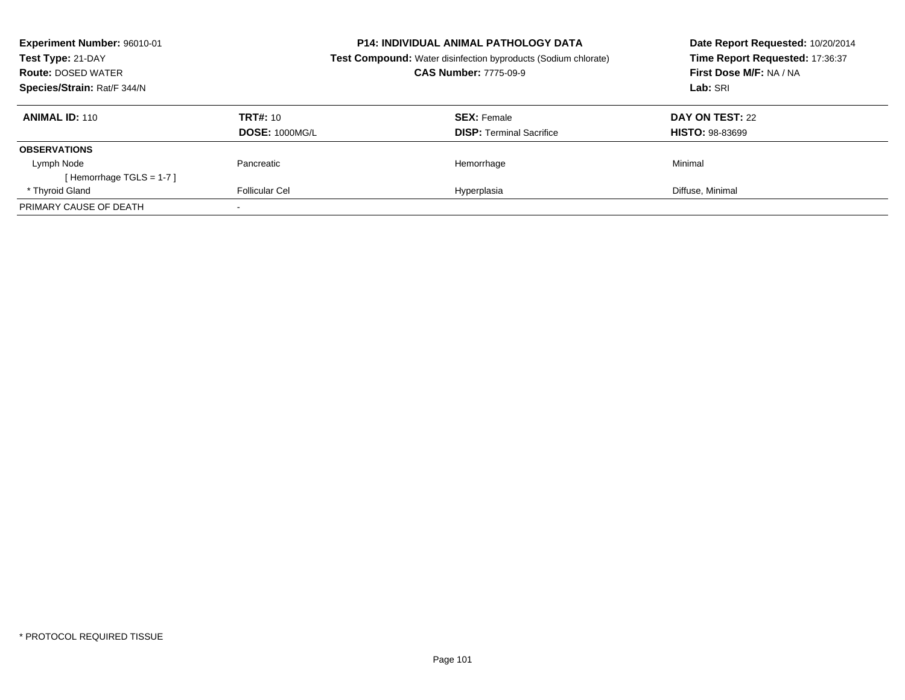| <b>Experiment Number: 96010-01</b><br>Test Type: 21-DAY<br><b>Route: DOSED WATER</b><br>Species/Strain: Rat/F 344/N |                                   | <b>P14: INDIVIDUAL ANIMAL PATHOLOGY DATA</b><br><b>Test Compound:</b> Water disinfection byproducts (Sodium chlorate)<br><b>CAS Number: 7775-09-9</b> | Date Report Requested: 10/20/2014<br>Time Report Requested: 17:36:37<br>First Dose M/F: NA / NA<br>Lab: SRI |
|---------------------------------------------------------------------------------------------------------------------|-----------------------------------|-------------------------------------------------------------------------------------------------------------------------------------------------------|-------------------------------------------------------------------------------------------------------------|
| <b>ANIMAL ID: 110</b>                                                                                               | TRT#: 10<br><b>DOSE: 1000MG/L</b> | <b>SEX: Female</b><br><b>DISP:</b> Terminal Sacrifice                                                                                                 | DAY ON TEST: 22<br><b>HISTO: 98-83699</b>                                                                   |
| <b>OBSERVATIONS</b>                                                                                                 |                                   |                                                                                                                                                       |                                                                                                             |
| Lymph Node<br>[Hemorrhage TGLS = $1-7$ ]                                                                            | Pancreatic                        | Hemorrhage                                                                                                                                            | Minimal                                                                                                     |
| * Thyroid Gland                                                                                                     | Follicular Cel                    | Hyperplasia                                                                                                                                           | Diffuse, Minimal                                                                                            |
| PRIMARY CAUSE OF DEATH                                                                                              |                                   |                                                                                                                                                       |                                                                                                             |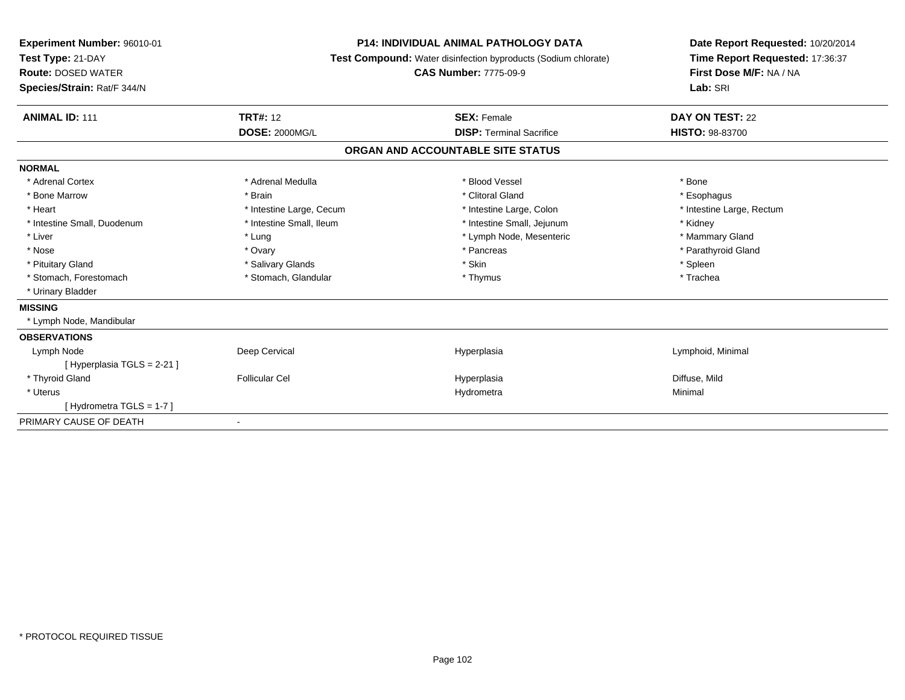| <b>Experiment Number: 96010-01</b> | <b>P14: INDIVIDUAL ANIMAL PATHOLOGY DATA</b><br><b>Test Compound:</b> Water disinfection byproducts (Sodium chlorate) |                                   | Date Report Requested: 10/20/2014 |  |
|------------------------------------|-----------------------------------------------------------------------------------------------------------------------|-----------------------------------|-----------------------------------|--|
| Test Type: 21-DAY                  |                                                                                                                       |                                   | Time Report Requested: 17:36:37   |  |
| <b>Route: DOSED WATER</b>          |                                                                                                                       | <b>CAS Number: 7775-09-9</b>      | First Dose M/F: NA / NA           |  |
| Species/Strain: Rat/F 344/N        |                                                                                                                       |                                   | Lab: SRI                          |  |
| <b>ANIMAL ID: 111</b>              | <b>TRT#: 12</b>                                                                                                       | <b>SEX: Female</b>                | DAY ON TEST: 22                   |  |
|                                    | <b>DOSE: 2000MG/L</b>                                                                                                 | <b>DISP: Terminal Sacrifice</b>   | HISTO: 98-83700                   |  |
|                                    |                                                                                                                       | ORGAN AND ACCOUNTABLE SITE STATUS |                                   |  |
| <b>NORMAL</b>                      |                                                                                                                       |                                   |                                   |  |
| * Adrenal Cortex                   | * Adrenal Medulla                                                                                                     | * Blood Vessel                    | * Bone                            |  |
| * Bone Marrow                      | * Brain                                                                                                               | * Clitoral Gland                  | * Esophagus                       |  |
| * Heart                            | * Intestine Large, Cecum                                                                                              | * Intestine Large, Colon          | * Intestine Large, Rectum         |  |
| * Intestine Small, Duodenum        | * Intestine Small, Ileum                                                                                              | * Intestine Small, Jejunum        | * Kidney                          |  |
| * Liver                            | * Lung                                                                                                                | * Lymph Node, Mesenteric          | * Mammary Gland                   |  |
| * Nose                             | * Ovary                                                                                                               | * Pancreas                        | * Parathyroid Gland               |  |
| * Pituitary Gland                  | * Salivary Glands                                                                                                     | * Skin                            | * Spleen                          |  |
| * Stomach, Forestomach             | * Stomach, Glandular                                                                                                  | * Thymus                          | * Trachea                         |  |
| * Urinary Bladder                  |                                                                                                                       |                                   |                                   |  |
| <b>MISSING</b>                     |                                                                                                                       |                                   |                                   |  |
| * Lymph Node, Mandibular           |                                                                                                                       |                                   |                                   |  |
| <b>OBSERVATIONS</b>                |                                                                                                                       |                                   |                                   |  |
| Lymph Node                         | Deep Cervical                                                                                                         | Hyperplasia                       | Lymphoid, Minimal                 |  |
| [Hyperplasia TGLS = $2-21$ ]       |                                                                                                                       |                                   |                                   |  |
| * Thyroid Gland                    | <b>Follicular Cel</b>                                                                                                 | Hyperplasia                       | Diffuse, Mild                     |  |
| * Uterus                           |                                                                                                                       | Hydrometra                        | Minimal                           |  |
| [Hydrometra TGLS = 1-7]            |                                                                                                                       |                                   |                                   |  |
| PRIMARY CAUSE OF DEATH             |                                                                                                                       |                                   |                                   |  |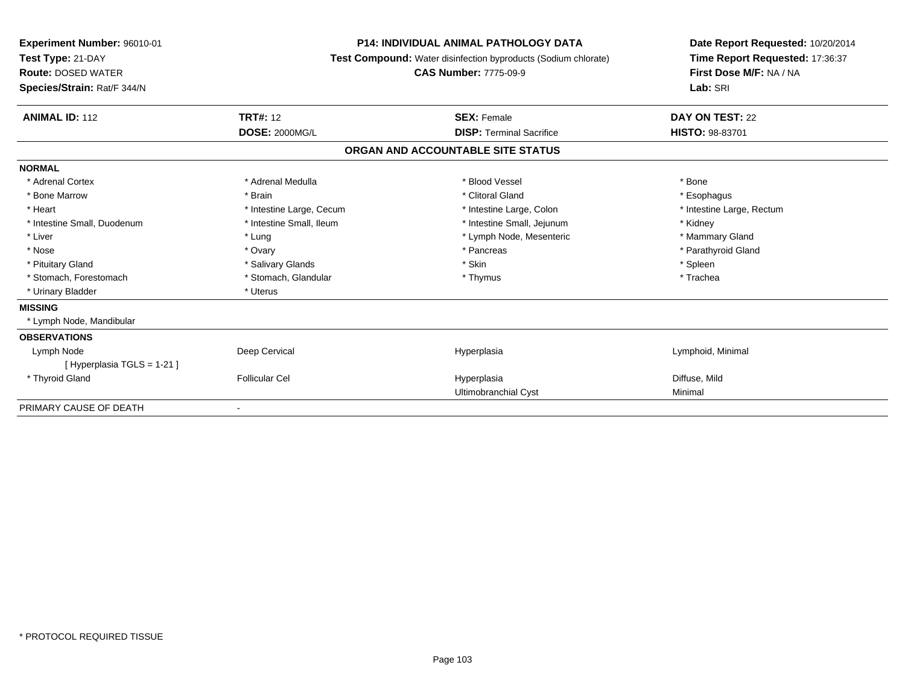| <b>Experiment Number: 96010-01</b><br>Test Type: 21-DAY<br><b>Route: DOSED WATER</b><br>Species/Strain: Rat/F 344/N | <b>P14: INDIVIDUAL ANIMAL PATHOLOGY DATA</b><br><b>Test Compound:</b> Water disinfection byproducts (Sodium chlorate)<br><b>CAS Number: 7775-09-9</b> |                                   | Date Report Requested: 10/20/2014<br>Time Report Requested: 17:36:37<br>First Dose M/F: NA / NA<br>Lab: SRI |
|---------------------------------------------------------------------------------------------------------------------|-------------------------------------------------------------------------------------------------------------------------------------------------------|-----------------------------------|-------------------------------------------------------------------------------------------------------------|
| <b>ANIMAL ID: 112</b>                                                                                               | <b>TRT#: 12</b>                                                                                                                                       | <b>SEX: Female</b>                | DAY ON TEST: 22                                                                                             |
|                                                                                                                     | <b>DOSE: 2000MG/L</b>                                                                                                                                 | <b>DISP: Terminal Sacrifice</b>   | HISTO: 98-83701                                                                                             |
|                                                                                                                     |                                                                                                                                                       | ORGAN AND ACCOUNTABLE SITE STATUS |                                                                                                             |
| <b>NORMAL</b>                                                                                                       |                                                                                                                                                       |                                   |                                                                                                             |
| * Adrenal Cortex                                                                                                    | * Adrenal Medulla                                                                                                                                     | * Blood Vessel                    | * Bone                                                                                                      |
| * Bone Marrow                                                                                                       | * Brain                                                                                                                                               | * Clitoral Gland                  | * Esophagus                                                                                                 |
| * Heart                                                                                                             | * Intestine Large, Cecum                                                                                                                              | * Intestine Large, Colon          | * Intestine Large, Rectum                                                                                   |
| * Intestine Small, Duodenum                                                                                         | * Intestine Small, Ileum                                                                                                                              | * Intestine Small, Jejunum        | * Kidney                                                                                                    |
| * Liver                                                                                                             | * Lung                                                                                                                                                | * Lymph Node, Mesenteric          | * Mammary Gland                                                                                             |
| * Nose                                                                                                              | * Ovary                                                                                                                                               | * Pancreas                        | * Parathyroid Gland                                                                                         |
| * Pituitary Gland                                                                                                   | * Salivary Glands                                                                                                                                     | * Skin                            | * Spleen                                                                                                    |
| * Stomach, Forestomach                                                                                              | * Stomach, Glandular                                                                                                                                  | * Thymus                          | * Trachea                                                                                                   |
| * Urinary Bladder                                                                                                   | * Uterus                                                                                                                                              |                                   |                                                                                                             |
| <b>MISSING</b>                                                                                                      |                                                                                                                                                       |                                   |                                                                                                             |
| * Lymph Node, Mandibular                                                                                            |                                                                                                                                                       |                                   |                                                                                                             |
| <b>OBSERVATIONS</b>                                                                                                 |                                                                                                                                                       |                                   |                                                                                                             |
| Lymph Node                                                                                                          | Deep Cervical                                                                                                                                         | Hyperplasia                       | Lymphoid, Minimal                                                                                           |
| [Hyperplasia TGLS = 1-21]                                                                                           |                                                                                                                                                       |                                   |                                                                                                             |
| * Thyroid Gland                                                                                                     | <b>Follicular Cel</b>                                                                                                                                 | Hyperplasia                       | Diffuse, Mild                                                                                               |
|                                                                                                                     |                                                                                                                                                       | Ultimobranchial Cyst              | Minimal                                                                                                     |
| PRIMARY CAUSE OF DEATH                                                                                              |                                                                                                                                                       |                                   |                                                                                                             |

-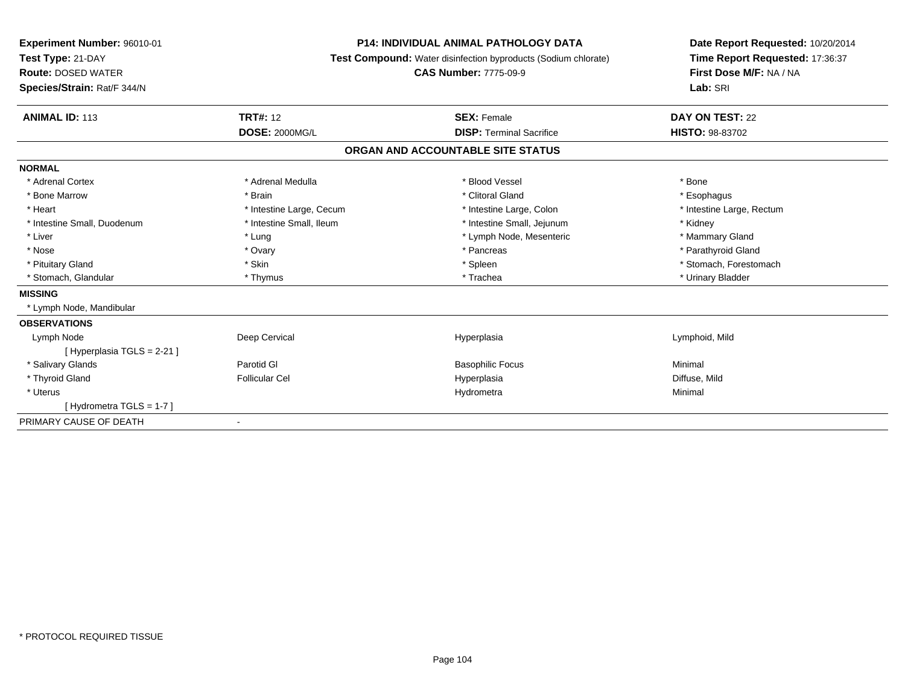| Experiment Number: 96010-01<br>Test Type: 21-DAY | <b>P14: INDIVIDUAL ANIMAL PATHOLOGY DATA</b><br>Test Compound: Water disinfection byproducts (Sodium chlorate)<br><b>CAS Number: 7775-09-9</b> |                                   | Date Report Requested: 10/20/2014<br>Time Report Requested: 17:36:37 |
|--------------------------------------------------|------------------------------------------------------------------------------------------------------------------------------------------------|-----------------------------------|----------------------------------------------------------------------|
| <b>Route: DOSED WATER</b>                        |                                                                                                                                                |                                   | First Dose M/F: NA / NA                                              |
| Species/Strain: Rat/F 344/N                      |                                                                                                                                                |                                   | Lab: SRI                                                             |
|                                                  |                                                                                                                                                |                                   |                                                                      |
| <b>ANIMAL ID: 113</b>                            | <b>TRT#: 12</b>                                                                                                                                | <b>SEX: Female</b>                | DAY ON TEST: 22                                                      |
|                                                  | <b>DOSE: 2000MG/L</b>                                                                                                                          | <b>DISP: Terminal Sacrifice</b>   | <b>HISTO: 98-83702</b>                                               |
|                                                  |                                                                                                                                                | ORGAN AND ACCOUNTABLE SITE STATUS |                                                                      |
| <b>NORMAL</b>                                    |                                                                                                                                                |                                   |                                                                      |
| * Adrenal Cortex                                 | * Adrenal Medulla                                                                                                                              | * Blood Vessel                    | * Bone                                                               |
| * Bone Marrow                                    | * Brain                                                                                                                                        | * Clitoral Gland                  | * Esophagus                                                          |
| * Heart                                          | * Intestine Large, Cecum                                                                                                                       | * Intestine Large, Colon          | * Intestine Large, Rectum                                            |
| * Intestine Small, Duodenum                      | * Intestine Small, Ileum                                                                                                                       | * Intestine Small, Jejunum        | * Kidney                                                             |
| * Liver                                          | * Lung                                                                                                                                         | * Lymph Node, Mesenteric          | * Mammary Gland                                                      |
| * Nose                                           | * Ovary                                                                                                                                        | * Pancreas                        | * Parathyroid Gland                                                  |
| * Pituitary Gland                                | * Skin                                                                                                                                         | * Spleen                          | * Stomach, Forestomach                                               |
| * Stomach, Glandular                             | * Thymus                                                                                                                                       | * Trachea                         | * Urinary Bladder                                                    |
| <b>MISSING</b>                                   |                                                                                                                                                |                                   |                                                                      |
| * Lymph Node, Mandibular                         |                                                                                                                                                |                                   |                                                                      |
| <b>OBSERVATIONS</b>                              |                                                                                                                                                |                                   |                                                                      |
| Lymph Node                                       | Deep Cervical                                                                                                                                  | Hyperplasia                       | Lymphoid, Mild                                                       |
| [Hyperplasia TGLS = 2-21]                        |                                                                                                                                                |                                   |                                                                      |
| * Salivary Glands                                | Parotid GI                                                                                                                                     | <b>Basophilic Focus</b>           | Minimal                                                              |
| * Thyroid Gland                                  | <b>Follicular Cel</b>                                                                                                                          | Hyperplasia                       | Diffuse, Mild                                                        |
| * Uterus                                         |                                                                                                                                                | Hydrometra                        | Minimal                                                              |
| [Hydrometra TGLS = 1-7]                          |                                                                                                                                                |                                   |                                                                      |
| PRIMARY CAUSE OF DEATH                           | $\overline{\phantom{a}}$                                                                                                                       |                                   |                                                                      |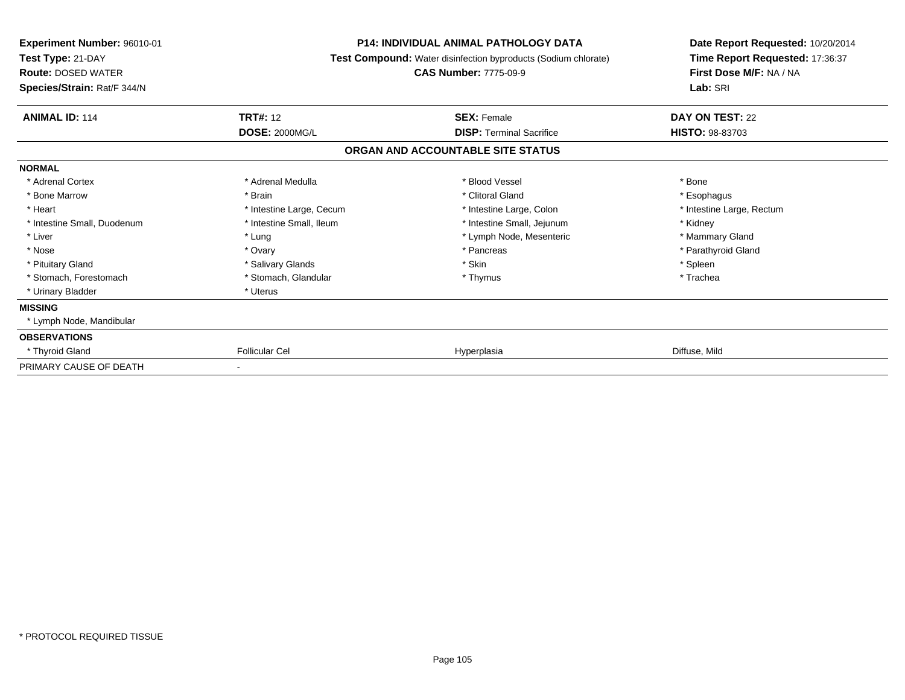| Experiment Number: 96010-01<br>Test Type: 21-DAY<br><b>Route: DOSED WATER</b><br>Species/Strain: Rat/F 344/N | P14: INDIVIDUAL ANIMAL PATHOLOGY DATA<br>Test Compound: Water disinfection byproducts (Sodium chlorate)<br><b>CAS Number: 7775-09-9</b> |                                   | Date Report Requested: 10/20/2014<br>Time Report Requested: 17:36:37<br>First Dose M/F: NA / NA<br>Lab: SRI |
|--------------------------------------------------------------------------------------------------------------|-----------------------------------------------------------------------------------------------------------------------------------------|-----------------------------------|-------------------------------------------------------------------------------------------------------------|
| <b>ANIMAL ID: 114</b>                                                                                        | <b>TRT#: 12</b>                                                                                                                         | <b>SEX: Female</b>                | DAY ON TEST: 22                                                                                             |
|                                                                                                              | <b>DOSE: 2000MG/L</b>                                                                                                                   | <b>DISP: Terminal Sacrifice</b>   | <b>HISTO: 98-83703</b>                                                                                      |
|                                                                                                              |                                                                                                                                         | ORGAN AND ACCOUNTABLE SITE STATUS |                                                                                                             |
| <b>NORMAL</b>                                                                                                |                                                                                                                                         |                                   |                                                                                                             |
| * Adrenal Cortex                                                                                             | * Adrenal Medulla                                                                                                                       | * Blood Vessel                    | * Bone                                                                                                      |
| * Bone Marrow                                                                                                | * Brain                                                                                                                                 | * Clitoral Gland                  | * Esophagus                                                                                                 |
| * Heart                                                                                                      | * Intestine Large, Cecum                                                                                                                | * Intestine Large, Colon          | * Intestine Large, Rectum                                                                                   |
| * Intestine Small, Duodenum                                                                                  | * Intestine Small, Ileum                                                                                                                | * Intestine Small, Jejunum        | * Kidney                                                                                                    |
| * Liver                                                                                                      | * Lung                                                                                                                                  | * Lymph Node, Mesenteric          | * Mammary Gland                                                                                             |
| * Nose                                                                                                       | * Ovary                                                                                                                                 | * Pancreas                        | * Parathyroid Gland                                                                                         |
| * Pituitary Gland                                                                                            | * Salivary Glands                                                                                                                       | * Skin                            | * Spleen                                                                                                    |
| * Stomach, Forestomach                                                                                       | * Stomach, Glandular                                                                                                                    | * Thymus                          | * Trachea                                                                                                   |
| * Urinary Bladder                                                                                            | * Uterus                                                                                                                                |                                   |                                                                                                             |
| <b>MISSING</b>                                                                                               |                                                                                                                                         |                                   |                                                                                                             |
| * Lymph Node, Mandibular                                                                                     |                                                                                                                                         |                                   |                                                                                                             |
| <b>OBSERVATIONS</b>                                                                                          |                                                                                                                                         |                                   |                                                                                                             |
| * Thyroid Gland                                                                                              | <b>Follicular Cel</b>                                                                                                                   | Hyperplasia                       | Diffuse, Mild                                                                                               |
| PRIMARY CAUSE OF DEATH                                                                                       |                                                                                                                                         |                                   |                                                                                                             |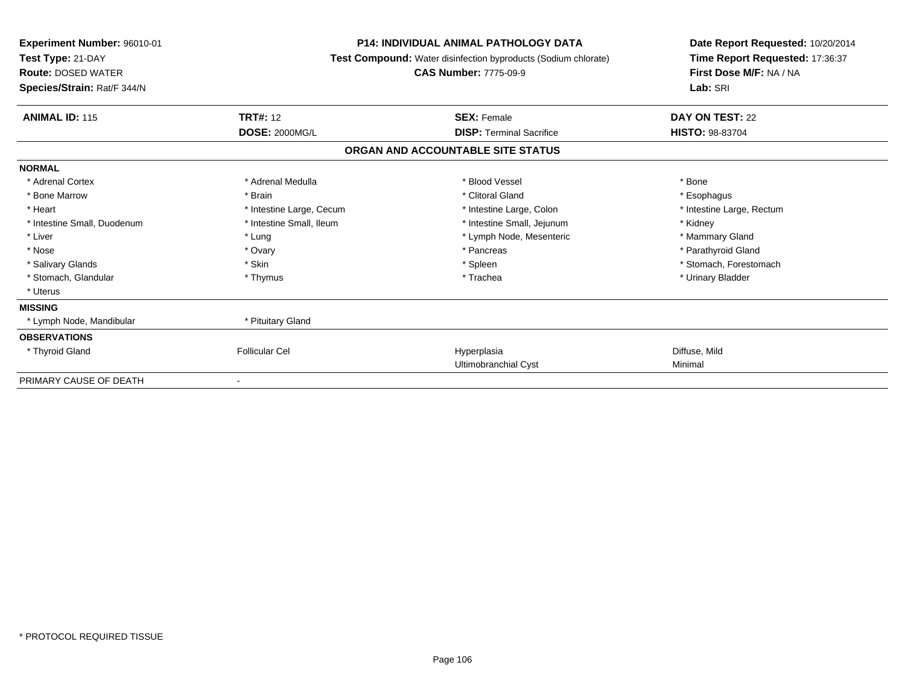| Experiment Number: 96010-01<br>Test Type: 21-DAY<br><b>Route: DOSED WATER</b><br>Species/Strain: Rat/F 344/N | <b>P14: INDIVIDUAL ANIMAL PATHOLOGY DATA</b><br>Test Compound: Water disinfection byproducts (Sodium chlorate)<br><b>CAS Number: 7775-09-9</b> |                                   | Date Report Requested: 10/20/2014<br>Time Report Requested: 17:36:37<br>First Dose M/F: NA / NA<br>Lab: SRI |
|--------------------------------------------------------------------------------------------------------------|------------------------------------------------------------------------------------------------------------------------------------------------|-----------------------------------|-------------------------------------------------------------------------------------------------------------|
| <b>ANIMAL ID: 115</b>                                                                                        | <b>TRT#: 12</b>                                                                                                                                | <b>SEX: Female</b>                | DAY ON TEST: 22                                                                                             |
|                                                                                                              | <b>DOSE: 2000MG/L</b>                                                                                                                          | <b>DISP:</b> Terminal Sacrifice   | <b>HISTO: 98-83704</b>                                                                                      |
|                                                                                                              |                                                                                                                                                | ORGAN AND ACCOUNTABLE SITE STATUS |                                                                                                             |
| <b>NORMAL</b>                                                                                                |                                                                                                                                                |                                   |                                                                                                             |
| * Adrenal Cortex                                                                                             | * Adrenal Medulla                                                                                                                              | * Blood Vessel                    | * Bone                                                                                                      |
| * Bone Marrow                                                                                                | * Brain                                                                                                                                        | * Clitoral Gland                  | * Esophagus                                                                                                 |
| * Heart                                                                                                      | * Intestine Large, Cecum                                                                                                                       | * Intestine Large, Colon          | * Intestine Large, Rectum                                                                                   |
| * Intestine Small, Duodenum                                                                                  | * Intestine Small, Ileum                                                                                                                       | * Intestine Small, Jejunum        | * Kidney                                                                                                    |
| * Liver                                                                                                      | * Lung                                                                                                                                         | * Lymph Node, Mesenteric          | * Mammary Gland                                                                                             |
| * Nose                                                                                                       | * Ovary                                                                                                                                        | * Pancreas                        | * Parathyroid Gland                                                                                         |
| * Salivary Glands                                                                                            | * Skin                                                                                                                                         | * Spleen                          | * Stomach, Forestomach                                                                                      |
| * Stomach, Glandular                                                                                         | * Thymus                                                                                                                                       | * Trachea                         | * Urinary Bladder                                                                                           |
| * Uterus                                                                                                     |                                                                                                                                                |                                   |                                                                                                             |
| <b>MISSING</b>                                                                                               |                                                                                                                                                |                                   |                                                                                                             |
| * Lymph Node, Mandibular                                                                                     | * Pituitary Gland                                                                                                                              |                                   |                                                                                                             |
| <b>OBSERVATIONS</b>                                                                                          |                                                                                                                                                |                                   |                                                                                                             |
| * Thyroid Gland                                                                                              | <b>Follicular Cel</b>                                                                                                                          | Hyperplasia                       | Diffuse, Mild                                                                                               |
|                                                                                                              |                                                                                                                                                | Ultimobranchial Cyst              | Minimal                                                                                                     |
| PRIMARY CAUSE OF DEATH                                                                                       |                                                                                                                                                |                                   |                                                                                                             |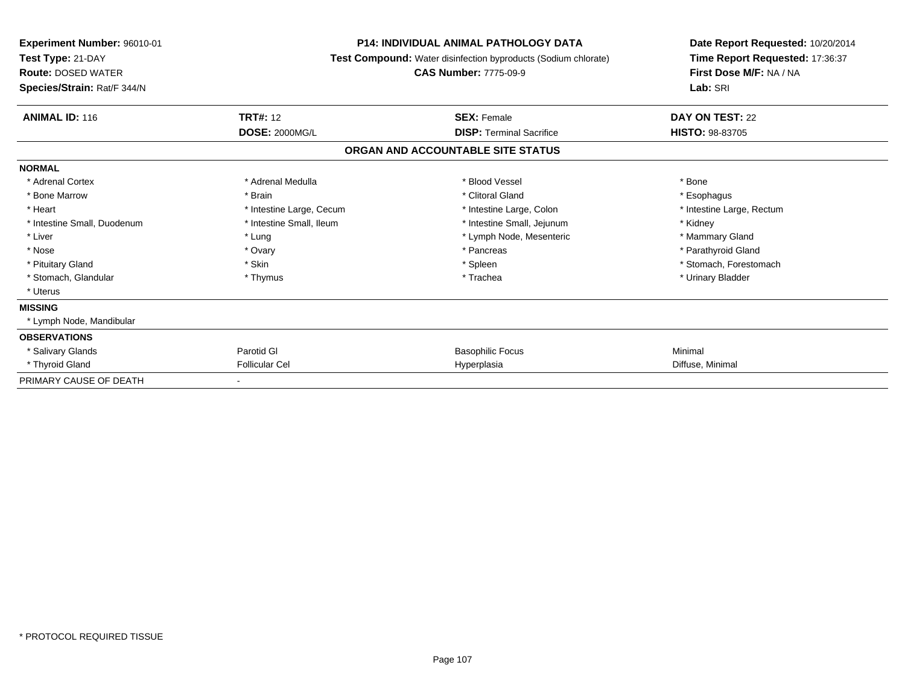| Experiment Number: 96010-01<br>Test Type: 21-DAY<br><b>Route: DOSED WATER</b><br>Species/Strain: Rat/F 344/N | <b>P14: INDIVIDUAL ANIMAL PATHOLOGY DATA</b><br>Test Compound: Water disinfection byproducts (Sodium chlorate)<br><b>CAS Number: 7775-09-9</b> |                                   | Date Report Requested: 10/20/2014<br>Time Report Requested: 17:36:37<br>First Dose M/F: NA / NA<br>Lab: SRI |  |
|--------------------------------------------------------------------------------------------------------------|------------------------------------------------------------------------------------------------------------------------------------------------|-----------------------------------|-------------------------------------------------------------------------------------------------------------|--|
| <b>ANIMAL ID: 116</b>                                                                                        | <b>TRT#: 12</b>                                                                                                                                | <b>SEX: Female</b>                | DAY ON TEST: 22                                                                                             |  |
|                                                                                                              | <b>DOSE: 2000MG/L</b>                                                                                                                          | <b>DISP: Terminal Sacrifice</b>   | <b>HISTO: 98-83705</b>                                                                                      |  |
|                                                                                                              |                                                                                                                                                | ORGAN AND ACCOUNTABLE SITE STATUS |                                                                                                             |  |
| <b>NORMAL</b>                                                                                                |                                                                                                                                                |                                   |                                                                                                             |  |
| * Adrenal Cortex                                                                                             | * Adrenal Medulla                                                                                                                              | * Blood Vessel                    | * Bone                                                                                                      |  |
| * Bone Marrow                                                                                                | * Brain                                                                                                                                        | * Clitoral Gland                  | * Esophagus                                                                                                 |  |
| * Heart                                                                                                      | * Intestine Large, Cecum                                                                                                                       | * Intestine Large, Colon          | * Intestine Large, Rectum                                                                                   |  |
| * Intestine Small, Duodenum                                                                                  | * Intestine Small, Ileum                                                                                                                       | * Intestine Small, Jejunum        | * Kidney                                                                                                    |  |
| * Liver                                                                                                      | * Lung                                                                                                                                         | * Lymph Node, Mesenteric          | * Mammary Gland                                                                                             |  |
| * Nose                                                                                                       | * Ovary                                                                                                                                        | * Pancreas                        | * Parathyroid Gland                                                                                         |  |
| * Pituitary Gland                                                                                            | * Skin                                                                                                                                         | * Spleen                          | * Stomach, Forestomach                                                                                      |  |
| * Stomach, Glandular                                                                                         | * Thymus                                                                                                                                       | * Trachea                         | * Urinary Bladder                                                                                           |  |
| * Uterus                                                                                                     |                                                                                                                                                |                                   |                                                                                                             |  |
| <b>MISSING</b>                                                                                               |                                                                                                                                                |                                   |                                                                                                             |  |
| * Lymph Node, Mandibular                                                                                     |                                                                                                                                                |                                   |                                                                                                             |  |
| <b>OBSERVATIONS</b>                                                                                          |                                                                                                                                                |                                   |                                                                                                             |  |
| * Salivary Glands                                                                                            | Parotid GI                                                                                                                                     | <b>Basophilic Focus</b>           | Minimal                                                                                                     |  |
| * Thyroid Gland                                                                                              | <b>Follicular Cel</b>                                                                                                                          | Hyperplasia                       | Diffuse, Minimal                                                                                            |  |
| PRIMARY CAUSE OF DEATH                                                                                       |                                                                                                                                                |                                   |                                                                                                             |  |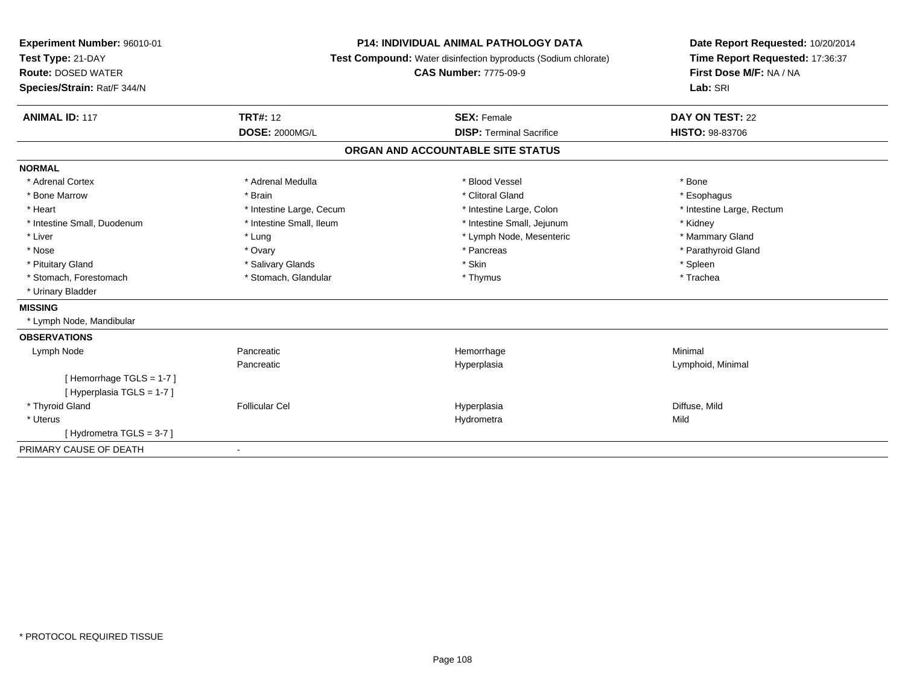| Experiment Number: 96010-01 | <b>P14: INDIVIDUAL ANIMAL PATHOLOGY DATA</b><br>Test Compound: Water disinfection byproducts (Sodium chlorate)<br><b>CAS Number: 7775-09-9</b> |                                   | Date Report Requested: 10/20/2014 |
|-----------------------------|------------------------------------------------------------------------------------------------------------------------------------------------|-----------------------------------|-----------------------------------|
| Test Type: 21-DAY           |                                                                                                                                                |                                   | Time Report Requested: 17:36:37   |
| <b>Route: DOSED WATER</b>   |                                                                                                                                                |                                   | First Dose M/F: NA / NA           |
| Species/Strain: Rat/F 344/N |                                                                                                                                                |                                   | Lab: SRI                          |
| <b>ANIMAL ID: 117</b>       | <b>TRT#: 12</b>                                                                                                                                | <b>SEX: Female</b>                | DAY ON TEST: 22                   |
|                             | <b>DOSE: 2000MG/L</b>                                                                                                                          | <b>DISP: Terminal Sacrifice</b>   | <b>HISTO: 98-83706</b>            |
|                             |                                                                                                                                                | ORGAN AND ACCOUNTABLE SITE STATUS |                                   |
| <b>NORMAL</b>               |                                                                                                                                                |                                   |                                   |
| * Adrenal Cortex            | * Adrenal Medulla                                                                                                                              | * Blood Vessel                    | * Bone                            |
| * Bone Marrow               | * Brain                                                                                                                                        | * Clitoral Gland                  | * Esophagus                       |
| * Heart                     | * Intestine Large, Cecum                                                                                                                       | * Intestine Large, Colon          | * Intestine Large, Rectum         |
| * Intestine Small, Duodenum | * Intestine Small, Ileum                                                                                                                       | * Intestine Small, Jejunum        | * Kidney                          |
| * Liver                     | * Lung                                                                                                                                         | * Lymph Node, Mesenteric          | * Mammary Gland                   |
| * Nose                      | * Ovary                                                                                                                                        | * Pancreas                        | * Parathyroid Gland               |
| * Pituitary Gland           | * Salivary Glands                                                                                                                              | * Skin                            | * Spleen                          |
| * Stomach, Forestomach      | * Stomach, Glandular                                                                                                                           | * Thymus                          | * Trachea                         |
| * Urinary Bladder           |                                                                                                                                                |                                   |                                   |
| <b>MISSING</b>              |                                                                                                                                                |                                   |                                   |
| * Lymph Node, Mandibular    |                                                                                                                                                |                                   |                                   |
| <b>OBSERVATIONS</b>         |                                                                                                                                                |                                   |                                   |
| Lymph Node                  | Pancreatic                                                                                                                                     | Hemorrhage                        | Minimal                           |
|                             | Pancreatic                                                                                                                                     | Hyperplasia                       | Lymphoid, Minimal                 |
| [Hemorrhage TGLS = 1-7]     |                                                                                                                                                |                                   |                                   |
| [Hyperplasia TGLS = 1-7]    |                                                                                                                                                |                                   |                                   |
| * Thyroid Gland             | <b>Follicular Cel</b>                                                                                                                          | Hyperplasia                       | Diffuse, Mild                     |
| * Uterus                    |                                                                                                                                                | Hydrometra                        | Mild                              |
| [Hydrometra TGLS = 3-7]     |                                                                                                                                                |                                   |                                   |
| PRIMARY CAUSE OF DEATH      | $\blacksquare$                                                                                                                                 |                                   |                                   |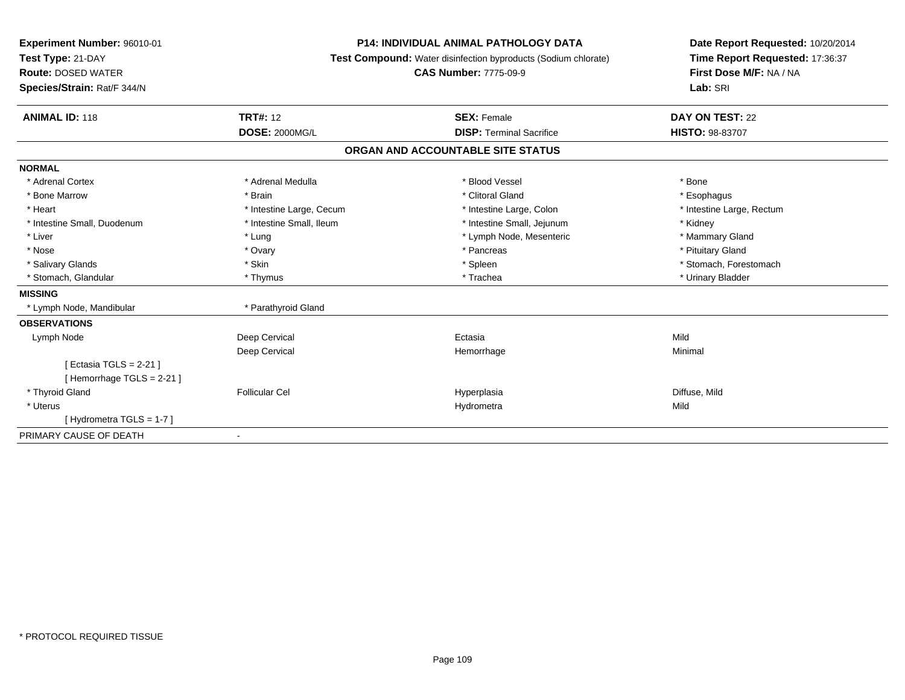| Experiment Number: 96010-01<br>Test Type: 21-DAY<br><b>Route: DOSED WATER</b><br>Species/Strain: Rat/F 344/N | <b>P14: INDIVIDUAL ANIMAL PATHOLOGY DATA</b><br>Test Compound: Water disinfection byproducts (Sodium chlorate)<br><b>CAS Number: 7775-09-9</b> |                                   | Date Report Requested: 10/20/2014<br>Time Report Requested: 17:36:37<br>First Dose M/F: NA / NA<br>Lab: SRI |
|--------------------------------------------------------------------------------------------------------------|------------------------------------------------------------------------------------------------------------------------------------------------|-----------------------------------|-------------------------------------------------------------------------------------------------------------|
| <b>ANIMAL ID: 118</b>                                                                                        | <b>TRT#: 12</b>                                                                                                                                | <b>SEX: Female</b>                | DAY ON TEST: 22                                                                                             |
|                                                                                                              | <b>DOSE: 2000MG/L</b>                                                                                                                          | <b>DISP: Terminal Sacrifice</b>   | <b>HISTO: 98-83707</b>                                                                                      |
|                                                                                                              |                                                                                                                                                | ORGAN AND ACCOUNTABLE SITE STATUS |                                                                                                             |
| <b>NORMAL</b>                                                                                                |                                                                                                                                                |                                   |                                                                                                             |
| * Adrenal Cortex                                                                                             | * Adrenal Medulla                                                                                                                              | * Blood Vessel                    | * Bone                                                                                                      |
| * Bone Marrow                                                                                                | * Brain                                                                                                                                        | * Clitoral Gland                  | * Esophagus                                                                                                 |
| * Heart                                                                                                      | * Intestine Large, Cecum                                                                                                                       | * Intestine Large, Colon          | * Intestine Large, Rectum                                                                                   |
| * Intestine Small, Duodenum                                                                                  | * Intestine Small, Ileum                                                                                                                       | * Intestine Small, Jejunum        | * Kidney                                                                                                    |
| * Liver                                                                                                      | * Lung                                                                                                                                         | * Lymph Node, Mesenteric          | * Mammary Gland                                                                                             |
| * Nose                                                                                                       | * Ovary                                                                                                                                        | * Pancreas                        | * Pituitary Gland                                                                                           |
| * Salivary Glands                                                                                            | * Skin                                                                                                                                         | * Spleen                          | * Stomach, Forestomach                                                                                      |
| * Stomach, Glandular                                                                                         | * Thymus                                                                                                                                       | * Trachea                         | * Urinary Bladder                                                                                           |
| <b>MISSING</b>                                                                                               |                                                                                                                                                |                                   |                                                                                                             |
| * Lymph Node, Mandibular                                                                                     | * Parathyroid Gland                                                                                                                            |                                   |                                                                                                             |
| <b>OBSERVATIONS</b>                                                                                          |                                                                                                                                                |                                   |                                                                                                             |
| Lymph Node                                                                                                   | Deep Cervical                                                                                                                                  | Ectasia                           | Mild                                                                                                        |
|                                                                                                              | Deep Cervical                                                                                                                                  | Hemorrhage                        | Minimal                                                                                                     |
| [ Ectasia TGLS = $2-21$ ]                                                                                    |                                                                                                                                                |                                   |                                                                                                             |
| [Hemorrhage TGLS = 2-21]                                                                                     |                                                                                                                                                |                                   |                                                                                                             |
| * Thyroid Gland                                                                                              | <b>Follicular Cel</b>                                                                                                                          | Hyperplasia                       | Diffuse, Mild                                                                                               |
| * Uterus                                                                                                     |                                                                                                                                                | Hydrometra                        | Mild                                                                                                        |
| [Hydrometra TGLS = 1-7]                                                                                      |                                                                                                                                                |                                   |                                                                                                             |
| PRIMARY CAUSE OF DEATH                                                                                       | $\blacksquare$                                                                                                                                 |                                   |                                                                                                             |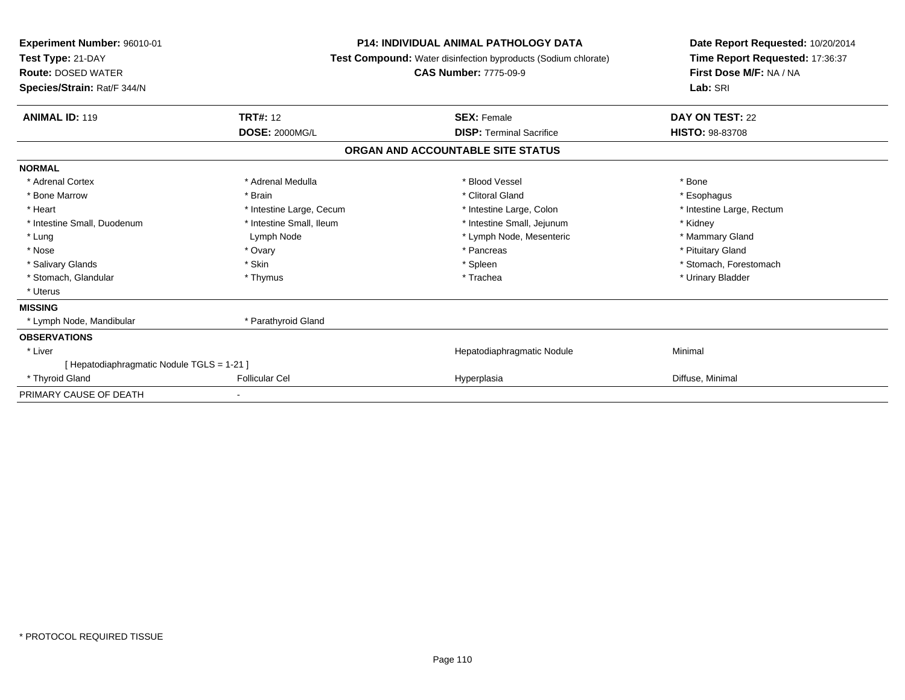| <b>Experiment Number: 96010-01</b><br>Test Type: 21-DAY<br><b>Route: DOSED WATER</b><br>Species/Strain: Rat/F 344/N | <b>P14: INDIVIDUAL ANIMAL PATHOLOGY DATA</b><br>Test Compound: Water disinfection byproducts (Sodium chlorate)<br><b>CAS Number: 7775-09-9</b> |                                   | Date Report Requested: 10/20/2014<br>Time Report Requested: 17:36:37<br>First Dose M/F: NA / NA<br>Lab: SRI |
|---------------------------------------------------------------------------------------------------------------------|------------------------------------------------------------------------------------------------------------------------------------------------|-----------------------------------|-------------------------------------------------------------------------------------------------------------|
| <b>ANIMAL ID: 119</b>                                                                                               | <b>TRT#: 12</b>                                                                                                                                | <b>SEX: Female</b>                | DAY ON TEST: 22                                                                                             |
|                                                                                                                     | <b>DOSE: 2000MG/L</b>                                                                                                                          | <b>DISP: Terminal Sacrifice</b>   | <b>HISTO: 98-83708</b>                                                                                      |
|                                                                                                                     |                                                                                                                                                | ORGAN AND ACCOUNTABLE SITE STATUS |                                                                                                             |
| <b>NORMAL</b>                                                                                                       |                                                                                                                                                |                                   |                                                                                                             |
| * Adrenal Cortex                                                                                                    | * Adrenal Medulla                                                                                                                              | * Blood Vessel                    | * Bone                                                                                                      |
| * Bone Marrow                                                                                                       | * Brain                                                                                                                                        | * Clitoral Gland                  | * Esophagus                                                                                                 |
| * Heart                                                                                                             | * Intestine Large, Cecum                                                                                                                       | * Intestine Large, Colon          | * Intestine Large, Rectum                                                                                   |
| * Intestine Small, Duodenum                                                                                         | * Intestine Small. Ileum                                                                                                                       | * Intestine Small, Jejunum        | * Kidney                                                                                                    |
| * Lung                                                                                                              | Lymph Node                                                                                                                                     | * Lymph Node, Mesenteric          | * Mammary Gland                                                                                             |
| * Nose                                                                                                              | * Ovary                                                                                                                                        | * Pancreas                        | * Pituitary Gland                                                                                           |
| * Salivary Glands                                                                                                   | * Skin                                                                                                                                         | * Spleen                          | * Stomach, Forestomach                                                                                      |
| * Stomach, Glandular                                                                                                | * Thymus                                                                                                                                       | * Trachea                         | * Urinary Bladder                                                                                           |
| * Uterus                                                                                                            |                                                                                                                                                |                                   |                                                                                                             |
| <b>MISSING</b>                                                                                                      |                                                                                                                                                |                                   |                                                                                                             |
| * Lymph Node, Mandibular                                                                                            | * Parathyroid Gland                                                                                                                            |                                   |                                                                                                             |
| <b>OBSERVATIONS</b>                                                                                                 |                                                                                                                                                |                                   |                                                                                                             |
| * Liver                                                                                                             |                                                                                                                                                | Hepatodiaphragmatic Nodule        | Minimal                                                                                                     |
| [ Hepatodiaphragmatic Nodule TGLS = 1-21 ]                                                                          |                                                                                                                                                |                                   |                                                                                                             |
| * Thyroid Gland                                                                                                     | <b>Follicular Cel</b>                                                                                                                          | Hyperplasia                       | Diffuse, Minimal                                                                                            |
| PRIMARY CAUSE OF DEATH                                                                                              |                                                                                                                                                |                                   |                                                                                                             |